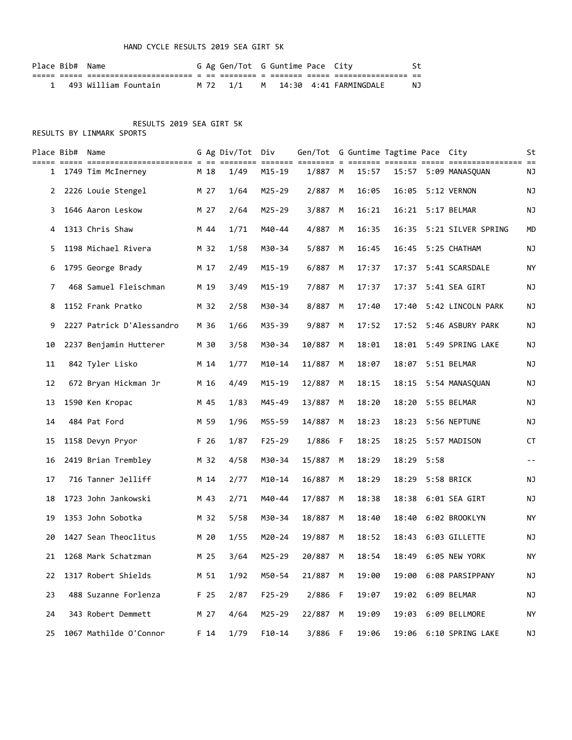### HAND CYCLE RESULTS 2019 SEA GIRT 5K

| Place Bib# Name |                        |  | G Ag Gen/Tot G Guntime Pace City |  |                                   | .St |
|-----------------|------------------------|--|----------------------------------|--|-----------------------------------|-----|
|                 |                        |  |                                  |  |                                   |     |
|                 | 1 493 William Fountain |  |                                  |  | M 72 1/1 M 14:30 4:41 FARMINGDALE | NJ  |

## RESULTS 2019 SEA GIRT 5K

|                | Place Bib# Name |                           |                 | G Ag Div/Tot Div |            | Gen/Tot G Guntime Tagtime Pace City |   |       |       |      |                    | St        |
|----------------|-----------------|---------------------------|-----------------|------------------|------------|-------------------------------------|---|-------|-------|------|--------------------|-----------|
| $\mathbf{1}$   |                 | 1749 Tim McInerney        | M 18            | $==$<br>1/49     | M15-19     | ==== = ==<br>1/887 M                |   | 15:57 | 15:57 |      | 5:09 MANASQUAN     | ΝJ        |
| 2              |                 | 2226 Louie Stengel        | M 27            | 1/64             | M25-29     | 2/887 M                             |   | 16:05 | 16:05 |      | 5:12 VERNON        | ΝJ        |
| 3              |                 | 1646 Aaron Leskow         | M 27            | 2/64             | M25-29     | 3/887                               | М | 16:21 | 16:21 |      | 5:17 BELMAR        | ΝJ        |
| 4              |                 | 1313 Chris Shaw           | M 44            | 1/71             | M40-44     | 4/887                               | М | 16:35 | 16:35 |      | 5:21 SILVER SPRING | МD        |
| 5.             |                 | 1198 Michael Rivera       | M 32            | 1/58             | M30-34     | 5/887                               | M | 16:45 | 16:45 |      | 5:25 CHATHAM       | NJ        |
| 6              |                 | 1795 George Brady         | M 17            | 2/49             | M15-19     | 6/887                               | M | 17:37 | 17:37 |      | 5:41 SCARSDALE     | ΝY        |
| $\overline{7}$ |                 | 468 Samuel Fleischman     | M 19            | 3/49             | $M15 - 19$ | 7/887                               | M | 17:37 | 17:37 |      | 5:41 SEA GIRT      | ΝJ        |
| 8              |                 | 1152 Frank Pratko         | M 32            | 2/58             | M30-34     | 8/887                               | М | 17:40 | 17:40 |      | 5:42 LINCOLN PARK  | ΝJ        |
| 9              |                 | 2227 Patrick D'Alessandro | M 36            | 1/66             | M35-39     | 9/887                               | М | 17:52 | 17:52 |      | 5:46 ASBURY PARK   | NJ        |
| 10             |                 | 2237 Benjamin Hutterer    | M 30            | 3/58             | M30-34     | 10/887                              | м | 18:01 | 18:01 |      | 5:49 SPRING LAKE   | ΝJ        |
| 11             |                 | 842 Tyler Lisko           | M 14            | 1/77             | $M10 - 14$ | 11/887                              | М | 18:07 | 18:07 |      | 5:51 BELMAR        | NJ        |
| 12             |                 | 672 Bryan Hickman Jr      | M 16            | 4/49             | $M15 - 19$ | 12/887                              | M | 18:15 | 18:15 |      | 5:54 MANASQUAN     | NJ        |
| 13             |                 | 1590 Ken Kropac           | M 45            | 1/83             | M45-49     | 13/887                              | М | 18:20 | 18:20 |      | 5:55 BELMAR        | NJ        |
| 14             |                 | 484 Pat Ford              | M 59            | 1/96             | M55-59     | 14/887                              | M | 18:23 | 18:23 |      | 5:56 NEPTUNE       | ΝJ        |
| 15             |                 | 1158 Devyn Pryor          | F 26            | 1/87             | $F25 - 29$ | 1/886 F                             |   | 18:25 | 18:25 |      | 5:57 MADISON       | CT        |
| 16             |                 | 2419 Brian Trembley       | M 32            | 4/58             | M30-34     | 15/887                              | М | 18:29 | 18:29 | 5:58 |                    | $ -$      |
| 17             |                 | 716 Tanner Jelliff        | M 14            | 2/77             | $M10 - 14$ | 16/887 M                            |   | 18:29 | 18:29 |      | 5:58 BRICK         | ΝJ        |
| 18             |                 | 1723 John Jankowski       | M 43            | 2/71             | M40-44     | 17/887                              | M | 18:38 | 18:38 |      | 6:01 SEA GIRT      | NJ        |
| 19             |                 | 1353 John Sobotka         | M 32            | 5/58             | M30-34     | 18/887                              | M | 18:40 | 18:40 |      | 6:02 BROOKLYN      | ΝY        |
| 20             |                 | 1427 Sean Theoclitus      | M 20            | 1/55             | M20-24     | 19/887                              | М | 18:52 | 18:43 |      | 6:03 GILLETTE      | ΝJ        |
| 21             |                 | 1268 Mark Schatzman       | M 25            | 3/64             | M25-29     | 20/887 M                            |   | 18:54 | 18:49 |      | 6:05 NEW YORK      | ΝY        |
| 22             |                 | 1317 Robert Shields       | M 51            | 1/92             | M50-54     | 21/887 M                            |   | 19:00 | 19:00 |      | 6:08 PARSIPPANY    | NJ        |
| 23             |                 | 488 Suzanne Forlenza      | F 25            | 2/87             | F25-29     | 2/886 F                             |   | 19:07 |       |      | 19:02 6:09 BELMAR  | NJ        |
| 24             |                 | 343 Robert Demmett        | M 27            | 4/64             | M25-29     | 22/887 M                            |   | 19:09 | 19:03 |      | 6:09 BELLMORE      | <b>NY</b> |
| 25             |                 | 1067 Mathilde O'Connor    | F <sub>14</sub> | 1/79             | $F10-14$   | 3/886 F                             |   | 19:06 | 19:06 |      | 6:10 SPRING LAKE   | NJ        |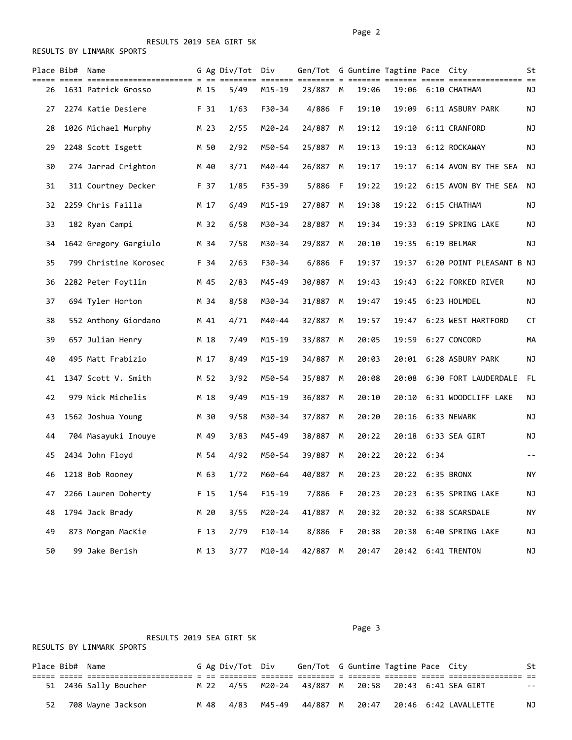RESULTS BY LINMARK SPORTS

|    | Place Bib# Name |                       |      | G Ag Div/Tot Div |            | Gen/Tot G Guntime Tagtime Pace City |   |       |       |            |                               | St    |
|----|-----------------|-----------------------|------|------------------|------------|-------------------------------------|---|-------|-------|------------|-------------------------------|-------|
| 26 |                 | 1631 Patrick Grosso   | M 15 | ======<br>5/49   | M15-19     | ======= ======== = ===:<br>23/887 M |   | 19:06 |       |            | 19:06 6:10 CHATHAM            | ΝJ    |
| 27 |                 | 2274 Katie Desiere    | F 31 | 1/63             | F30-34     | 4/886 F                             |   | 19:10 | 19:09 |            | 6:11 ASBURY PARK              | ΝJ    |
| 28 |                 | 1026 Michael Murphy   | M 23 | 2/55             | M20-24     | 24/887                              | м | 19:12 | 19:10 |            | 6:11 CRANFORD                 | ΝJ    |
| 29 |                 | 2248 Scott Isgett     | M 50 | 2/92             | M50-54     | 25/887                              | М | 19:13 | 19:13 |            | 6:12 ROCKAWAY                 | NJ    |
| 30 |                 | 274 Jarrad Crighton   | M 40 | 3/71             | M40-44     | 26/887 M                            |   | 19:17 | 19:17 |            | 6:14 AVON BY THE SEA          | ΝJ    |
| 31 |                 | 311 Courtney Decker   | F 37 | 1/85             | F35-39     | 5/886 F                             |   | 19:22 |       |            | 19:22 6:15 AVON BY THE SEA NJ |       |
| 32 |                 | 2259 Chris Failla     | M 17 | 6/49             | $M15 - 19$ | 27/887 M                            |   | 19:38 | 19:22 |            | 6:15 CHATHAM                  | ΝJ    |
| 33 |                 | 182 Ryan Campi        | M 32 | 6/58             | M30-34     | 28/887 M                            |   | 19:34 | 19:33 |            | 6:19 SPRING LAKE              | ΝJ    |
| 34 |                 | 1642 Gregory Gargiulo | M 34 | 7/58             | M30-34     | 29/887                              | M | 20:10 | 19:35 |            | 6:19 BELMAR                   | ΝJ    |
| 35 |                 | 799 Christine Korosec | F 34 | 2/63             | F30-34     | 6/886 F                             |   | 19:37 | 19:37 |            | 6:20 POINT PLEASANT B NJ      |       |
| 36 |                 | 2282 Peter Foytlin    | M 45 | 2/83             | M45-49     | 30/887                              | М | 19:43 | 19:43 |            | 6:22 FORKED RIVER             | ΝJ    |
| 37 |                 | 694 Tyler Horton      | M 34 | 8/58             | M30-34     | 31/887                              | М | 19:47 | 19:45 |            | 6:23 HOLMDEL                  | NJ    |
| 38 |                 | 552 Anthony Giordano  | M 41 | 4/71             | M40-44     | 32/887                              | м | 19:57 | 19:47 |            | 6:23 WEST HARTFORD            | CT    |
| 39 |                 | 657 Julian Henry      | M 18 | 7/49             | $M15 - 19$ | 33/887                              | M | 20:05 | 19:59 |            | 6:27 CONCORD                  | МA    |
| 40 |                 | 495 Matt Frabizio     | M 17 | 8/49             | $M15 - 19$ | 34/887                              | М | 20:03 | 20:01 |            | 6:28 ASBURY PARK              | ΝJ    |
| 41 |                 | 1347 Scott V. Smith   | M 52 | 3/92             | M50-54     | 35/887                              | М | 20:08 | 20:08 |            | 6:30 FORT LAUDERDALE          | FL.   |
| 42 |                 | 979 Nick Michelis     | M 18 | 9/49             | $M15 - 19$ | 36/887 M                            |   | 20:10 | 20:10 |            | 6:31 WOODCLIFF LAKE           | ΝJ    |
| 43 |                 | 1562 Joshua Young     | M 30 | 9/58             | M30-34     | 37/887                              | М | 20:20 | 20:16 |            | 6:33 NEWARK                   | NJ    |
| 44 |                 | 704 Masayuki Inouye   | M 49 | 3/83             | M45-49     | 38/887                              | М | 20:22 | 20:18 |            | 6:33 SEA GIRT                 | ΝJ    |
| 45 |                 | 2434 John Floyd       | M 54 | 4/92             | M50-54     | 39/887                              | м | 20:22 |       | 20:22 6:34 |                               | $- -$ |
| 46 |                 | 1218 Bob Rooney       | M 63 | 1/72             | M60-64     | 40/887 M                            |   | 20:23 |       |            | 20:22 6:35 BRONX              | ΝY    |
| 47 |                 | 2266 Lauren Doherty   | F 15 | 1/54             | $F15 - 19$ | 7/886 F                             |   | 20:23 | 20:23 |            | 6:35 SPRING LAKE              | NJ    |
| 48 |                 | 1794 Jack Brady       | M 20 | 3/55             | M20-24     | 41/887 M                            |   | 20:32 | 20:32 |            | 6:38 SCARSDALE                | ΝY    |
| 49 |                 | 873 Morgan MacKie     | F 13 | 2/79             | $F10 - 14$ | 8/886 F                             |   | 20:38 | 20:38 |            | 6:40 SPRING LAKE              | ΝJ    |
| 50 |                 | 99 Jake Berish        | M 13 | 3/77             | $M10 - 14$ | 42/887 M                            |   | 20:47 | 20:42 |            | 6:41 TRENTON                  | NJ    |

|                 |  | RESULTS 2019 SEA GIRT 5K<br>RESULTS BY LINMARK SPORTS |  |                  |        |                                                     |  |  |    |
|-----------------|--|-------------------------------------------------------|--|------------------|--------|-----------------------------------------------------|--|--|----|
| Place Bib# Name |  |                                                       |  | G Ag Div/Tot Div |        | Gen/Tot G Guntime Tagtime Pace City                 |  |  | St |
|                 |  |                                                       |  |                  |        |                                                     |  |  |    |
|                 |  | 51 2436 Sally Boucher                                 |  |                  |        | M 22 4/55 M20-24 43/887 M 20:58 20:43 6:41 SEA GIRT |  |  |    |
| 52              |  | 708 Wayne Jackson                                     |  | M 48 4/83        | M45-49 | 44/887 M                                            |  |  | NJ |

Page 3 and 2012 and 2012 and 2012 and 2012 and 2012 and 2012 and 2012 and 2012 and 2012 and 2012 and 2012 and 2012 and 2012 and 2012 and 2012 and 2012 and 2012 and 2012 and 2012 and 2012 and 2012 and 2012 and 2012 and 2012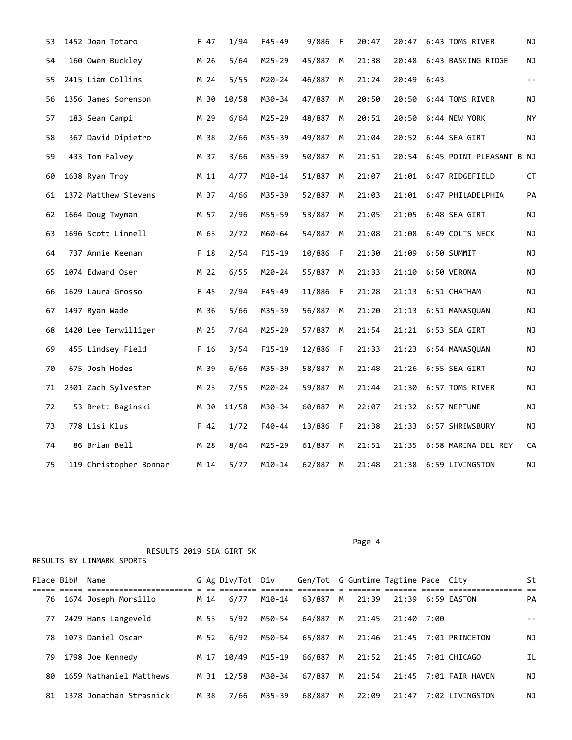| 53 | 1452 Joan Totaro       | F 47 | 1/94  | F45-49     | 9/886 F  |   | 20:47 | 20:47 | 6:43 TOMS RIVER          | ΝJ         |
|----|------------------------|------|-------|------------|----------|---|-------|-------|--------------------------|------------|
| 54 | 160 Owen Buckley       | M 26 | 5/64  | $M25 - 29$ | 45/887   | M | 21:38 | 20:48 | 6:43 BASKING RIDGE       | NJ         |
| 55 | 2415 Liam Collins      | M 24 | 5/55  | $M20 - 24$ | 46/887   | M | 21:24 | 20:49 | 6:43                     | $\sim$ $-$ |
| 56 | 1356 James Sorenson    | M 30 | 10/58 | M30-34     | 47/887   | M | 20:50 | 20:50 | 6:44 TOMS RIVER          | ΝJ         |
| 57 | 183 Sean Campi         | M 29 | 6/64  | $M25 - 29$ | 48/887   | М | 20:51 | 20:50 | 6:44 NEW YORK            | ΝY         |
| 58 | 367 David Dipietro     | M 38 | 2/66  | M35-39     | 49/887   | M | 21:04 |       | 20:52 6:44 SEA GIRT      | ΝJ         |
| 59 | 433 Tom Falvey         | M 37 | 3/66  | M35-39     | 50/887   | M | 21:51 | 20:54 | 6:45 POINT PLEASANT B NJ |            |
| 60 | 1638 Ryan Troy         | M 11 | 4/77  | $M10 - 14$ | 51/887   | M | 21:07 | 21:01 | 6:47 RIDGEFIELD          | CT         |
| 61 | 1372 Matthew Stevens   | M 37 | 4/66  | M35-39     | 52/887 M |   | 21:03 |       | 21:01 6:47 PHILADELPHIA  | PA         |
| 62 | 1664 Doug Twyman       | M 57 | 2/96  | M55-59     | 53/887   | M | 21:05 | 21:05 | 6:48 SEA GIRT            | ΝJ         |
| 63 | 1696 Scott Linnell     | M 63 | 2/72  | M60-64     | 54/887   | M | 21:08 | 21:08 | 6:49 COLTS NECK          | ΝJ         |
| 64 | 737 Annie Keenan       | F 18 | 2/54  | $F15 - 19$ | 10/886 F |   | 21:30 | 21:09 | 6:50 SUMMIT              | ΝJ         |
| 65 | 1074 Edward Oser       | M 22 | 6/55  | M20-24     | 55/887   | M | 21:33 | 21:10 | 6:50 VERONA              | ΝJ         |
| 66 | 1629 Laura Grosso      | F 45 | 2/94  | $F45 - 49$ | 11/886 F |   | 21:28 | 21:13 | 6:51 CHATHAM             | ΝJ         |
| 67 | 1497 Ryan Wade         | M 36 | 5/66  | M35-39     | 56/887   | M | 21:20 |       | 21:13 6:51 MANASQUAN     | ΝJ         |
| 68 | 1420 Lee Terwilliger   | M 25 | 7/64  | M25-29     | 57/887   | M | 21:54 | 21:21 | 6:53 SEA GIRT            | ΝJ         |
| 69 | 455 Lindsey Field      | F 16 | 3/54  | $F15 - 19$ | 12/886 F |   | 21:33 |       | 21:23 6:54 MANASQUAN     | ΝJ         |
| 70 | 675 Josh Hodes         | M 39 | 6/66  | M35-39     | 58/887   | M | 21:48 | 21:26 | 6:55 SEA GIRT            | ΝJ         |
| 71 | 2301 Zach Sylvester    | M 23 | 7/55  | $M20 - 24$ | 59/887   | M | 21:44 | 21:30 | 6:57 TOMS RIVER          | ΝJ         |
| 72 | 53 Brett Baginski      | M 30 | 11/58 | M30-34     | 60/887   | M | 22:07 |       | 21:32 6:57 NEPTUNE       | ΝJ         |
| 73 | 778 Lisi Klus          | F 42 | 1/72  | $F40 - 44$ | 13/886 F |   | 21:38 |       | 21:33 6:57 SHREWSBURY    | ΝJ         |
| 74 | 86 Brian Bell          | M 28 | 8/64  | M25-29     | 61/887   | М | 21:51 | 21:35 | 6:58 MARINA DEL REY      | CA         |
| 75 | 119 Christopher Bonnar | M 14 | 5/77  | M10-14     | 62/887   | M | 21:48 |       | 21:38 6:59 LIVINGSTON    | ΝJ         |

Page 4

| Place Bib# | Name                    |      | G Ag Div/Tot Div |        | Gen/Tot G Guntime Tagtime Pace City |   |       |            |                            | St  |
|------------|-------------------------|------|------------------|--------|-------------------------------------|---|-------|------------|----------------------------|-----|
|            |                         |      |                  |        |                                     |   |       |            |                            |     |
| 76         | 1674 Joseph Morsillo    | M 14 | 6/77             | M10-14 | 63/887                              | M | 21:39 |            | 21:39 6:59 EASTON          | PA  |
| 77         | 2429 Hans Langeveld     | M 53 | 5/92             | M50-54 | 64/887                              | M | 21:45 | 21:40 7:00 |                            | - - |
| 78         | 1073 Daniel Oscar       | M 52 | 6/92             | M50-54 | 65/887                              | M | 21:46 |            | 21:45    7:01    PRINCETON | ΝJ  |
| 79.        | 1798 Joe Kennedy        | M 17 | 10/49            | M15-19 | 66/887                              | M | 21:52 |            |                            | ΙL  |
| 80.        | 1659 Nathaniel Matthews |      | M 31 12/58       | M30-34 | 67/887                              | M | 21:54 |            | 21:45 7:01 FAIR HAVEN      | NJ  |
| 81.        | 1378 Jonathan Strasnick | M 38 | 7/66             | M35-39 | 68/887                              | M | 22:09 | 21:47      | 7:02 LIVINGSTON            | ΝJ  |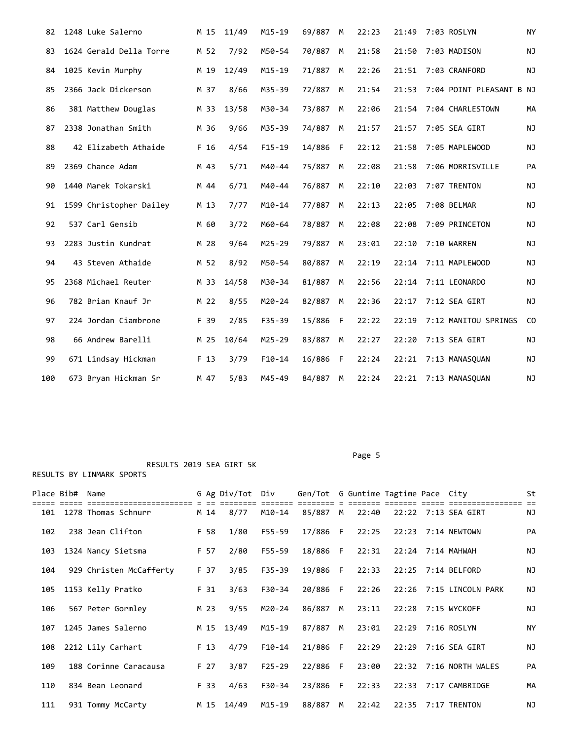| 82  | 1248 Luke Salerno       | M 15 | 11/49 | $M15 - 19$ | 69/887 | М | 22:23 | 21:49 | 7:03 ROSLYN              | <b>NY</b> |
|-----|-------------------------|------|-------|------------|--------|---|-------|-------|--------------------------|-----------|
| 83  | 1624 Gerald Della Torre | M 52 | 7/92  | M50-54     | 70/887 | M | 21:58 | 21:50 | 7:03 MADISON             | ΝJ        |
| 84  | 1025 Kevin Murphy       | M 19 | 12/49 | $M15 - 19$ | 71/887 | M | 22:26 | 21:51 | 7:03 CRANFORD            | ΝJ        |
| 85  | 2366 Jack Dickerson     | M 37 | 8/66  | M35-39     | 72/887 | M | 21:54 | 21:53 | 7:04 POINT PLEASANT B NJ |           |
| 86  | 381 Matthew Douglas     | M 33 | 13/58 | M30-34     | 73/887 | M | 22:06 | 21:54 | 7:04 CHARLESTOWN         | МA        |
| 87  | 2338 Jonathan Smith     | M 36 | 9/66  | M35-39     | 74/887 | M | 21:57 | 21:57 | 7:05 SEA GIRT            | NJ        |
| 88  | 42 Elizabeth Athaide    | F 16 | 4/54  | $F15 - 19$ | 14/886 | F | 22:12 | 21:58 | 7:05 MAPLEWOOD           | NJ        |
| 89  | 2369 Chance Adam        | M 43 | 5/71  | M40-44     | 75/887 | М | 22:08 | 21:58 | 7:06 MORRISVILLE         | PA        |
| 90  | 1440 Marek Tokarski     | M 44 | 6/71  | M40-44     | 76/887 | M | 22:10 | 22:03 | 7:07 TRENTON             | NJ        |
| 91  | 1599 Christopher Dailey | M 13 | 7/77  | $M10 - 14$ | 77/887 | M | 22:13 | 22:05 | 7:08 BELMAR              | NJ        |
| 92  | 537 Carl Gensib         | M 60 | 3/72  | M60-64     | 78/887 | M | 22:08 | 22:08 | 7:09 PRINCETON           | NJ        |
| 93  | 2283 Justin Kundrat     | M 28 | 9/64  | $M25 - 29$ | 79/887 | M | 23:01 | 22:10 | 7:10 WARREN              | ΝJ        |
| 94  | 43 Steven Athaide       | M 52 | 8/92  | M50-54     | 80/887 | M | 22:19 | 22:14 | 7:11 MAPLEWOOD           | ΝJ        |
| 95  | 2368 Michael Reuter     | M 33 | 14/58 | M30-34     | 81/887 | M | 22:56 | 22:14 | 7:11 LEONARDO            | ΝJ        |
| 96  | 782 Brian Knauf Jr      | M 22 | 8/55  | $M20 - 24$ | 82/887 | M | 22:36 | 22:17 | 7:12 SEA GIRT            | ΝJ        |
| 97  | 224 Jordan Ciambrone    | F 39 | 2/85  | $F35 - 39$ | 15/886 | F | 22:22 | 22:19 | 7:12 MANITOU SPRINGS     | CO.       |
| 98  | 66 Andrew Barelli       | M 25 | 10/64 | $M25 - 29$ | 83/887 | М | 22:27 | 22:20 | 7:13 SEA GIRT            | ΝJ        |
| 99  | 671 Lindsay Hickman     | F 13 | 3/79  | $F10-14$   | 16/886 | F | 22:24 | 22:21 | 7:13 MANASQUAN           | ΝJ        |
| 100 | 673 Bryan Hickman Sr    | M 47 | 5/83  | M45-49     | 84/887 | М | 22:24 |       | 22:21 7:13 MANASQUAN     | NJ        |

| Place Bib# | Name                    |      | G Ag Div/Tot | Div        | Gen/Tot G Guntime Tagtime Pace City |     |       |  |                         | St        |
|------------|-------------------------|------|--------------|------------|-------------------------------------|-----|-------|--|-------------------------|-----------|
| 101        | 1278 Thomas Schnurr     | M 14 | 8/77         | M10-14     | 85/887                              | M   | 22:40 |  | 22:22 7:13 SEA GIRT     | NJ.       |
| 102        | 238 Jean Clifton        | F 58 | 1/80         | $F55 - 59$ | 17/886 F                            |     | 22:25 |  | 22:23 7:14 NEWTOWN      | PA        |
| 103        | 1324 Nancy Sietsma      | F 57 | 2/80         | F55-59     | 18/886 F                            |     | 22:31 |  | 22:24 7:14 MAHWAH       | <b>NJ</b> |
| 104        | 929 Christen McCafferty | F 37 | 3/85         | $F35 - 39$ | 19/886 F                            |     | 22:33 |  | 22:25 7:14 BELFORD      | ΝJ        |
| 105        | 1153 Kelly Pratko       | F 31 | 3/63         | F30-34     | 20/886                              | - F | 22:26 |  | 22:26 7:15 LINCOLN PARK | <b>NJ</b> |
| 106        | 567 Peter Gormley       | M 23 | 9/55         | M20-24     | 86/887                              | M   | 23:11 |  | 22:28 7:15 WYCKOFF      | NJ        |
| 107        | 1245 James Salerno      | M 15 | 13/49        | M15-19     | 87/887 M                            |     | 23:01 |  | 22:29 7:16 ROSLYN       | <b>NY</b> |
| 108        | 2212 Lily Carhart       | F 13 | 4/79         | $F10-14$   | 21/886 F                            |     | 22:29 |  | 22:29 7:16 SEA GIRT     | <b>NJ</b> |
| 109        | 188 Corinne Caracausa   | F 27 | 3/87         | $F25 - 29$ | 22/886                              | - F | 23:00 |  | 22:32 7:16 NORTH WALES  | PA        |
| 110        | 834 Bean Leonard        | F 33 | 4/63         | F30-34     | 23/886 F                            |     | 22:33 |  |                         | MA        |
| 111        | 931 Tommy McCarty       | M 15 | 14/49        | M15-19     | 88/887                              | M   | 22:42 |  | 22:35 7:17 TRENTON      | ΝJ        |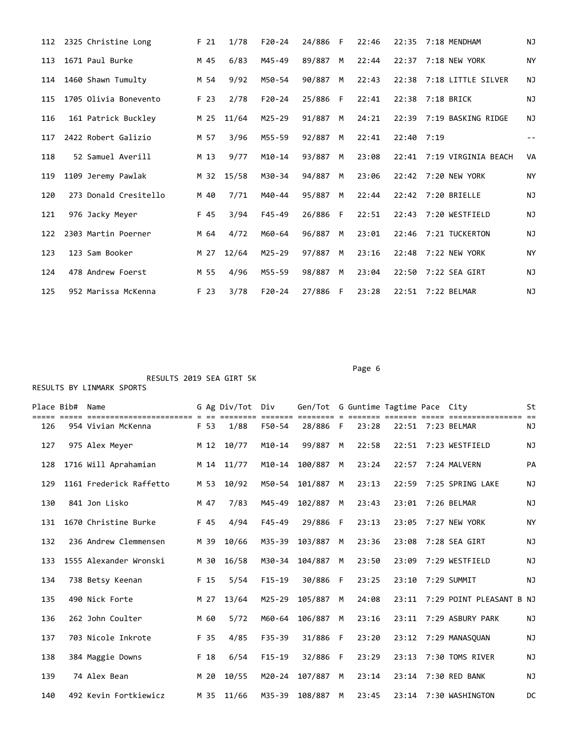| 112 | 2325 Christine Long   | F <sub>21</sub> | 1/78  | $F20 - 24$ | 24/886 F |    | 22:46 |            | 22:35 7:18 MENDHAM        | <b>NJ</b> |
|-----|-----------------------|-----------------|-------|------------|----------|----|-------|------------|---------------------------|-----------|
| 113 | 1671 Paul Burke       | M 45            | 6/83  | M45-49     | 89/887   | M  | 22:44 |            | 22:37 7:18 NEW YORK       | NY        |
| 114 | 1460 Shawn Tumulty    | M 54            | 9/92  | M50-54     | 90/887   | M  | 22:43 |            | 22:38 7:18 LITTLE SILVER  | <b>NJ</b> |
| 115 | 1705 Olivia Bonevento | F 23            | 2/78  | $F20 - 24$ | 25/886   | E  | 22:41 |            | 22:38 7:18 BRICK          | ΝJ        |
| 116 | 161 Patrick Buckley   | M 25            | 11/64 | $M25 - 29$ | 91/887   | M  | 24:21 |            | 22:39 7:19 BASKING RIDGE  | ΝJ        |
| 117 | 2422 Robert Galizio   | M 57            | 3/96  | M55-59     | 92/887   | M  | 22:41 | 22:40 7:19 |                           |           |
| 118 | 52 Samuel Averill     | M 13            | 9/77  | $M10 - 14$ | 93/887   | M  | 23:08 |            | 22:41 7:19 VIRGINIA BEACH | <b>VA</b> |
| 119 | 1109 Jeremy Pawlak    | M 32            | 15/58 | M30-34     | 94/887   | M  | 23:06 |            | 22:42 7:20 NEW YORK       | NY        |
| 120 | 273 Donald Cresitello | M 40            | 7/71  | M40-44     | 95/887   | M  | 22:44 |            | 22:42 7:20 BRIELLE        | <b>NJ</b> |
| 121 | 976 Jacky Meyer       | F 45            | 3/94  | $F45 - 49$ | 26/886   | F  | 22:51 | 22:43      | 7:20 WESTFIELD            | <b>NJ</b> |
| 122 | 2303 Martin Poerner   | M 64            | 4/72  | M60-64     | 96/887   | M  | 23:01 |            | 22:46 7:21 TUCKERTON      | <b>NJ</b> |
| 123 | 123 Sam Booker        | M 27            | 12/64 | M25-29     | 97/887   | M  | 23:16 | 22:48      | 7:22 NEW YORK             | NY        |
| 124 | 478 Andrew Foerst     | M 55            | 4/96  | M55-59     | 98/887   | M  | 23:04 | 22:50      | 7:22 SEA GIRT             | <b>NJ</b> |
| 125 | 952 Marissa McKenna   | F 23            | 3/78  | $F20 - 24$ | 27/886   | -F | 23:28 | 22:51      | 7:22 BELMAR               | ΝJ        |

Page 6 and the state of the state of the state of the state of the state of the state of the state of the state of the state of the state of the state of the state of the state of the state of the state of the state of the

| Place Bib# | Name                                        |      | G Ag Div/Tot | Div        | Gen/Tot G Guntime Tagtime Pace City |      |       |       |                                         | St        |
|------------|---------------------------------------------|------|--------------|------------|-------------------------------------|------|-------|-------|-----------------------------------------|-----------|
| 126        | =====================<br>954 Vivian McKenna | F 53 | 1/88         | F50-54     | 28/886                              | $-F$ | 23:28 |       | ==================<br>22:51 7:23 BELMAR | <b>NJ</b> |
| 127        | 975 Alex Meyer                              | M 12 | 10/77        | $M10 - 14$ | 99/887                              | M    | 22:58 | 22:51 | 7:23 WESTFIELD                          | <b>NJ</b> |
| 128        | 1716 Will Aprahamian                        | M 14 | 11/77        | $M10 - 14$ | 100/887                             | M    | 23:24 | 22:57 | 7:24 MALVERN                            | PA        |
| 129        | 1161 Frederick Raffetto                     | M 53 | 10/92        | M50-54     | 101/887                             | M    | 23:13 | 22:59 | 7:25 SPRING LAKE                        | NJ        |
| 130        | 841 Jon Lisko                               | M 47 | 7/83         | M45-49     | 102/887                             | M    | 23:43 | 23:01 | 7:26 BELMAR                             | <b>NJ</b> |
| 131        | 1670 Christine Burke                        | F 45 | 4/94         | $F45 - 49$ | 29/886                              | F    | 23:13 | 23:05 | 7:27 NEW YORK                           | <b>NY</b> |
| 132        | 236 Andrew Clemmensen                       | M 39 | 10/66        | M35-39     | 103/887                             | M    | 23:36 | 23:08 | 7:28 SEA GIRT                           | <b>NJ</b> |
| 133        | 1555 Alexander Wronski                      | M 30 | 16/58        | M30-34     | 104/887                             | M    | 23:50 | 23:09 | 7:29 WESTFIELD                          | <b>NJ</b> |
| 134        | 738 Betsy Keenan                            | F 15 | 5/54         | $F15-19$   | 30/886                              | F    | 23:25 | 23:10 | 7:29 SUMMIT                             | <b>NJ</b> |
| 135        | 490 Nick Forte                              | M 27 | 13/64        | $M25 - 29$ | 105/887                             | M    | 24:08 | 23:11 | 7:29 POINT PLEASANT B NJ                |           |
| 136        | 262 John Coulter                            | M 60 | 5/72         | M60-64     | 106/887                             | M    | 23:16 | 23:11 | 7:29 ASBURY PARK                        | <b>NJ</b> |
| 137        | 703 Nicole Inkrote                          | F 35 | 4/85         | F35-39     | 31/886                              | F    | 23:20 | 23:12 | 7:29 MANASOUAN                          | NJ        |
| 138        | 384 Maggie Downs                            | F 18 | 6/54         | $F15 - 19$ | 32/886                              | F    | 23:29 | 23:13 | 7:30 TOMS RIVER                         | <b>NJ</b> |
| 139        | 74 Alex Bean                                | M 20 | 10/55        | M20-24     | 107/887                             | M    | 23:14 | 23:14 | 7:30 RED BANK                           | ΝJ        |
| 140        | 492 Kevin Fortkiewicz                       | M 35 | 11/66        | M35-39     | 108/887                             | M    | 23:45 | 23:14 | 7:30 WASHINGTON                         | DC        |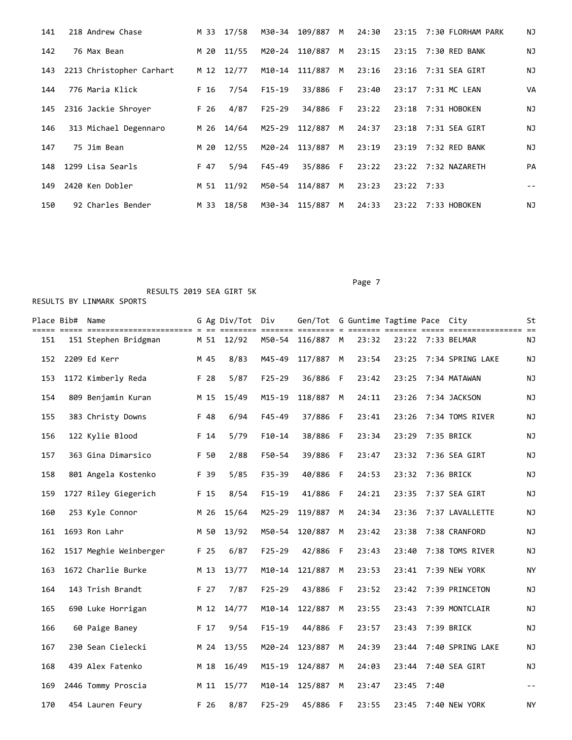| 141 | 218 Andrew Chase         |      | M 33 17/58 | M30-34     | 109/887 M |   | 24:30 |              | 23:15 7:30 FLORHAM PARK      | NJ |
|-----|--------------------------|------|------------|------------|-----------|---|-------|--------------|------------------------------|----|
| 142 | 76 Max Bean              | M 20 | 11/55      | M20-24     | 110/887 M |   | 23:15 |              | 23:15 7:30 RED BANK          | ΝJ |
| 143 | 2213 Christopher Carhart |      | M 12 12/77 | M10-14     | 111/887 M |   | 23:16 |              | 23:16    7:31    SEA    GIRT | NJ |
| 144 | 776 Maria Klick          | F 16 | 7/54       | $F15-19$   | 33/886 F  |   | 23:40 |              | 23:17 7:31 MC LEAN           | VA |
| 145 | 2316 Jackie Shroyer      | F 26 | 4/87       | $F25 - 29$ | 34/886 F  |   | 23:22 |              | 23:18 7:31 HOBOKEN           | ΝJ |
| 146 | 313 Michael Degennaro    | M 26 | 14/64      | M25-29     | 112/887   | M | 24:37 |              | 23:18 7:31 SEA GIRT          | NJ |
| 147 | 75 Jim Bean              | M 20 | 12/55      | M20-24     | 113/887 M |   | 23:19 |              | 23:19 7:32 RED BANK          | ΝJ |
| 148 | 1299 Lisa Searls         | F 47 | 5/94       | $F45 - 49$ | 35/886 F  |   | 23:22 |              | 23:22 7:32 NAZARETH          | PA |
| 149 | 2420 Ken Dobler          | M 51 | 11/92      | M50-54     | 114/887   | M | 23:23 | $23:22$ 7:33 |                              |    |
| 150 | 92 Charles Bender        | M 33 | 18/58      | M30-34     | 115/887   | M | 24:33 |              | 23:22 7:33 HOBOKEN           | ΝJ |

Page 7 and 2012 and 2012 and 2012 and 2012 and 2012 and 2012 and 2012 and 2012 and 2012 and 2012 and 2012 and

|     | Place Bib#  Name |                        |      | G Ag Div/Tot Div |            | Gen/Tot G Guntime Tagtime Pace City |              |       |       |      |                   | St   |
|-----|------------------|------------------------|------|------------------|------------|-------------------------------------|--------------|-------|-------|------|-------------------|------|
| 151 |                  | 151 Stephen Bridgman   |      | M 51 12/92       | M50-54     | 116/887 M                           |              | 23:32 |       |      | 23:22 7:33 BELMAR | ΝJ   |
| 152 |                  | 2209 Ed Kerr           | M 45 | 8/83             | M45-49     | 117/887                             | M            | 23:54 | 23:25 |      | 7:34 SPRING LAKE  | ΝJ   |
| 153 |                  | 1172 Kimberly Reda     | F 28 | 5/87             | $F25 - 29$ | 36/886                              | F            | 23:42 | 23:25 |      | 7:34 MATAWAN      | ΝJ   |
| 154 |                  | 809 Benjamin Kuran     | M 15 | 15/49            | $M15 - 19$ | 118/887                             | M            | 24:11 | 23:26 |      | 7:34 JACKSON      | ΝJ   |
| 155 |                  | 383 Christy Downs      | F 48 | 6/94             | $F45 - 49$ | 37/886                              | -F           | 23:41 | 23:26 |      | 7:34 TOMS RIVER   | ΝJ   |
| 156 |                  | 122 Kylie Blood        | F 14 | 5/79             | $F10-14$   | 38/886                              | F            | 23:34 | 23:29 |      | 7:35 BRICK        | ΝJ   |
| 157 |                  | 363 Gina Dimarsico     | F 50 | 2/88             | F50-54     | 39/886                              | F            | 23:47 | 23:32 |      | 7:36 SEA GIRT     | ΝJ   |
| 158 |                  | 801 Angela Kostenko    | F 39 | 5/85             | $F35 - 39$ | 40/886                              | F            | 24:53 | 23:32 |      | 7:36 BRICK        | ΝJ   |
| 159 |                  | 1727 Riley Giegerich   | F 15 | 8/54             | $F15 - 19$ | 41/886                              | $\mathsf{F}$ | 24:21 | 23:35 |      | 7:37 SEA GIRT     | ΝJ   |
| 160 |                  | 253 Kyle Connor        | M 26 | 15/64            | $M25 - 29$ | 119/887                             | M            | 24:34 | 23:36 |      | 7:37 LAVALLETTE   | ΝJ   |
| 161 |                  | 1693 Ron Lahr          | M 50 | 13/92            | M50-54     | 120/887                             | M            | 23:42 | 23:38 |      | 7:38 CRANFORD     | ΝJ   |
| 162 |                  | 1517 Meghie Weinberger | F 25 | 6/87             | $F25 - 29$ | 42/886                              | - F          | 23:43 | 23:40 |      | 7:38 TOMS RIVER   | ΝJ   |
| 163 |                  | 1672 Charlie Burke     | M 13 | 13/77            | $M10 - 14$ | 121/887                             | M            | 23:53 | 23:41 |      | 7:39 NEW YORK     | ΝY   |
| 164 |                  | 143 Trish Brandt       | F 27 | 7/87             | $F25 - 29$ | 43/886                              | F            | 23:52 | 23:42 |      | 7:39 PRINCETON    | ΝJ   |
| 165 |                  | 690 Luke Horrigan      | M 12 | 14/77            | $M10 - 14$ | 122/887                             | M            | 23:55 | 23:43 |      | 7:39 MONTCLAIR    | NJ   |
| 166 |                  | 60 Paige Baney         | F 17 | 9/54             | $F15 - 19$ | 44/886                              | F            | 23:57 | 23:43 |      | 7:39 BRICK        | ΝJ   |
| 167 |                  | 230 Sean Cielecki      | M 24 | 13/55            | $M20 - 24$ | 123/887                             | M            | 24:39 | 23:44 |      | 7:40 SPRING LAKE  | ΝJ   |
| 168 |                  | 439 Alex Fatenko       | M 18 | 16/49            | $M15 - 19$ | 124/887                             | M            | 24:03 | 23:44 |      | 7:40 SEA GIRT     | ΝJ   |
| 169 |                  | 2446 Tommy Proscia     | M 11 | 15/77            | $M10 - 14$ | 125/887                             | M            | 23:47 | 23:45 | 7:40 |                   | $ -$ |
| 170 |                  | 454 Lauren Feury       | F 26 | 8/87             | $F25 - 29$ | 45/886                              | F            | 23:55 | 23:45 |      | 7:40 NEW YORK     | NY   |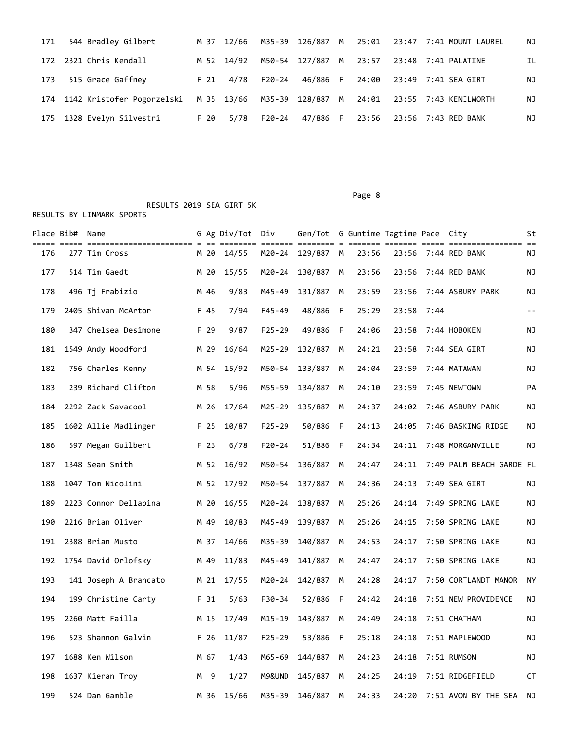| 171 | 544 Bradley Gilbert                                                                    |      | M 37 12/66 |        |                        |  | M35-39 126/887 M 25:01 23:47 7:41 MOUNT LAUREL | ΝJ  |
|-----|----------------------------------------------------------------------------------------|------|------------|--------|------------------------|--|------------------------------------------------|-----|
|     | 172 2321 Chris Kendall                                                                 |      | M 52 14/92 |        | M50-54 127/887 M 23:57 |  |                                                | IL. |
| 173 | 515 Grace Gaffney                                                                      |      | F 21 4/78  |        | F20-24 46/886 F        |  | 24:00 23:49 7:41 SEA GIRT                      | NJ  |
|     | 174 1142 Kristofer Pogorzelski M 35 13/66 M35-39 128/887 M 24:01 23:55 7:43 KENILWORTH |      |            |        |                        |  |                                                | ΝJ  |
|     | 175 1328 Evelyn Silvestri                                                              | F 20 | 5/78       | F20-24 | 47/886 F               |  |                                                | ΝJ  |

Place Bib# Name 6 Ag Div/Tot Div Gen/Tot G Guntime Tagtime Pace City St ===== ===== ======================= = == ======== ======= ======== = ======= ======= ===== ================ == 176 277 Tim Cross M 20 14/55 M20-24 129/887 M 23:56 23:56 7:44 RED BANK NJ 177 514 Tim Gaedt M 20 15/55 M20-24 130/887 M 23:56 23:56 7:44 RED BANK NJ 178 496 Tj Frabizio M 46 9/83 M45-49 131/887 M 23:59 23:56 7:44 ASBURY PARK NJ 179 2405 Shivan McArtor F 45 7/94 F45-49 48/886 F 25:29 23:58 7:44 -- 180 347 Chelsea Desimone F 29 9/87 F25-29 49/886 F 24:06 23:58 7:44 HOBOKEN NJ 181 1549 Andy Woodford M 29 16/64 M25-29 132/887 M 24:21 23:58 7:44 SEA GIRT NJ 182 756 Charles Kenny M 54 15/92 M50-54 133/887 M 24:04 23:59 7:44 MATAWAN NJ 183 239 Richard Clifton M 58 5/96 M55-59 134/887 M 24:10 23:59 7:45 NEWTOWN PA 184 2292 Zack Savacool M 26 17/64 M25-29 135/887 M 24:37 24:02 7:46 ASBURY PARK NJ 185 1602 Allie Madlinger F 25 10/87 F25-29 50/886 F 24:13 24:05 7:46 BASKING RIDGE NJ 186 597 Megan Guilbert F 23 6/78 F20-24 51/886 F 24:34 24:11 7:48 MORGANVILLE NJ 187 1348 Sean Smith M 52 16/92 M50-54 136/887 M 24:47 24:11 7:49 PALM BEACH GARDE FL 188 1047 Tom Nicolini M 52 17/92 M50-54 137/887 M 24:36 24:13 7:49 SEA GIRT NJ 189 2223 Connor Dellapina M 20 16/55 M20-24 138/887 M 25:26 24:14 7:49 SPRING LAKE NJ 190 2216 Brian Oliver M 49 10/83 M45-49 139/887 M 25:26 24:15 7:50 SPRING LAKE NJ 191 2388 Brian Musto M 37 14/66 M35-39 140/887 M 24:53 24:17 7:50 SPRING LAKE NJ 192 1754 David Orlofsky M 49 11/83 M45-49 141/887 M 24:47 24:17 7:50 SPRING LAKE NJ 193 141 Joseph A Brancato M 21 17/55 M20-24 142/887 M 24:28 24:17 7:50 CORTLANDT MANOR NY 194 199 Christine Carty F 31 5/63 F30-34 52/886 F 24:42 24:18 7:51 NEW PROVIDENCE NJ 195 2260 Matt Failla M 15 17/49 M15-19 143/887 M 24:49 24:18 7:51 CHATHAM NJ 196 523 Shannon Galvin F 26 11/87 F25-29 53/886 F 25:18 24:18 7:51 MAPLEWOOD NJ 197 1688 Ken Wilson M 67 1/43 M65-69 144/887 M 24:23 24:18 7:51 RUMSON NJ 198 1637 Kieran Troy M 9 1/27 M9&UND 145/887 M 24:25 24:19 7:51 RIDGEFIELD CT

199 524 Dan Gamble M 36 15/66 M35-39 146/887 M 24:33 24:20 7:51 AVON BY THE SEA NJ

Page 8 and 2012 and 2012 and 2012 and 2012 and 2012 and 2012 and 2012 and 2012 and 2012 and 2012 and 2012 and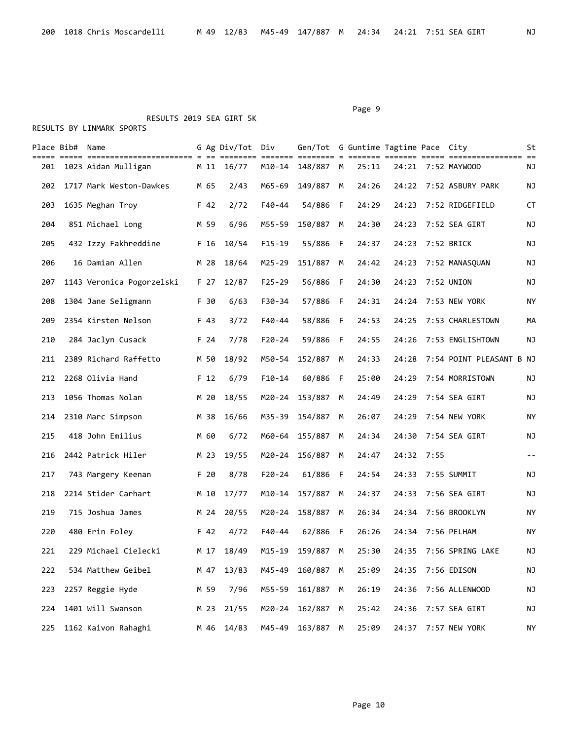#### Page 9 and 2012 12:30 and 2012 12:30 and 2012 12:30 and 2012 12:30 and 2012 12:30 and 2012 12:30 and 2012 12:30

 RESULTS 2019 SEA GIRT 5K RESULTS BY LINMARK SPORTS

|     | Place Bib# Name |                           |      | G Ag Div/Tot Div |            | Gen/Tot G Guntime Tagtime Pace City |   |       |       |      |                          | St        |
|-----|-----------------|---------------------------|------|------------------|------------|-------------------------------------|---|-------|-------|------|--------------------------|-----------|
| 201 |                 | 1023 Aidan Mulligan       |      | M 11 16/77       |            | M10-14 148/887 M                    |   | 25:11 |       |      | 24:21 7:52 MAYWOOD       | ΝJ        |
| 202 |                 | 1717 Mark Weston-Dawkes   | M 65 | 2/43             | M65-69     | 149/887 M                           |   | 24:26 |       |      | 24:22 7:52 ASBURY PARK   | ΝJ        |
| 203 |                 | 1635 Meghan Troy          | F 42 | 2/72             | F40-44     | 54/886 F                            |   | 24:29 | 24:23 |      | 7:52 RIDGEFIELD          | СT        |
| 204 |                 | 851 Michael Long          | M 59 | 6/96             | M55-59     | 150/887                             | M | 24:30 | 24:23 |      | 7:52 SEA GIRT            | ΝJ        |
| 205 |                 | 432 Izzy Fakhreddine      | F 16 | 10/54            | $F15 - 19$ | 55/886 F                            |   | 24:37 | 24:23 |      | 7:52 BRICK               | ΝJ        |
| 206 |                 | 16 Damian Allen           | M 28 | 18/64            | M25-29     | 151/887 M                           |   | 24:42 | 24:23 |      | 7:52 MANASQUAN           | NJ        |
| 207 |                 | 1143 Veronica Pogorzelski | F 27 | 12/87            | $F25 - 29$ | 56/886 F                            |   | 24:30 | 24:23 |      | 7:52 UNION               | ΝJ        |
| 208 |                 | 1304 Jane Seligmann       | F 30 | 6/63             | F30-34     | 57/886 F                            |   | 24:31 | 24:24 |      | 7:53 NEW YORK            | ΝY        |
| 209 |                 | 2354 Kirsten Nelson       | F 43 | 3/72             | F40-44     | 58/886 F                            |   | 24:53 | 24:25 |      | 7:53 CHARLESTOWN         | MА        |
| 210 |                 | 284 Jaclyn Cusack         | F 24 | 7/78             | $F20 - 24$ | 59/886 F                            |   | 24:55 | 24:26 |      | 7:53 ENGLISHTOWN         | ΝJ        |
| 211 |                 | 2389 Richard Raffetto     | M 50 | 18/92            | M50-54     | 152/887 M                           |   | 24:33 | 24:28 |      | 7:54 POINT PLEASANT B NJ |           |
| 212 |                 | 2268 Olivia Hand          | F 12 | 6/79             | $F10-14$   | 60/886 F                            |   | 25:00 | 24:29 |      | 7:54 MORRISTOWN          | ΝJ        |
| 213 |                 | 1056 Thomas Nolan         | M 20 | 18/55            | M20-24     | 153/887                             | M | 24:49 | 24:29 |      | 7:54 SEA GIRT            | NJ        |
| 214 |                 | 2310 Marc Simpson         | M 38 | 16/66            | M35-39     | 154/887                             | M | 26:07 | 24:29 |      | 7:54 NEW YORK            | ΝY        |
| 215 |                 | 418 John Emilius          | M 60 | 6/72             | M60-64     | 155/887                             | M | 24:34 | 24:30 |      | 7:54 SEA GIRT            | ΝJ        |
| 216 |                 | 2442 Patrick Hiler        | M 23 | 19/55            | M20-24     | 156/887                             | M | 24:47 | 24:32 | 7:55 |                          | $- -$     |
| 217 |                 | 743 Margery Keenan        | F 20 | 8/78             | $F20 - 24$ | 61/886 F                            |   | 24:54 | 24:33 |      | 7:55 SUMMIT              | ΝJ        |
| 218 |                 | 2214 Stider Carhart       | M 10 | 17/77            | M10-14     | 157/887 M                           |   | 24:37 | 24:33 |      | 7:56 SEA GIRT            | ΝJ        |
| 219 |                 | 715 Joshua James          | M 24 | 20/55            | M20-24     | 158/887                             | M | 26:34 | 24:34 |      | 7:56 BROOKLYN            | ΝY        |
| 220 |                 | 480 Erin Foley            | F 42 | 4/72             | $F40 - 44$ | 62/886 F                            |   | 26:26 | 24:34 |      | 7:56 PELHAM              | NY        |
| 221 |                 | 229 Michael Cielecki      | M 17 | 18/49            |            | M15-19 159/887 M                    |   | 25:30 |       |      | 24:35 7:56 SPRING LAKE   | ΝJ        |
| 222 |                 | 534 Matthew Geibel        | M 47 | 13/83            | M45-49     | 160/887 M                           |   | 25:09 | 24:35 |      | 7:56 EDISON              | ΝJ        |
| 223 |                 | 2257 Reggie Hyde          | M 59 | 7/96             | M55-59     | 161/887 M                           |   | 26:19 | 24:36 |      | 7:56 ALLENWOOD           | ΝJ        |
| 224 |                 | 1401 Will Swanson         | M 23 | 21/55            |            | M20-24 162/887 M                    |   | 25:42 | 24:36 |      | 7:57 SEA GIRT            | NJ        |
| 225 |                 | 1162 Kaivon Rahaghi       | M 46 | 14/83            |            | M45-49 163/887 M                    |   | 25:09 | 24:37 |      | 7:57 NEW YORK            | <b>NY</b> |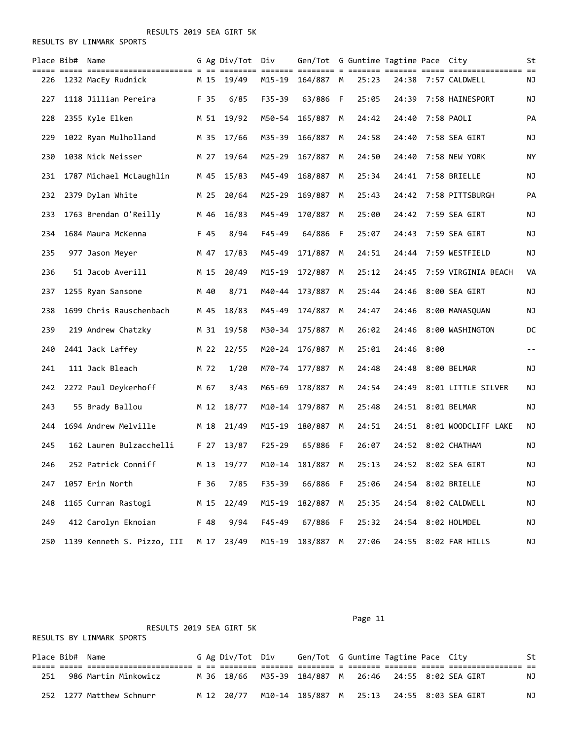RESULTS BY LINMARK SPORTS

|     | Place Bib# Name |                            |      | G Ag Div/Tot Div |            | Gen/Tot G Guntime Tagtime Pace City |     |       |       |      |                      | St                |
|-----|-----------------|----------------------------|------|------------------|------------|-------------------------------------|-----|-------|-------|------|----------------------|-------------------|
| 226 |                 | 1232 MacEy Rudnick         | M 15 | 19/49            | M15-19     | ======= ======== = ==<br>164/887 M  |     | 25:23 | 24:38 |      | 7:57 CALDWELL        | ΝJ                |
| 227 |                 | 1118 Jillian Pereira       | F 35 | 6/85             | $F35 - 39$ | 63/886                              | - F | 25:05 | 24:39 |      | 7:58 HAINESPORT      | ΝJ                |
| 228 |                 | 2355 Kyle Elken            | M 51 | 19/92            | M50-54     | 165/887                             | M   | 24:42 | 24:40 |      | 7:58 PAOLI           | PA                |
| 229 |                 | 1022 Ryan Mulholland       | M 35 | 17/66            | M35-39     | 166/887                             | M   | 24:58 | 24:40 |      | 7:58 SEA GIRT        | ΝJ                |
| 230 |                 | 1038 Nick Neisser          | M 27 | 19/64            | M25-29     | 167/887                             | M   | 24:50 | 24:40 |      | 7:58 NEW YORK        | ΝY                |
| 231 |                 | 1787 Michael McLaughlin    | M 45 | 15/83            | M45-49     | 168/887                             | M   | 25:34 | 24:41 |      | 7:58 BRIELLE         | NJ                |
| 232 |                 | 2379 Dylan White           | M 25 | 20/64            | M25-29     | 169/887                             | M   | 25:43 | 24:42 |      | 7:58 PITTSBURGH      | PA                |
| 233 |                 | 1763 Brendan O'Reilly      | M 46 | 16/83            | M45-49     | 170/887                             | М   | 25:00 | 24:42 |      | 7:59 SEA GIRT        | ΝJ                |
| 234 |                 | 1684 Maura McKenna         | F 45 | 8/94             | $F45 - 49$ | 64/886                              | F   | 25:07 | 24:43 |      | 7:59 SEA GIRT        | NJ                |
| 235 |                 | 977 Jason Meyer            | M 47 | 17/83            | M45-49     | 171/887                             | M   | 24:51 | 24:44 |      | 7:59 WESTFIELD       | NJ                |
| 236 |                 | 51 Jacob Averill           | M 15 | 20/49            | M15-19     | 172/887                             | M   | 25:12 | 24:45 |      | 7:59 VIRGINIA BEACH  | VA                |
| 237 |                 | 1255 Ryan Sansone          | M 40 | 8/71             | M40-44     | 173/887                             | M   | 25:44 | 24:46 |      | 8:00 SEA GIRT        | ΝJ                |
| 238 |                 | 1699 Chris Rauschenbach    | M 45 | 18/83            | M45-49     | 174/887                             | M   | 24:47 | 24:46 |      | 8:00 MANASOUAN       | NJ                |
| 239 |                 | 219 Andrew Chatzky         | M 31 | 19/58            | M30-34     | 175/887                             | M   | 26:02 | 24:46 |      | 8:00 WASHINGTON      | DC                |
| 240 |                 | 2441 Jack Laffey           | M 22 | 22/55            | M20-24     | 176/887                             | M   | 25:01 | 24:46 | 8:00 |                      | $\equiv$ $\equiv$ |
| 241 |                 | 111 Jack Bleach            | M 72 | 1/20             | M70-74     | 177/887                             | M   | 24:48 | 24:48 |      | 8:00 BELMAR          | ΝJ                |
| 242 |                 | 2272 Paul Deykerhoff       | M 67 | 3/43             | M65-69     | 178/887                             | M   | 24:54 | 24:49 |      | 8:01 LITTLE SILVER   | NJ                |
| 243 |                 | 55 Brady Ballou            | M 12 | 18/77            |            | M10-14 179/887                      | M   | 25:48 |       |      | 24:51 8:01 BELMAR    | ΝJ                |
| 244 |                 | 1694 Andrew Melville       | M 18 | 21/49            | M15-19     | 180/887                             | M   | 24:51 | 24:51 |      | 8:01 WOODCLIFF LAKE  | ΝJ                |
| 245 |                 | 162 Lauren Bulzacchelli    | F 27 | 13/87            | $F25 - 29$ | 65/886                              | - F | 26:07 | 24:52 |      | 8:02 CHATHAM         | ΝJ                |
| 246 |                 | 252 Patrick Conniff        | M 13 | 19/77            |            | M10-14 181/887                      | M   | 25:13 |       |      | 24:52 8:02 SEA GIRT  | ΝJ                |
| 247 |                 | 1057 Erin North            | F 36 | 7/85             | F35-39     | 66/886 F                            |     | 25:06 |       |      | 24:54 8:02 BRIELLE   | NJ                |
| 248 |                 | 1165 Curran Rastogi        | M 15 | 22/49            | $M15 - 19$ | 182/887 M                           |     | 25:35 | 24:54 |      | 8:02 CALDWELL        | ΝJ                |
| 249 |                 | 412 Carolyn Eknoian        | F 48 | 9/94             | F45-49     | 67/886 F                            |     | 25:32 | 24:54 |      | 8:02 HOLMDEL         | ΝJ                |
| 250 |                 | 1139 Kenneth S. Pizzo, III | M 17 | 23/49            | $M15 - 19$ | 183/887 M                           |     | 27:06 |       |      | 24:55 8:02 FAR HILLS | NJ                |

RESULTS 2019 SEA GIRT 5K

Page 11

|     | Place Bib# Name |                          |  | G Ag Div/Tot Div | Gen/Tot G Guntime Tagtime Pace City                   |  |  | St |
|-----|-----------------|--------------------------|--|------------------|-------------------------------------------------------|--|--|----|
|     |                 |                          |  |                  |                                                       |  |  |    |
| 251 |                 | 986 Martin Minkowicz     |  |                  | M 36 18/66 M35-39 184/887 M 26:46 24:55 8:02 SEA GIRT |  |  | ΝJ |
|     |                 | 252 1277 Matthew Schnurr |  |                  | M 12 20/77 M10-14 185/887 M 25:13 24:55 8:03 SEA GIRT |  |  | NJ |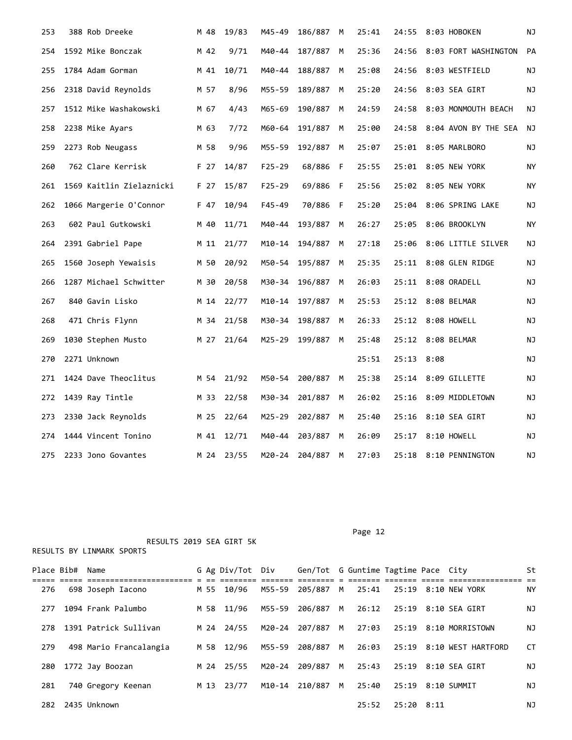| 253 | 388 Rob Dreeke           | M 48 | 19/83 | M45-49     | 186/887 | M   | 25:41 | 24:55      | 8:03 HOBOKEN          | ΝJ |
|-----|--------------------------|------|-------|------------|---------|-----|-------|------------|-----------------------|----|
| 254 | 1592 Mike Bonczak        | M 42 | 9/71  | M40-44     | 187/887 | M   | 25:36 | 24:56      | 8:03 FORT WASHINGTON  | PA |
| 255 | 1784 Adam Gorman         | M 41 | 10/71 | M40-44     | 188/887 | M   | 25:08 | 24:56      | 8:03 WESTFIELD        | NJ |
| 256 | 2318 David Reynolds      | M 57 | 8/96  | M55-59     | 189/887 | м   | 25:20 | 24:56      | 8:03 SEA GIRT         | ΝJ |
| 257 | 1512 Mike Washakowski    | M 67 | 4/43  | M65-69     | 190/887 | M   | 24:59 | 24:58      | 8:03 MONMOUTH BEACH   | ΝJ |
| 258 | 2238 Mike Ayars          | M 63 | 7/72  | M60-64     | 191/887 | M   | 25:00 | 24:58      | 8:04 AVON BY THE SEA  | ΝJ |
| 259 | 2273 Rob Neugass         | M 58 | 9/96  | M55-59     | 192/887 | M   | 25:07 | 25:01      | 8:05 MARLBORO         | NJ |
| 260 | 762 Clare Kerrisk        | F 27 | 14/87 | $F25 - 29$ | 68/886  | F   | 25:55 | 25:01      | 8:05 NEW YORK         | NY |
| 261 | 1569 Kaitlin Zielaznicki | F 27 | 15/87 | $F25 - 29$ | 69/886  | - F | 25:56 |            | 25:02 8:05 NEW YORK   | ΝY |
| 262 | 1066 Margerie O'Connor   | F 47 | 10/94 | F45-49     | 70/886  | F   | 25:20 | 25:04      | 8:06 SPRING LAKE      | ΝJ |
| 263 | 602 Paul Gutkowski       | M 40 | 11/71 | M40-44     | 193/887 | M   | 26:27 | 25:05      | 8:06 BROOKLYN         | ΝY |
| 264 | 2391 Gabriel Pape        | M 11 | 21/77 | M10-14     | 194/887 | M   | 27:18 | 25:06      | 8:06 LITTLE SILVER    | ΝJ |
| 265 | 1560 Joseph Yewaisis     | M 50 | 20/92 | M50-54     | 195/887 | M   | 25:35 | 25:11      | 8:08 GLEN RIDGE       | ΝJ |
| 266 | 1287 Michael Schwitter   | M 30 | 20/58 | M30-34     | 196/887 | M   | 26:03 |            | 25:11 8:08 ORADELL    | ΝJ |
| 267 | 840 Gavin Lisko          | M 14 | 22/77 | M10-14     | 197/887 | M   | 25:53 |            | 25:12 8:08 BELMAR     | ΝJ |
| 268 | 471 Chris Flynn          | M 34 | 21/58 | M30-34     | 198/887 | M   | 26:33 | 25:12      | 8:08 HOWELL           | ΝJ |
| 269 | 1030 Stephen Musto       | M 27 | 21/64 | M25-29     | 199/887 | M   | 25:48 |            | 25:12 8:08 BELMAR     | ΝJ |
| 270 | 2271 Unknown             |      |       |            |         |     | 25:51 | 25:13 8:08 |                       | ΝJ |
| 271 | 1424 Dave Theoclitus     | M 54 | 21/92 | M50-54     | 200/887 | M   | 25:38 | 25:14      | 8:09 GILLETTE         | ΝJ |
| 272 | 1439 Ray Tintle          | M 33 | 22/58 | M30-34     | 201/887 | M   | 26:02 | 25:16      | 8:09 MIDDLETOWN       | ΝJ |
| 273 | 2330 Jack Reynolds       | M 25 | 22/64 | M25-29     | 202/887 | M   | 25:40 | 25:16      | 8:10 SEA GIRT         | ΝJ |
| 274 | 1444 Vincent Tonino      | M 41 | 12/71 | M40-44     | 203/887 | M   | 26:09 | 25:17      | 8:10 HOWELL           | ΝJ |
| 275 | 2233 Jono Govantes       | M 24 | 23/55 | M20-24     | 204/887 | M   | 27:03 |            | 25:18 8:10 PENNINGTON | ΝJ |

Place Bib# Name 6 Ag Div/Tot Div Gen/Tot G Guntime Tagtime Pace City St ===== ===== ======================= = == ======== ======= ======== = ======= ======= ===== ================ == 276 698 Joseph Iacono M 55 10/96 M55-59 205/887 M 25:41 25:19 8:10 NEW YORK NY 277 1094 Frank Palumbo M 58 11/96 M55-59 206/887 M 26:12 25:19 8:10 SEA GIRT NJ 278 1391 Patrick Sullivan M 24 24/55 M20-24 207/887 M 27:03 25:19 8:10 MORRISTOWN NJ 279 498 Mario Francalangia M 58 12/96 M55-59 208/887 M 26:03 25:19 8:10 WEST HARTFORD CT 280 1772 Jay Boozan M 24 25/55 M20-24 209/887 M 25:43 25:19 8:10 SEA GIRT NJ 281 740 Gregory Keenan M 13 23/77 M10-14 210/887 M 25:40 25:19 8:10 SUMMIT NJ 282 2435 Unknown 25:52 25:20 8:11 NJ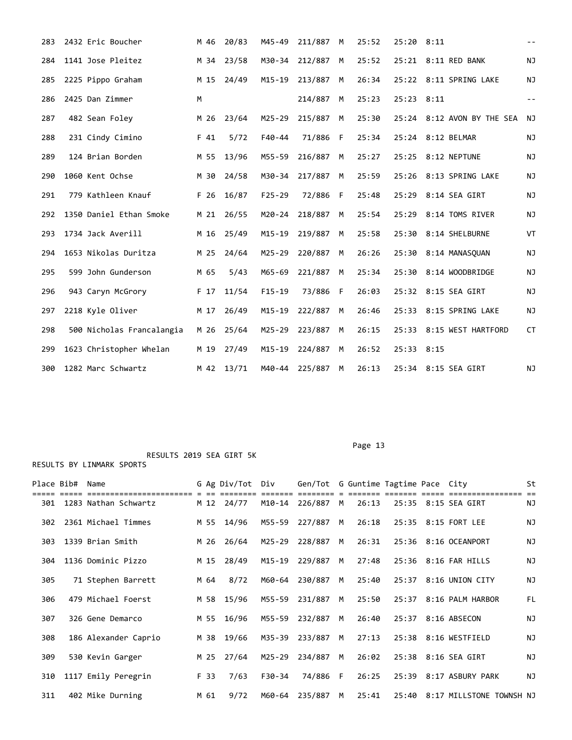| 283 | 2432 Eric Boucher         | M 46 | 20/83      | M45-49     | 211/887 | M  | 25:52 | 25:20 8:11 |                            | $- -$     |
|-----|---------------------------|------|------------|------------|---------|----|-------|------------|----------------------------|-----------|
| 284 | 1141 Jose Pleitez         |      | M 34 23/58 | M30-34     | 212/887 | M  | 25:52 |            | 25:21 8:11 RED BANK        | <b>NJ</b> |
| 285 | 2225 Pippo Graham         | M 15 | 24/49      | M15-19     | 213/887 | M  | 26:34 |            | 25:22 8:11 SPRING LAKE     | NJ        |
| 286 | 2425 Dan Zimmer           | M    |            |            | 214/887 | M  | 25:23 | 25:23 8:11 |                            | $= -$     |
| 287 | 482 Sean Foley            | M 26 | 23/64      | $M25 - 29$ | 215/887 | M  | 25:30 |            | 25:24 8:12 AVON BY THE SEA | NJ        |
| 288 | 231 Cindy Cimino          | F 41 | 5/72       | $F40 - 44$ | 71/886  | F  | 25:34 |            | 25:24 8:12 BELMAR          | <b>NJ</b> |
| 289 | 124 Brian Borden          | M 55 | 13/96      | M55-59     | 216/887 | M  | 25:27 | 25:25      | 8:12 NEPTUNE               | <b>NJ</b> |
| 290 | 1060 Kent Ochse           | M 30 | 24/58      | M30-34     | 217/887 | M  | 25:59 | 25:26      | 8:13 SPRING LAKE           | ΝJ        |
| 291 | 779 Kathleen Knauf        | F 26 | 16/87      | $F25 - 29$ | 72/886  | -F | 25:48 | 25:29      | 8:14 SEA GIRT              | ΝJ        |
| 292 | 1350 Daniel Ethan Smoke   | M 21 | 26/55      | M20-24     | 218/887 | M  | 25:54 |            | 25:29 8:14 TOMS RIVER      | NJ        |
| 293 | 1734 Jack Averill         | M 16 | 25/49      | M15-19     | 219/887 | M  | 25:58 |            | 25:30 8:14 SHELBURNE       | VT        |
| 294 | 1653 Nikolas Duritza      | M 25 | 24/64      | M25-29     | 220/887 | M  | 26:26 |            | 25:30 8:14 MANASOUAN       | NJ        |
| 295 | 599 John Gunderson        | M 65 | 5/43       | M65-69     | 221/887 | М  | 25:34 | 25:30      | 8:14 WOODBRIDGE            | ΝJ        |
| 296 | 943 Caryn McGrory         | F 17 | 11/54      | $F15-19$   | 73/886  | F  | 26:03 |            | 25:32 8:15 SEA GIRT        | NJ        |
| 297 | 2218 Kyle Oliver          | M 17 | 26/49      | $M15 - 19$ | 222/887 | M  | 26:46 | 25:33      | 8:15 SPRING LAKE           | NJ        |
| 298 | 500 Nicholas Francalangia | M 26 | 25/64      | $M25 - 29$ | 223/887 | M  | 26:15 |            | 25:33 8:15 WEST HARTFORD   | <b>CT</b> |
| 299 | 1623 Christopher Whelan   | M 19 | 27/49      | $M15 - 19$ | 224/887 | M  | 26:52 | 25:33 8:15 |                            |           |
| 300 | 1282 Marc Schwartz        | M 42 | 13/71      | M40-44     | 225/887 | M  | 26:13 |            | 25:34 8:15 SEA GIRT        | NJ        |

| Place Bib# | Name                 |      | G Ag Div/Tot | Div    | Gen/Tot G Guntime Tagtime Pace City |    |       |       |                                | St        |
|------------|----------------------|------|--------------|--------|-------------------------------------|----|-------|-------|--------------------------------|-----------|
| 301        | 1283 Nathan Schwartz |      | M 12 24/77   |        | M10-14 226/887                      | M  | 26:13 |       | 25:35 8:15 SEA GIRT            | ΝJ        |
| 302        | 2361 Michael Timmes  |      | M 55 14/96   | M55-59 | 227/887                             | M  | 26:18 |       | 25:35 8:15 FORT LEE            | ΝJ        |
| 303        | 1339 Brian Smith     | M 26 | 26/64        | M25-29 | 228/887                             | M  | 26:31 |       | 25:36 8:16 OCEANPORT           | ΝJ        |
| 304        | 1136 Dominic Pizzo   | M 15 | 28/49        | M15-19 | 229/887                             | M  | 27:48 |       | 25:36 8:16 FAR HILLS           | ΝJ        |
| 305        | 71 Stephen Barrett   | M 64 | 8/72         |        | M60-64 230/887                      | M  | 25:40 |       | 25:37 8:16 UNION CITY          | ΝJ        |
| 306        | 479 Michael Foerst   |      | M 58 15/96   | M55-59 | 231/887                             | M  | 25:50 |       | 25:37 8:16 PALM HARBOR         | FL        |
| 307        | 326 Gene Demarco     | M 55 | 16/96        | M55-59 | 232/887                             | M  | 26:40 |       | 25:37 8:16 ABSECON             | <b>NJ</b> |
| 308        | 186 Alexander Caprio |      | M 38 19/66   | M35-39 | 233/887                             | M  | 27:13 |       | 25:38 8:16 WESTFIELD           | NJ        |
| 309        | 530 Kevin Garger     | M 25 | 27/64        | M25-29 | 234/887                             | M  | 26:02 |       | 25:38 8:16 SEA GIRT            | <b>NJ</b> |
| 310        | 1117 Emily Peregrin  | F 33 | 7/63         | F30-34 | 74/886                              | -F | 26:25 | 25:39 | 8:17 ASBURY PARK               | ΝJ        |
| 311        | 402 Mike Durning     | M 61 | 9/72         |        | M60-64 235/887                      | M  | 25:41 |       | 25:40 8:17 MILLSTONE TOWNSH NJ |           |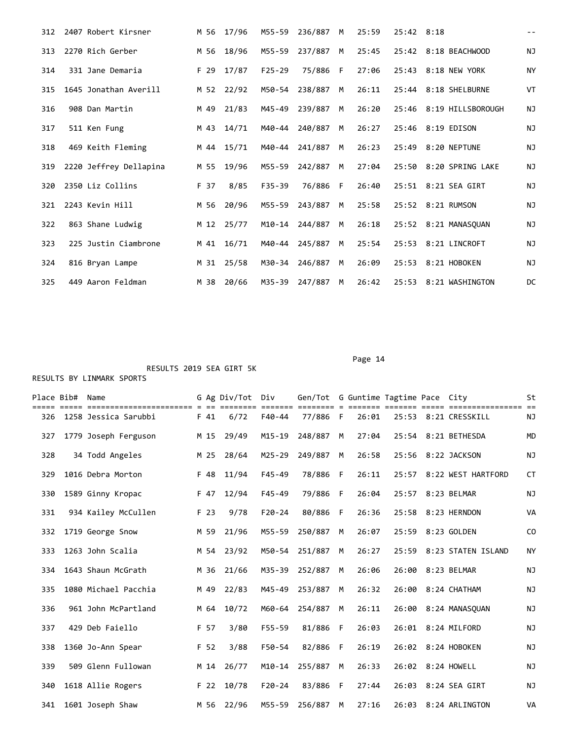| 312 | 2407 Robert Kirsner    |      | M 56 17/96 | M55-59     | 236/887  | M  | 25:59 | 25:42 8:18 |                         | $- -$     |
|-----|------------------------|------|------------|------------|----------|----|-------|------------|-------------------------|-----------|
| 313 | 2270 Rich Gerber       | M 56 | 18/96      | M55-59     | 237/887  | M  | 25:45 |            | 25:42 8:18 BEACHWOOD    | <b>NJ</b> |
| 314 | 331 Jane Demaria       | F 29 | 17/87      | $F25 - 29$ | 75/886   | -F | 27:06 |            | 25:43 8:18 NEW YORK     | <b>NY</b> |
| 315 | 1645 Jonathan Averill  |      | M 52 22/92 | M50-54     | 238/887  | M  | 26:11 |            | 25:44 8:18 SHELBURNE    | VT        |
| 316 | 908 Dan Martin         | M 49 | 21/83      | M45-49     | 239/887  | M  | 26:20 |            | 25:46 8:19 HILLSBOROUGH | ΝJ        |
| 317 | 511 Ken Fung           | M 43 | 14/71      | M40-44     | 240/887  | M  | 26:27 |            | 25:46 8:19 EDISON       | <b>NJ</b> |
| 318 | 469 Keith Fleming      | M 44 | 15/71      | M40-44     | 241/887  | M  | 26:23 |            | 25:49 8:20 NEPTUNE      | <b>NJ</b> |
| 319 | 2220 Jeffrey Dellapina | M 55 | 19/96      | M55-59     | 242/887  | M  | 27:04 |            | 25:50 8:20 SPRING LAKE  | ΝJ        |
| 320 | 2350 Liz Collins       | F 37 | 8/85       | $F35 - 39$ | 76/886 F |    | 26:40 |            | 25:51 8:21 SEA GIRT     | <b>NJ</b> |
| 321 | 2243 Kevin Hill        | M 56 | 20/96      | M55-59     | 243/887  | M  | 25:58 |            | 25:52 8:21 RUMSON       | <b>NJ</b> |
| 322 | 863 Shane Ludwig       | M 12 | 25/77      | M10-14     | 244/887  | M  | 26:18 |            | 25:52 8:21 MANASOUAN    | <b>NJ</b> |
| 323 | 225 Justin Ciambrone   | M 41 | 16/71      | M40-44     | 245/887  | M  | 25:54 |            | 25:53 8:21 LINCROFT     | ΝJ        |
| 324 | 816 Bryan Lampe        | M 31 | 25/58      | M30-34     | 246/887  | M  | 26:09 |            | 25:53 8:21 HOBOKEN      | <b>NJ</b> |
| 325 | 449 Aaron Feldman      | M 38 | 20/66      | M35-39     | 247/887  | M  | 26:42 |            | 25:53 8:21 WASHINGTON   | DC        |

| Place Bib# | Name                                                  |      | G Ag Div/Tot | Div                     | Gen/Tot G Guntime Tagtime Pace City |   |                 |       |                          | St             |
|------------|-------------------------------------------------------|------|--------------|-------------------------|-------------------------------------|---|-----------------|-------|--------------------------|----------------|
| 326        | ======================== = ==<br>1258 Jessica Sarubbi | F 41 | 6/72         | ====== ==<br>$F40 - 44$ | 77/886 F                            |   | === ==<br>26:01 |       | 25:53 8:21 CRESSKILL     | NJ             |
| 327        | 1779 Joseph Ferguson                                  | M 15 | 29/49        | $M15 - 19$              | 248/887                             | M | 27:04           |       | 25:54 8:21 BETHESDA      | <b>MD</b>      |
| 328        | 34 Todd Angeles                                       | M 25 | 28/64        | $M25 - 29$              | 249/887                             | M | 26:58           | 25:56 | 8:22 JACKSON             | NJ             |
| 329        | 1016 Debra Morton                                     | F 48 | 11/94        | $F45 - 49$              | 78/886                              | F | 26:11           |       | 25:57 8:22 WEST HARTFORD | <b>CT</b>      |
| 330        | 1589 Ginny Kropac                                     | F 47 | 12/94        | $F45 - 49$              | 79/886                              | F | 26:04           |       | 25:57 8:23 BELMAR        | ΝJ             |
| 331        | 934 Kailey McCullen                                   | F 23 | 9/78         | $F20 - 24$              | 80/886                              | E | 26:36           | 25:58 | 8:23 HERNDON             | VA             |
| 332        | 1719 George Snow                                      | M 59 | 21/96        | M55-59                  | 250/887                             | M | 26:07           | 25:59 | 8:23 GOLDEN              | C <sub>0</sub> |
| 333        | 1263 John Scalia                                      |      | M 54 23/92   | M50-54                  | 251/887                             | M | 26:27           | 25:59 | 8:23 STATEN ISLAND       | <b>NY</b>      |
| 334        | 1643 Shaun McGrath                                    | M 36 | 21/66        | M35-39                  | 252/887                             | M | 26:06           | 26:00 | 8:23 BELMAR              | ΝJ             |
| 335        | 1080 Michael Pacchia                                  | M 49 | 22/83        | M45-49                  | 253/887                             | M | 26:32           | 26:00 | 8:24 CHATHAM             | NJ             |
| 336        | 961 John McPartland                                   | M 64 | 10/72        | M60-64                  | 254/887                             | M | 26:11           | 26:00 | 8:24 MANASOUAN           | <b>NJ</b>      |
| 337        | 429 Deb Faiello                                       | F 57 | 3/80         | $F55 - 59$              | 81/886                              | F | 26:03           |       | 26:01 8:24 MILFORD       | <b>NJ</b>      |
| 338        | 1360 Jo-Ann Spear                                     | F 52 | 3/88         | F50-54                  | 82/886                              | F | 26:19           |       | 26:02 8:24 HOBOKEN       | ΝJ             |
| 339        | 509 Glenn Fullowan                                    | M 14 | 26/77        | M10-14                  | 255/887                             | M | 26:33           | 26:02 | 8:24 HOWELL              | <b>NJ</b>      |
| 340        | 1618 Allie Rogers                                     | F 22 | 10/78        | $F20 - 24$              | 83/886                              | F | 27:44           | 26:03 | 8:24 SEA GIRT            | <b>NJ</b>      |
| 341        | 1601 Joseph Shaw                                      | M 56 | 22/96        | M55-59                  | 256/887                             | M | 27:16           |       | 26:03 8:24 ARLINGTON     | VA             |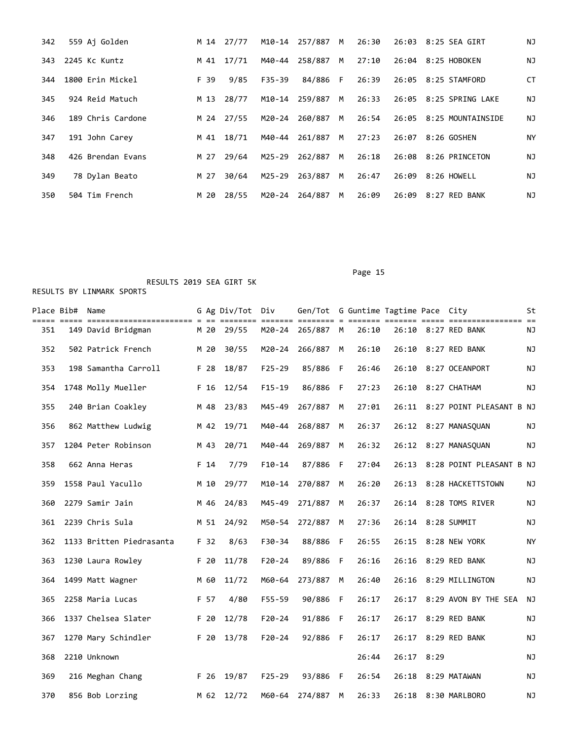| 342 | 559 Ai Golden     |      | M 14 27/77 | M10-14 | 257/887   | M | 26:30 |       | 26:03 8:25 SEA GIRT     | ΝJ |
|-----|-------------------|------|------------|--------|-----------|---|-------|-------|-------------------------|----|
| 343 | 2245 Kc Kuntz     | M 41 | 17/71      | M40-44 | 258/887 M |   | 27:10 |       | 26:04 8:25 HOBOKEN      | ΝJ |
| 344 | 1800 Erin Mickel  | F 39 | 9/85       | F35-39 | 84/886 F  |   | 26:39 |       | 26:05 8:25 STAMFORD     | CT |
| 345 | 924 Reid Matuch   | M 13 | 28/77      | M10-14 | 259/887 M |   | 26:33 |       | 26:05 8:25 SPRING LAKE  | NJ |
| 346 | 189 Chris Cardone | M 24 | 27/55      | M20-24 | 260/887   | M | 26:54 |       | 26:05 8:25 MOUNTAINSIDE | ΝJ |
| 347 | 191 John Carey    | M 41 | 18/71      | M40-44 | 261/887   | M | 27:23 |       | 26:07 8:26 GOSHEN       | ΝY |
| 348 | 426 Brendan Evans | M 27 | 29/64      | M25-29 | 262/887   | M | 26:18 |       | 26:08 8:26 PRINCETON    | NJ |
| 349 | 78 Dylan Beato    | M 27 | 30/64      | M25-29 | 263/887   | M | 26:47 |       | 26:09 8:26 HOWELL       | ΝJ |
| 350 | 504 Tim French    | M 20 | 28/55      | M20-24 | 264/887   | M | 26:09 | 26:09 | 8:27 RED BANK           | ΝJ |

## RESULTS 2019 SEA GIRT 5K

| Place Bib# | Name                     |      | G Ag Div/Tot Div |            | Gen/Tot G Guntime Tagtime Pace City |     |       |       |      |                          | St        |
|------------|--------------------------|------|------------------|------------|-------------------------------------|-----|-------|-------|------|--------------------------|-----------|
| 351        | 149 David Bridgman       | M 20 | 29/55            |            | M20-24 265/887 M                    |     | 26:10 |       |      | 26:10 8:27 RED BANK      | ΝJ        |
| 352        | 502 Patrick French       | M 20 | 30/55            | M20-24     | 266/887                             | M   | 26:10 | 26:10 |      | 8:27 RED BANK            | ΝJ        |
| 353        | 198 Samantha Carroll     | F 28 | 18/87            | $F25 - 29$ | 85/886                              | F   | 26:46 | 26:10 |      | 8:27 OCEANPORT           | ΝJ        |
| 354        | 1748 Molly Mueller       | F 16 | 12/54            | $F15-19$   | 86/886                              | -F  | 27:23 | 26:10 |      | 8:27 CHATHAM             | ΝJ        |
| 355        | 240 Brian Coakley        | M 48 | 23/83            | M45-49     | 267/887                             | М   | 27:01 | 26:11 |      | 8:27 POINT PLEASANT B NJ |           |
| 356        | 862 Matthew Ludwig       | M 42 | 19/71            | M40-44     | 268/887                             | M   | 26:37 | 26:12 |      | 8:27 MANASQUAN           | ΝJ        |
| 357        | 1204 Peter Robinson      | M 43 | 20/71            | M40-44     | 269/887                             | M   | 26:32 | 26:12 |      | 8:27 MANASOUAN           | ΝJ        |
| 358        | 662 Anna Heras           | F 14 | 7/79             | $F10-14$   | 87/886                              | F   | 27:04 | 26:13 |      | 8:28 POINT PLEASANT B NJ |           |
| 359        | 1558 Paul Yacullo        | M 10 | 29/77            | M10-14     | 270/887                             | М   | 26:20 | 26:13 |      | 8:28 HACKETTSTOWN        | ΝJ        |
| 360        | 2279 Samir Jain          | M 46 | 24/83            | M45-49     | 271/887                             | M   | 26:37 | 26:14 |      | 8:28 TOMS RIVER          | ΝJ        |
| 361        | 2239 Chris Sula          | M 51 | 24/92            | M50-54     | 272/887                             | М   | 27:36 | 26:14 |      | 8:28 SUMMIT              | ΝJ        |
| 362        | 1133 Britten Piedrasanta | F 32 | 8/63             | $F30-34$   | 88/886                              | F   | 26:55 | 26:15 |      | 8:28 NEW YORK            | <b>NY</b> |
| 363        | 1230 Laura Rowley        | F 20 | 11/78            | $F20 - 24$ | 89/886                              | F   | 26:16 | 26:16 |      | 8:29 RED BANK            | ΝJ        |
| 364        | 1499 Matt Wagner         | M 60 | 11/72            | M60-64     | 273/887                             | М   | 26:40 | 26:16 |      | 8:29 MILLINGTON          | ΝJ        |
| 365        | 2258 Maria Lucas         | F 57 | 4/80             | F55-59     | 90/886 F                            |     | 26:17 | 26:17 |      | 8:29 AVON BY THE SEA     | ΝJ        |
| 366        | 1337 Chelsea Slater      | F 20 | 12/78            | $F20 - 24$ | 91/886                              | - F | 26:17 | 26:17 |      | 8:29 RED BANK            | ΝJ        |
| 367        | 1270 Mary Schindler      | F 20 | 13/78            | $F20 - 24$ | 92/886                              | - F | 26:17 | 26:17 |      | 8:29 RED BANK            | ΝJ        |
| 368        | 2210 Unknown             |      |                  |            |                                     |     | 26:44 | 26:17 | 8:29 |                          | ΝJ        |
| 369        | 216 Meghan Chang         | F 26 | 19/87            | $F25 - 29$ | 93/886 F                            |     | 26:54 | 26:18 |      | 8:29 MATAWAN             | ΝJ        |
| 370        | 856 Bob Lorzing          | M 62 | 12/72            | M60-64     | 274/887                             | M   | 26:33 |       |      | 26:18 8:30 MARLBORO      | ΝJ        |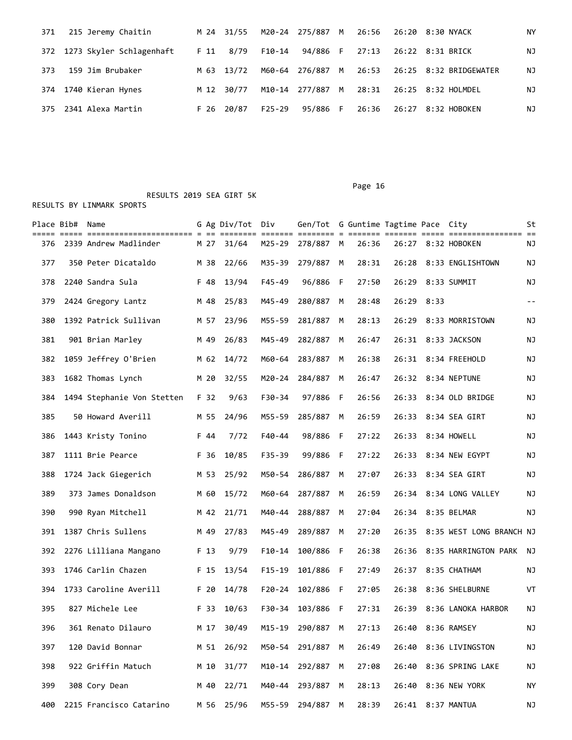| 371 | 215 Jeremy Chaitin           |      | M 24 31/55 |            |                  |       | M20-24 275/887 M 26:56 26:20 8:30 NYACK | NY |
|-----|------------------------------|------|------------|------------|------------------|-------|-----------------------------------------|----|
|     | 372 1273 Skyler Schlagenhaft |      | F 11 8/79  | F10-14     | 94/886 F         | 27:13 | 26:22 8:31 BRICK                        | NJ |
| 373 | 159 Jim Brubaker             |      | M 63 13/72 |            | M60-64 276/887 M |       |                                         | ΝJ |
|     | 374 1740 Kieran Hynes        | M 12 | 30/77      |            | M10-14 277/887 M |       |                                         | ΝJ |
| 375 | 2341 Alexa Martin            |      | F 26 20/87 | $F25 - 29$ | 95/886 F         | 26:36 | 26:27 8:32 HOBOKEN                      | ΝJ |

RESULTS 2019 SEA GIRT 5K

|  | RESULTS BY LINMARK SPORTS |  |
|--|---------------------------|--|
|  |                           |  |

|     | Place Bib# | Name                       |      | G Ag Div/Tot Div |            | Gen/Tot G Guntime Tagtime Pace City |     |       |       |      |                                                               | St   |
|-----|------------|----------------------------|------|------------------|------------|-------------------------------------|-----|-------|-------|------|---------------------------------------------------------------|------|
| 376 |            | 2339 Andrew Madlinder      | M 27 | 31/64            | M25-29     | 278/887 M                           |     | 26:36 |       |      | ----- ------- ----- ---------------- --<br>26:27 8:32 HOBOKEN | ΝJ   |
| 377 |            | 350 Peter Dicataldo        | M 38 | 22/66            | M35-39     | 279/887                             | М   | 28:31 | 26:28 |      | 8:33 ENGLISHTOWN                                              | ΝJ   |
| 378 |            | 2240 Sandra Sula           | F 48 | 13/94            | $F45 - 49$ | 96/886 F                            |     | 27:50 | 26:29 |      | 8:33 SUMMIT                                                   | ΝJ   |
| 379 |            | 2424 Gregory Lantz         | M 48 | 25/83            | M45-49     | 280/887                             | M   | 28:48 | 26:29 | 8:33 |                                                               | $ -$ |
| 380 |            | 1392 Patrick Sullivan      | M 57 | 23/96            | M55-59     | 281/887                             | M   | 28:13 | 26:29 |      | 8:33 MORRISTOWN                                               | ΝJ   |
| 381 |            | 901 Brian Marley           | M 49 | 26/83            | M45-49     | 282/887                             | M   | 26:47 |       |      | 26:31 8:33 JACKSON                                            | ΝJ   |
| 382 |            | 1059 Jeffrey O'Brien       | M 62 | 14/72            | M60-64     | 283/887                             | M   | 26:38 |       |      | 26:31 8:34 FREEHOLD                                           | ΝJ   |
| 383 |            | 1682 Thomas Lynch          | M 20 | 32/55            | M20-24     | 284/887                             | M   | 26:47 | 26:32 |      | 8:34 NEPTUNE                                                  | ΝJ   |
| 384 |            | 1494 Stephanie Von Stetten | F 32 | 9/63             | F30-34     | 97/886                              | - F | 26:56 | 26:33 |      | 8:34 OLD BRIDGE                                               | ΝJ   |
| 385 |            | 50 Howard Averill          | M 55 | 24/96            | M55-59     | 285/887 M                           |     | 26:59 |       |      | 26:33 8:34 SEA GIRT                                           | ΝJ   |
| 386 |            | 1443 Kristy Tonino         | F 44 | 7/72             | F40-44     | 98/886 F                            |     | 27:22 | 26:33 |      | 8:34 HOWELL                                                   | ΝJ   |
| 387 |            | 1111 Brie Pearce           | F 36 | 10/85            | F35-39     | 99/886                              | - F | 27:22 | 26:33 |      | 8:34 NEW EGYPT                                                | ΝJ   |
| 388 |            | 1724 Jack Giegerich        | M 53 | 25/92            | M50-54     | 286/887                             | M   | 27:07 |       |      | 26:33 8:34 SEA GIRT                                           | NJ   |
| 389 |            | 373 James Donaldson        | M 60 | 15/72            | M60-64     | 287/887                             | М   | 26:59 | 26:34 |      | 8:34 LONG VALLEY                                              | ΝJ   |
| 390 |            | 990 Ryan Mitchell          | M 42 | 21/71            | M40-44     | 288/887                             | M   | 27:04 | 26:34 |      | 8:35 BELMAR                                                   | ΝJ   |
| 391 |            | 1387 Chris Sullens         | M 49 | 27/83            | M45-49     | 289/887                             | M   | 27:20 | 26:35 |      | 8:35 WEST LONG BRANCH NJ                                      |      |
| 392 |            | 2276 Lilliana Mangano      | F 13 | 9/79             | F10-14     | 100/886 F                           |     | 26:38 | 26:36 |      | 8:35 HARRINGTON PARK                                          | ΝJ   |
| 393 |            | 1746 Carlin Chazen         | F 15 | 13/54            | $F15 - 19$ | 101/886 F                           |     | 27:49 |       |      | 26:37 8:35 CHATHAM                                            | ΝJ   |
| 394 |            | 1733 Caroline Averill      | F 20 | 14/78            | $F20 - 24$ | 102/886                             | - F | 27:05 | 26:38 |      | 8:36 SHELBURNE                                                | VT   |
| 395 |            | 827 Michele Lee            | F 33 | 10/63            | F30-34     | 103/886                             | - F | 27:31 | 26:39 |      | 8:36 LANOKA HARBOR                                            | ΝJ   |
| 396 |            | 361 Renato Dilauro         | M 17 | 30/49            |            | M15-19 290/887 M                    |     | 27:13 |       |      | 26:40 8:36 RAMSEY                                             | ΝJ   |
| 397 |            | 120 David Bonnar           |      | M 51 26/92       |            | M50-54 291/887 M                    |     | 26:49 |       |      | 26:40 8:36 LIVINGSTON                                         | ΝJ   |
| 398 |            | 922 Griffin Matuch         | M 10 | 31/77            |            | M10-14 292/887 M                    |     | 27:08 | 26:40 |      | 8:36 SPRING LAKE                                              | ΝJ   |
| 399 |            | 308 Cory Dean              | M 40 | 22/71            |            | M40-44 293/887 M                    |     | 28:13 |       |      | 26:40 8:36 NEW YORK                                           | NY   |
| 400 |            | 2215 Francisco Catarino    |      | M 56 25/96       |            | M55-59 294/887 M                    |     | 28:39 |       |      | 26:41 8:37 MANTUA                                             | NJ   |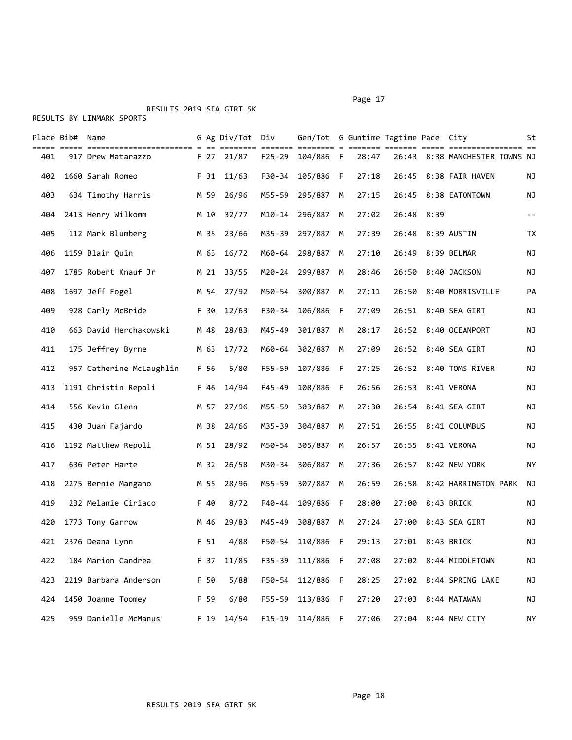## RESULTS 2019 SEA GIRT 5K

|     | Place Bib# | Name                                           | $=$  | G Ag Div/Tot  | Div                                                                            | Gen/Tot G Guntime Tagtime Pace City<br>=== = == |   |       | ==== ==== |      |                          | St        |
|-----|------------|------------------------------------------------|------|---------------|--------------------------------------------------------------------------------|-------------------------------------------------|---|-------|-----------|------|--------------------------|-----------|
| 401 |            | ========================<br>917 Drew Matarazzo | F 27 | ====<br>21/87 | $\qquad \qquad \equiv \equiv \equiv \equiv \equiv \equiv \equiv$<br>$F25 - 29$ | 104/886                                         | F | 28:47 | 26:43     |      | 8:38 MANCHESTER TOWNS NJ | === ==    |
| 402 |            | 1660 Sarah Romeo                               | F 31 | 11/63         | F30-34                                                                         | 105/886 F                                       |   | 27:18 | 26:45     |      | 8:38 FAIR HAVEN          | NJ        |
| 403 |            | 634 Timothy Harris                             | M 59 | 26/96         | M55-59                                                                         | 295/887                                         | M | 27:15 | 26:45     |      | 8:38 EATONTOWN           | ΝJ        |
| 404 |            | 2413 Henry Wilkomm                             | M 10 | 32/77         | M10-14                                                                         | 296/887                                         | M | 27:02 | 26:48     | 8:39 |                          | $ -$      |
| 405 |            | 112 Mark Blumberg                              | M 35 | 23/66         | M35-39                                                                         | 297/887                                         | M | 27:39 | 26:48     |      | 8:39 AUSTIN              | TX        |
| 406 |            | 1159 Blair Quin                                | M 63 | 16/72         | M60-64                                                                         | 298/887                                         | М | 27:10 | 26:49     |      | 8:39 BELMAR              | ΝJ        |
| 407 |            | 1785 Robert Knauf Jr                           | M 21 | 33/55         | M20-24                                                                         | 299/887                                         | M | 28:46 | 26:50     |      | 8:40 JACKSON             | NJ        |
| 408 |            | 1697 Jeff Fogel                                | M 54 | 27/92         | M50-54                                                                         | 300/887                                         | М | 27:11 | 26:50     |      | 8:40 MORRISVILLE         | PA        |
| 409 |            | 928 Carly McBride                              | F 30 | 12/63         | F30-34                                                                         | 106/886                                         | F | 27:09 | 26:51     |      | 8:40 SEA GIRT            | NJ        |
| 410 |            | 663 David Herchakowski                         | M 48 | 28/83         | M45-49                                                                         | 301/887                                         | M | 28:17 |           |      | 26:52 8:40 OCEANPORT     | ΝJ        |
| 411 |            | 175 Jeffrey Byrne                              | M 63 | 17/72         | M60-64                                                                         | 302/887                                         | M | 27:09 | 26:52     |      | 8:40 SEA GIRT            | ΝJ        |
| 412 |            | 957 Catherine McLaughlin                       | F 56 | 5/80          | $F55 - 59$                                                                     | 107/886 F                                       |   | 27:25 |           |      | 26:52 8:40 TOMS RIVER    | ΝJ        |
| 413 |            | 1191 Christin Repoli                           | F 46 | 14/94         | F45-49                                                                         | 108/886 F                                       |   | 26:56 | 26:53     |      | 8:41 VERONA              | ΝJ        |
| 414 |            | 556 Kevin Glenn                                | M 57 | 27/96         | M55-59                                                                         | 303/887                                         | M | 27:30 | 26:54     |      | 8:41 SEA GIRT            | NJ        |
| 415 |            | 430 Juan Fajardo                               | M 38 | 24/66         | M35-39                                                                         | 304/887                                         | М | 27:51 | 26:55     |      | 8:41 COLUMBUS            | NJ        |
| 416 |            | 1192 Matthew Repoli                            | M 51 | 28/92         | M50-54                                                                         | 305/887                                         | М | 26:57 | 26:55     |      | 8:41 VERONA              | NJ        |
| 417 |            | 636 Peter Harte                                | M 32 | 26/58         | M30-34                                                                         | 306/887                                         | M | 27:36 | 26:57     |      | 8:42 NEW YORK            | ΝY        |
| 418 |            | 2275 Bernie Mangano                            | M 55 | 28/96         | M55-59                                                                         | 307/887                                         | M | 26:59 | 26:58     |      | 8:42 HARRINGTON PARK     | ΝJ        |
| 419 |            | 232 Melanie Ciriaco                            | F 40 | 8/72          | F40-44                                                                         | 109/886 F                                       |   | 28:00 | 27:00     |      | 8:43 BRICK               | ΝJ        |
| 420 |            | 1773 Tony Garrow                               | M 46 | 29/83         | M45-49                                                                         | 308/887                                         | M | 27:24 | 27:00     |      | 8:43 SEA GIRT            | ΝJ        |
| 421 |            | 2376 Deana Lynn                                | F 51 | 4/88          | F50-54                                                                         | 110/886 F                                       |   | 29:13 |           |      | 27:01 8:43 BRICK         | ΝJ        |
| 422 |            | 184 Marion Candrea                             | F 37 | 11/85         | F35-39                                                                         | 111/886                                         | F | 27:08 |           |      | 27:02 8:44 MIDDLETOWN    | NJ        |
| 423 |            | 2219 Barbara Anderson                          | F 50 | 5/88          | F50-54                                                                         | 112/886 F                                       |   | 28:25 | 27:02     |      | 8:44 SPRING LAKE         | NJ        |
| 424 |            | 1450 Joanne Toomey                             | F 59 | 6/80          |                                                                                | F55-59 113/886 F                                |   | 27:20 | 27:03     |      | 8:44 MATAWAN             | ΝJ        |
| 425 |            | 959 Danielle McManus                           | F 19 | 14/54         |                                                                                | F15-19 114/886 F                                |   | 27:06 |           |      | 27:04 8:44 NEW CITY      | <b>NY</b> |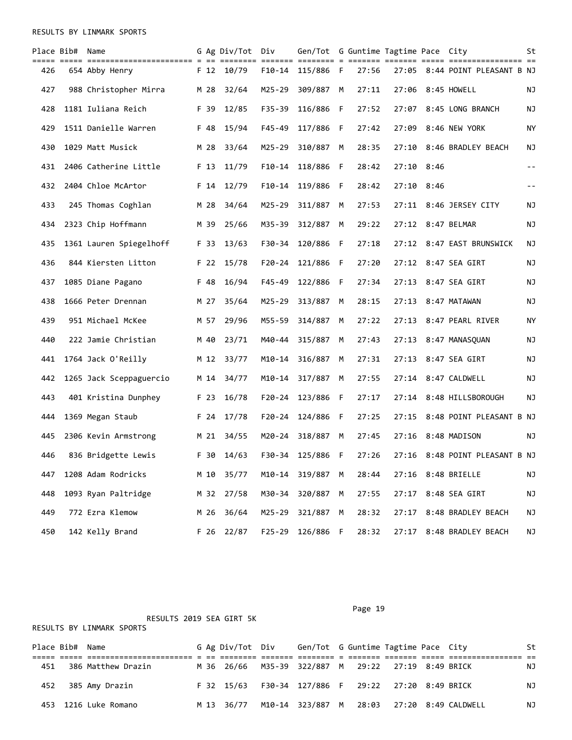RESULTS BY LINMARK SPORTS

|     | Place Bib# Name |                         |      | G Ag Div/Tot Div |                       | Gen/Tot G Guntime Tagtime Pace City |   |       |              |      |                                | St         |
|-----|-----------------|-------------------------|------|------------------|-----------------------|-------------------------------------|---|-------|--------------|------|--------------------------------|------------|
| 426 |                 | 654 Abby Henry          | F 12 | 10/79            | ======= ==:<br>F10-14 | 115/886 F                           |   | 27:56 |              |      | 27:05 8:44 POINT PLEASANT B NJ |            |
| 427 |                 | 988 Christopher Mirra   | M 28 | 32/64            | M25-29                | 309/887                             | М | 27:11 | 27:06        |      | 8:45 HOWELL                    | ΝJ         |
| 428 |                 | 1181 Iuliana Reich      | F 39 | 12/85            | $F35 - 39$            | 116/886 F                           |   | 27:52 | 27:07        |      | 8:45 LONG BRANCH               | ΝJ         |
| 429 |                 | 1511 Danielle Warren    | F 48 | 15/94            | $F45 - 49$            | 117/886 F                           |   | 27:42 | 27:09        |      | 8:46 NEW YORK                  | ΝY         |
| 430 |                 | 1029 Matt Musick        | M 28 | 33/64            | M25-29                | 310/887                             | M | 28:35 | 27:10        |      | 8:46 BRADLEY BEACH             | ΝJ         |
| 431 |                 | 2406 Catherine Little   | F 13 | 11/79            |                       | F10-14 118/886 F                    |   | 28:42 | 27:10        | 8:46 |                                | $- -$      |
| 432 |                 | 2404 Chloe McArtor      | F 14 | 12/79            |                       | F10-14 119/886 F                    |   | 28:42 | $27:10$ 8:46 |      |                                | $\sim$ $-$ |
| 433 |                 | 245 Thomas Coghlan      | M 28 | 34/64            | M25-29                | 311/887                             | M | 27:53 |              |      | 27:11 8:46 JERSEY CITY         | ΝJ         |
| 434 |                 | 2323 Chip Hoffmann      | M 39 | 25/66            | M35-39                | 312/887                             | М | 29:22 | 27:12        |      | 8:47 BELMAR                    | ΝJ         |
| 435 |                 | 1361 Lauren Spiegelhoff | F 33 | 13/63            | F30-34                | 120/886 F                           |   | 27:18 | 27:12        |      | 8:47 EAST BRUNSWICK            | ΝJ         |
| 436 |                 | 844 Kiersten Litton     | F 22 | 15/78            | $F20 - 24$            | 121/886 F                           |   | 27:20 | 27:12        |      | 8:47 SEA GIRT                  | ΝJ         |
| 437 |                 | 1085 Diane Pagano       | F 48 | 16/94            | $F45 - 49$            | 122/886 F                           |   | 27:34 | 27:13        |      | 8:47 SEA GIRT                  | ΝJ         |
| 438 |                 | 1666 Peter Drennan      | M 27 | 35/64            | M25-29                | 313/887                             | м | 28:15 | 27:13        |      | 8:47 MATAWAN                   | ΝJ         |
| 439 |                 | 951 Michael McKee       | M 57 | 29/96            | M55-59                | 314/887                             | M | 27:22 | 27:13        |      | 8:47 PEARL RIVER               | ΝY         |
| 440 |                 | 222 Jamie Christian     | M 40 | 23/71            | M40-44                | 315/887                             | M | 27:43 | 27:13        |      | 8:47 MANASQUAN                 | ΝJ         |
| 441 |                 | 1764 Jack O'Reilly      | M 12 | 33/77            | M10-14                | 316/887                             | M | 27:31 | 27:13        |      | 8:47 SEA GIRT                  | ΝJ         |
| 442 |                 | 1265 Jack Sceppaguercio | M 14 | 34/77            | M10-14                | 317/887                             | М | 27:55 | 27:14        |      | 8:47 CALDWELL                  | ΝJ         |
| 443 |                 | 401 Kristina Dunphey    | F 23 | 16/78            |                       | F20-24 123/886 F                    |   | 27:17 | 27:14        |      | 8:48 HILLSBOROUGH              | ΝJ         |
| 444 |                 | 1369 Megan Staub        | F 24 | 17/78            | F20-24                | 124/886 F                           |   | 27:25 | 27:15        |      | 8:48 POINT PLEASANT B NJ       |            |
| 445 |                 | 2306 Kevin Armstrong    | M 21 | 34/55            | M20-24                | 318/887                             | М | 27:45 | 27:16        |      | 8:48 MADISON                   | ΝJ         |
| 446 |                 | 836 Bridgette Lewis     | F 30 | 14/63            |                       | F30-34 125/886 F                    |   | 27:26 |              |      | 27:16 8:48 POINT PLEASANT B NJ |            |
| 447 |                 | 1208 Adam Rodricks      | M 10 | 35/77            |                       | M10-14 319/887 M                    |   | 28:44 |              |      | 27:16 8:48 BRIELLE             | ΝJ         |
| 448 |                 | 1093 Ryan Paltridge     | M 32 | 27/58            | M30-34                | 320/887 M                           |   | 27:55 |              |      | 27:17 8:48 SEA GIRT            | NJ         |
| 449 |                 | 772 Ezra Klemow         | M 26 | 36/64            | M25-29                | 321/887                             | М | 28:32 | 27:17        |      | 8:48 BRADLEY BEACH             | ΝJ         |
| 450 |                 | 142 Kelly Brand         | F 26 | 22/87            |                       | F25-29 126/886 F                    |   | 28:32 |              |      | 27:17 8:48 BRADLEY BEACH       | ΝJ         |

|                 | RESULTS 2019 SEA GIRT 5K<br>RESULTS BY LINMARK SPORTS |                    |  |      |            |  |                                                      |  |  |  |  |  |    |  |  |
|-----------------|-------------------------------------------------------|--------------------|--|------|------------|--|------------------------------------------------------|--|--|--|--|--|----|--|--|
| Place Bib# Name |                                                       |                    |  |      |            |  | G Ag Div/Tot Div Gen/Tot G Guntime Tagtime Pace City |  |  |  |  |  | St |  |  |
| 451             |                                                       | 386 Matthew Drazin |  |      | M 36 26/66 |  | M35-39 322/887 M 29:22 27:19 8:49 BRICK              |  |  |  |  |  | NJ |  |  |
| 452             |                                                       | 385 Amy Drazin     |  |      | F 32 15/63 |  | F30-34 127/886 F 29:22 27:20 8:49 BRICK              |  |  |  |  |  | ΝJ |  |  |
| 453             |                                                       | 1216 Luke Romano   |  | M 13 | 36/77      |  | M10-14 323/887 M 28:03 27:20 8:49 CALDWELL           |  |  |  |  |  | ΝJ |  |  |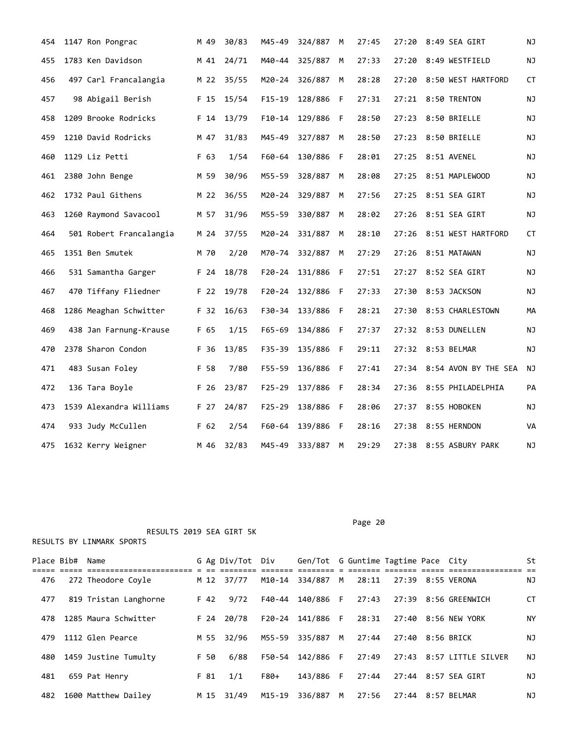| 454 | 1147 Ron Pongrac        | M 49 | 30/83 | M45-49     | 324/887   | M   | 27:45 | 27:20 | 8:49 SEA GIRT          | NJ        |
|-----|-------------------------|------|-------|------------|-----------|-----|-------|-------|------------------------|-----------|
| 455 | 1783 Ken Davidson       | M 41 | 24/71 | M40-44     | 325/887   | M   | 27:33 | 27:20 | 8:49 WESTFIELD         | NJ        |
| 456 | 497 Carl Francalangia   | M 22 | 35/55 | M20-24     | 326/887   | M   | 28:28 | 27:20 | 8:50 WEST HARTFORD     | CT        |
| 457 | 98 Abigail Berish       | F 15 | 15/54 | $F15-19$   | 128/886   | -F  | 27:31 |       | 27:21 8:50 TRENTON     | ΝJ        |
| 458 | 1209 Brooke Rodricks    | F 14 | 13/79 | $F10-14$   | 129/886   | F   | 28:50 | 27:23 | 8:50 BRIELLE           | ΝJ        |
| 459 | 1210 David Rodricks     | M 47 | 31/83 | M45-49     | 327/887   | M   | 28:50 | 27:23 | 8:50 BRIELLE           | ΝJ        |
| 460 | 1129 Liz Petti          | F 63 | 1/54  | F60-64     | 130/886 F |     | 28:01 |       | 27:25 8:51 AVENEL      | ΝJ        |
| 461 | 2380 John Benge         | M 59 | 30/96 | M55-59     | 328/887   | М   | 28:08 | 27:25 | 8:51 MAPLEWOOD         | ΝJ        |
| 462 | 1732 Paul Githens       | M 22 | 36/55 | M20-24     | 329/887   | М   | 27:56 | 27:25 | 8:51 SEA GIRT          | NJ        |
| 463 | 1260 Raymond Savacool   | M 57 | 31/96 | M55-59     | 330/887   | M   | 28:02 | 27:26 | 8:51 SEA GIRT          | <b>NJ</b> |
| 464 | 501 Robert Francalangia | M 24 | 37/55 | $M20 - 24$ | 331/887   | M   | 28:10 | 27:26 | 8:51 WEST HARTFORD     | CT        |
| 465 | 1351 Ben Smutek         | M 70 | 2/20  | M70-74     | 332/887   | М   | 27:29 | 27:26 | 8:51 MATAWAN           | ΝJ        |
| 466 | 531 Samantha Garger     | F 24 | 18/78 | $F20 - 24$ | 131/886   | F   | 27:51 | 27:27 | 8:52 SEA GIRT          | ΝJ        |
| 467 | 470 Tiffany Fliedner    | F 22 | 19/78 | $F20 - 24$ | 132/886   | - F | 27:33 | 27:30 | 8:53 JACKSON           | NJ        |
| 468 | 1286 Meaghan Schwitter  | F 32 | 16/63 | F30-34     | 133/886 F |     | 28:21 | 27:30 | 8:53 CHARLESTOWN       | МA        |
| 469 | 438 Jan Farnung-Krause  | F 65 | 1/15  | $F65 - 69$ | 134/886 F |     | 27:37 |       | 27:32 8:53 DUNELLEN    | ΝJ        |
| 470 | 2378 Sharon Condon      | F 36 | 13/85 | $F35 - 39$ | 135/886   | F   | 29:11 | 27:32 | 8:53 BELMAR            | ΝJ        |
| 471 | 483 Susan Foley         | F 58 | 7/80  | $F55 - 59$ | 136/886   | -F  | 27:41 | 27:34 | 8:54 AVON BY THE SEA   | ΝJ        |
| 472 | 136 Tara Boyle          | F 26 | 23/87 | $F25 - 29$ | 137/886 F |     | 28:34 | 27:36 | 8:55 PHILADELPHIA      | PA        |
| 473 | 1539 Alexandra Williams | F 27 | 24/87 | $F25 - 29$ | 138/886   | F   | 28:06 | 27:37 | 8:55 HOBOKEN           | ΝJ        |
| 474 | 933 Judy McCullen       | F 62 | 2/54  | F60-64     | 139/886   | F   | 28:16 | 27:38 | 8:55 HERNDON           | VA        |
| 475 | 1632 Kerry Weigner      | M 46 | 32/83 | M45-49     | 333/887   | M   | 29:29 |       | 27:38 8:55 ASBURY PARK | ΝJ        |

 RESULTS 2019 SEA GIRT 5K RESULTS BY LINMARK SPORTS

| Place Bib# | Name                  |      | G Ag Div/Tot Div |        | Gen/Tot G Guntime Tagtime Pace City |   |       |                  |                          | St        |
|------------|-----------------------|------|------------------|--------|-------------------------------------|---|-------|------------------|--------------------------|-----------|
|            |                       |      |                  |        |                                     |   |       |                  |                          |           |
| 476        | 272 Theodore Coyle    |      | M 12 37/77       | M10-14 | 334/887 M                           |   | 28:11 |                  | 27:39 8:55 VERONA        | NJ        |
| 477        | 819 Tristan Langhorne | F 42 | 9/72             | F40-44 | 140/886 F                           |   | 27:43 |                  | 27:39 8:56 GREENWICH     | CT        |
| 478        | 1285 Maura Schwitter  | F 24 | 20/78            | F20-24 | 141/886 F                           |   | 28:31 |                  | 27:40 8:56 NEW YORK      | <b>NY</b> |
| 479        | 1112 Glen Pearce      | M 55 | 32/96            | M55-59 | 335/887                             | M | 27:44 | 27:40 8:56 BRICK |                          | NJ.       |
| 480        | 1459 Justine Tumulty  | F 50 | 6/88             | F50-54 | 142/886 F                           |   | 27:49 |                  | 27:43 8:57 LITTLE SILVER | ΝJ        |
| 481        | 659 Pat Henry         | F 81 | 1/1              | F80+   | 143/886 F                           |   | 27:44 |                  | 27:44 8:57 SEA GIRT      | ΝJ        |
| 482        | 1600 Matthew Dailey   |      | M 15 31/49       | M15-19 | 336/887                             | M | 27:56 |                  | 27:44 8:57 BELMAR        | ΝJ        |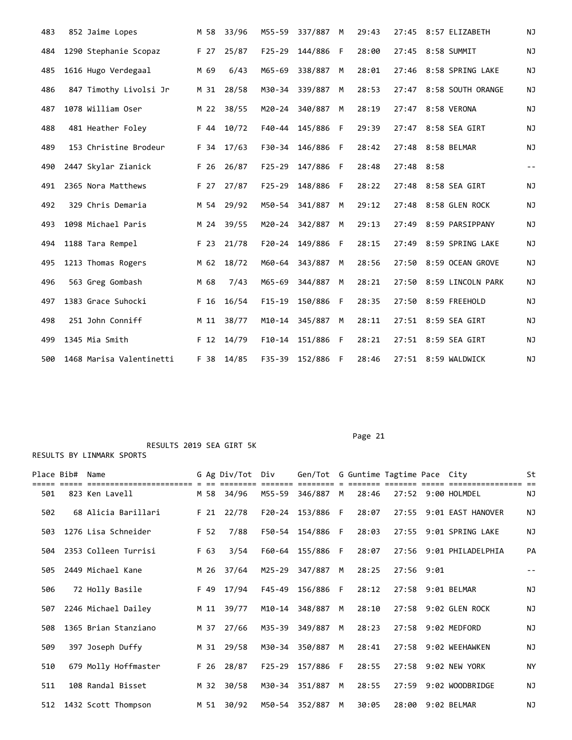| 483 | 852 Jaime Lopes          | M 58 | 33/96 | M55-59     | 337/887 | M  | 29:43 |       | 27:45 8:57 ELIZABETH    | <b>NJ</b>     |
|-----|--------------------------|------|-------|------------|---------|----|-------|-------|-------------------------|---------------|
| 484 | 1290 Stephanie Scopaz    | F 27 | 25/87 | $F25 - 29$ | 144/886 | -F | 28:00 |       | 27:45 8:58 SUMMIT       | NJ            |
| 485 | 1616 Hugo Verdegaal      | M 69 | 6/43  | M65-69     | 338/887 | M  | 28:01 |       | 27:46 8:58 SPRING LAKE  | NJ            |
| 486 | 847 Timothy Livolsi Jr   | M 31 | 28/58 | M30-34     | 339/887 | M  | 28:53 |       | 27:47 8:58 SOUTH ORANGE | NJ            |
| 487 | 1078 William Oser        | M 22 | 38/55 | M20-24     | 340/887 | M  | 28:19 | 27:47 | 8:58 VERONA             | NJ            |
| 488 | 481 Heather Foley        | F 44 | 10/72 | F40-44     | 145/886 | F  | 29:39 | 27:47 | 8:58 SEA GIRT           | ΝJ            |
| 489 | 153 Christine Brodeur    | F 34 | 17/63 | F30-34     | 146/886 | F  | 28:42 | 27:48 | 8:58 BELMAR             | NJ            |
| 490 | 2447 Skylar Zianick      | F 26 | 26/87 | $F25 - 29$ | 147/886 | -F | 28:48 | 27:48 | 8:58                    | $\frac{1}{2}$ |
| 491 | 2365 Nora Matthews       | F 27 | 27/87 | $F25 - 29$ | 148/886 | F  | 28:22 | 27:48 | 8:58 SEA GIRT           | ΝJ            |
| 492 | 329 Chris Demaria        | M 54 | 29/92 | M50-54     | 341/887 | M  | 29:12 | 27:48 | 8:58 GLEN ROCK          | ΝJ            |
| 493 | 1098 Michael Paris       | M 24 | 39/55 | M20-24     | 342/887 | M  | 29:13 | 27:49 | 8:59 PARSIPPANY         | NJ            |
| 494 | 1188 Tara Rempel         | F 23 | 21/78 | $F20 - 24$ | 149/886 | -F | 28:15 | 27:49 | 8:59 SPRING LAKE        | NJ            |
| 495 | 1213 Thomas Rogers       | M 62 | 18/72 | M60-64     | 343/887 | M  | 28:56 | 27:50 | 8:59 OCEAN GROVE        | NJ            |
| 496 | 563 Greg Gombash         | M 68 | 7/43  | M65-69     | 344/887 | M  | 28:21 | 27:50 | 8:59 LINCOLN PARK       | NJ            |
| 497 | 1383 Grace Suhocki       | F 16 | 16/54 | $F15-19$   | 150/886 | F  | 28:35 | 27:50 | 8:59 FREEHOLD           | NJ            |
| 498 | 251 John Conniff         | M 11 | 38/77 | M10-14     | 345/887 | M  | 28:11 |       | 27:51 8:59 SEA GIRT     | NJ            |
| 499 | 1345 Mia Smith           | F 12 | 14/79 | $F10-14$   | 151/886 | F. | 28:21 |       | 27:51 8:59 SEA GIRT     | <b>NJ</b>     |
| 500 | 1468 Marisa Valentinetti | F 38 | 14/85 | F35-39     | 152/886 | F  | 28:46 |       | 27:51 8:59 WALDWICK     | <b>NJ</b>     |

Place Bib# Name 6 Ag Div/Tot Div Gen/Tot G Guntime Tagtime Pace City St ===== ===== ======================= = == ======== ======= ======== = ======= ======= ===== ================ == M55-59 346/887 M 28:46 27:52 9:00 HOLMDEL 502 68 Alicia Barillari F 21 22/78 F20-24 153/886 F 28:07 27:55 9:01 EAST HANOVER NJ 503 1276 Lisa Schneider F 52 7/88 F50-54 154/886 F 28:03 27:55 9:01 SPRING LAKE NJ 504 2353 Colleen Turrisi F 63 3/54 F60-64 155/886 F 28:07 27:56 9:01 PHILADELPHIA PA 505 2449 Michael Kane M 26 37/64 M25-29 347/887 M 28:25 27:56 9:01 -- 506 72 Holly Basile F 49 17/94 F45-49 156/886 F 28:12 27:58 9:01 BELMAR NJ 507 2246 Michael Dailey M 11 39/77 M10-14 348/887 M 28:10 27:58 9:02 GLEN ROCK NJ 508 1365 Brian Stanziano M 37 27/66 M35-39 349/887 M 28:23 27:58 9:02 MEDFORD NJ 509 397 Joseph Duffy M 31 29/58 M30-34 350/887 M 28:41 27:58 9:02 WEEHAWKEN NJ 510 679 Molly Hoffmaster F 26 28/87 F25-29 157/886 F 28:55 27:58 9:02 NEW YORK NY 511 108 Randal Bisset M 32 30/58 M30-34 351/887 M 28:55 27:59 9:02 WOODBRIDGE NJ 512 1432 Scott Thompson M 51 30/92 M50-54 352/887 M 30:05 28:00 9:02 BELMAR NJ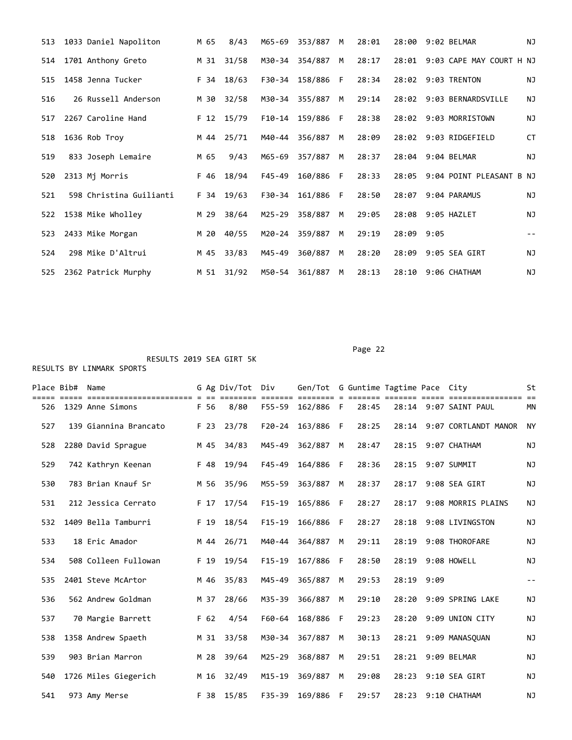| 513 | 1033 Daniel Napoliton   | M 65 | 8/43  | M65-69     | 353/887 | M  | 28:01 | 28:00 | 9:02 BELMAR                    | NJ            |
|-----|-------------------------|------|-------|------------|---------|----|-------|-------|--------------------------------|---------------|
| 514 | 1701 Anthony Greto      | M 31 | 31/58 | M30-34     | 354/887 | M  | 28:17 |       | 28:01 9:03 CAPE MAY COURT H NJ |               |
| 515 | 1458 Jenna Tucker       | F 34 | 18/63 | F30-34     | 158/886 | -F | 28:34 |       | 28:02 9:03 TRENTON             | ΝJ            |
| 516 | 26 Russell Anderson     | M 30 | 32/58 | M30-34     | 355/887 | M  | 29:14 |       | 28:02 9:03 BERNARDSVILLE       | ΝJ            |
| 517 | 2267 Caroline Hand      | F 12 | 15/79 | F10-14     | 159/886 | F  | 28:38 |       | 28:02 9:03 MORRISTOWN          | NJ            |
| 518 | 1636 Rob Troy           | M 44 | 25/71 | M40-44     | 356/887 | M  | 28:09 |       | 28:02 9:03 RIDGEFIELD          | СT            |
| 519 | 833 Joseph Lemaire      | M 65 | 9/43  | M65-69     | 357/887 | M  | 28:37 |       | 28:04 9:04 BELMAR              | <b>NJ</b>     |
| 520 | 2313 Mj Morris          | F 46 | 18/94 | $F45 - 49$ | 160/886 | F  | 28:33 | 28:05 | 9:04 POINT PLEASANT B NJ       |               |
| 521 | 598 Christina Guilianti | F 34 | 19/63 | F30-34     | 161/886 | F  | 28:50 | 28:07 | 9:04 PARAMUS                   | <b>NJ</b>     |
| 522 | 1538 Mike Wholley       | M 29 | 38/64 | M25-29     | 358/887 | M  | 29:05 | 28:08 | 9:05 HAZLET                    | <b>NJ</b>     |
| 523 | 2433 Mike Morgan        | M 20 | 40/55 | M20-24     | 359/887 | M  | 29:19 | 28:09 | 9:05                           | $\sim$ $\sim$ |
| 524 | 298 Mike D'Altrui       | M 45 | 33/83 | M45-49     | 360/887 | M  | 28:20 | 28:09 | 9:05 SEA GIRT                  | <b>NJ</b>     |
| 525 | 2362 Patrick Murphy     | M 51 | 31/92 | M50-54     | 361/887 | M  | 28:13 | 28:10 | 9:06 CHATHAM                   | NJ            |

Page 22

| Place Bib# | Name                  |      | G Ag Div/Tot Div |            | Gen/Tot G Guntime Tagtime Pace City |    |       |       |      |                       | St        |
|------------|-----------------------|------|------------------|------------|-------------------------------------|----|-------|-------|------|-----------------------|-----------|
| 526        | 1329 Anne Simons      | F 56 | 8/80             | F55-59     | 162/886 F                           |    | 28:45 |       |      | 28:14 9:07 SAINT PAUL | <b>MN</b> |
| 527        | 139 Giannina Brancato | F 23 | 23/78            | $F20 - 24$ | 163/886                             | F  | 28:25 | 28:14 |      | 9:07 CORTLANDT MANOR  | <b>NY</b> |
| 528        | 2280 David Sprague    | M 45 | 34/83            | M45-49     | 362/887                             | M  | 28:47 | 28:15 |      | 9:07 CHATHAM          | <b>NJ</b> |
| 529        | 742 Kathryn Keenan    | F 48 | 19/94            | $F45 - 49$ | 164/886                             | -F | 28:36 | 28:15 |      | 9:07 SUMMIT           | ΝJ        |
| 530        | 783 Brian Knauf Sr    | M 56 | 35/96            | M55-59     | 363/887                             | M  | 28:37 | 28:17 |      | 9:08 SEA GIRT         | NJ        |
| 531        | 212 Jessica Cerrato   | F 17 | 17/54            | $F15-19$   | 165/886                             | F  | 28:27 | 28:17 |      | 9:08 MORRIS PLAINS    | NJ        |
| 532        | 1409 Bella Tamburri   | F 19 | 18/54            | $F15 - 19$ | 166/886                             | F  | 28:27 | 28:18 |      | 9:08 LIVINGSTON       | NJ        |
| 533        | 18 Eric Amador        | M 44 | 26/71            | M40-44     | 364/887                             | M  | 29:11 | 28:19 |      | 9:08 THOROFARE        | NJ        |
| 534        | 508 Colleen Fullowan  | F 19 | 19/54            | $F15 - 19$ | 167/886                             | F  | 28:50 | 28:19 |      | 9:08 HOWELL           | NJ        |
| 535        | 2401 Steve McArtor    | M 46 | 35/83            | M45-49     | 365/887                             | M  | 29:53 | 28:19 | 9:09 |                       | $- -$     |
| 536        | 562 Andrew Goldman    | M 37 | 28/66            | M35-39     | 366/887                             | M  | 29:10 | 28:20 |      | 9:09 SPRING LAKE      | ΝJ        |
| 537        | 70 Margie Barrett     | F 62 | 4/54             | F60-64     | 168/886                             | F  | 29:23 | 28:20 |      | 9:09 UNION CITY       | ΝJ        |
| 538        | 1358 Andrew Spaeth    | M 31 | 33/58            | M30-34     | 367/887                             | M  | 30:13 | 28:21 |      | 9:09 MANASOUAN        | ΝJ        |
| 539        | 903 Brian Marron      | M 28 | 39/64            | $M25 - 29$ | 368/887                             | M  | 29:51 | 28:21 |      | 9:09 BELMAR           | <b>NJ</b> |
| 540        | 1726 Miles Giegerich  | M 16 | 32/49            | $M15 - 19$ | 369/887                             | M  | 29:08 | 28:23 |      | 9:10 SEA GIRT         | ΝJ        |
| 541        | 973 Amy Merse         | F 38 | 15/85            | $F35 - 39$ | 169/886                             | F  | 29:57 | 28:23 |      | 9:10 CHATHAM          | ΝJ        |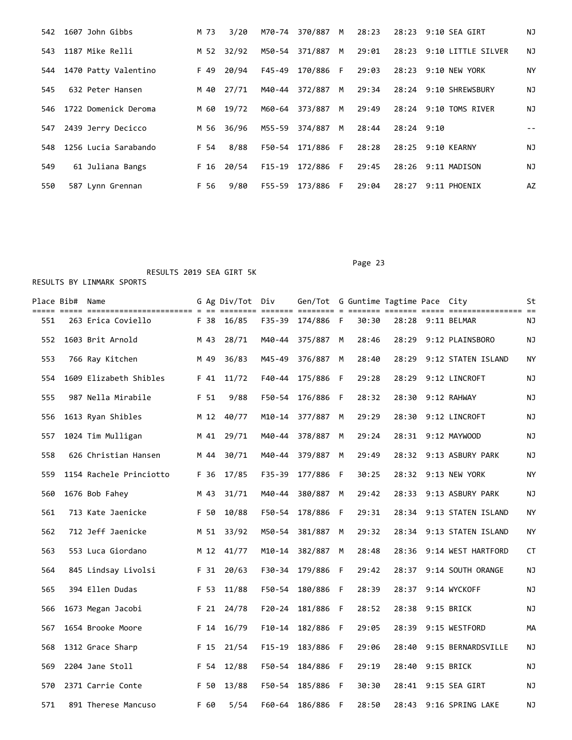| 542 | 1607 John Gibbs      | M 73 | 3/20       | M70-74 | 370/887 M        |   | 28:23 |            | 28:23 9:10 SEA GIRT      | ΝJ |
|-----|----------------------|------|------------|--------|------------------|---|-------|------------|--------------------------|----|
| 543 | 1187 Mike Relli      | M 52 | 32/92      | M50-54 | 371/887 M        |   | 29:01 |            | 28:23 9:10 LITTLE SILVER | ΝJ |
| 544 | 1470 Patty Valentino | F 49 | 20/94      |        | F45-49 170/886 F |   | 29:03 |            | 28:23 9:10 NEW YORK      | NY |
| 545 | 632 Peter Hansen     |      | M 40 27/71 | M40-44 | 372/887 M        |   | 29:34 |            | 28:24 9:10 SHREWSBURY    | NJ |
| 546 | 1722 Domenick Deroma | M 60 | 19/72      | M60-64 | 373/887 M        |   | 29:49 |            | 28:24 9:10 TOMS RIVER    | ΝJ |
| 547 | 2439 Jerry Decicco   | M 56 | 36/96      | M55-59 | 374/887          | M | 28:44 | 28:24 9:10 |                          |    |
| 548 | 1256 Lucia Sarabando | F 54 | 8/88       | F50-54 | 171/886 F        |   | 28:28 |            | 28:25 9:10 KEARNY        | ΝJ |
| 549 | 61 Juliana Bangs     | F 16 | 20/54      |        | F15-19 172/886 F |   | 29:45 |            | 28:26 9:11 MADISON       | ΝJ |
| 550 | 587 Lynn Grennan     | F 56 | 9/80       | F55-59 | 173/886 F        |   | 29:04 | 28:27      | 9:11 PHOENIX             | AZ |

## Page 23

|     | Place Bib# Name |                         |      | G Ag Div/Tot Div |            | Gen/Tot G Guntime Tagtime Pace City |     |       |       |                        | St        |
|-----|-----------------|-------------------------|------|------------------|------------|-------------------------------------|-----|-------|-------|------------------------|-----------|
| 551 |                 | 263 Erica Coviello      | F 38 | 16/85            | $F35 - 39$ | 174/886 F                           |     | 30:30 |       | 28:28 9:11 BELMAR      | ΝJ        |
| 552 |                 | 1603 Brit Arnold        | M 43 | 28/71            | M40-44     | 375/887                             | M   | 28:46 | 28:29 | 9:12 PLAINSBORO        | ΝJ        |
| 553 |                 | 766 Ray Kitchen         | M 49 | 36/83            | M45-49     | 376/887                             | M   | 28:40 | 28:29 | 9:12 STATEN ISLAND     | <b>NY</b> |
| 554 |                 | 1609 Elizabeth Shibles  | F 41 | 11/72            | $F40 - 44$ | 175/886 F                           |     | 29:28 | 28:29 | 9:12 LINCROFT          | ΝJ        |
| 555 |                 | 987 Nella Mirabile      | F 51 | 9/88             | F50-54     | 176/886                             | F   | 28:32 | 28:30 | 9:12 RAHWAY            | ΝJ        |
| 556 |                 | 1613 Ryan Shibles       | M 12 | 40/77            | $M10 - 14$ | 377/887                             | M   | 29:29 | 28:30 | 9:12 LINCROFT          | ΝJ        |
| 557 |                 | 1024 Tim Mulligan       | M 41 | 29/71            | M40-44     | 378/887                             | M   | 29:24 |       | 28:31 9:12 MAYWOOD     | ΝJ        |
| 558 |                 | 626 Christian Hansen    | M 44 | 30/71            | M40-44     | 379/887                             | M   | 29:49 |       | 28:32 9:13 ASBURY PARK | ΝJ        |
| 559 |                 | 1154 Rachele Princiotto | F 36 | 17/85            | F35-39     | 177/886                             | F   | 30:25 |       | 28:32 9:13 NEW YORK    | ΝY        |
| 560 |                 | 1676 Bob Fahey          | M 43 | 31/71            | M40-44     | 380/887                             | M   | 29:42 | 28:33 | 9:13 ASBURY PARK       | ΝJ        |
| 561 |                 | 713 Kate Jaenicke       | F 50 | 10/88            | F50-54     | 178/886                             | F   | 29:31 | 28:34 | 9:13 STATEN ISLAND     | NY.       |
| 562 |                 | 712 Jeff Jaenicke       | M 51 | 33/92            | M50-54     | 381/887                             | M   | 29:32 | 28:34 | 9:13 STATEN ISLAND     | NY        |
| 563 |                 | 553 Luca Giordano       | M 12 | 41/77            | $M10 - 14$ | 382/887                             | M   | 28:48 | 28:36 | 9:14 WEST HARTFORD     | <b>CT</b> |
| 564 |                 | 845 Lindsay Livolsi     | F 31 | 20/63            | F30-34     | 179/886                             | F   | 29:42 | 28:37 | 9:14 SOUTH ORANGE      | ΝJ        |
| 565 |                 | 394 Ellen Dudas         | F 53 | 11/88            | F50-54     | 180/886                             | -F  | 28:39 | 28:37 | 9:14 WYCKOFF           | ΝJ        |
| 566 |                 | 1673 Megan Jacobi       | F 21 | 24/78            | $F20 - 24$ | 181/886                             | - F | 28:52 | 28:38 | 9:15 BRICK             | ΝJ        |
| 567 |                 | 1654 Brooke Moore       | F 14 | 16/79            | $F10-14$   | 182/886                             | F   | 29:05 | 28:39 | 9:15 WESTFORD          | MА        |
| 568 |                 | 1312 Grace Sharp        | F 15 | 21/54            | $F15 - 19$ | 183/886                             | F   | 29:06 | 28:40 | 9:15 BERNARDSVILLE     | ΝJ        |
| 569 |                 | 2204 Jane Stoll         | F 54 | 12/88            | F50-54     | 184/886                             | - F | 29:19 | 28:40 | 9:15 BRICK             | ΝJ        |
| 570 |                 | 2371 Carrie Conte       | F 50 | 13/88            | F50-54     | 185/886                             | F   | 30:30 | 28:41 | 9:15 SEA GIRT          | ΝJ        |
| 571 |                 | 891 Therese Mancuso     | F 60 | 5/54             | F60-64     | 186/886                             | F   | 28:50 | 28:43 | 9:16 SPRING LAKE       | ΝJ        |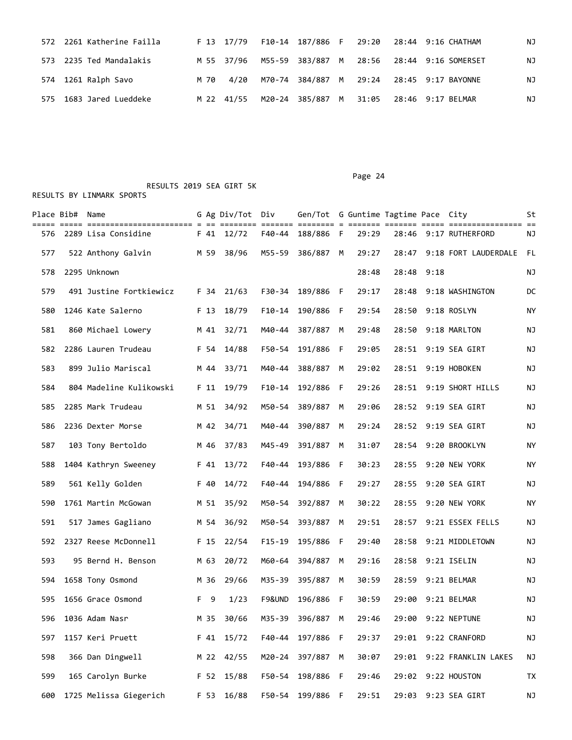|  | 572 2261 Katherine Failla |      |  |  |  | F 13 17/79  F10-14  187/886  F  29:20  28:44  9:16  CHATHAM | ΝJ |
|--|---------------------------|------|--|--|--|-------------------------------------------------------------|----|
|  | 573 2235 Ted Mandalakis   |      |  |  |  | M 55 37/96 M55-59 383/887 M 28:56 28:44 9:16 SOMERSET       | NJ |
|  | 574 1261 Ralph Savo       | M 70 |  |  |  | 4/20 M70-74 384/887 M 29:24 28:45 9:17 BAYONNE              | ΝJ |
|  | 575 1683 Jared Lueddeke   |      |  |  |  | M 22 41/55 M20-24 385/887 M 31:05 28:46 9:17 BELMAR         | ΝJ |

 RESULTS 2019 SEA GIRT 5K RESULTS BY LINMARK SPORTS

|     | Place Bib# Name |                         |      | G Ag Div/Tot Div |            | Gen/Tot G Guntime Tagtime Pace City |     |       |       |      |                      | St |
|-----|-----------------|-------------------------|------|------------------|------------|-------------------------------------|-----|-------|-------|------|----------------------|----|
| 576 |                 | 2289 Lisa Considine     |      | F 41 12/72       | F40-44     | 188/886 F                           |     | 29:29 | 28:46 |      | 9:17 RUTHERFORD      | ΝJ |
| 577 |                 | 522 Anthony Galvin      | M 59 | 38/96            | M55-59     | 386/887                             | M   | 29:27 | 28:47 |      | 9:18 FORT LAUDERDALE | FL |
| 578 |                 | 2295 Unknown            |      |                  |            |                                     |     | 28:48 | 28:48 | 9:18 |                      | ΝJ |
| 579 |                 | 491 Justine Fortkiewicz | F 34 | 21/63            |            | F30-34 189/886                      | - F | 29:17 | 28:48 |      | 9:18 WASHINGTON      | DC |
| 580 |                 | 1246 Kate Salerno       | F 13 | 18/79            | F10-14     | 190/886                             | -F  | 29:54 | 28:50 |      | 9:18 ROSLYN          | ΝY |
| 581 |                 | 860 Michael Lowery      | M 41 | 32/71            | M40-44     | 387/887                             | M   | 29:48 | 28:50 |      | 9:18 MARLTON         | ΝJ |
| 582 |                 | 2286 Lauren Trudeau     | F 54 | 14/88            | F50-54     | 191/886                             | F   | 29:05 | 28:51 |      | 9:19 SEA GIRT        | ΝJ |
| 583 |                 | 899 Julio Mariscal      | M 44 | 33/71            | M40-44     | 388/887                             | M   | 29:02 | 28:51 |      | 9:19 HOBOKEN         | ΝJ |
| 584 |                 | 804 Madeline Kulikowski | F 11 | 19/79            | $F10-14$   | 192/886                             | -F  | 29:26 | 28:51 |      | 9:19 SHORT HILLS     | ΝJ |
| 585 |                 | 2285 Mark Trudeau       | M 51 | 34/92            | M50-54     | 389/887                             | M   | 29:06 | 28:52 |      | 9:19 SEA GIRT        | ΝJ |
| 586 |                 | 2236 Dexter Morse       | M 42 | 34/71            | M40-44     | 390/887                             | M   | 29:24 | 28:52 |      | 9:19 SEA GIRT        | ΝJ |
| 587 |                 | 103 Tony Bertoldo       | M 46 | 37/83            | M45-49     | 391/887                             | M   | 31:07 | 28:54 |      | 9:20 BROOKLYN        | ΝY |
| 588 |                 | 1404 Kathryn Sweeney    | F 41 | 13/72            | F40-44     | 193/886                             | F   | 30:23 | 28:55 |      | 9:20 NEW YORK        | ΝY |
| 589 |                 | 561 Kelly Golden        | F 40 | 14/72            | F40-44     | 194/886                             | F   | 29:27 | 28:55 |      | 9:20 SEA GIRT        | ΝJ |
| 590 |                 | 1761 Martin McGowan     | M 51 | 35/92            | M50-54     | 392/887                             | M   | 30:22 | 28:55 |      | 9:20 NEW YORK        | NY |
| 591 |                 | 517 James Gagliano      | M 54 | 36/92            | M50-54     | 393/887                             | M   | 29:51 | 28:57 |      | 9:21 ESSEX FELLS     | ΝJ |
| 592 |                 | 2327 Reese McDonnell    | F 15 | 22/54            | $F15 - 19$ | 195/886                             | F   | 29:40 | 28:58 |      | 9:21 MIDDLETOWN      | ΝJ |
| 593 |                 | 95 Bernd H. Benson      | M 63 | 20/72            | M60-64     | 394/887                             | M   | 29:16 | 28:58 |      | 9:21 ISELIN          | ΝJ |
| 594 |                 | 1658 Tony Osmond        | M 36 | 29/66            | M35-39     | 395/887                             | M   | 30:59 | 28:59 |      | 9:21 BELMAR          | ΝJ |
| 595 |                 | 1656 Grace Osmond       | F 9  | 1/23             | F9&UND     | 196/886                             | F   | 30:59 | 29:00 |      | 9:21 BELMAR          | ΝJ |
| 596 |                 | 1036 Adam Nasr          | M 35 | 30/66            | M35-39     | 396/887                             | M   | 29:46 | 29:00 |      | 9:22 NEPTUNE         | ΝJ |
| 597 |                 | 1157 Keri Pruett        | F 41 | 15/72            | F40-44     | 197/886 F                           |     | 29:37 | 29:01 |      | 9:22 CRANFORD        | NJ |
| 598 |                 | 366 Dan Dingwell        | M 22 | 42/55            |            | M20-24 397/887                      | М   | 30:07 | 29:01 |      | 9:22 FRANKLIN LAKES  | NJ |
| 599 |                 | 165 Carolyn Burke       |      | F 52 15/88       |            | F50-54 198/886 F                    |     | 29:46 | 29:02 |      | 9:22 HOUSTON         | TX |
| 600 |                 | 1725 Melissa Giegerich  | F 53 | 16/88            |            | F50-54 199/886 F                    |     | 29:51 | 29:03 |      | 9:23 SEA GIRT        | NJ |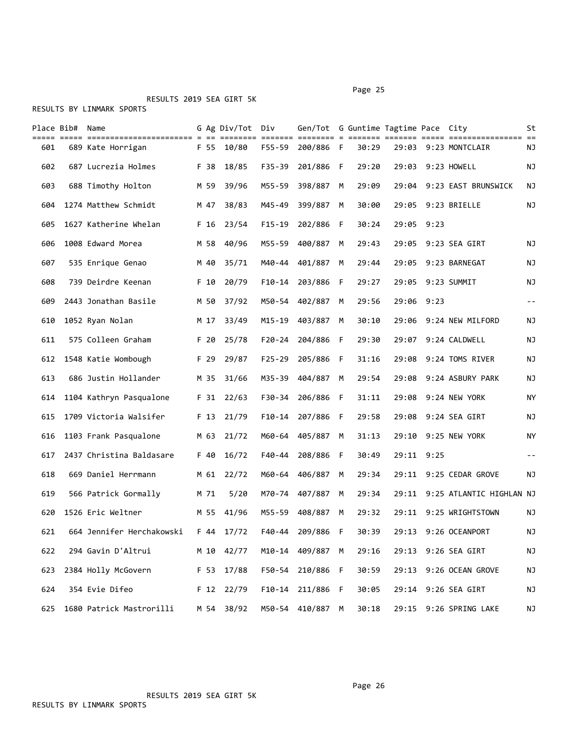## RESULTS 2019 SEA GIRT 5K

|     | Place Bib# | Name                      |      | G Ag Div/Tot Div |            | Gen/Tot G Guntime Tagtime Pace City |     |       |       |            |                          | St        |
|-----|------------|---------------------------|------|------------------|------------|-------------------------------------|-----|-------|-------|------------|--------------------------|-----------|
| 601 |            | 689 Kate Horrigan         | F 55 | 10/80            | F55-59     | 200/886 F                           |     | 30:29 | 29:03 |            | 9:23 MONTCLAIR           | ΝJ        |
| 602 |            | 687 Lucrezia Holmes       | F 38 | 18/85            | F35-39     | 201/886 F                           |     | 29:20 | 29:03 |            | 9:23 HOWELL              | ΝJ        |
| 603 |            | 688 Timothy Holton        | M 59 | 39/96            | M55-59     | 398/887                             | M   | 29:09 | 29:04 |            | 9:23 EAST BRUNSWICK      | ΝJ        |
| 604 |            | 1274 Matthew Schmidt      | M 47 | 38/83            | M45-49     | 399/887                             | M   | 30:00 | 29:05 |            | 9:23 BRIELLE             | ΝJ        |
| 605 |            | 1627 Katherine Whelan     | F 16 | 23/54            | $F15-19$   | 202/886 F                           |     | 30:24 | 29:05 | 9:23       |                          |           |
| 606 |            | 1008 Edward Morea         | M 58 | 40/96            | M55-59     | 400/887                             | M   | 29:43 | 29:05 |            | 9:23 SEA GIRT            | ΝJ        |
| 607 |            | 535 Enrique Genao         | M 40 | 35/71            | M40-44     | 401/887                             | M   | 29:44 | 29:05 |            | 9:23 BARNEGAT            | ΝJ        |
| 608 |            | 739 Deirdre Keenan        | F 10 | 20/79            | F10-14     | 203/886                             | F   | 29:27 | 29:05 |            | 9:23 SUMMIT              | ΝJ        |
| 609 |            | 2443 Jonathan Basile      | M 50 | 37/92            | M50-54     | 402/887                             | M   | 29:56 | 29:06 | 9:23       |                          | $- -$     |
| 610 |            | 1052 Ryan Nolan           | M 17 | 33/49            | M15-19     | 403/887                             | M   | 30:10 | 29:06 |            | 9:24 NEW MILFORD         | ΝJ        |
| 611 |            | 575 Colleen Graham        | F 20 | 25/78            | F20-24     | 204/886                             | - F | 29:30 | 29:07 |            | 9:24 CALDWELL            | ΝJ        |
| 612 |            | 1548 Katie Wombough       | F 29 | 29/87            | $F25 - 29$ | 205/886 F                           |     | 31:16 | 29:08 |            | 9:24 TOMS RIVER          | ΝJ        |
| 613 |            | 686 Justin Hollander      | M 35 | 31/66            | M35-39     | 404/887                             | M   | 29:54 | 29:08 |            | 9:24 ASBURY PARK         | ΝJ        |
| 614 |            | 1104 Kathryn Pasqualone   | F 31 | 22/63            | F30-34     | 206/886 F                           |     | 31:11 | 29:08 |            | 9:24 NEW YORK            | ΝY        |
| 615 |            | 1709 Victoria Walsifer    | F 13 | 21/79            | $F10-14$   | 207/886                             | - F | 29:58 | 29:08 |            | 9:24 SEA GIRT            | ΝJ        |
| 616 |            | 1103 Frank Pasqualone     | M 63 | 21/72            | M60-64     | 405/887                             | M   | 31:13 | 29:10 |            | 9:25 NEW YORK            | <b>NY</b> |
| 617 |            | 2437 Christina Baldasare  | F 40 | 16/72            | F40-44     | 208/886                             | - F | 30:49 |       | 29:11 9:25 |                          | $ -$      |
| 618 |            | 669 Daniel Herrmann       | M 61 | 22/72            | M60-64     | 406/887                             | M   | 29:34 | 29:11 |            | 9:25 CEDAR GROVE         | ΝJ        |
| 619 |            | 566 Patrick Gormally      | M 71 | 5/20             |            | M70-74 407/887                      | M   | 29:34 | 29:11 |            | 9:25 ATLANTIC HIGHLAN NJ |           |
| 620 |            | 1526 Eric Weltner         | M 55 | 41/96            | M55-59     | 408/887                             | M   | 29:32 | 29:11 |            | 9:25 WRIGHTSTOWN         | ΝJ        |
| 621 |            | 664 Jennifer Herchakowski | F 44 | 17/72            | F40-44     | 209/886 F                           |     | 30:39 | 29:13 |            | 9:26 OCEANPORT           | ΝJ        |
| 622 |            | 294 Gavin D'Altrui        | M 10 | 42/77            |            | M10-14 409/887 M                    |     | 29:16 | 29:13 |            | 9:26 SEA GIRT            | NJ        |
| 623 |            | 2384 Holly McGovern       | F 53 | 17/88            | F50-54     | 210/886 F                           |     | 30:59 | 29:13 |            | 9:26 OCEAN GROVE         | ΝJ        |
| 624 |            | 354 Evie Difeo            |      | F 12 22/79       |            | F10-14 211/886 F                    |     | 30:05 | 29:14 |            | 9:26 SEA GIRT            | ΝJ        |
| 625 |            | 1680 Patrick Mastrorilli  |      | M 54 38/92       |            | M50-54 410/887 M                    |     | 30:18 | 29:15 |            | 9:26 SPRING LAKE         | ΝJ        |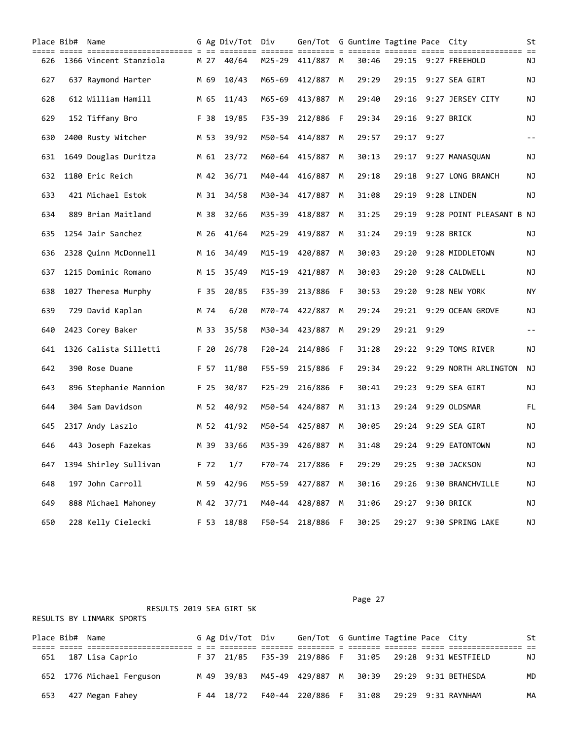|     | Place Bib# Name |                        |      | G Ag Div/Tot Div<br>==== | ======= ==== | Gen/Tot G Guntime Tagtime Pace City<br>==== = == |   |       | ==== ====  |      |                          | St        |
|-----|-----------------|------------------------|------|--------------------------|--------------|--------------------------------------------------|---|-------|------------|------|--------------------------|-----------|
| 626 |                 | 1366 Vincent Stanziola | M 27 | 40/64                    | M25-29       | 411/887 M                                        |   | 30:46 | 29:15      |      | 9:27 FREEHOLD            | ΝJ        |
| 627 |                 | 637 Raymond Harter     | M 69 | 10/43                    |              | M65-69 412/887                                   | M | 29:29 | 29:15      |      | 9:27 SEA GIRT            | ΝJ        |
| 628 |                 | 612 William Hamill     | M 65 | 11/43                    | M65-69       | 413/887                                          | M | 29:40 | 29:16      |      | 9:27 JERSEY CITY         | ΝJ        |
| 629 |                 | 152 Tiffany Bro        | F 38 | 19/85                    | F35-39       | 212/886                                          | F | 29:34 | 29:16      |      | 9:27 BRICK               | NJ        |
| 630 |                 | 2400 Rusty Witcher     | M 53 | 39/92                    |              | M50-54 414/887                                   | М | 29:57 | 29:17      | 9:27 |                          | $- -$     |
| 631 |                 | 1649 Douglas Duritza   |      | M 61 23/72               |              | M60-64 415/887                                   | M | 30:13 | 29:17      |      | 9:27 MANASQUAN           | ΝJ        |
| 632 |                 | 1180 Eric Reich        | M 42 | 36/71                    |              | M40-44 416/887                                   | M | 29:18 | 29:18      |      | 9:27 LONG BRANCH         | ΝJ        |
| 633 |                 | 421 Michael Estok      | M 31 | 34/58                    | M30-34       | 417/887                                          | M | 31:08 | 29:19      |      | 9:28 LINDEN              | ΝJ        |
| 634 |                 | 889 Brian Maitland     | M 38 | 32/66                    |              | M35-39 418/887                                   | M | 31:25 | 29:19      |      | 9:28 POINT PLEASANT B NJ |           |
| 635 |                 | 1254 Jair Sanchez      | M 26 | 41/64                    | M25-29       | 419/887                                          | M | 31:24 | 29:19      |      | 9:28 BRICK               | ΝJ        |
| 636 |                 | 2328 Quinn McDonnell   | M 16 | 34/49                    | M15-19       | 420/887                                          | M | 30:03 | 29:20      |      | 9:28 MIDDLETOWN          | ΝJ        |
| 637 |                 | 1215 Dominic Romano    | M 15 | 35/49                    | M15-19       | 421/887                                          | M | 30:03 | 29:20      |      | 9:28 CALDWELL            | ΝJ        |
| 638 |                 | 1027 Theresa Murphy    | F 35 | 20/85                    | F35-39       | 213/886 F                                        |   | 30:53 | 29:20      |      | 9:28 NEW YORK            | <b>NY</b> |
| 639 |                 | 729 David Kaplan       | M 74 | 6/20                     |              | M70-74 422/887                                   | M | 29:24 |            |      | 29:21 9:29 OCEAN GROVE   | ΝJ        |
| 640 |                 | 2423 Corey Baker       | M 33 | 35/58                    | M30-34       | 423/887                                          | M | 29:29 | 29:21 9:29 |      |                          | $- -$     |
| 641 |                 | 1326 Calista Silletti  | F 20 | 26/78                    | $F20 - 24$   | 214/886 F                                        |   | 31:28 |            |      | 29:22 9:29 TOMS RIVER    | ΝJ        |
| 642 |                 | 390 Rose Duane         | F 57 | 11/80                    | F55-59       | 215/886 F                                        |   | 29:34 | 29:22      |      | 9:29 NORTH ARLINGTON     | ΝJ        |
| 643 |                 | 896 Stephanie Mannion  | F 25 | 30/87                    | F25-29       | 216/886 F                                        |   | 30:41 | 29:23      |      | 9:29 SEA GIRT            | NJ        |
| 644 |                 | 304 Sam Davidson       | M 52 | 40/92                    | M50-54       | 424/887                                          | M | 31:13 | 29:24      |      | 9:29 OLDSMAR             | FL.       |
| 645 |                 | 2317 Andy Laszlo       | M 52 | 41/92                    |              | M50-54 425/887                                   | M | 30:05 | 29:24      |      | 9:29 SEA GIRT            | ΝJ        |
| 646 |                 | 443 Joseph Fazekas     | M 39 | 33/66                    |              | M35-39 426/887 M                                 |   | 31:48 |            |      | 29:24 9:29 EATONTOWN     | ΝJ        |
| 647 |                 | 1394 Shirley Sullivan  | F 72 | 1/7                      | F70-74       | 217/886 F                                        |   | 29:29 | 29:25      |      | 9:30 JACKSON             | NJ        |
| 648 |                 | 197 John Carroll       | M 59 | 42/96                    |              | M55-59 427/887                                   | М | 30:16 | 29:26      |      | 9:30 BRANCHVILLE         | NJ        |
| 649 |                 | 888 Michael Mahoney    | M 42 | 37/71                    |              | M40-44 428/887 M                                 |   | 31:06 | 29:27      |      | 9:30 BRICK               | ΝJ        |
| 650 |                 | 228 Kelly Cielecki     | F 53 | 18/88                    |              | F50-54 218/886 F                                 |   | 30:25 | 29:27      |      | 9:30 SPRING LAKE         | ΝJ        |

|  |  | RESULTS BY LINMARK SPORTS |  |
|--|--|---------------------------|--|
|--|--|---------------------------|--|

|     | Place Bib# Name |                           |  | G Ag Div/Tot Div | Gen/Tot G Guntime Tagtime Pace City       |  |  |                                                        | St |
|-----|-----------------|---------------------------|--|------------------|-------------------------------------------|--|--|--------------------------------------------------------|----|
|     |                 |                           |  |                  |                                           |  |  |                                                        |    |
| 651 |                 | 187 Lisa Caprio           |  |                  |                                           |  |  | F 37 21/85 F35-39 219/886 F 31:05 29:28 9:31 WESTFIELD | NJ |
|     |                 | 652 1776 Michael Ferguson |  |                  |                                           |  |  | M 49 39/83 M45-49 429/887 M 30:39 29:29 9:31 BETHESDA  | MD |
| 653 |                 | 427 Megan Fahey           |  | F 44 18/72       | F40-44 220/886 F 31:08 29:29 9:31 RAYNHAM |  |  |                                                        | MА |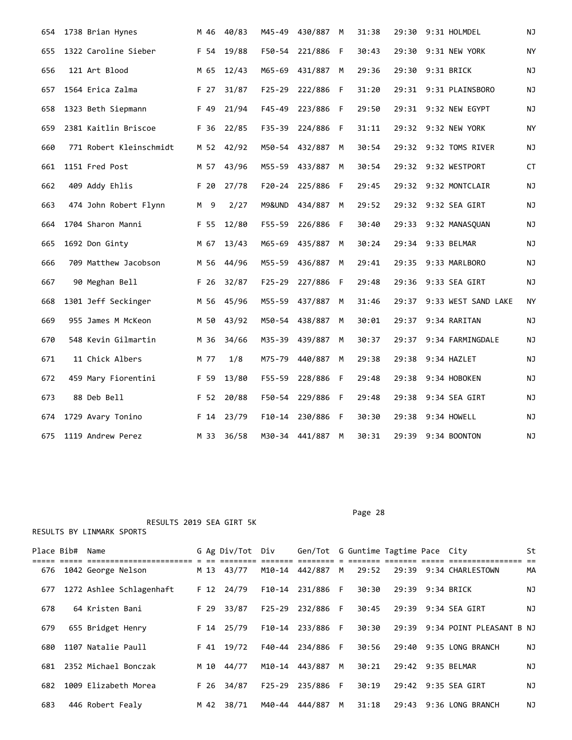| 654 | 1738 Brian Hynes        | M 46 | 40/83      | M45-49     | 430/887        | M   | 31:38 | 29:30 | 9:31 HOLMDEL              | NJ |
|-----|-------------------------|------|------------|------------|----------------|-----|-------|-------|---------------------------|----|
| 655 | 1322 Caroline Sieber    | F 54 | 19/88      | F50-54     | 221/886        | F   | 30:43 | 29:30 | 9:31 NEW YORK             | ΝY |
| 656 | 121 Art Blood           | M 65 | 12/43      | M65-69     | 431/887        | M   | 29:36 | 29:30 | 9:31 BRICK                | ΝJ |
| 657 | 1564 Erica Zalma        | F 27 | 31/87      | $F25 - 29$ | 222/886 F      |     | 31:20 |       | 29:31 9:31 PLAINSBORO     | ΝJ |
| 658 | 1323 Beth Siepmann      | F 49 | 21/94      | F45-49     | 223/886        | F.  | 29:50 |       | 29:31 9:32 NEW EGYPT      | NJ |
| 659 | 2381 Kaitlin Briscoe    | F 36 | 22/85      | $F35 - 39$ | 224/886        | F   | 31:11 |       | 29:32 9:32 NEW YORK       | ΝY |
| 660 | 771 Robert Kleinschmidt |      | M 52 42/92 |            | M50-54 432/887 | M   | 30:54 |       | 29:32 9:32 TOMS RIVER     | ΝJ |
| 661 | 1151 Fred Post          | M 57 | 43/96      | M55-59     | 433/887        | М   | 30:54 |       | 29:32 9:32 WESTPORT       | CT |
| 662 | 409 Addy Ehlis          | F 20 | 27/78      | $F20 - 24$ | 225/886        | F   | 29:45 | 29:32 | 9:32 MONTCLAIR            | NJ |
| 663 | 474 John Robert Flynn   | M 9  | 2/27       | M9&UND     | 434/887        | M   | 29:52 |       | 29:32 9:32 SEA GIRT       | ΝJ |
| 664 | 1704 Sharon Manni       | F 55 | 12/80      | F55-59     | 226/886        | F   | 30:40 |       | 29:33 9:32 MANASQUAN      | ΝJ |
| 665 | 1692 Don Ginty          | M 67 | 13/43      | M65-69     | 435/887        | M   | 30:24 |       | 29:34 9:33 BELMAR         | ΝJ |
| 666 | 709 Matthew Jacobson    | M 56 | 44/96      | M55-59     | 436/887        | M   | 29:41 | 29:35 | 9:33 MARLBORO             | ΝJ |
| 667 | 90 Meghan Bell          | F 26 | 32/87      | $F25 - 29$ | 227/886        | - F | 29:48 |       | 29:36 9:33 SEA GIRT       | NJ |
| 668 | 1301 Jeff Seckinger     |      | M 56 45/96 | M55-59     | 437/887        | M   | 31:46 |       | 29:37 9:33 WEST SAND LAKE | NY |
| 669 | 955 James M McKeon      | M 50 | 43/92      | M50-54     | 438/887        | M   | 30:01 |       | 29:37 9:34 RARITAN        | ΝJ |
| 670 | 548 Kevin Gilmartin     | M 36 | 34/66      | M35-39     | 439/887        | М   | 30:37 | 29:37 | 9:34 FARMINGDALE          | ΝJ |
| 671 | 11 Chick Albers         | M 77 | 1/8        | M75-79     | 440/887        | M   | 29:38 | 29:38 | 9:34 HAZLET               | NJ |
| 672 | 459 Mary Fiorentini     | F 59 | 13/80      | $F55 - 59$ | 228/886        | - F | 29:48 | 29:38 | 9:34 HOBOKEN              | ΝJ |
| 673 | 88 Deb Bell             | F 52 | 20/88      | F50-54     | 229/886        | F   | 29:48 | 29:38 | 9:34 SEA GIRT             | ΝJ |
| 674 | 1729 Avary Tonino       | F 14 | 23/79      | F10-14     | 230/886        | F   | 30:30 | 29:38 | 9:34 HOWELL               | ΝJ |
| 675 | 1119 Andrew Perez       |      | M 33 36/58 |            | M30-34 441/887 | M   | 30:31 |       | 29:39 9:34 BOONTON        | ΝJ |

Page 28

| Place Bib# | Name                     |      | G Ag Div/Tot Div |        | Gen/Tot G Guntime Tagtime Pace City |     |       |                  |                                | St |
|------------|--------------------------|------|------------------|--------|-------------------------------------|-----|-------|------------------|--------------------------------|----|
| 676        | 1042 George Nelson       | M 13 | 43/77            | M10-14 | 442/887                             | M   | 29:52 |                  | 29:39 9:34 CHARLESTOWN         | MA |
| 677        | 1272 Ashlee Schlagenhaft |      | F 12 24/79       |        | F10-14 231/886 F                    |     | 30:30 | 29:39 9:34 BRICK |                                | ΝJ |
| 678        | 64 Kristen Bani          | F 29 | 33/87            | F25-29 | 232/886                             | - F | 30:45 | 29:39            | 9:34 SEA GIRT                  | ΝJ |
| 679        | 655 Bridget Henry        |      | F 14 25/79       |        | F10-14 233/886 F                    |     | 30:30 |                  | 29:39 9:34 POINT PLEASANT B NJ |    |
| 680        | 1107 Natalie Paull       |      | F 41 19/72       | F40-44 | 234/886 F                           |     | 30:56 | 29:40            | 9:35 LONG BRANCH               | ΝJ |
| 681        | 2352 Michael Bonczak     | M 10 | 44/77            | M10-14 | 443/887                             | M   | 30:21 |                  | 29:42 9:35 BELMAR              | NJ |
| 682        | 1009 Elizabeth Morea     | F 26 | 34/87            |        | F25-29 235/886 F                    |     | 30:19 |                  | 29:42 9:35 SEA GIRT            | ΝJ |
| 683        | 446 Robert Fealy         | M 42 | 38/71            | M40-44 | 444/887                             | M   | 31:18 | 29:43            | 9:36 LONG BRANCH               | ΝJ |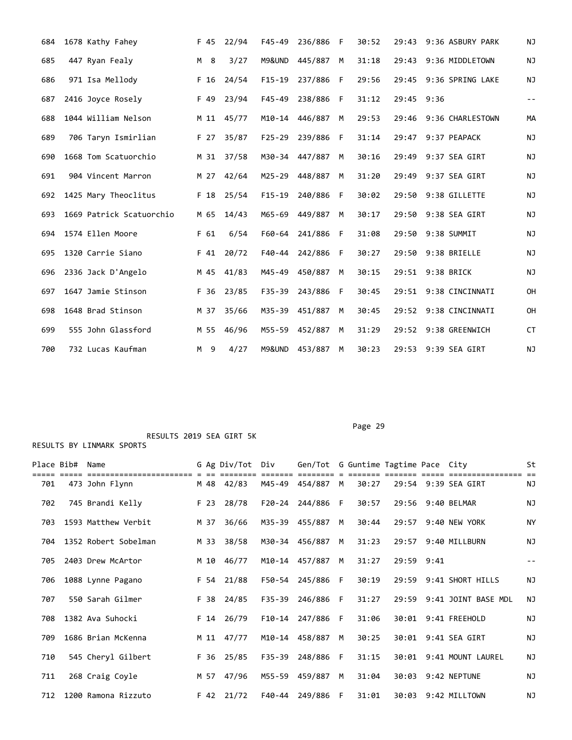| 684 | 1678 Kathy Fahey         | F 45 | 22/94 | $F45 - 49$ | 236/886 | F  | 30:52 | 29:43 | 9:36 ASBURY PARK      | NJ    |
|-----|--------------------------|------|-------|------------|---------|----|-------|-------|-----------------------|-------|
| 685 | 447 Ryan Fealy           | M 8  | 3/27  | M9&UND     | 445/887 | M  | 31:18 | 29:43 | 9:36 MIDDLETOWN       | NJ    |
| 686 | 971 Isa Mellody          | F 16 | 24/54 | $F15-19$   | 237/886 | F  | 29:56 | 29:45 | 9:36 SPRING LAKE      | NJ    |
| 687 | 2416 Joyce Rosely        | F 49 | 23/94 | $F45 - 49$ | 238/886 | F  | 31:12 | 29:45 | 9:36                  | $- -$ |
| 688 | 1044 William Nelson      | M 11 | 45/77 | M10-14     | 446/887 | M  | 29:53 | 29:46 | 9:36 CHARLESTOWN      | MА    |
| 689 | 706 Taryn Ismirlian      | F 27 | 35/87 | $F25 - 29$ | 239/886 | -F | 31:14 |       | 29:47 9:37 PEAPACK    | NJ    |
| 690 | 1668 Tom Scatuorchio     | M 31 | 37/58 | M30-34     | 447/887 | M  | 30:16 | 29:49 | 9:37 SEA GIRT         | NJ    |
| 691 | 904 Vincent Marron       | M 27 | 42/64 | M25-29     | 448/887 | M  | 31:20 | 29:49 | 9:37 SEA GIRT         | NJ    |
| 692 | 1425 Mary Theoclitus     | F 18 | 25/54 | $F15-19$   | 240/886 | F  | 30:02 | 29:50 | 9:38 GILLETTE         | ΝJ    |
| 693 | 1669 Patrick Scatuorchio | M 65 | 14/43 | M65-69     | 449/887 | M  | 30:17 | 29:50 | 9:38 SEA GIRT         | NJ    |
| 694 | 1574 Ellen Moore         | F 61 | 6/54  | F60-64     | 241/886 | F  | 31:08 | 29:50 | 9:38 SUMMIT           | ΝJ    |
| 695 | 1320 Carrie Siano        | F 41 | 20/72 | F40-44     | 242/886 | F  | 30:27 | 29:50 | 9:38 BRIELLE          | NJ    |
| 696 | 2336 Jack D'Angelo       | M 45 | 41/83 | M45-49     | 450/887 | M  | 30:15 |       | 29:51 9:38 BRICK      | NJ    |
| 697 | 1647 Jamie Stinson       | F 36 | 23/85 | F35-39     | 243/886 | F  | 30:45 |       | 29:51 9:38 CINCINNATI | OH    |
| 698 | 1648 Brad Stinson        | M 37 | 35/66 | M35-39     | 451/887 | M  | 30:45 | 29:52 | 9:38 CINCINNATI       | OH    |
| 699 | 555 John Glassford       | M 55 | 46/96 | M55-59     | 452/887 | M  | 31:29 | 29:52 | 9:38 GREENWICH        | CT    |
| 700 | 732 Lucas Kaufman        | M 9  | 4/27  | M9&UND     | 453/887 | М  | 30:23 |       | 29:53 9:39 SEA GIRT   | NJ    |

Page 29

| Place Bib# | Name                 |      | G Ag Div/Tot | Div        | Gen/Tot G Guntime Tagtime Pace City |   |       |            |                           | St        |
|------------|----------------------|------|--------------|------------|-------------------------------------|---|-------|------------|---------------------------|-----------|
| 701        | 473 John Flynn       |      | M 48 42/83   |            | M45-49 454/887 M                    |   | 30:27 |            | 29:54 9:39 SEA GIRT       | ΝJ        |
| 702        | 745 Brandi Kelly     | F 23 | 28/78        |            | F20-24 244/886 F                    |   | 30:57 |            | 29:56 9:40 BELMAR         | ΝJ        |
| 703        | 1593 Matthew Verbit  | M 37 | 36/66        |            | M35-39 455/887                      | M | 30:44 |            | 29:57 9:40 NEW YORK       | <b>NY</b> |
| 704        | 1352 Robert Sobelman | M 33 | 38/58        |            | M30-34 456/887                      | M | 31:23 |            | 29:57 9:40 MILLBURN       | ΝJ        |
| 705        | 2403 Drew McArtor    | M 10 | 46/77        |            | M10-14 457/887                      | M | 31:27 | 29:59 9:41 |                           |           |
| 706        | 1088 Lynne Pagano    |      | F 54 21/88   | F50-54     | 245/886                             | F | 30:19 |            | 29:59 9:41 SHORT HILLS    | ΝJ        |
| 707        | 550 Sarah Gilmer     | F 38 | 24/85        | $F35 - 39$ | 246/886                             | F | 31:27 |            | 29:59 9:41 JOINT BASE MDL | ΝJ        |
| 708        | 1382 Ava Suhocki     | F 14 | 26/79        |            | F10-14 247/886                      | F | 31:06 |            | 30:01 9:41 FREEHOLD       | <b>NJ</b> |
| 709        | 1686 Brian McKenna   |      | M 11 47/77   |            | M10-14 458/887                      | M | 30:25 |            | 30:01 9:41 SEA GIRT       | <b>NJ</b> |
| 710        | 545 Cheryl Gilbert   |      | F 36 25/85   | F35-39     | 248/886                             | F | 31:15 |            | 30:01 9:41 MOUNT LAUREL   | ΝJ        |
| 711        | 268 Craig Coyle      |      | M 57 47/96   | M55-59     | 459/887                             | M | 31:04 |            | 30:03 9:42 NEPTUNE        | ΝJ        |
| 712        | 1200 Ramona Rizzuto  |      | $F$ 42 21/72 | F40-44     | 249/886                             | F | 31:01 |            | 30:03 9:42 MILLTOWN       | ΝJ        |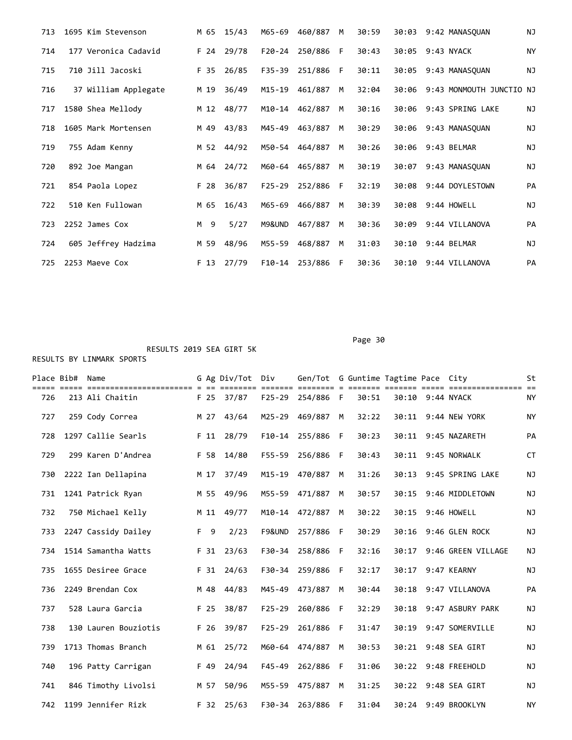| 713 | 1695 Kim Stevenson  |                      |      | M 65 15/43 | M65-69     | 460/887        | M  | 30:59 |                   |             | 30:03 9:42 MANASOUAN           | ΝJ        |
|-----|---------------------|----------------------|------|------------|------------|----------------|----|-------|-------------------|-------------|--------------------------------|-----------|
| 714 |                     | 177 Veronica Cadavid |      | F 24 29/78 | F20-24     | 250/886 F      |    | 30:43 | 30:05 9:43 NYACK  |             |                                | NY        |
| 715 | 710 Jill Jacoski    |                      | F 35 | 26/85      | F35-39     | 251/886 F      |    | 30:11 |                   |             | 30:05 9:43 MANASOUAN           | ΝJ        |
| 716 |                     | 37 William Applegate | M 19 | 36/49      |            | M15-19 461/887 | M  | 32:04 |                   |             | 30:06 9:43 MONMOUTH JUNCTIO NJ |           |
| 717 | 1580 Shea Mellody   |                      |      | M 12 48/77 |            | M10-14 462/887 | M  | 30:16 |                   |             | 30:06 9:43 SPRING LAKE         | ΝJ        |
| 718 | 1605 Mark Mortensen |                      |      | M 49 43/83 | M45-49     | 463/887        | M  | 30:29 |                   |             | 30:06 9:43 MANASOUAN           | <b>NJ</b> |
| 719 | 755 Adam Kenny      |                      |      | M 52 44/92 |            | M50-54 464/887 | M  | 30:26 | 30:06 9:43 BELMAR |             |                                | ΝJ        |
| 720 | 892 Joe Mangan      |                      |      | M 64 24/72 | M60-64     | 465/887        | M  | 30:19 | 30:07             |             | 9:43 MANASQUAN                 | ΝJ        |
| 721 | 854 Paola Lopez     |                      | F 28 | 36/87      | $F25 - 29$ | 252/886        | F. | 32:19 |                   |             | 30:08 9:44 DOYLESTOWN          | PA        |
| 722 | 510 Ken Fullowan    |                      | M 65 | 16/43      | M65-69     | 466/887        | M  | 30:39 | 30:08 9:44 HOWELL |             |                                | <b>NJ</b> |
| 723 | 2252 James Cox      |                      | M 9  | 5/27       | M9&UND     | 467/887        | M  | 30:36 | 30:09             |             | 9:44 VILLANOVA                 | PA        |
| 724 |                     | 605 Jeffrey Hadzima  | M 59 | 48/96      | M55-59     | 468/887        | M  | 31:03 | 30:10             | 9:44 BELMAR |                                | ΝJ        |
| 725 | 2253 Maeve Cox      |                      |      | F 13 27/79 | F10-14     | 253/886        | -F | 30:36 | 30:10             |             | 9:44 VILLANOVA                 | PA        |

Page 30 Page 30 Page 30 Page 30 Page 30 Page 30 Page 30 Page 30 Page 30 Page 30 Page 30 Page 30 Page 30 Page 30

===== ===== ======================= = == ======== ======= ======== = ======= ======= ===== ================ == 726 213 Ali Chaitin F 25 37/87 F25-29 254/886 F 30:51 30:10 9:44 NYACK NY 727 259 Cody Correa M 27 43/64 M25-29 469/887 M 32:22 30:11 9:44 NEW YORK NY 728 1297 Callie Searls F 11 28/79 F10-14 255/886 F 30:23 30:11 9:45 NAZARETH PA

| 729 | 299 Karen D'Andrea   | F 58 | 14/80        | F55-59     | 256/886        | E  | 30:43 |       | 30:11 9:45 NORWALK     | <b>CT</b> |
|-----|----------------------|------|--------------|------------|----------------|----|-------|-------|------------------------|-----------|
| 730 | 2222 Ian Dellapina   | M 17 | 37/49        | M15-19     | 470/887        | M  | 31:26 |       | 30:13 9:45 SPRING LAKE | <b>NJ</b> |
| 731 | 1241 Patrick Ryan    | M 55 | 49/96        | M55-59     | 471/887        | M  | 30:57 |       | 30:15 9:46 MIDDLETOWN  | <b>NJ</b> |
| 732 | 750 Michael Kelly    | M 11 | 49/77        | M10-14     | 472/887        | M  | 30:22 | 30:15 | 9:46 HOWELL            | NJ        |
| 733 | 2247 Cassidy Dailey  | F 9  | 2/23         | F9&UND     | 257/886        | -F | 30:29 |       | 30:16 9:46 GLEN ROCK   | ΝJ        |
| 734 | 1514 Samantha Watts  | F 31 | 23/63        | F30-34     | 258/886        | F  | 32:16 | 30:17 | 9:46 GREEN VILLAGE     | <b>NJ</b> |
| 735 | 1655 Desiree Grace   |      | $F$ 31 24/63 | F30-34     | 259/886        | F  | 32:17 | 30:17 | 9:47 KEARNY            | NJ        |
| 736 | 2249 Brendan Cox     |      | M 48 44/83   | M45-49     | 473/887        | M  | 30:44 |       | 30:18 9:47 VILLANOVA   | PA        |
| 737 | 528 Laura Garcia     | F 25 | 38/87        | $F25 - 29$ | 260/886        | F  | 32:29 |       | 30:18 9:47 ASBURY PARK | ΝJ        |
| 738 | 130 Lauren Bouziotis | F 26 | 39/87        | $F25 - 29$ | 261/886        | F  | 31:47 | 30:19 | 9:47 SOMERVILLE        | <b>NJ</b> |
| 739 | 1713 Thomas Branch   |      | M 61 25/72   |            | M60-64 474/887 | M  | 30:53 |       | 30:21 9:48 SEA GIRT    | NJ        |
| 740 | 196 Patty Carrigan   | F 49 | 24/94        | $F45 - 49$ | 262/886        | F. | 31:06 |       | 30:22 9:48 FREEHOLD    | NJ        |
| 741 | 846 Timothy Livolsi  | M 57 | 50/96        | M55-59     | 475/887        | M  | 31:25 |       | 30:22 9:48 SEA GIRT    | NJ        |
| 742 | 1199 Jennifer Rizk   | F 32 | 25/63        |            | F30-34 263/886 | -F | 31:04 |       | 30:24 9:49 BROOKLYN    | NY.       |

Place Bib# Name 6 Ag Div/Tot Div Gen/Tot G Guntime Tagtime Pace City St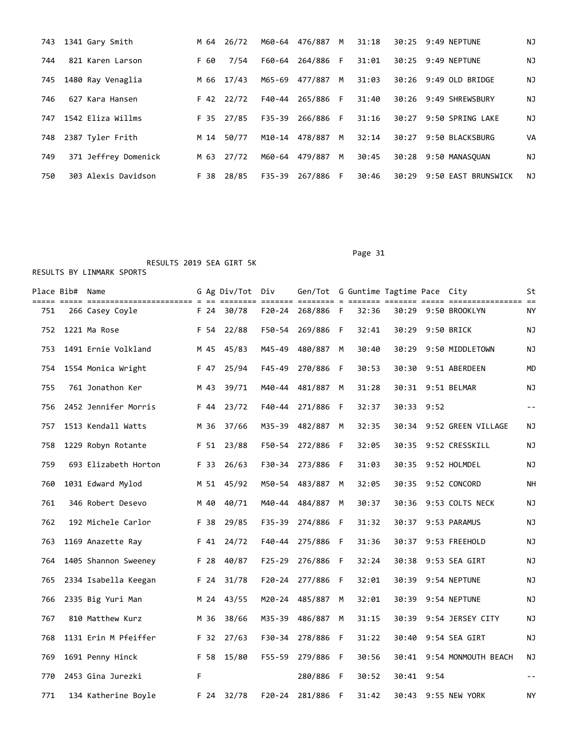| 743 | 1341 Gary Smith      |      | M 64 26/72 |        | M60-64 476/887 M |    | 31:18 |       | 30:25 9:49 NEPTUNE     | NJ |
|-----|----------------------|------|------------|--------|------------------|----|-------|-------|------------------------|----|
| 744 | 821 Karen Larson     | F 60 | 7/54       | F60-64 | 264/886 F        |    | 31:01 |       | 30:25 9:49 NEPTUNE     | NJ |
| 745 | 1480 Ray Venaglia    | M 66 | 17/43      | M65-69 | 477/887          | M  | 31:03 |       | 30:26 9:49 OLD BRIDGE  | ΝJ |
| 746 | 627 Kara Hansen      |      | F 42 22/72 | F40-44 | 265/886 F        |    | 31:40 |       | 30:26 9:49 SHREWSBURY  | ΝJ |
| 747 | 1542 Eliza Willms    |      | F 35 27/85 | F35-39 | 266/886 F        |    | 31:16 |       | 30:27 9:50 SPRING LAKE | ΝJ |
| 748 | 2387 Tyler Frith     | M 14 | 50/77      | M10-14 | 478/887          | M  | 32:14 | 30:27 | 9:50 BLACKSBURG        | VA |
| 749 | 371 Jeffrey Domenick |      | M 63 27/72 |        | M60-64 479/887   | M  | 30:45 |       | 30:28 9:50 MANASOUAN   | NJ |
| 750 | 303 Alexis Davidson  | F 38 | 28/85      | F35-39 | 267/886          | F. | 30:46 | 30:29 | 9:50 EAST BRUNSWICK    | NJ |

 RESULTS 2019 SEA GIRT 5K RESULTS BY LINMARK SPORTS

| Place Bib# Name |                                                           |      |        | G Ag Div/Tot       | Div                      | Gen/Tot G Guntime Tagtime Pace City |     |       |            |      |                     | St        |
|-----------------|-----------------------------------------------------------|------|--------|--------------------|--------------------------|-------------------------------------|-----|-------|------------|------|---------------------|-----------|
| 751             | ===== ======================== = == ==<br>266 Casey Coyle |      |        | ====<br>F 24 30/78 | ======= ==<br>$F20 - 24$ | $=$ $=$ $=$ $=$<br>268/886 F        |     | 32:36 | === =====  |      | 30:29 9:50 BROOKLYN | NY        |
| 752             | 1221 Ma Rose                                              |      | F 54   | 22/88              | F50-54                   | 269/886                             | -F  | 32:41 | 30:29      |      | 9:50 BRICK          | ΝJ        |
| 753             | 1491 Ernie Volkland                                       | M 45 |        | 45/83              | M45-49                   | 480/887                             | M   | 30:40 | 30:29      |      | 9:50 MIDDLETOWN     | ΝJ        |
| 754             | 1554 Monica Wright                                        |      | F 47   | 25/94              | $F45 - 49$               | 270/886                             | -F  | 30:53 | 30:30      |      | 9:51 ABERDEEN       | MD        |
| 755             | 761 Jonathon Ker                                          | M 43 |        | 39/71              | M40-44                   | 481/887                             | M   | 31:28 |            |      | 30:31 9:51 BELMAR   | ΝJ        |
| 756             | 2452 Jennifer Morris                                      |      | F 44   | 23/72              | F40-44                   | 271/886                             | -F  | 32:37 | 30:33      | 9:52 |                     | $ -$      |
| 757             | 1513 Kendall Watts                                        |      | M 36   | 37/66              | M35-39                   | 482/887                             | M   | 32:35 | 30:34      |      | 9:52 GREEN VILLAGE  | ΝJ        |
| 758             | 1229 Robyn Rotante                                        |      | $F$ 51 | 23/88              | F50-54                   | 272/886                             | -F  | 32:05 | 30:35      |      | 9:52 CRESSKILL      | ΝJ        |
| 759             | 693 Elizabeth Horton                                      |      | F 33   | 26/63              | F30-34                   | 273/886                             | F   | 31:03 | 30:35      |      | 9:52 HOLMDEL        | ΝJ        |
| 760             | 1031 Edward Mylod                                         |      | M 51   | 45/92              | M50-54                   | 483/887                             | M   | 32:05 | 30:35      |      | 9:52 CONCORD        | <b>NH</b> |
| 761             | 346 Robert Desevo                                         |      | M 40   | 40/71              | M40-44                   | 484/887                             | M   | 30:37 | 30:36      |      | 9:53 COLTS NECK     | ΝJ        |
| 762             | 192 Michele Carlor                                        |      | F 38   | 29/85              | F35-39                   | 274/886                             | -F  | 31:32 | 30:37      |      | 9:53 PARAMUS        | ΝJ        |
| 763             | 1169 Anazette Ray                                         |      | F 41   | 24/72              | F40-44                   | 275/886                             | F   | 31:36 | 30:37      |      | 9:53 FREEHOLD       | ΝJ        |
| 764             | 1405 Shannon Sweeney                                      |      | F 28   | 40/87              | $F25 - 29$               | 276/886                             | - F | 32:24 | 30:38      |      | 9:53 SEA GIRT       | ΝJ        |
| 765             | 2334 Isabella Keegan                                      |      | F 24   | 31/78              | $F20 - 24$               | 277/886                             | F   | 32:01 |            |      | 30:39 9:54 NEPTUNE  | ΝJ        |
| 766             | 2335 Big Yuri Man                                         |      | M 24   | 43/55              | M20-24                   | 485/887                             | M   | 32:01 | 30:39      |      | 9:54 NEPTUNE        | ΝJ        |
| 767             | 810 Matthew Kurz                                          |      | M 36   | 38/66              | M35-39                   | 486/887                             | M   | 31:15 | 30:39      |      | 9:54 JERSEY CITY    | ΝJ        |
| 768             | 1131 Erin M Pfeiffer                                      |      | F 32   | 27/63              | F30-34                   | 278/886                             | - F | 31:22 | 30:40      |      | 9:54 SEA GIRT       | ΝJ        |
| 769             | 1691 Penny Hinck                                          |      | F 58   | 15/80              | $F55 - 59$               | 279/886                             | -F  | 30:56 | 30:41      |      | 9:54 MONMOUTH BEACH | ΝJ        |
| 770             | 2453 Gina Jurezki                                         | F.   |        |                    |                          | 280/886                             | - F | 30:52 | 30:41 9:54 |      |                     | $- -$     |
| 771             | 134 Katherine Boyle                                       |      |        | F 24 32/78         |                          | F20-24 281/886                      | F   | 31:42 |            |      | 30:43 9:55 NEW YORK | ΝY        |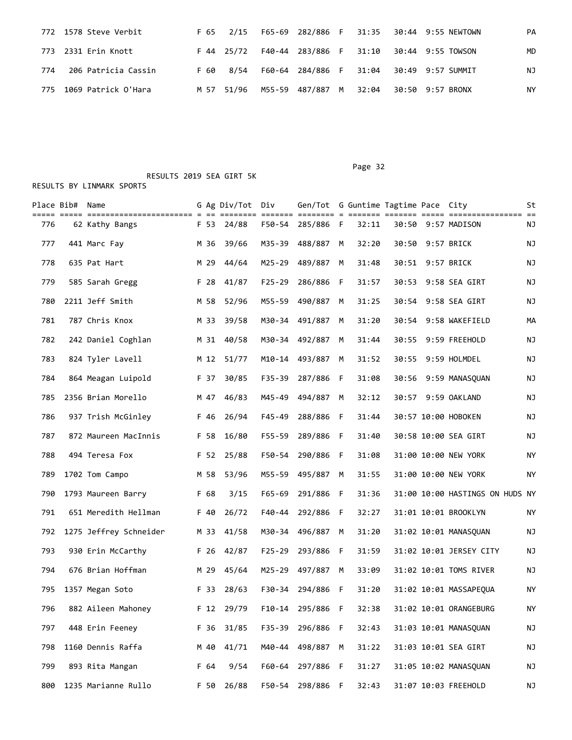|     | 772 1578 Steve Verbit   |      |  |  |  | F 65 2/15 F65-69 282/886 F 31:35 30:44 9:55 NEWTOWN        | PA |
|-----|-------------------------|------|--|--|--|------------------------------------------------------------|----|
|     | 773 2331 Erin Knott     |      |  |  |  | F 44 25/72  F40-44  283/886  F  31:10  30:44  9:55  TOWSON | MD |
| 774 | 206 Patricia Cassin     | F 60 |  |  |  | 8/54  F60-64  284/886  F  31:04  30:49  9:57  SUMMIT       | NJ |
|     | 775 1069 Patrick O'Hara |      |  |  |  | M 57 51/96 M55-59 487/887 M 32:04 30:50 9:57 BRONX         | ΝY |

Page 32 and the contract of the contract of the contract of the contract of the contract of the contract of the contract of the contract of the contract of the contract of the contract of the contract of the contract of th

| Place Bib# | Name                   |      | G Ag Div/Tot Div   |            | Gen/Tot G Guntime Tagtime Pace City |     |       |       |                                 | St |
|------------|------------------------|------|--------------------|------------|-------------------------------------|-----|-------|-------|---------------------------------|----|
| 776        | 62 Kathy Bangs         |      | ====<br>F 53 24/88 | F50-54     | ====== ======== = ==<br>285/886 F   |     | 32:11 |       | 30:50 9:57 MADISON              | ΝJ |
| 777        | 441 Marc Fay           | M 36 | 39/66              | M35-39     | 488/887                             | M   | 32:20 | 30:50 | 9:57 BRICK                      | ΝJ |
| 778        | 635 Pat Hart           | M 29 | 44/64              | M25-29     | 489/887                             | M   | 31:48 |       | 30:51 9:57 BRICK                | ΝJ |
| 779        | 585 Sarah Gregg        | F 28 | 41/87              | $F25 - 29$ | 286/886                             | - F | 31:57 | 30:53 | 9:58 SEA GIRT                   | ΝJ |
| 780        | 2211 Jeff Smith        | M 58 | 52/96              | M55-59     | 490/887                             | M   | 31:25 | 30:54 | 9:58 SEA GIRT                   | ΝJ |
| 781        | 787 Chris Knox         | M 33 | 39/58              |            | M30-34 491/887                      | M   | 31:20 | 30:54 | 9:58 WAKEFIELD                  | МA |
| 782        | 242 Daniel Coghlan     | M 31 | 40/58              |            | M30-34 492/887                      | M   | 31:44 | 30:55 | 9:59 FREEHOLD                   | ΝJ |
| 783        | 824 Tyler Lavell       | M 12 | 51/77              | M10-14     | 493/887                             | M   | 31:52 | 30:55 | 9:59 HOLMDEL                    | NJ |
| 784        | 864 Meagan Luipold     | F 37 | 30/85              | $F35 - 39$ | 287/886                             | - F | 31:08 | 30:56 | 9:59 MANASQUAN                  | NJ |
| 785        | 2356 Brian Morello     |      | M 47 46/83         |            | M45-49 494/887                      | M   | 32:12 |       | 30:57 9:59 OAKLAND              | ΝJ |
| 786        | 937 Trish McGinley     | F 46 | 26/94              | F45-49     | 288/886 F                           |     | 31:44 |       | 30:57 10:00 HOBOKEN             | ΝJ |
| 787        | 872 Maureen MacInnis   | F 58 | 16/80              | F55-59     | 289/886                             | F   | 31:40 |       | 30:58 10:00 SEA GIRT            | ΝJ |
| 788        | 494 Teresa Fox         |      | F 52 25/88         | F50-54     | 290/886                             | -F  | 31:08 |       | 31:00 10:00 NEW YORK            | NY |
| 789        | 1702 Tom Campo         | M 58 | 53/96              | M55-59     | 495/887                             | M   | 31:55 |       | 31:00 10:00 NEW YORK            | ΝY |
| 790        | 1793 Maureen Barry     | F 68 | 3/15               | $F65 - 69$ | 291/886 F                           |     | 31:36 |       | 31:00 10:00 HASTINGS ON HUDS NY |    |
| 791        | 651 Meredith Hellman   | F 40 | 26/72              | F40-44     | 292/886                             | - F | 32:27 |       | 31:01 10:01 BROOKLYN            | ΝY |
| 792        | 1275 Jeffrey Schneider | M 33 | 41/58              |            | M30-34 496/887 M                    |     | 31:20 |       | 31:02 10:01 MANASQUAN           | ΝJ |
| 793        | 930 Erin McCarthy      | F 26 | 42/87              | $F25 - 29$ | 293/886 F                           |     | 31:59 |       | 31:02 10:01 JERSEY CITY         | ΝJ |
| 794        | 676 Brian Hoffman      | M 29 | 45/64              | M25-29     | 497/887                             | M   | 33:09 |       | 31:02 10:01 TOMS RIVER          | NJ |
| 795        | 1357 Megan Soto        | F 33 | 28/63              |            | F30-34 294/886 F                    |     | 31:20 |       | 31:02 10:01 MASSAPEQUA          | NY |
| 796        | 882 Aileen Mahoney     |      | F 12 29/79         |            | F10-14 295/886 F                    |     | 32:38 |       | 31:02 10:01 ORANGEBURG          | ΝY |
| 797        | 448 Erin Feeney        | F 36 | 31/85              | F35-39     | 296/886 F                           |     | 32:43 |       | 31:03 10:01 MANASQUAN           | ΝJ |
| 798        | 1160 Dennis Raffa      | M 40 | 41/71              | M40-44     | 498/887                             | М   | 31:22 |       | 31:03 10:01 SEA GIRT            | NJ |
| 799        | 893 Rita Mangan        | F 64 | 9/54               | F60-64     | 297/886 F                           |     | 31:27 |       | 31:05 10:02 MANASQUAN           | ΝJ |
| 800        | 1235 Marianne Rullo    | F 50 | 26/88              | F50-54     | 298/886 F                           |     | 32:43 |       | 31:07 10:03 FREEHOLD            | NJ |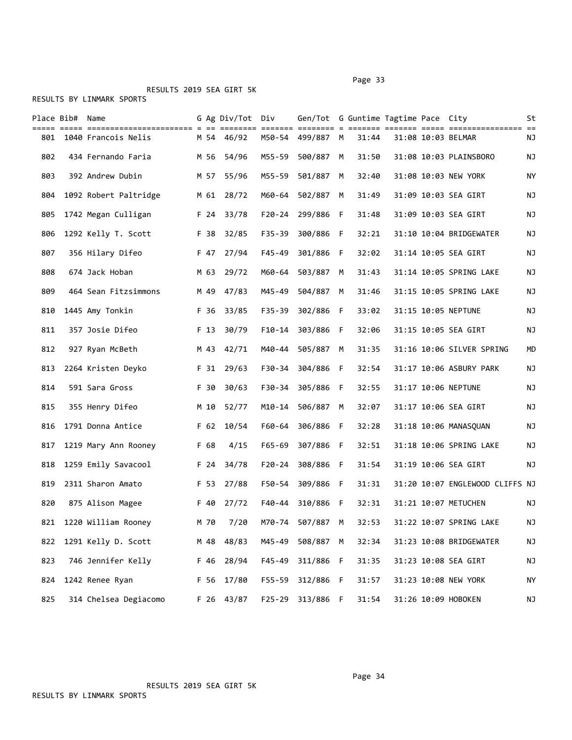RESULTS BY LINMARK SPORTS

|     | Place Bib# Name |                         |                 | G Ag Div/Tot Div |            | Gen/Tot G Guntime Tagtime Pace City |     |       |  |                                 | St |
|-----|-----------------|-------------------------|-----------------|------------------|------------|-------------------------------------|-----|-------|--|---------------------------------|----|
| 801 |                 | 1040 Francois Nelis     |                 | M 54 46/92       |            | M50-54 499/887 M                    |     | 31:44 |  | 31:08 10:03 BELMAR              | ΝJ |
| 802 |                 | 434 Fernando Faria      | M 56            | 54/96            | M55-59     | 500/887                             | M   | 31:50 |  | 31:08 10:03 PLAINSBORO          | ΝJ |
| 803 |                 | 392 Andrew Dubin        | M 57            | 55/96            | M55-59     | 501/887                             | M   | 32:40 |  | 31:08 10:03 NEW YORK            | ΝY |
| 804 |                 | 1092 Robert Paltridge   | M 61            | 28/72            | M60-64     | 502/887                             | M   | 31:49 |  | 31:09 10:03 SEA GIRT            | ΝJ |
| 805 |                 | 1742 Megan Culligan     | F 24            | 33/78            | F20-24     | 299/886 F                           |     | 31:48 |  | 31:09 10:03 SEA GIRT            | ΝJ |
| 806 |                 | 1292 Kelly T. Scott     | F 38            | 32/85            | F35-39     | 300/886 F                           |     | 32:21 |  | 31:10 10:04 BRIDGEWATER         | ΝJ |
| 807 |                 | 356 Hilary Difeo        | F 47            | 27/94            | F45-49     | 301/886 F                           |     | 32:02 |  | 31:14 10:05 SEA GIRT            | ΝJ |
| 808 |                 | 674 Jack Hoban          | M 63            | 29/72            | M60-64     | 503/887                             | M   | 31:43 |  | 31:14 10:05 SPRING LAKE         | ΝJ |
| 809 |                 | 464 Sean Fitzsimmons    | M 49            | 47/83            | M45-49     | 504/887                             | M   | 31:46 |  | 31:15 10:05 SPRING LAKE         | ΝJ |
| 810 |                 | 1445 Amy Tonkin         |                 | F 36 33/85       |            | F35-39 302/886 F                    |     | 33:02 |  | 31:15 10:05 NEPTUNE             | NJ |
| 811 |                 | 357 Josie Difeo         | F 13            | 30/79            |            | F10-14 303/886 F                    |     | 32:06 |  | 31:15 10:05 SEA GIRT            | ΝJ |
| 812 |                 | 927 Ryan McBeth         | M 43            | 42/71            | M40-44     | 505/887 M                           |     | 31:35 |  | 31:16 10:06 SILVER SPRING       | MD |
| 813 |                 | 2264 Kristen Deyko      | F 31            | 29/63            |            | F30-34 304/886 F                    |     | 32:54 |  | 31:17 10:06 ASBURY PARK         | NJ |
| 814 |                 | 591 Sara Gross          | F 30            | 30/63            |            | F30-34 305/886 F                    |     | 32:55 |  | 31:17 10:06 NEPTUNE             | ΝJ |
| 815 |                 | 355 Henry Difeo         | M 10            | 52/77            | M10-14     | 506/887                             | M   | 32:07 |  | 31:17 10:06 SEA GIRT            | ΝJ |
| 816 |                 | 1791 Donna Antice       | F <sub>62</sub> | 10/54            | F60-64     | 306/886                             | - F | 32:28 |  | 31:18 10:06 MANASQUAN           | ΝJ |
| 817 |                 | 1219 Mary Ann Rooney    | F 68            | 4/15             | F65-69     | 307/886 F                           |     | 32:51 |  | 31:18 10:06 SPRING LAKE         | NJ |
| 818 |                 | 1259 Emily Savacool     | F 24            | 34/78            |            | F20-24 308/886 F                    |     | 31:54 |  | 31:19 10:06 SEA GIRT            | ΝJ |
| 819 |                 | 2311 Sharon Amato       | F 53            | 27/88            | F50-54     | 309/886 F                           |     | 31:31 |  | 31:20 10:07 ENGLEWOOD CLIFFS NJ |    |
| 820 |                 | 875 Alison Magee        | F 40            | 27/72            | F40-44     | 310/886                             | - F | 32:31 |  | 31:21 10:07 METUCHEN            | ΝJ |
|     |                 | 821 1220 William Rooney | M 70            | 7/20             |            | M70-74 507/887 M                    |     | 32:53 |  | 31:22 10:07 SPRING LAKE         | ΝJ |
| 822 |                 | 1291 Kelly D. Scott     |                 | M 48 48/83       | M45-49     | 508/887 M                           |     | 32:34 |  | 31:23 10:08 BRIDGEWATER         | NJ |
| 823 |                 | 746 Jennifer Kelly      | F 46            | 28/94            | F45-49     | 311/886 F                           |     | 31:35 |  | 31:23 10:08 SEA GIRT            | ΝJ |
| 824 |                 | 1242 Renee Ryan         | F 56            | 17/80            | $F55 - 59$ | 312/886 F                           |     | 31:57 |  | 31:23 10:08 NEW YORK            | NY |
| 825 |                 | 314 Chelsea Degiacomo   |                 | F 26 43/87       |            | F25-29 313/886 F                    |     | 31:54 |  | 31:26 10:09 HOBOKEN             | NJ |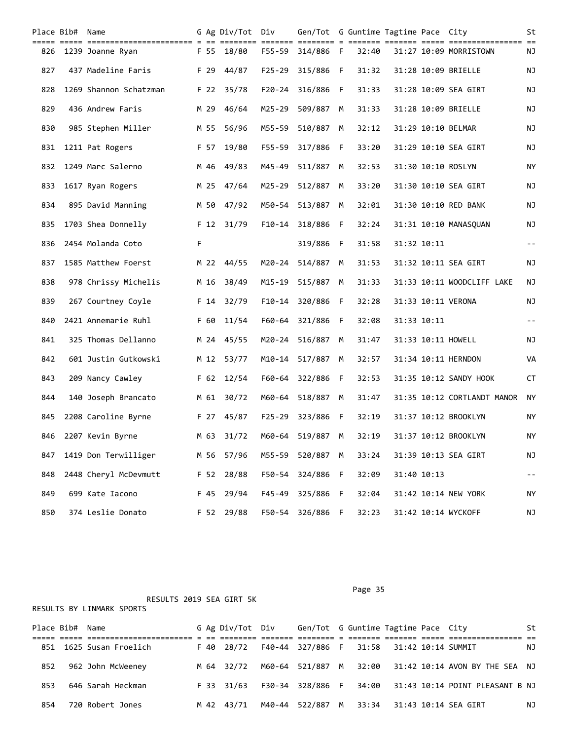|     | Place Bib# Name |                        |   |      | G Ag Div/Tot Div |            | Gen/Tot G Guntime Tagtime Pace City |   |       |             |                             | St    |
|-----|-----------------|------------------------|---|------|------------------|------------|-------------------------------------|---|-------|-------------|-----------------------------|-------|
| 826 |                 | 1239 Joanne Ryan       |   | F 55 | 18/80            | F55-59     | 314/886 F                           |   | 32:40 |             | 31:27 10:09 MORRISTOWN      | ΝJ    |
| 827 |                 | 437 Madeline Faris     |   | F 29 | 44/87            | $F25 - 29$ | 315/886 F                           |   | 31:32 |             | 31:28 10:09 BRIELLE         | ΝJ    |
| 828 |                 | 1269 Shannon Schatzman |   |      | F 22 35/78       | F20-24     | 316/886 F                           |   | 31:33 |             | 31:28 10:09 SEA GIRT        | ΝJ    |
| 829 |                 | 436 Andrew Faris       |   | M 29 | 46/64            | M25-29     | 509/887                             | M | 31:33 |             | 31:28 10:09 BRIELLE         | ΝJ    |
| 830 |                 | 985 Stephen Miller     |   | M 55 | 56/96            | M55-59     | 510/887                             | M | 32:12 |             | 31:29 10:10 BELMAR          | ΝJ    |
| 831 |                 | 1211 Pat Rogers        |   | F 57 | 19/80            | $F55 - 59$ | 317/886 F                           |   | 33:20 |             | 31:29 10:10 SEA GIRT        | ΝJ    |
| 832 |                 | 1249 Marc Salerno      |   | M 46 | 49/83            | M45-49     | 511/887                             | M | 32:53 |             | 31:30 10:10 ROSLYN          | ΝY    |
| 833 |                 | 1617 Ryan Rogers       |   | M 25 | 47/64            | M25-29     | 512/887                             | M | 33:20 |             | 31:30 10:10 SEA GIRT        | ΝJ    |
| 834 |                 | 895 David Manning      |   | M 50 | 47/92            | M50-54     | 513/887                             | M | 32:01 |             | 31:30 10:10 RED BANK        | ΝJ    |
| 835 |                 | 1703 Shea Donnelly     |   |      | F 12 31/79       |            | F10-14 318/886 F                    |   | 32:24 |             | 31:31 10:10 MANASQUAN       | ΝJ    |
| 836 |                 | 2454 Molanda Coto      | F |      |                  |            | 319/886 F                           |   | 31:58 | 31:32 10:11 |                             | $- -$ |
| 837 |                 | 1585 Matthew Foerst    |   | M 22 | 44/55            | M20-24     | 514/887                             | M | 31:53 |             | 31:32 10:11 SEA GIRT        | ΝJ    |
| 838 |                 | 978 Chrissy Michelis   |   | M 16 | 38/49            | M15-19     | 515/887                             | м | 31:33 |             | 31:33 10:11 WOODCLIFF LAKE  | ΝJ    |
| 839 |                 | 267 Courtney Coyle     |   | F 14 | 32/79            |            | F10-14 320/886 F                    |   | 32:28 |             | 31:33 10:11 VERONA          | ΝJ    |
| 840 |                 | 2421 Annemarie Ruhl    |   | F 60 | 11/54            | F60-64     | 321/886 F                           |   | 32:08 | 31:33 10:11 |                             | $- -$ |
| 841 |                 | 325 Thomas Dellanno    |   | M 24 | 45/55            | M20-24     | 516/887                             | M | 31:47 |             | 31:33 10:11 HOWELL          | ΝJ    |
| 842 |                 | 601 Justin Gutkowski   |   | M 12 | 53/77            |            | M10-14 517/887                      | M | 32:57 |             | 31:34 10:11 HERNDON         | VA    |
| 843 |                 | 209 Nancy Cawley       |   | F 62 | 12/54            |            | F60-64 322/886 F                    |   | 32:53 |             | 31:35 10:12 SANDY HOOK      | CT    |
| 844 |                 | 140 Joseph Brancato    |   | M 61 | 30/72            | M60-64     | 518/887                             | M | 31:47 |             | 31:35 10:12 CORTLANDT MANOR | ΝY    |
| 845 |                 | 2208 Caroline Byrne    |   | F 27 | 45/87            | $F25 - 29$ | 323/886 F                           |   | 32:19 |             | 31:37 10:12 BROOKLYN        | ΝY    |
| 846 |                 | 2207 Kevin Byrne       |   |      | M 63 31/72       |            | M60-64 519/887                      | M | 32:19 |             | 31:37 10:12 BROOKLYN        | ΝY    |
| 847 |                 | 1419 Don Terwilliger   |   |      | M 56 57/96       |            | M55-59 520/887 M                    |   | 33:24 |             | 31:39 10:13 SEA GIRT        | ΝJ    |
| 848 |                 | 2448 Cheryl McDevmutt  |   | F 52 | 28/88            | F50-54     | 324/886 F                           |   | 32:09 | 31:40 10:13 |                             | --    |
| 849 |                 | 699 Kate Iacono        |   | F 45 | 29/94            | $F45 - 49$ | 325/886 F                           |   | 32:04 |             | 31:42 10:14 NEW YORK        | NΥ    |
| 850 |                 | 374 Leslie Donato      |   |      | F 52 29/88       |            | F50-54 326/886 F                    |   | 32:23 |             | 31:42 10:14 WYCKOFF         | NJ    |

|            | RESULTS 2019 SEA GIRT 5K  |      |                  |        |                                     |    |       |  |                                 |    |
|------------|---------------------------|------|------------------|--------|-------------------------------------|----|-------|--|---------------------------------|----|
|            | RESULTS BY LINMARK SPORTS |      |                  |        |                                     |    |       |  |                                 |    |
|            |                           |      |                  |        |                                     |    |       |  |                                 |    |
| Place Bib# | Name                      |      | G Ag Div/Tot Div |        | Gen/Tot G Guntime Tagtime Pace City |    |       |  |                                 | St |
|            |                           |      |                  |        |                                     |    |       |  |                                 |    |
| 851        | 1625 Susan Froelich       |      | F 40 28/72       | F40-44 | 327/886 F                           |    | 31:58 |  | 31:42 10:14 SUMMIT              | ΝJ |
|            |                           |      |                  |        |                                     |    |       |  |                                 |    |
| 852        | 962 John McWeeney         |      | M 64 32/72       | M60-64 | 521/887                             | M  | 32:00 |  | 31:42 10:14 AVON BY THE SEA NJ  |    |
|            |                           |      |                  |        |                                     |    |       |  |                                 |    |
| 853        | 646 Sarah Heckman         | F 33 | 31/63            | F30-34 | 328/886                             | -F | 34:00 |  | 31:43 10:14 POINT PLEASANT B NJ |    |
|            |                           |      |                  |        |                                     |    |       |  |                                 |    |
| 854        | 720 Robert Jones          |      | M 42 43/71       | M40-44 | 522/887                             | M  | 33:34 |  | 31:43 10:14 SEA GIRT            | ΝJ |
|            |                           |      |                  |        |                                     |    |       |  |                                 |    |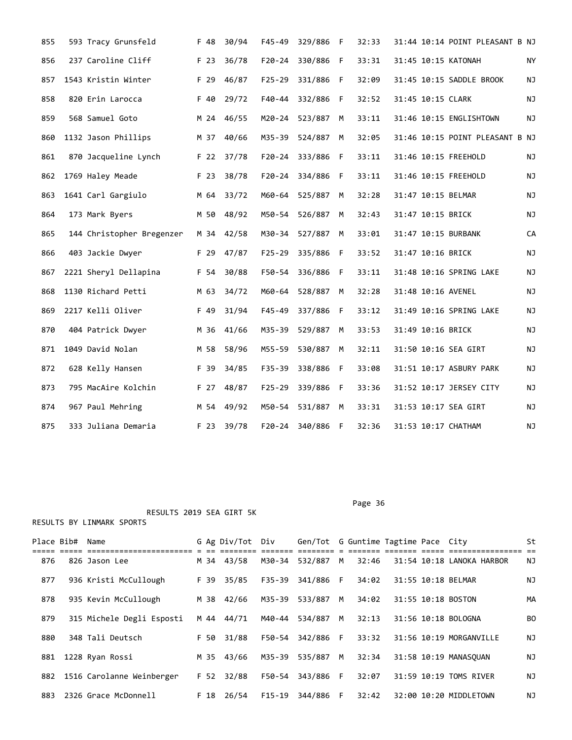| 855 | 593 Tracy Grunsfeld       | F 48       | 30/94 | $F45 - 49$ | 329/886   | F   | 32:33 |                    | 31:44 10:14 POINT PLEASANT B NJ |    |
|-----|---------------------------|------------|-------|------------|-----------|-----|-------|--------------------|---------------------------------|----|
| 856 | 237 Caroline Cliff        | F 23       | 36/78 | $F20 - 24$ | 330/886   | F   | 33:31 |                    | 31:45 10:15 KATONAH             | NY |
| 857 | 1543 Kristin Winter       | F 29       | 46/87 | $F25 - 29$ | 331/886   | F   | 32:09 |                    | 31:45 10:15 SADDLE BROOK        | ΝJ |
| 858 | 820 Erin Larocca          | F 40       | 29/72 | $F40 - 44$ | 332/886   | -F  | 32:52 | 31:45 10:15 CLARK  |                                 | NJ |
| 859 | 568 Samuel Goto           | M 24       | 46/55 | M20-24     | 523/887   | M   | 33:11 |                    | 31:46 10:15 ENGLISHTOWN         | NJ |
| 860 | 1132 Jason Phillips       | M 37       | 40/66 | M35-39     | 524/887   | M   | 32:05 |                    | 31:46 10:15 POINT PLEASANT B NJ |    |
| 861 | 870 Jacqueline Lynch      | F 22       | 37/78 | $F20 - 24$ | 333/886   | F   | 33:11 |                    | 31:46 10:15 FREEHOLD            | NJ |
| 862 | 1769 Haley Meade          | F 23       | 38/78 | $F20 - 24$ | 334/886   | F   | 33:11 |                    | 31:46 10:15 FREEHOLD            | ΝJ |
| 863 | 1641 Carl Gargiulo        | M 64       | 33/72 | M60-64     | 525/887   | M   | 32:28 | 31:47 10:15 BELMAR |                                 | ΝJ |
| 864 | 173 Mark Byers            | M 50       | 48/92 | M50-54     | 526/887   | М   | 32:43 | 31:47 10:15 BRICK  |                                 | NJ |
| 865 | 144 Christopher Bregenzer | M 34 42/58 |       | M30-34     | 527/887   | M   | 33:01 |                    | 31:47 10:15 BURBANK             | CA |
| 866 | 403 Jackie Dwyer          | F 29       | 47/87 | $F25 - 29$ | 335/886   | - F | 33:52 | 31:47 10:16 BRICK  |                                 | NJ |
| 867 | 2221 Sheryl Dellapina     | F 54       | 30/88 | F50-54     | 336/886   | F   | 33:11 |                    | 31:48 10:16 SPRING LAKE         | ΝJ |
| 868 | 1130 Richard Petti        | M 63       | 34/72 | M60-64     | 528/887   | M   | 32:28 | 31:48 10:16 AVENEL |                                 | NJ |
| 869 | 2217 Kelli Oliver         | F 49       | 31/94 | $F45 - 49$ | 337/886 F |     | 33:12 |                    | 31:49 10:16 SPRING LAKE         | NJ |
| 870 | 404 Patrick Dwyer         | M 36       | 41/66 | M35-39     | 529/887   | M   | 33:53 | 31:49 10:16 BRICK  |                                 | NJ |
| 871 | 1049 David Nolan          | M 58       | 58/96 | M55-59     | 530/887   | M   | 32:11 |                    | 31:50 10:16 SEA GIRT            | NJ |
| 872 | 628 Kelly Hansen          | F 39       | 34/85 | F35-39     | 338/886   | F   | 33:08 |                    | 31:51 10:17 ASBURY PARK         | NJ |
| 873 | 795 MacAire Kolchin       | F 27       | 48/87 | $F25 - 29$ | 339/886   | -F  | 33:36 |                    | 31:52 10:17 JERSEY CITY         | NJ |
| 874 | 967 Paul Mehring          | M 54       | 49/92 | M50-54     | 531/887   | M   | 33:31 |                    | 31:53 10:17 SEA GIRT            | NJ |
| 875 | 333 Juliana Demaria       | F 23 39/78 |       | F20-24     | 340/886   | F   | 32:36 |                    | 31:53 10:17 CHATHAM             | NJ |

|     | Place Bib# Name |                           |      | G Ag Div/Tot Div |        | Gen/Tot G Guntime Tagtime Pace City |   |       |  |                           | St             |  |
|-----|-----------------|---------------------------|------|------------------|--------|-------------------------------------|---|-------|--|---------------------------|----------------|--|
| 876 |                 | 826 Jason Lee             |      | M 34 43/58       |        | M30-34 532/887 M                    |   | 32:46 |  | 31:54 10:18 LANOKA HARBOR | ΝJ             |  |
| 877 |                 | 936 Kristi McCullough     | F 39 | 35/85            |        | F35-39 341/886 F                    |   | 34:02 |  | 31:55 10:18 BELMAR        | ΝJ             |  |
| 878 |                 | 935 Kevin McCullough      | M 38 | 42/66            |        | M35-39 533/887 M                    |   | 34:02 |  | 31:55 10:18 BOSTON        | MА             |  |
| 879 |                 | 315 Michele Degli Esposti |      | M 44 44/71       |        | M40-44 534/887                      | M | 32:13 |  | 31:56 10:18 BOLOGNA       | B <sub>0</sub> |  |
| 880 |                 | 348 Tali Deutsch          | F 50 | 31/88            |        | F50-54 342/886 F                    |   | 33:32 |  | 31:56 10:19 MORGANVILLE   | ΝJ             |  |
| 881 |                 | 1228 Ryan Rossi           | M 35 | 43/66            | M35-39 | 535/887 M                           |   | 32:34 |  | 31:58 10:19 MANASOUAN     | ΝJ             |  |
| 882 |                 | 1516 Carolanne Weinberger |      | F 52 32/88       |        | F50-54 343/886 F                    |   | 32:07 |  | 31:59 10:19 TOMS RIVER    | ΝJ             |  |
| 883 |                 | 2326 Grace McDonnell      |      | F 18 26/54       | F15-19 | 344/886 F                           |   | 32:42 |  | 32:00 10:20 MIDDLETOWN    | ΝJ             |  |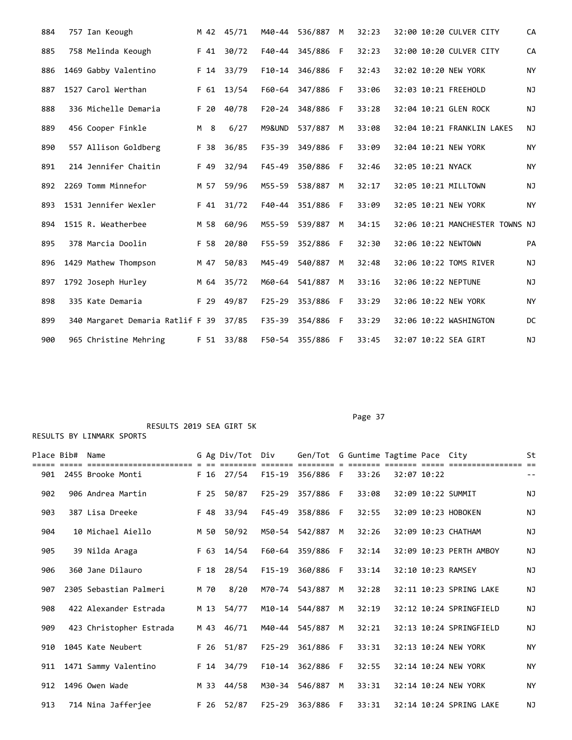| 884 | 757 Ian Keough                   |      | M 42 45/71 | M40-44     | 536/887 | M  | 32:23 | 32:00 10:20 CULVER CITY         | CA        |
|-----|----------------------------------|------|------------|------------|---------|----|-------|---------------------------------|-----------|
| 885 | 758 Melinda Keough               | F 41 | 30/72      | F40-44     | 345/886 | -F | 32:23 | 32:00 10:20 CULVER CITY         | CA        |
| 886 | 1469 Gabby Valentino             | F 14 | 33/79      | $F10-14$   | 346/886 | F  | 32:43 | 32:02 10:20 NEW YORK            | <b>NY</b> |
| 887 | 1527 Carol Werthan               | F 61 | 13/54      | F60-64     | 347/886 | F  | 33:06 | 32:03 10:21 FREEHOLD            | <b>NJ</b> |
| 888 | 336 Michelle Demaria             | F 20 | 40/78      | $F20 - 24$ | 348/886 | F. | 33:28 | 32:04 10:21 GLEN ROCK           | NJ        |
| 889 | 456 Cooper Finkle                | M 8  | 6/27       | M9&UND     | 537/887 | M  | 33:08 | 32:04 10:21 FRANKLIN LAKES      | NJ        |
| 890 | 557 Allison Goldberg             | F 38 | 36/85      | $F35 - 39$ | 349/886 | F  | 33:09 | 32:04 10:21 NEW YORK            | <b>NY</b> |
| 891 | 214 Jennifer Chaitin             | F 49 | 32/94      | $F45 - 49$ | 350/886 | F  | 32:46 | 32:05 10:21 NYACK               | <b>NY</b> |
| 892 | 2269 Tomm Minnefor               | M 57 | 59/96      | M55-59     | 538/887 | М  | 32:17 | 32:05 10:21 MILLTOWN            | <b>NJ</b> |
| 893 | 1531 Jennifer Wexler             | F 41 | 31/72      | F40-44     | 351/886 | F  | 33:09 | 32:05 10:21 NEW YORK            | <b>NY</b> |
| 894 | 1515 R. Weatherbee               | M 58 | 60/96      | M55-59     | 539/887 | M  | 34:15 | 32:06 10:21 MANCHESTER TOWNS NJ |           |
| 895 | 378 Marcia Doolin                | F 58 | 20/80      | $F55 - 59$ | 352/886 | F  | 32:30 | 32:06 10:22 NEWTOWN             | PA        |
| 896 | 1429 Mathew Thompson             | M 47 | 50/83      | M45-49     | 540/887 | М  | 32:48 | 32:06 10:22 TOMS RIVER          | NJ        |
| 897 | 1792 Joseph Hurley               |      | M 64 35/72 | M60-64     | 541/887 | M  | 33:16 | 32:06 10:22 NEPTUNE             | NJ        |
| 898 | 335 Kate Demaria                 | F 29 | 49/87      | $F25 - 29$ | 353/886 | F  | 33:29 | 32:06 10:22 NEW YORK            | ΝY        |
| 899 | 340 Margaret Demaria Ratlif F 39 |      | 37/85      | F35-39     | 354/886 | F  | 33:29 | 32:06 10:22 WASHINGTON          | DC        |
| 900 | 965 Christine Mehring            |      | F 51 33/88 | F50-54     | 355/886 | -F | 33:45 | 32:07 10:22 SEA GIRT            | <b>NJ</b> |

RESULTS BY LINMARK SPORTS

| Place Bib# | Name                    |      | G Ag Div/Tot Div |            | Gen/Tot G Guntime Tagtime Pace City |    |       |             |                         | St<br>$=$                |
|------------|-------------------------|------|------------------|------------|-------------------------------------|----|-------|-------------|-------------------------|--------------------------|
| 901        | 2455 Brooke Monti       |      | F 16 27/54       | F15-19     | 356/886 F                           |    | 33:26 | 32:07 10:22 |                         | $\overline{\phantom{m}}$ |
| 902        | 906 Andrea Martin       | F 25 | 50/87            | $F25 - 29$ | 357/886 F                           |    | 33:08 |             | 32:09 10:22 SUMMIT      | <b>NJ</b>                |
| 903        | 387 Lisa Dreeke         | F 48 | 33/94            | F45-49     | 358/886                             | F. | 32:55 |             | 32:09 10:23 HOBOKEN     | <b>NJ</b>                |
| 904        | 10 Michael Aiello       | M 50 | 50/92            |            | M50-54 542/887                      | M  | 32:26 |             | 32:09 10:23 CHATHAM     | NJ                       |
| 905        | 39 Nilda Araga          | F 63 | 14/54            | F60-64     | 359/886                             | -F | 32:14 |             | 32:09 10:23 PERTH AMBOY | NJ                       |
| 906        | 360 Jane Dilauro        | F 18 | 28/54            | $F15 - 19$ | 360/886                             | -F | 33:14 |             | 32:10 10:23 RAMSEY      | <b>NJ</b>                |
| 907        | 2305 Sebastian Palmeri  | M 70 | 8/20             | M70-74     | 543/887                             | M  | 32:28 |             | 32:11 10:23 SPRING LAKE | <b>NJ</b>                |
| 908        | 422 Alexander Estrada   | M 13 | 54/77            | M10-14     | 544/887                             | M  | 32:19 |             | 32:12 10:24 SPRINGFIELD | NJ                       |
| 909        | 423 Christopher Estrada |      | M 43 46/71       | M40-44     | 545/887                             | M  | 32:21 |             | 32:13 10:24 SPRINGFIELD | NJ                       |
| 910        | 1045 Kate Neubert       | F 26 | 51/87            | $F25 - 29$ | 361/886                             | F. | 33:31 |             | 32:13 10:24 NEW YORK    | <b>NY</b>                |
| 911        | 1471 Sammy Valentino    |      | F 14 34/79       | $F10-14$   | 362/886                             | -F | 32:55 |             | 32:14 10:24 NEW YORK    | <b>NY</b>                |
| 912        | 1496 Owen Wade          | M 33 | 44/58            | M30-34     | 546/887                             | M  | 33:31 |             | 32:14 10:24 NEW YORK    | <b>NY</b>                |
| 913        | 714 Nina Jafferjee      | F 26 | 52/87            | F25-29     | 363/886                             | F. | 33:31 |             | 32:14 10:24 SPRING LAKE | NJ                       |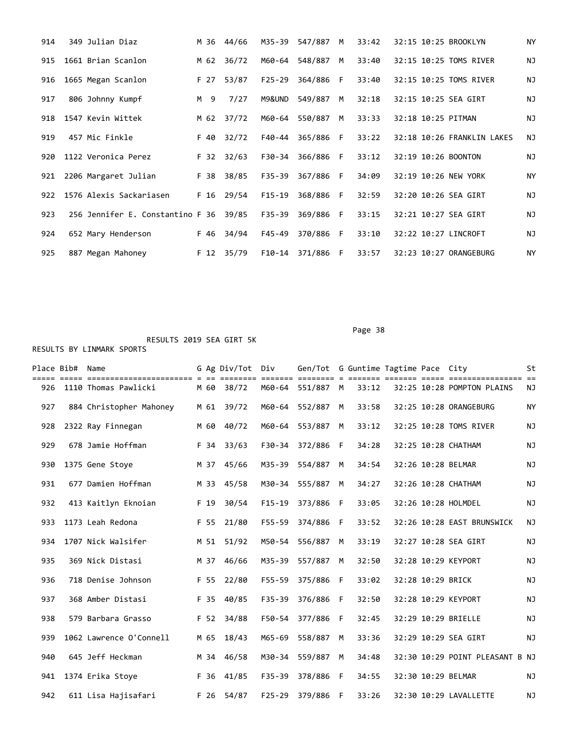| 914 | 349 Julian Diaz                        |      | M 36 44/66 | M35-39     | 547/887 | M  | 33:42 | 32:15 10:25 BROOKLYN   |                            | <b>NY</b> |
|-----|----------------------------------------|------|------------|------------|---------|----|-------|------------------------|----------------------------|-----------|
| 915 | 1661 Brian Scanlon                     | M 62 | 36/72      | M60-64     | 548/887 | M  | 33:40 | 32:15 10:25 TOMS RIVER |                            | <b>NJ</b> |
| 916 | 1665 Megan Scanlon                     | F 27 | 53/87      | $F25 - 29$ | 364/886 | F. | 33:40 | 32:15 10:25 TOMS RIVER |                            | <b>NJ</b> |
| 917 | 806 Johnny Kumpf                       | M 9  | 7/27       | M9&UND     | 549/887 | M  | 32:18 | 32:15 10:25 SEA GIRT   |                            | ΝJ        |
| 918 | 1547 Kevin Wittek                      | M 62 | 37/72      | M60-64     | 550/887 | M  | 33:33 | 32:18 10:25 PITMAN     |                            | ΝJ        |
| 919 | 457 Mic Finkle                         | F 40 | 32/72      | F40-44     | 365/886 | F. | 33:22 |                        | 32:18 10:26 FRANKLIN LAKES | ΝJ        |
| 920 | 1122 Veronica Perez                    | F 32 | 32/63      | F30-34     | 366/886 | F. | 33:12 | 32:19 10:26 BOONTON    |                            | NJ        |
| 921 | 2206 Margaret Julian                   | F 38 | 38/85      | F35-39     | 367/886 | F. | 34:09 | 32:19 10:26 NEW YORK   |                            | NY        |
| 922 | 1576 Alexis Sackariasen                |      | F 16 29/54 | $F15-19$   | 368/886 | E  | 32:59 | 32:20 10:26 SEA GIRT   |                            | <b>NJ</b> |
| 923 | 256 Jennifer E. Constantino F 36 39/85 |      |            | F35-39     | 369/886 | F. | 33:15 | 32:21 10:27 SEA GIRT   |                            | <b>NJ</b> |
| 924 | 652 Mary Henderson                     | F 46 | 34/94      | F45-49     | 370/886 | -F | 33:10 | 32:22 10:27 LINCROFT   |                            | ΝJ        |
| 925 | 887 Megan Mahoney                      |      | F 12 35/79 | F10-14     | 371/886 | -F | 33:57 | 32:23 10:27 ORANGEBURG |                            | NY        |

en de la provincia de la provincia de la provincia de la provincia de la provincia de la provincia de la provi

Place Bib# Name  $G$  Ag Div/Tot Div Gen/Tot G Guntime Tagtime Pace City St ===== ===== ======================= = == ======== ======= ======== = ======= ======= ===== ================ == 926 1110 Thomas Pawlicki M 60 38/72 M60-64 551/887 M 33:12 32:25 10:28 POMPTON PLAINS NJ 927 884 Christopher Mahoney M 61 39/72 M60-64 552/887 M 33:58 32:25 10:28 ORANGEBURG NY 928 2322 Ray Finnegan M 60 40/72 M60-64 553/887 M 33:12 32:25 10:28 TOMS RIVER NJ 929 678 Jamie Hoffman F 34 33/63 F30-34 372/886 F 34:28 32:25 10:28 CHATHAM NJ 930 1375 Gene Stoye M 37 45/66 M35-39 554/887 M 34:54 32:26 10:28 BELMAR NJ 931 677 Damien Hoffman M 33 45/58 M30-34 555/887 M 34:27 32:26 10:28 CHATHAM NJ 932 413 Kaitlyn Eknoian F 19 30/54 F15-19 373/886 F 33:05 32:26 10:28 HOLMDEL NJ 933 1173 Leah Redona F 55 21/80 F55-59 374/886 F 33:52 32:26 10:28 EAST BRUNSWICK NJ 934 1707 Nick Walsifer M 51 51/92 M50-54 556/887 M 33:19 32:27 10:28 SEA GIRT NJ 935 369 Nick Distasi M 37 46/66 M35-39 557/887 M 32:50 32:28 10:29 KEYPORT NJ 936 718 Denise Johnson F 55 22/80 F55-59 375/886 F 33:02 32:28 10:29 BRICK NJ 937 368 Amber Distasi F 35 40/85 F35-39 376/886 F 32:50 32:28 10:29 KEYPORT NJ 938 579 Barbara Grasso F 52 34/88 F50-54 377/886 F 32:45 32:29 10:29 BRIELLE NJ 939 1062 Lawrence O'Connell M 65 18/43 M65-69 558/887 M 33:36 32:29 10:29 SEA GIRT NJ 940 645 Jeff Heckman M 34 46/58 M30-34 559/887 M 34:48 32:30 10:29 POINT PLEASANT B NJ 941 1374 Erika Stoye F 36 41/85 F35-39 378/886 F 34:55 32:30 10:29 BELMAR NJ 942 611 Lisa Hajisafari F 26 54/87 F25-29 379/886 F 33:26 32:30 10:29 LAVALLETTE NJ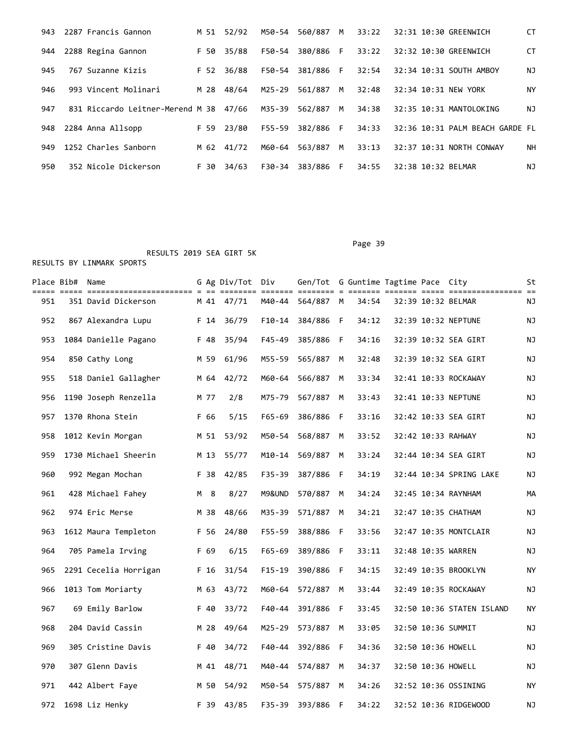| 943 | 2287 Francis Gannon                    | M 51 | 52/92 | M50-54 | 560/887   | M  | 33:22 | 32:31 10:30 GREENWICH    |                                 | CT |
|-----|----------------------------------------|------|-------|--------|-----------|----|-------|--------------------------|---------------------------------|----|
| 944 | 2288 Regina Gannon                     | F 50 | 35/88 | F50-54 | 380/886 F |    | 33:22 | 32:32 10:30 GREENWICH    |                                 | СT |
| 945 | 767 Suzanne Kizis                      | F 52 | 36/88 | F50-54 | 381/886   | F. | 32:54 | 32:34 10:31 SOUTH AMBOY  |                                 | ΝJ |
| 946 | 993 Vincent Molinari                   | M 28 | 48/64 | M25-29 | 561/887   | M  | 32:48 | 32:34 10:31 NEW YORK     |                                 | ΝY |
| 947 | 831 Riccardo Leitner-Merend M 38 47/66 |      |       | M35-39 | 562/887   | M  | 34:38 | 32:35 10:31 MANTOLOKING  |                                 | ΝJ |
| 948 | 2284 Anna Allsopp                      | F 59 | 23/80 | F55-59 | 382/886   | F. | 34:33 |                          | 32:36 10:31 PALM BEACH GARDE FL |    |
| 949 | 1252 Charles Sanborn                   | M 62 | 41/72 | M60-64 | 563/887   | M  | 33:13 | 32:37 10:31 NORTH CONWAY |                                 | NΗ |
| 950 | 352 Nicole Dickerson                   | F 30 | 34/63 | F30-34 | 383/886   | F. | 34:55 | 32:38 10:32 BELMAR       |                                 | ΝJ |

Page 39

|     | Place Bib# Name |                       |      | G Ag Div/Tot | Div<br>====== === | Gen/Tot G Guntime Tagtime Pace City |     | == = == |  |                           | St |
|-----|-----------------|-----------------------|------|--------------|-------------------|-------------------------------------|-----|---------|--|---------------------------|----|
| 951 |                 | 351 David Dickerson   |      | M 41 47/71   | M40-44            | 564/887 M                           |     | 34:54   |  | 32:39 10:32 BELMAR        | ΝJ |
| 952 |                 | 867 Alexandra Lupu    | F 14 | 36/79        | $F10-14$          | 384/886                             | -F  | 34:12   |  | 32:39 10:32 NEPTUNE       | ΝJ |
| 953 |                 | 1084 Danielle Pagano  | F 48 | 35/94        | $F45 - 49$        | 385/886                             | -F  | 34:16   |  | 32:39 10:32 SEA GIRT      | ΝJ |
| 954 |                 | 850 Cathy Long        | M 59 | 61/96        | M55-59            | 565/887                             | M   | 32:48   |  | 32:39 10:32 SEA GIRT      | ΝJ |
| 955 |                 | 518 Daniel Gallagher  | M 64 | 42/72        | M60-64            | 566/887                             | M   | 33:34   |  | 32:41 10:33 ROCKAWAY      | ΝJ |
| 956 |                 | 1190 Joseph Renzella  | M 77 | 2/8          | M75-79            | 567/887                             | M   | 33:43   |  | 32:41 10:33 NEPTUNE       | ΝJ |
| 957 |                 | 1370 Rhona Stein      | F 66 | 5/15         | $F65 - 69$        | 386/886                             | F   | 33:16   |  | 32:42 10:33 SEA GIRT      | ΝJ |
| 958 |                 | 1012 Kevin Morgan     |      | M 51 53/92   | M50-54            | 568/887                             | м   | 33:52   |  | 32:42 10:33 RAHWAY        | ΝJ |
| 959 |                 | 1730 Michael Sheerin  | M 13 | 55/77        | M10-14            | 569/887                             | M   | 33:24   |  | 32:44 10:34 SEA GIRT      | ΝJ |
| 960 |                 | 992 Megan Mochan      | F 38 | 42/85        | $F35 - 39$        | 387/886                             | -F  | 34:19   |  | 32:44 10:34 SPRING LAKE   | ΝJ |
| 961 |                 | 428 Michael Fahey     | M 8  | 8/27         | M9&UND            | 570/887                             | M   | 34:24   |  | 32:45 10:34 RAYNHAM       | MА |
| 962 |                 | 974 Eric Merse        | M 38 | 48/66        | M35-39            | 571/887                             | M   | 34:21   |  | 32:47 10:35 CHATHAM       | ΝJ |
| 963 |                 | 1612 Maura Templeton  | F 56 | 24/80        | $F55 - 59$        | 388/886                             | - F | 33:56   |  | 32:47 10:35 MONTCLAIR     | ΝJ |
| 964 |                 | 705 Pamela Irving     | F 69 | 6/15         | F65-69            | 389/886 F                           |     | 33:11   |  | 32:48 10:35 WARREN        | ΝJ |
| 965 |                 | 2291 Cecelia Horrigan | F 16 | 31/54        | $F15 - 19$        | 390/886                             | - F | 34:15   |  | 32:49 10:35 BROOKLYN      | ΝY |
| 966 |                 | 1013 Tom Moriarty     | M 63 | 43/72        | M60-64            | 572/887                             | M   | 33:44   |  | 32:49 10:35 ROCKAWAY      | ΝJ |
| 967 |                 | 69 Emily Barlow       | F 40 | 33/72        | F40-44            | 391/886                             | -F  | 33:45   |  | 32:50 10:36 STATEN ISLAND | NY |
| 968 |                 | 204 David Cassin      | M 28 | 49/64        | M25-29            | 573/887                             | M   | 33:05   |  | 32:50 10:36 SUMMIT        | ΝJ |
| 969 |                 | 305 Cristine Davis    | F 40 | 34/72        | $F40 - 44$        | 392/886                             | -F  | 34:36   |  | 32:50 10:36 HOWELL        | ΝJ |
| 970 |                 | 307 Glenn Davis       | M 41 | 48/71        | M40-44            | 574/887                             | M   | 34:37   |  | 32:50 10:36 HOWELL        | ΝJ |
| 971 |                 | 442 Albert Faye       | M 50 | 54/92        | M50-54            | 575/887                             | M   | 34:26   |  | 32:52 10:36 OSSINING      | ΝY |
| 972 |                 | 1698 Liz Henky        |      | F 39 43/85   | F35-39            | 393/886 F                           |     | 34:22   |  | 32:52 10:36 RIDGEWOOD     | ΝJ |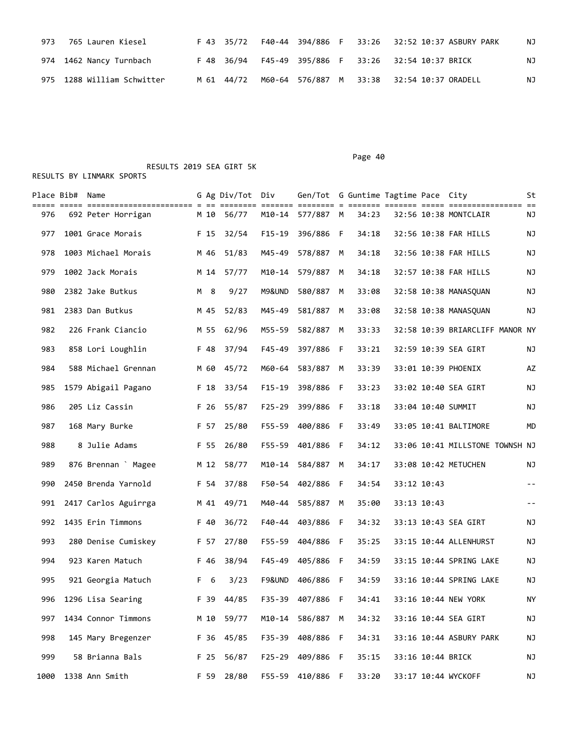| 973 765 Lauren Kiesel      |  |  |  | F 43 35/72  F40-44 394/886  F  33:26  32:52  10:37  ASBURY  PARK | ΝJ |
|----------------------------|--|--|--|------------------------------------------------------------------|----|
| 974 1462 Nancy Turnbach    |  |  |  | F 48 36/94 F45-49 395/886 F 33:26 32:54 10:37 BRICK              | ΝJ |
| 975 1288 William Schwitter |  |  |  | M 61 44/72 M60-64 576/887 M 33:38 32:54 10:37 ORADELL            | ΝJ |

Page 40 RESULTS 2019 SEA GIRT 5K

|      | Place Bib# Name |                      |      | G Ag Div/Tot Div |            | Gen/Tot G Guntime Tagtime Pace City |   |       |           |             |                                 | St    |
|------|-----------------|----------------------|------|------------------|------------|-------------------------------------|---|-------|-----------|-------------|---------------------------------|-------|
| 976  |                 | 692 Peter Horrigan   | M 10 | 56/77            | ======= == | M10-14 577/887 M                    |   | 34:23 | == =====: |             | 32:56 10:38 MONTCLAIR           | ΝJ    |
| 977  |                 | 1001 Grace Morais    | F 15 | 32/54            | $F15-19$   | 396/886 F                           |   | 34:18 |           |             | 32:56 10:38 FAR HILLS           | ΝJ    |
| 978  |                 | 1003 Michael Morais  | M 46 | 51/83            | M45-49     | 578/887                             | M | 34:18 |           |             | 32:56 10:38 FAR HILLS           | NJ    |
| 979  |                 | 1002 Jack Morais     | M 14 | 57/77            | M10-14     | 579/887                             | M | 34:18 |           |             | 32:57 10:38 FAR HILLS           | ΝJ    |
| 980  |                 | 2382 Jake Butkus     | M 8  | 9/27             | M9&UND     | 580/887                             | М | 33:08 |           |             | 32:58 10:38 MANASQUAN           | ΝJ    |
| 981  |                 | 2383 Dan Butkus      | M 45 | 52/83            | M45-49     | 581/887                             | м | 33:08 |           |             | 32:58 10:38 MANASQUAN           | ΝJ    |
| 982  |                 | 226 Frank Ciancio    | M 55 | 62/96            | M55-59     | 582/887 M                           |   | 33:33 |           |             | 32:58 10:39 BRIARCLIFF MANOR NY |       |
| 983  |                 | 858 Lori Loughlin    | F 48 | 37/94            | F45-49     | 397/886 F                           |   | 33:21 |           |             | 32:59 10:39 SEA GIRT            | ΝJ    |
| 984  |                 | 588 Michael Grennan  | M 60 | 45/72            | M60-64     | 583/887                             | M | 33:39 |           |             | 33:01 10:39 PHOENIX             | AZ    |
| 985  |                 | 1579 Abigail Pagano  | F 18 | 33/54            | $F15 - 19$ | 398/886 F                           |   | 33:23 |           |             | 33:02 10:40 SEA GIRT            | ΝJ    |
| 986  |                 | 205 Liz Cassin       | F 26 | 55/87            | $F25 - 29$ | 399/886 F                           |   | 33:18 |           |             | 33:04 10:40 SUMMIT              | ΝJ    |
| 987  |                 | 168 Mary Burke       | F 57 | 25/80            | F55-59     | 400/886 F                           |   | 33:49 |           |             | 33:05 10:41 BALTIMORE           | MD    |
| 988  |                 | 8 Julie Adams        | F 55 | 26/80            | F55-59     | 401/886 F                           |   | 34:12 |           |             | 33:06 10:41 MILLSTONE TOWNSH NJ |       |
| 989  |                 | 876 Brennan Magee    | M 12 | 58/77            | M10-14     | 584/887 M                           |   | 34:17 |           |             | 33:08 10:42 METUCHEN            | ΝJ    |
| 990  |                 | 2450 Brenda Yarnold  | F 54 | 37/88            |            | F50-54 402/886 F                    |   | 34:54 |           | 33:12 10:43 |                                 | $- -$ |
| 991  |                 | 2417 Carlos Aguirrga | M 41 | 49/71            | M40-44     | 585/887                             | M | 35:00 |           | 33:13 10:43 |                                 | $- -$ |
| 992  |                 | 1435 Erin Timmons    | F 40 | 36/72            |            | F40-44 403/886 F                    |   | 34:32 |           |             | 33:13 10:43 SEA GIRT            | ΝJ    |
| 993  |                 | 280 Denise Cumiskey  | F 57 | 27/80            |            | F55-59 404/886 F                    |   | 35:25 |           |             | 33:15 10:44 ALLENHURST          | ΝJ    |
| 994  |                 | 923 Karen Matuch     | F 46 | 38/94            | F45-49     | 405/886 F                           |   | 34:59 |           |             | 33:15 10:44 SPRING LAKE         | ΝJ    |
| 995  |                 | 921 Georgia Matuch   | F 6  | 3/23             | F9&UND     | 406/886 F                           |   | 34:59 |           |             | 33:16 10:44 SPRING LAKE         | ΝJ    |
| 996  |                 | 1296 Lisa Searing    | F 39 | 44/85            | F35-39     | 407/886 F                           |   | 34:41 |           |             | 33:16 10:44 NEW YORK            | ΝY    |
| 997  |                 | 1434 Connor Timmons  | M 10 | 59/77            |            | M10-14 586/887 M                    |   | 34:32 |           |             | 33:16 10:44 SEA GIRT            | NJ    |
| 998  |                 | 145 Mary Bregenzer   | F 36 | 45/85            |            | F35-39 408/886 F                    |   | 34:31 |           |             | 33:16 10:44 ASBURY PARK         | NJ    |
| 999  |                 | 58 Brianna Bals      | F 25 | 56/87            |            | F25-29 409/886 F                    |   | 35:15 |           |             | 33:16 10:44 BRICK               | NJ    |
| 1000 |                 | 1338 Ann Smith       | F 59 | 28/80            | F55-59     | 410/886 F                           |   | 33:20 |           |             | 33:17 10:44 WYCKOFF             | NJ    |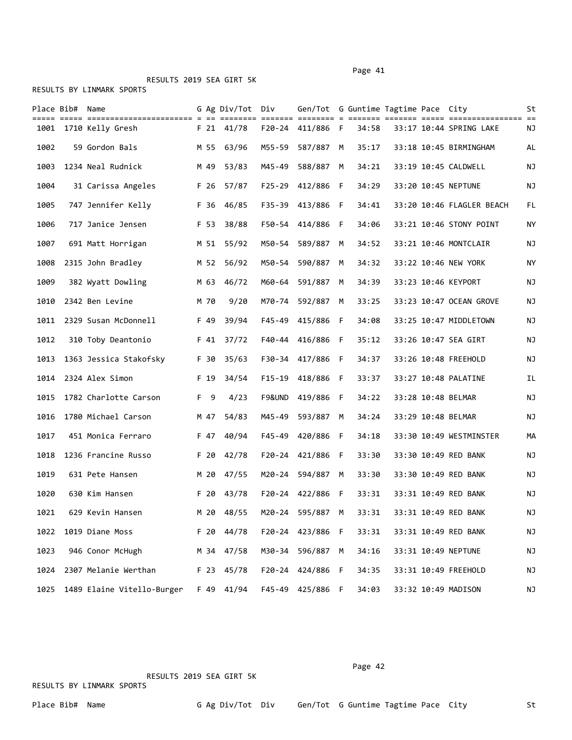RESULTS 2019 SEA GIRT 5K

RESULTS BY LINMARK SPORTS

|      | Place Bib# Name |                            |      | G Ag Div/Tot Div |        | Gen/Tot G Guntime Tagtime Pace City |   |       |  |                           | St  |
|------|-----------------|----------------------------|------|------------------|--------|-------------------------------------|---|-------|--|---------------------------|-----|
|      |                 | 1001 1710 Kelly Gresh      |      | F 21 41/78       |        | F20-24 411/886 F                    |   | 34:58 |  | 33:17 10:44 SPRING LAKE   | ΝJ  |
| 1002 |                 | 59 Gordon Bals             | M 55 | 63/96            | M55-59 | 587/887 M                           |   | 35:17 |  | 33:18 10:45 BIRMINGHAM    | AL  |
| 1003 |                 | 1234 Neal Rudnick          | M 49 | 53/83            | M45-49 | 588/887 M                           |   | 34:21 |  | 33:19 10:45 CALDWELL      | ΝJ  |
| 1004 |                 | 31 Carissa Angeles         | F 26 | 57/87            |        | F25-29 412/886 F                    |   | 34:29 |  | 33:20 10:45 NEPTUNE       | ΝJ  |
| 1005 |                 | 747 Jennifer Kelly         | F 36 | 46/85            | F35-39 | 413/886 F                           |   | 34:41 |  | 33:20 10:46 FLAGLER BEACH | FL  |
| 1006 |                 | 717 Janice Jensen          | F 53 | 38/88            |        | F50-54 414/886 F                    |   | 34:06 |  | 33:21 10:46 STONY POINT   | ΝY  |
| 1007 |                 | 691 Matt Horrigan          |      | M 51 55/92       |        | M50-54 589/887 M                    |   | 34:52 |  | 33:21 10:46 MONTCLAIR     | ΝJ  |
| 1008 |                 | 2315 John Bradley          | M 52 | 56/92            | M50-54 | 590/887                             | M | 34:32 |  | 33:22 10:46 NEW YORK      | ΝY  |
| 1009 |                 | 382 Wyatt Dowling          | M 63 | 46/72            | M60-64 | 591/887 M                           |   | 34:39 |  | 33:23 10:46 KEYPORT       | ΝJ  |
| 1010 |                 | 2342 Ben Levine            | M 70 | 9/20             |        | M70-74 592/887 M                    |   | 33:25 |  | 33:23 10:47 OCEAN GROVE   | NJ  |
| 1011 |                 | 2329 Susan McDonnell       | F 49 | 39/94            |        | F45-49 415/886 F                    |   | 34:08 |  | 33:25 10:47 MIDDLETOWN    | ΝJ  |
| 1012 |                 | 310 Toby Deantonio         | F 41 | 37/72            | F40-44 | 416/886 F                           |   | 35:12 |  | 33:26 10:47 SEA GIRT      | ΝJ  |
| 1013 |                 | 1363 Jessica Stakofsky     | F 30 | 35/63            |        | F30-34 417/886 F                    |   | 34:37 |  | 33:26 10:48 FREEHOLD      | ΝJ  |
| 1014 |                 | 2324 Alex Simon            | F 19 | 34/54            |        | F15-19 418/886 F                    |   | 33:37 |  | 33:27 10:48 PALATINE      | IL. |
| 1015 |                 | 1782 Charlotte Carson      | F 9  | 4/23             |        | F9&UND 419/886 F                    |   | 34:22 |  | 33:28 10:48 BELMAR        | ΝJ  |
| 1016 |                 | 1780 Michael Carson        | M 47 | 54/83            | M45-49 | 593/887 M                           |   | 34:24 |  | 33:29 10:48 BELMAR        | ΝJ  |
| 1017 |                 | 451 Monica Ferraro         | F 47 | 40/94            | F45-49 | 420/886 F                           |   | 34:18 |  | 33:30 10:49 WESTMINSTER   | MА  |
| 1018 |                 | 1236 Francine Russo        | F 20 | 42/78            |        | F20-24 421/886 F                    |   | 33:30 |  | 33:30 10:49 RED BANK      | ΝJ  |
| 1019 |                 | 631 Pete Hansen            | M 20 | 47/55            | M20-24 | 594/887 M                           |   | 33:30 |  | 33:30 10:49 RED BANK      | ΝJ  |
| 1020 |                 | 630 Kim Hansen             | F 20 | 43/78            |        | F20-24 422/886 F                    |   | 33:31 |  | 33:31 10:49 RED BANK      | ΝJ  |
| 1021 |                 | 629 Kevin Hansen           |      | M 20 48/55       |        | M20-24 595/887 M                    |   | 33:31 |  | 33:31 10:49 RED BANK      | ΝJ  |
| 1022 |                 | 1019 Diane Moss            |      | F 20 44/78       |        | F20-24 423/886 F                    |   | 33:31 |  | 33:31 10:49 RED BANK      | NJ  |
| 1023 |                 | 946 Conor McHugh           | M 34 | 47/58            | M30-34 | 596/887 M                           |   | 34:16 |  | 33:31 10:49 NEPTUNE       | ΝJ  |
| 1024 |                 | 2307 Melanie Werthan       | F 23 | 45/78            |        | F20-24 424/886 F                    |   | 34:35 |  | 33:31 10:49 FREEHOLD      | NJ  |
| 1025 |                 | 1489 Elaine Vitello-Burger | F 49 | 41/94            |        | F45-49 425/886 F                    |   | 34:03 |  | 33:32 10:49 MADISON       | ΝJ  |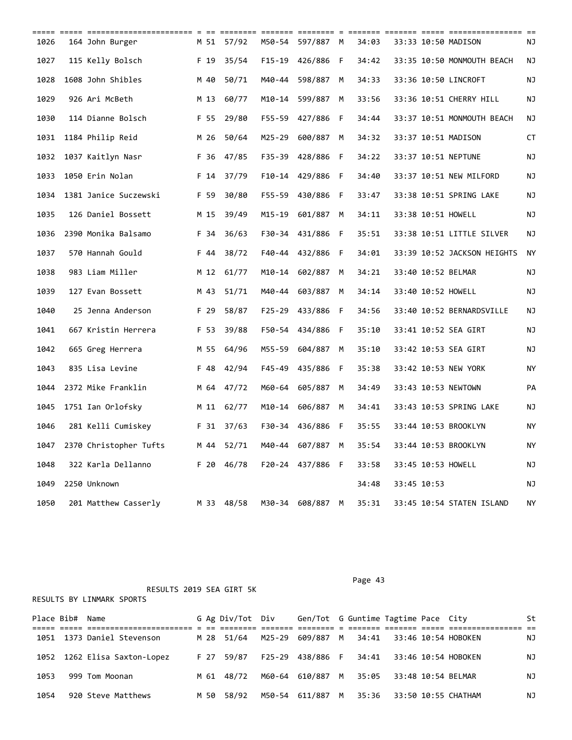| 1026 | 164 John Burger        | M 51 | 57/92      |          | M50-54 597/887 M |     | 34:03 |             | 33:33 10:50 MADISON         | ΝJ        |
|------|------------------------|------|------------|----------|------------------|-----|-------|-------------|-----------------------------|-----------|
| 1027 | 115 Kelly Bolsch       | F 19 | 35/54      | $F15-19$ | 426/886          | - F | 34:42 |             | 33:35 10:50 MONMOUTH BEACH  | ΝJ        |
| 1028 | 1608 John Shibles      | M 40 | 50/71      | M40-44   | 598/887          | M   | 34:33 |             | 33:36 10:50 LINCROFT        | ΝJ        |
| 1029 | 926 Ari McBeth         | M 13 | 60/77      | M10-14   | 599/887          | M   | 33:56 |             | 33:36 10:51 CHERRY HILL     | ΝJ        |
| 1030 | 114 Dianne Bolsch      | F 55 | 29/80      |          | F55-59 427/886   | - F | 34:44 |             | 33:37 10:51 MONMOUTH BEACH  | ΝJ        |
| 1031 | 1184 Philip Reid       | M 26 | 50/64      | M25-29   | 600/887          | M   | 34:32 |             | 33:37 10:51 MADISON         | СT        |
| 1032 | 1037 Kaitlyn Nasr      | F 36 | 47/85      |          | F35-39 428/886 F |     | 34:22 |             | 33:37 10:51 NEPTUNE         | ΝJ        |
| 1033 | 1050 Erin Nolan        | F 14 | 37/79      | F10-14   | 429/886 F        |     | 34:40 |             | 33:37 10:51 NEW MILFORD     | ΝJ        |
| 1034 | 1381 Janice Suczewski  | F 59 | 30/80      |          | F55-59 430/886   | - F | 33:47 |             | 33:38 10:51 SPRING LAKE     | ΝJ        |
| 1035 | 126 Daniel Bossett     | M 15 | 39/49      | M15-19   | 601/887          | M   | 34:11 |             | 33:38 10:51 HOWELL          | ΝJ        |
| 1036 | 2390 Monika Balsamo    | F 34 | 36/63      |          | F30-34 431/886   | - F | 35:51 |             | 33:38 10:51 LITTLE SILVER   | ΝJ        |
| 1037 | 570 Hannah Gould       | F 44 | 38/72      | F40-44   | 432/886 F        |     | 34:01 |             | 33:39 10:52 JACKSON HEIGHTS | ΝY        |
| 1038 | 983 Liam Miller        | M 12 | 61/77      |          | M10-14 602/887   | M   | 34:21 |             | 33:40 10:52 BELMAR          | ΝJ        |
| 1039 | 127 Evan Bossett       | M 43 | 51/71      | M40-44   | 603/887          | M   | 34:14 |             | 33:40 10:52 HOWELL          | ΝJ        |
| 1040 | 25 Jenna Anderson      | F 29 | 58/87      |          | F25-29 433/886   | - F | 34:56 |             | 33:40 10:52 BERNARDSVILLE   | ΝJ        |
| 1041 | 667 Kristin Herrera    | F 53 | 39/88      | F50-54   | 434/886          | - F | 35:10 |             | 33:41 10:52 SEA GIRT        | ΝJ        |
| 1042 | 665 Greg Herrera       | M 55 | 64/96      | M55-59   | 604/887          | M   | 35:10 |             | 33:42 10:53 SEA GIRT        | ΝJ        |
| 1043 | 835 Lisa Levine        | F 48 | 42/94      | F45-49   | 435/886 F        |     | 35:38 |             | 33:42 10:53 NEW YORK        | ΝY        |
| 1044 | 2372 Mike Franklin     | M 64 | 47/72      | M60-64   | 605/887          | M   | 34:49 |             | 33:43 10:53 NEWTOWN         | <b>PA</b> |
| 1045 | 1751 Ian Orlofsky      | M 11 | 62/77      | M10-14   | 606/887          | M   | 34:41 |             | 33:43 10:53 SPRING LAKE     | ΝJ        |
| 1046 | 281 Kelli Cumiskey     |      | F 31 37/63 |          | F30-34 436/886 F |     | 35:55 |             | 33:44 10:53 BROOKLYN        | ΝY        |
| 1047 | 2370 Christopher Tufts | M 44 | 52/71      | M40-44   | 607/887          | M   | 35:54 |             | 33:44 10:53 BROOKLYN        | <b>NY</b> |
| 1048 | 322 Karla Dellanno     | F 20 | 46/78      | F20-24   | 437/886 F        |     | 33:58 |             | 33:45 10:53 HOWELL          | ΝJ        |
| 1049 | 2250 Unknown           |      |            |          |                  |     | 34:48 | 33:45 10:53 |                             | ΝJ        |
| 1050 | 201 Matthew Casserly   |      | M 33 48/58 |          | M30-34 608/887 M |     | 35:31 |             | 33:45 10:54 STATEN ISLAND   | <b>NY</b> |

Place Bib# Name 6 Ag Div/Tot Div Gen/Tot G Guntime Tagtime Pace City St ===== ===== ======================= = == ======== ======= ======== = ======= ======= ===== ================ == M 28 51/64 M25-29 609/887 M 34:41 33:46 10:54 HOBOKEN NJ 1052 1262 Elisa Saxton-Lopez F 27 59/87 F25-29 438/886 F 34:41 33:46 10:54 HOBOKEN NJ 1053 999 Tom Moonan M 61 48/72 M60-64 610/887 M 35:05 33:48 10:54 BELMAR NJ 1054 920 Steve Matthews M 50 58/92 M50-54 611/887 M 35:36 33:50 10:55 CHATHAM NJ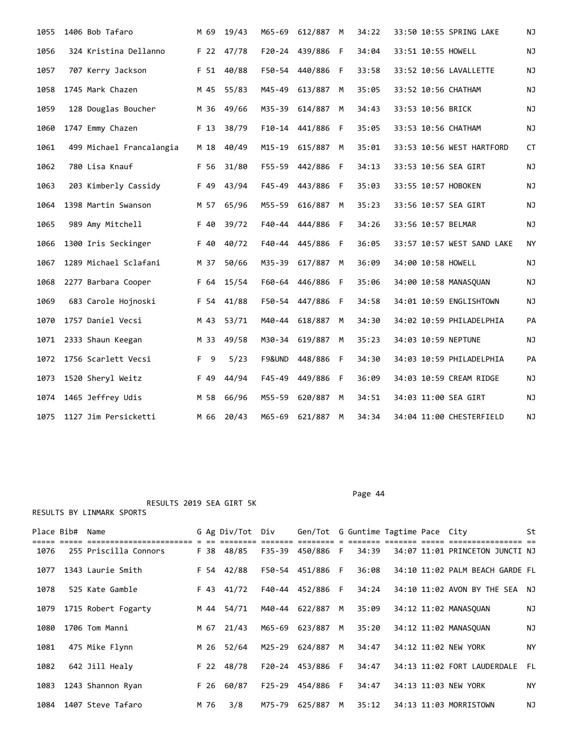| 1055 | 1406 Bob Tafaro          | M 69 | 19/43 | M65-69     | 612/887          | M  | 34:22 | 33:50 10:55 SPRING LAKE    | NJ        |
|------|--------------------------|------|-------|------------|------------------|----|-------|----------------------------|-----------|
| 1056 | 324 Kristina Dellanno    | F 22 | 47/78 | F20-24     | 439/886          | F  | 34:04 | 33:51 10:55 HOWELL         | NJ        |
| 1057 | 707 Kerry Jackson        | F 51 | 40/88 |            | F50-54 440/886 F |    | 33:58 | 33:52 10:56 LAVALLETTE     | ΝJ        |
| 1058 | 1745 Mark Chazen         | M 45 | 55/83 | M45-49     | 613/887          | M  | 35:05 | 33:52 10:56 CHATHAM        | <b>NJ</b> |
| 1059 | 128 Douglas Boucher      | M 36 | 49/66 | M35-39     | 614/887          | M  | 34:43 | 33:53 10:56 BRICK          | ΝJ        |
| 1060 | 1747 Emmy Chazen         | F 13 | 38/79 |            | F10-14 441/886   | -F | 35:05 | 33:53 10:56 CHATHAM        | ΝJ        |
| 1061 | 499 Michael Francalangia | M 18 | 40/49 | M15-19     | 615/887          | M  | 35:01 | 33:53 10:56 WEST HARTFORD  | CT        |
| 1062 | 780 Lisa Knauf           | F 56 | 31/80 | F55-59     | 442/886          | F  | 34:13 | 33:53 10:56 SEA GIRT       | NJ        |
| 1063 | 203 Kimberly Cassidy     | F 49 | 43/94 | $F45 - 49$ | 443/886          | -F | 35:03 | 33:55 10:57 HOBOKEN        | NJ        |
| 1064 | 1398 Martin Swanson      | M 57 | 65/96 | M55-59     | 616/887          | M  | 35:23 | 33:56 10:57 SEA GIRT       | NJ        |
| 1065 | 989 Amy Mitchell         | F 40 | 39/72 |            | F40-44 444/886 F |    | 34:26 | 33:56 10:57 BELMAR         | NJ        |
| 1066 | 1300 Iris Seckinger      | F 40 | 40/72 | F40-44     | 445/886          | -F | 36:05 | 33:57 10:57 WEST SAND LAKE | NY        |
| 1067 | 1289 Michael Sclafani    | M 37 | 50/66 | M35-39     | 617/887          | M  | 36:09 | 34:00 10:58 HOWELL         | NJ        |
| 1068 | 2277 Barbara Cooper      | F 64 | 15/54 |            | F60-64 446/886 F |    | 35:06 | 34:00 10:58 MANASQUAN      | ΝJ        |
| 1069 | 683 Carole Hojnoski      | F 54 | 41/88 |            | F50-54 447/886 F |    | 34:58 | 34:01 10:59 ENGLISHTOWN    | NJ        |
| 1070 | 1757 Daniel Vecsi        | M 43 | 53/71 | M40-44     | 618/887          | M  | 34:30 | 34:02 10:59 PHILADELPHIA   | PA        |
| 1071 | 2333 Shaun Keegan        | M 33 | 49/58 | M30-34     | 619/887          | M  | 35:23 | 34:03 10:59 NEPTUNE        | NJ        |
| 1072 | 1756 Scarlett Vecsi      | F 9  | 5/23  | F9&UND     | 448/886          | F  | 34:30 | 34:03 10:59 PHILADELPHIA   | PA        |
| 1073 | 1520 Sheryl Weitz        | F 49 | 44/94 | $F45 - 49$ | 449/886          | F  | 36:09 | 34:03 10:59 CREAM RIDGE    | NJ        |
| 1074 | 1465 Jeffrey Udis        | M 58 | 66/96 | M55-59     | 620/887          | M  | 34:51 | 34:03 11:00 SEA GIRT       | NJ        |
| 1075 | 1127 Jim Persicketti     | M 66 | 20/43 |            | M65-69 621/887   | M  | 34:34 | 34:04 11:00 CHESTERFIELD   | NJ        |

Page 44

|      | Place Bib#  Name |                       |      | G Ag Div/Tot Div |        | Gen/Tot G Guntime Tagtime Pace City |   |       |  |                                 | St        |  |
|------|------------------|-----------------------|------|------------------|--------|-------------------------------------|---|-------|--|---------------------------------|-----------|--|
| 1076 |                  | 255 Priscilla Connors |      | F 38 48/85       |        | F35-39 450/886 F                    |   | 34:39 |  | 34:07 11:01 PRINCETON JUNCTI NJ |           |  |
| 1077 |                  | 1343 Laurie Smith     |      | F 54 42/88       |        | F50-54 451/886 F                    |   | 36:08 |  | 34:10 11:02 PALM BEACH GARDE FL |           |  |
| 1078 |                  | 525 Kate Gamble       |      | F 43 41/72       |        | F40-44 452/886 F                    |   | 34:24 |  | 34:10 11:02 AVON BY THE SEA NJ  |           |  |
| 1079 |                  | 1715 Robert Fogarty   | M 44 | 54/71            | M40-44 | 622/887                             | M | 35:09 |  | 34:12 11:02 MANASOUAN           | NJ        |  |
| 1080 |                  | 1706 Tom Manni        | M 67 | 21/43            | M65-69 | 623/887                             | M | 35:20 |  | 34:12 11:02 MANASOUAN           | ΝJ        |  |
| 1081 |                  | 475 Mike Flynn        | M 26 | 52/64            | M25-29 | 624/887                             | M | 34:47 |  | 34:12 11:02 NEW YORK            | NY        |  |
| 1082 |                  | 642 Jill Healy        |      | F 22 48/78       |        | F20-24 453/886 F                    |   | 34:47 |  | 34:13 11:02 FORT LAUDERDALE     | - FL      |  |
| 1083 |                  | 1243 Shannon Ryan     | F 26 | 60/87            |        | F25-29 454/886 F                    |   | 34:47 |  | 34:13 11:03 NEW YORK            | <b>NY</b> |  |
| 1084 |                  | 1407 Steve Tafaro     | M 76 | 3/8              | M75-79 | 625/887                             | M | 35:12 |  | 34:13 11:03 MORRISTOWN          | ΝJ        |  |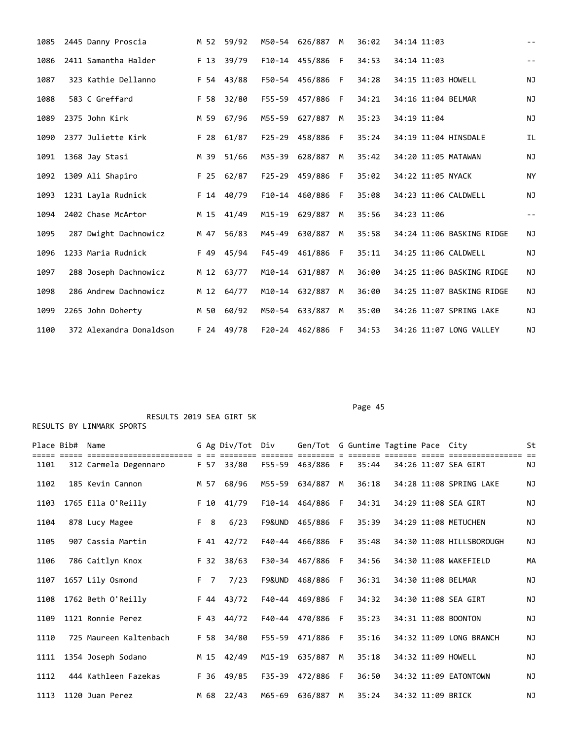| 1085 | 2445 Danny Proscia      |      | M 52 59/92 |            | M50-54 626/887   | M  | 36:02 | 34:14 11:03               | $\sim$ $-$        |
|------|-------------------------|------|------------|------------|------------------|----|-------|---------------------------|-------------------|
| 1086 | 2411 Samantha Halder    | F 13 | 39/79      |            | F10-14 455/886   | -F | 34:53 | 34:14 11:03               | $\frac{1}{2}$     |
| 1087 | 323 Kathie Dellanno     | F 54 | 43/88      | F50-54     | 456/886          | F  | 34:28 | 34:15 11:03 HOWELL        | <b>NJ</b>         |
| 1088 | 583 C Greffard          | F 58 | 32/80      |            | F55-59 457/886 F |    | 34:21 | 34:16 11:04 BELMAR        | <b>NJ</b>         |
| 1089 | 2375 John Kirk          | M 59 | 67/96      | M55-59     | 627/887          | M  | 35:23 | 34:19 11:04               | NJ                |
| 1090 | 2377 Juliette Kirk      | F 28 | 61/87      | $F25 - 29$ | 458/886          | F  | 35:24 | 34:19 11:04 HINSDALE      | <b>IL</b>         |
| 1091 | 1368 Jay Stasi          | M 39 | 51/66      | M35-39     | 628/887          | M  | 35:42 | 34:20 11:05 MATAWAN       | ΝJ                |
| 1092 | 1309 Ali Shapiro        | F 25 | 62/87      | $F25 - 29$ | 459/886          | F  | 35:02 | 34:22 11:05 NYACK         | <b>NY</b>         |
| 1093 | 1231 Layla Rudnick      |      | F 14 40/79 |            | F10-14 460/886   | -F | 35:08 | 34:23 11:06 CALDWELL      | NJ                |
| 1094 | 2402 Chase McArtor      |      | M 15 41/49 | $M15 - 19$ | 629/887          | M  | 35:56 | 34:23 11:06               | $\qquad \qquad -$ |
| 1095 | 287 Dwight Dachnowicz   | M 47 | 56/83      | M45-49     | 630/887          | M  | 35:58 | 34:24 11:06 BASKING RIDGE | ΝJ                |
| 1096 | 1233 Maria Rudnick      | F 49 | 45/94      | F45-49     | 461/886          | -F | 35:11 | 34:25 11:06 CALDWELL      | NJ                |
| 1097 | 288 Joseph Dachnowicz   |      | M 12 63/77 | M10-14     | 631/887          | M  | 36:00 | 34:25 11:06 BASKING RIDGE | <b>NJ</b>         |
| 1098 | 286 Andrew Dachnowicz   |      | M 12 64/77 |            | M10-14 632/887   | M  | 36:00 | 34:25 11:07 BASKING RIDGE | NJ                |
| 1099 | 2265 John Doherty       | M 50 | 60/92      | M50-54     | 633/887          | M  | 35:00 | 34:26 11:07 SPRING LAKE   | <b>NJ</b>         |
| 1100 | 372 Alexandra Donaldson |      | F 24 49/78 |            | F20-24 462/886   | -F | 34:53 | 34:26 11:07 LONG VALLEY   | <b>NJ</b>         |

Page 45

| Place Bib# Name |                        |                | G Ag Div/Tot Div |        | Gen/Tot G Guntime Tagtime Pace City |     |       |                   |                          | St        |
|-----------------|------------------------|----------------|------------------|--------|-------------------------------------|-----|-------|-------------------|--------------------------|-----------|
| 1101            | 312 Carmela Degennaro  |                | F 57 33/80       |        | F55-59 463/886 F                    |     | 35:44 |                   | 34:26 11:07 SEA GIRT     | NJ        |
| 1102            | 185 Kevin Cannon       | M 57           | 68/96            | M55-59 | 634/887                             | M   | 36:18 |                   | 34:28 11:08 SPRING LAKE  | <b>NJ</b> |
| 1103            | 1765 Ella O'Reilly     | F 10           | 41/79            |        | F10-14 464/886                      | F   | 34:31 |                   | 34:29 11:08 SEA GIRT     | <b>NJ</b> |
| 1104            | 878 Lucy Magee         | F 8            | 6/23             | F9&UND | 465/886                             | - F | 35:39 |                   | 34:29 11:08 METUCHEN     | <b>NJ</b> |
| 1105            | 907 Cassia Martin      |                | F 41 42/72       |        | F40-44 466/886                      | F.  | 35:48 |                   | 34:30 11:08 HILLSBOROUGH | <b>NJ</b> |
| 1106            | 786 Caitlyn Knox       | F 32           | 38/63            |        | F30-34 467/886                      | - F | 34:56 |                   | 34:30 11:08 WAKEFIELD    | MA        |
| 1107            | 1657 Lily Osmond       | F <sub>7</sub> | 7/23             | F9&UND | 468/886                             | F   | 36:31 |                   | 34:30 11:08 BELMAR       | <b>NJ</b> |
| 1108            | 1762 Beth O'Reilly     |                | F 44 43/72       |        | F40-44 469/886                      | - F | 34:32 |                   | 34:30 11:08 SEA GIRT     | <b>NJ</b> |
| 1109            | 1121 Ronnie Perez      |                | F 43 44/72       |        | F40-44 470/886                      | -F  | 35:23 |                   | 34:31 11:08 BOONTON      | <b>NJ</b> |
| 1110            | 725 Maureen Kaltenbach | F 58           | 34/80            | F55-59 | 471/886                             | F   | 35:16 |                   | 34:32 11:09 LONG BRANCH  | <b>NJ</b> |
| 1111            | 1354 Joseph Sodano     |                | M 15 42/49       | M15-19 | 635/887                             | M   | 35:18 |                   | 34:32 11:09 HOWELL       | <b>NJ</b> |
| 1112            | 444 Kathleen Fazekas   | F 36           | 49/85            |        | F35-39 472/886                      | F.  | 36:50 |                   | 34:32 11:09 EATONTOWN    | <b>NJ</b> |
| 1113            | 1120 Juan Perez        | M 68           | 22/43            |        | M65-69 636/887                      | M   | 35:24 | 34:32 11:09 BRICK |                          | <b>NJ</b> |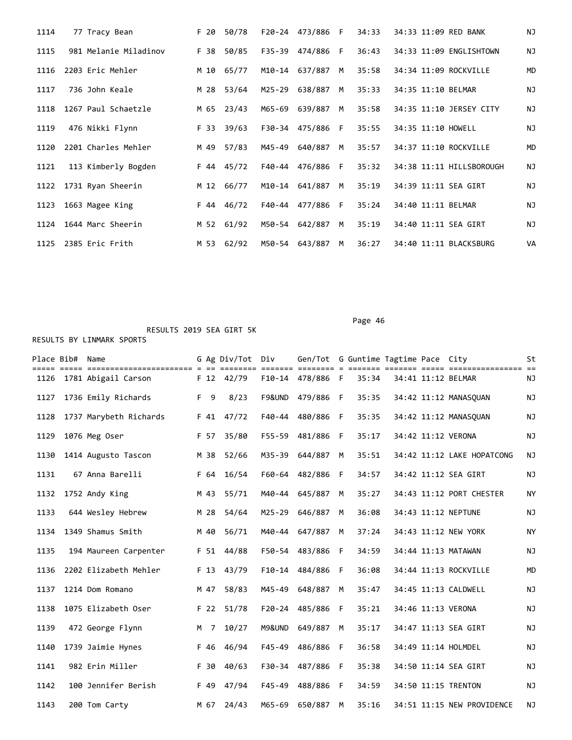| 1114 | 77 Tracy Bean         | F 20 | 50/78      |        | F20-24 473/886 F |   | 34:33 | 34:33 11:09 RED BANK     | NJ        |
|------|-----------------------|------|------------|--------|------------------|---|-------|--------------------------|-----------|
| 1115 | 981 Melanie Miladinov | F 38 | 50/85      |        | F35-39 474/886   | F | 36:43 | 34:33 11:09 ENGLISHTOWN  | <b>NJ</b> |
| 1116 | 2203 Eric Mehler      |      | M 10 65/77 | M10-14 | 637/887          | M | 35:58 | 34:34 11:09 ROCKVILLE    | MD        |
| 1117 | 736 John Keale        | M 28 | 53/64      | M25-29 | 638/887          | M | 35:33 | 34:35 11:10 BELMAR       | <b>NJ</b> |
| 1118 | 1267 Paul Schaetzle   |      | M 65 23/43 |        | M65-69 639/887   | M | 35:58 | 34:35 11:10 JERSEY CITY  | <b>NJ</b> |
| 1119 | 476 Nikki Flynn       |      | F 33 39/63 |        | F30-34 475/886 F |   | 35:55 | 34:35 11:10 HOWELL       | ΝJ        |
| 1120 | 2201 Charles Mehler   | M 49 | 57/83      | M45-49 | 640/887          | M | 35:57 | 34:37 11:10 ROCKVILLE    | MD        |
| 1121 | 113 Kimberly Bogden   |      | F 44 45/72 |        | F40-44 476/886 F |   | 35:32 | 34:38 11:11 HILLSBOROUGH | <b>NJ</b> |
| 1122 | 1731 Ryan Sheerin     |      | M 12 66/77 |        | M10-14 641/887   | M | 35:19 | 34:39 11:11 SEA GIRT     | ΝJ        |
| 1123 | 1663 Magee King       |      | F 44 46/72 |        | F40-44 477/886 F |   | 35:24 | 34:40 11:11 BELMAR       | ΝJ        |
| 1124 | 1644 Marc Sheerin     |      | M 52 61/92 | M50-54 | 642/887          | M | 35:19 | 34:40 11:11 SEA GIRT     | <b>NJ</b> |
| 1125 | 2385 Eric Frith       |      | M 53 62/92 |        | M50-54 643/887   | M | 36:27 | 34:40 11:11 BLACKSBURG   | VA        |

Page 46

| Place Bib# Name |                        |      | G Ag Div/Tot Div |            | Gen/Tot G Guntime Tagtime Pace City |              |       |  |                            | St        |
|-----------------|------------------------|------|------------------|------------|-------------------------------------|--------------|-------|--|----------------------------|-----------|
| 1126            | 1781 Abigail Carson    |      | F 12 42/79       |            | F10-14 478/886 F                    |              | 35:34 |  | 34:41 11:12 BELMAR         | NJ        |
| 1127            | 1736 Emily Richards    | F 9  | 8/23             | F9&UND     | 479/886 F                           |              | 35:35 |  | 34:42 11:12 MANASOUAN      | ΝJ        |
| 1128            | 1737 Marybeth Richards |      | F 41 47/72       | F40-44     | 480/886 F                           |              | 35:35 |  | 34:42 11:12 MANASQUAN      | <b>NJ</b> |
| 1129            | 1076 Meg Oser          | F 57 | 35/80            | F55-59     | 481/886 F                           |              | 35:17 |  | 34:42 11:12 VERONA         | ΝJ        |
| 1130            | 1414 Augusto Tascon    | M 38 | 52/66            | M35-39     | 644/887                             | M            | 35:51 |  | 34:42 11:12 LAKE HOPATCONG | <b>NJ</b> |
| 1131            | 67 Anna Barelli        | F 64 | 16/54            |            | F60-64 482/886                      | - F          | 34:57 |  | 34:42 11:12 SEA GIRT       | ΝJ        |
| 1132            | 1752 Andy King         | M 43 | 55/71            |            | M40-44 645/887                      | M            | 35:27 |  | 34:43 11:12 PORT CHESTER   | <b>NY</b> |
| 1133            | 644 Wesley Hebrew      | M 28 | 54/64            |            | M25-29 646/887                      | M            | 36:08 |  | 34:43 11:12 NEPTUNE        | <b>NJ</b> |
| 1134            | 1349 Shamus Smith      | M 40 | 56/71            |            | M40-44 647/887                      | M            | 37:24 |  | 34:43 11:12 NEW YORK       | <b>NY</b> |
| 1135            | 194 Maureen Carpenter  |      | F 51 44/88       |            | F50-54 483/886                      | - F          | 34:59 |  | 34:44 11:13 MATAWAN        | ΝJ        |
| 1136            | 2202 Elizabeth Mehler  | F 13 | 43/79            |            | F10-14 484/886                      | F            | 36:08 |  | 34:44 11:13 ROCKVILLE      | <b>MD</b> |
| 1137            | 1214 Dom Romano        | M 47 | 58/83            | M45-49     | 648/887                             | M            | 35:47 |  | 34:45 11:13 CALDWELL       | <b>NJ</b> |
| 1138            | 1075 Elizabeth Oser    |      | F 22 51/78       |            | F20-24 485/886                      | - F          | 35:21 |  | 34:46 11:13 VERONA         | ΝJ        |
| 1139            | 472 George Flynn       | M 7  | 10/27            | M9&UND     | 649/887                             | M            | 35:17 |  | 34:47 11:13 SEA GIRT       | ΝJ        |
| 1140            | 1739 Jaimie Hynes      | F 46 | 46/94            | $F45 - 49$ | 486/886                             | $\mathsf{F}$ | 36:58 |  | 34:49 11:14 HOLMDEL        | <b>NJ</b> |
| 1141            | 982 Erin Miller        | F 30 | 40/63            |            | F30-34 487/886                      | - F          | 35:38 |  | 34:50 11:14 SEA GIRT       | <b>NJ</b> |
| 1142            | 100 Jennifer Berish    | F 49 | 47/94            | $F45 - 49$ | 488/886                             | F            | 34:59 |  | 34:50 11:15 TRENTON        | NJ        |
| 1143            | 200 Tom Carty          | M 67 | 24/43            | M65-69     | 650/887                             | M            | 35:16 |  | 34:51 11:15 NEW PROVIDENCE | NJ        |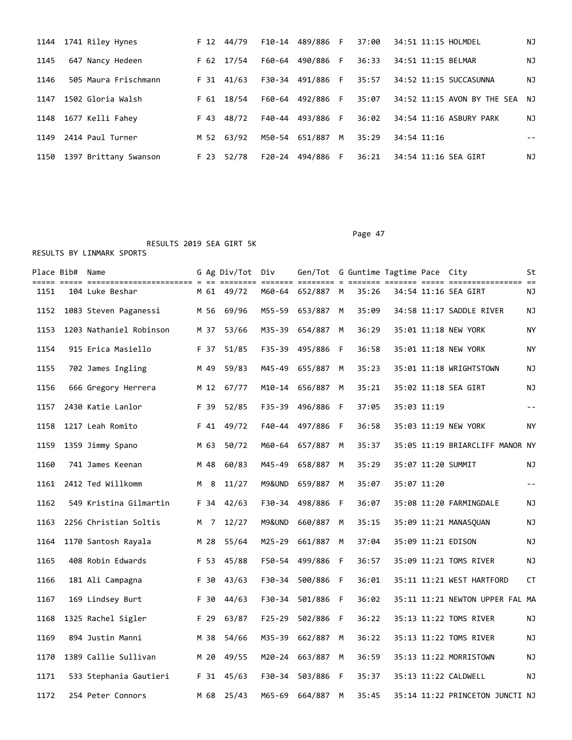|      | 1144 1741 Riley Hynes |      | F 12 44/79 |        |                  |       | F10-14 489/886 F 37:00 34:51 11:15 HOLMDEL       | ΝJ |
|------|-----------------------|------|------------|--------|------------------|-------|--------------------------------------------------|----|
| 1145 | 647 Nancy Hedeen      |      | F 62 17/54 |        | F60-64 490/886 F |       | 36:33 34:51 11:15 BELMAR                         | ΝJ |
| 1146 | 505 Maura Frischmann  |      | F 31 41/63 |        | F30-34 491/886 F | 35:57 | 34:52 11:15 SUCCASUNNA                           | ΝJ |
| 1147 | 1502 Gloria Walsh     | F 61 | 18/54      | F60-64 | 492/886 F        |       | 35:07    34:52    11:15    AVON BY THE SEA    NJ |    |
|      | 1148 1677 Kelli Fahey |      | F 43 48/72 |        | F40-44 493/886 F | 36:02 | 34:54 11:16 ASBURY PARK                          | ΝJ |
| 1149 | 2414 Paul Turner      |      | M 52 63/92 | M50-54 | 651/887 M        | 35:29 | 34:54 11:16                                      |    |
| 1150 | 1397 Brittany Swanson |      | F 23 52/78 | F20-24 | 494/886 F        | 36:21 | 34:54 11:16 SEA GIRT                             | ΝJ |

Page 47

|      | Place Bib# Name |                         |      | G Ag Div/Tot Div |            | Gen/Tot G Guntime Tagtime Pace City |   |       |             |                                 | St                |
|------|-----------------|-------------------------|------|------------------|------------|-------------------------------------|---|-------|-------------|---------------------------------|-------------------|
| 1151 |                 | 104 Luke Beshar         |      | M 61 49/72       |            | M60-64 652/887 M                    |   | 35:26 |             | 34:54 11:16 SEA GIRT            | NJ                |
| 1152 |                 | 1083 Steven Paganessi   | M 56 | 69/96            | M55-59     | 653/887 M                           |   | 35:09 |             | 34:58 11:17 SADDLE RIVER        | ΝJ                |
| 1153 |                 | 1203 Nathaniel Robinson | M 37 | 53/66            |            | M35-39 654/887 M                    |   | 36:29 |             | 35:01 11:18 NEW YORK            | ΝY                |
| 1154 |                 | 915 Erica Masiello      | F 37 | 51/85            | F35-39     | 495/886 F                           |   | 36:58 |             | 35:01 11:18 NEW YORK            | ΝY                |
| 1155 |                 | 702 James Ingling       | M 49 | 59/83            | M45-49     | 655/887                             | M | 35:23 |             | 35:01 11:18 WRIGHTSTOWN         | ΝJ                |
| 1156 |                 | 666 Gregory Herrera     | M 12 | 67/77            |            | M10-14 656/887 M                    |   | 35:21 |             | 35:02 11:18 SEA GIRT            | ΝJ                |
| 1157 |                 | 2430 Katie Lanlor       | F 39 | 52/85            | F35-39     | 496/886 F                           |   | 37:05 | 35:03 11:19 |                                 | $\equiv$ $\equiv$ |
| 1158 |                 | 1217 Leah Romito        | F 41 | 49/72            |            | F40-44 497/886 F                    |   | 36:58 |             | 35:03 11:19 NEW YORK            | NY.               |
| 1159 |                 | 1359 Jimmy Spano        | M 63 | 50/72            | M60-64     | 657/887                             | M | 35:37 |             | 35:05 11:19 BRIARCLIFF MANOR NY |                   |
| 1160 |                 | 741 James Keenan        | M 48 | 60/83            | M45-49     | 658/887                             | M | 35:29 |             | 35:07 11:20 SUMMIT              | ΝJ                |
| 1161 |                 | 2412 Ted Willkomm       | M 8  | 11/27            | M9&UND     | 659/887                             | M | 35:07 | 35:07 11:20 |                                 | $\equiv$ $\equiv$ |
| 1162 |                 | 549 Kristina Gilmartin  | F 34 | 42/63            | F30-34     | 498/886 F                           |   | 36:07 |             | 35:08 11:20 FARMINGDALE         | ΝJ                |
| 1163 |                 | 2256 Christian Soltis   | M 7  | 12/27            | M9&UND     | 660/887                             | M | 35:15 |             | 35:09 11:21 MANASQUAN           | ΝJ                |
| 1164 |                 | 1170 Santosh Rayala     | M 28 | 55/64            | M25-29     | 661/887                             | M | 37:04 |             | 35:09 11:21 EDISON              | ΝJ                |
| 1165 |                 | 408 Robin Edwards       | F 53 | 45/88            |            | F50-54 499/886 F                    |   | 36:57 |             | 35:09 11:21 TOMS RIVER          | ΝJ                |
| 1166 |                 | 181 Ali Campagna        | F 30 | 43/63            | F30-34     | 500/886 F                           |   | 36:01 |             | 35:11 11:21 WEST HARTFORD       | <b>CT</b>         |
| 1167 |                 | 169 Lindsey Burt        | F 30 | 44/63            | F30-34     | 501/886 F                           |   | 36:02 |             | 35:11 11:21 NEWTON UPPER FAL MA |                   |
| 1168 |                 | 1325 Rachel Sigler      | F 29 | 63/87            | $F25 - 29$ | 502/886 F                           |   | 36:22 |             | 35:13 11:22 TOMS RIVER          | ΝJ                |
| 1169 |                 | 894 Justin Manni        | M 38 | 54/66            | M35-39     | 662/887                             | M | 36:22 |             | 35:13 11:22 TOMS RIVER          | ΝJ                |
| 1170 |                 | 1389 Callie Sullivan    | M 20 | 49/55            |            | M20-24 663/887 M                    |   | 36:59 |             | 35:13 11:22 MORRISTOWN          | ΝJ                |
| 1171 |                 | 533 Stephania Gautieri  | F 31 | 45/63            | F30-34     | 503/886 F                           |   | 35:37 |             | 35:13 11:22 CALDWELL            | ΝJ                |
| 1172 |                 | 254 Peter Connors       | M 68 | 25/43            | M65-69     | 664/887                             | M | 35:45 |             | 35:14 11:22 PRINCETON JUNCTI NJ |                   |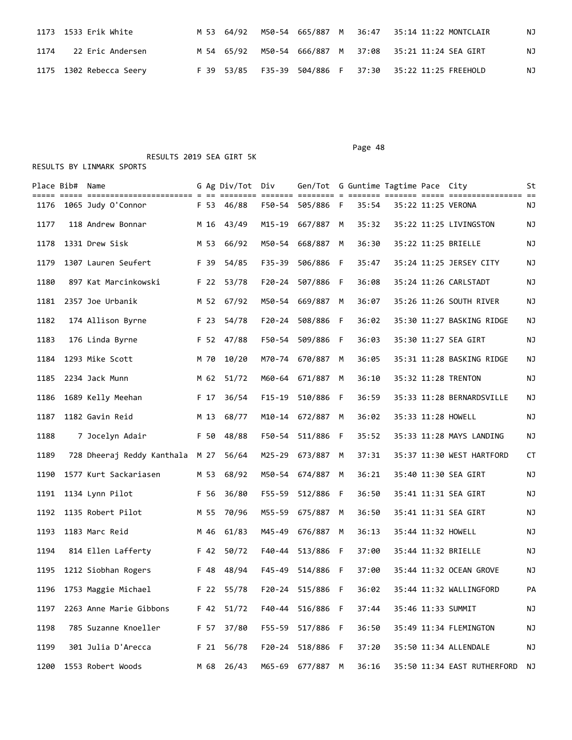| 1173  1533 Erik White     |  |  |  | M 53 64/92 M50-54 665/887 M 36:47 35:14 11:22 MONTCLAIR | ΝJ |
|---------------------------|--|--|--|---------------------------------------------------------|----|
| 1174     22 Eric Andersen |  |  |  | M 54 65/92 M50-54 666/887 M 37:08 35:21 11:24 SEA GIRT  | ΝJ |
| 1175 1302 Rebecca Seery   |  |  |  | F 39 53/85 F35-39 504/886 F 37:30 35:22 11:25 FREEHOLD  | NJ |

RESULTS 2019 SEA GIRT 5K

|      | Place Bib# Name |                            |      |                 | G Ag Div/Tot Div |            | Gen/Tot G Guntime Tagtime Pace City |     |       |  |                                | St |
|------|-----------------|----------------------------|------|-----------------|------------------|------------|-------------------------------------|-----|-------|--|--------------------------------|----|
| 1176 |                 | 1065 Judy O'Connor         |      |                 | F 53 46/88       |            | F50-54 505/886 F                    |     | 35:54 |  | 35:22 11:25 VERONA             | ΝJ |
| 1177 |                 | 118 Andrew Bonnar          | M 16 |                 | 43/49            | M15-19     | 667/887 M                           |     | 35:32 |  | 35:22 11:25 LIVINGSTON         | ΝJ |
| 1178 |                 | 1331 Drew Sisk             |      | M 53            | 66/92            |            | M50-54 668/887 M                    |     | 36:30 |  | 35:22 11:25 BRIELLE            | ΝJ |
| 1179 |                 | 1307 Lauren Seufert        | F 39 |                 | 54/85            | F35-39     | 506/886                             | - F | 35:47 |  | 35:24 11:25 JERSEY CITY        | ΝJ |
| 1180 |                 | 897 Kat Marcinkowski       |      | F 22            | 53/78            | $F20 - 24$ | 507/886 F                           |     | 36:08 |  | 35:24 11:26 CARLSTADT          | ΝJ |
| 1181 |                 | 2357 Joe Urbanik           |      |                 | M 52 67/92       |            | M50-54 669/887 M                    |     | 36:07 |  | 35:26 11:26 SOUTH RIVER        | ΝJ |
| 1182 |                 | 174 Allison Byrne          |      | F 23            | 54/78            |            | F20-24 508/886 F                    |     | 36:02 |  | 35:30 11:27 BASKING RIDGE      | ΝJ |
| 1183 |                 | 176 Linda Byrne            |      |                 | F 52 47/88       | F50-54     | 509/886                             | - F | 36:03 |  | 35:30 11:27 SEA GIRT           | ΝJ |
| 1184 |                 | 1293 Mike Scott            | M 70 |                 | 10/20            |            | M70-74 670/887                      | M   | 36:05 |  | 35:31 11:28 BASKING RIDGE      | ΝJ |
| 1185 |                 | 2234 Jack Munn             |      |                 | M 62 51/72       |            | M60-64 671/887 M                    |     | 36:10 |  | 35:32 11:28 TRENTON            | ΝJ |
| 1186 |                 | 1689 Kelly Meehan          |      | F 17            | 36/54            | $F15 - 19$ | 510/886                             | - F | 36:59 |  | 35:33 11:28 BERNARDSVILLE      | ΝJ |
| 1187 |                 | 1182 Gavin Reid            | M 13 |                 | 68/77            | M10-14     | 672/887 M                           |     | 36:02 |  | 35:33 11:28 HOWELL             | ΝJ |
| 1188 |                 | 7 Jocelyn Adair            |      |                 | F 50 48/88       |            | F50-54 511/886 F                    |     | 35:52 |  | 35:33 11:28 MAYS LANDING       | NJ |
| 1189 |                 | 728 Dheeraj Reddy Kanthala | M 27 |                 | 56/64            |            | M25-29 673/887 M                    |     | 37:31 |  | 35:37 11:30 WEST HARTFORD      | CT |
| 1190 |                 | 1577 Kurt Sackariasen      | M 53 |                 | 68/92            | M50-54     | 674/887                             | M   | 36:21 |  | 35:40 11:30 SEA GIRT           | NJ |
| 1191 |                 | 1134 Lynn Pilot            | F 56 |                 | 36/80            | F55-59     | 512/886                             | - F | 36:50 |  | 35:41 11:31 SEA GIRT           | ΝJ |
| 1192 |                 | 1135 Robert Pilot          |      |                 | M 55 70/96       |            | M55-59 675/887 M                    |     | 36:50 |  | 35:41 11:31 SEA GIRT           | ΝJ |
| 1193 |                 | 1183 Marc Reid             | M 46 |                 | 61/83            | M45-49     | 676/887 M                           |     | 36:13 |  | 35:44 11:32 HOWELL             | ΝJ |
| 1194 |                 | 814 Ellen Lafferty         |      | F 42            | 50/72            | F40-44     | 513/886 F                           |     | 37:00 |  | 35:44 11:32 BRIELLE            | ΝJ |
| 1195 |                 | 1212 Siobhan Rogers        | F 48 |                 | 48/94            |            | F45-49 514/886 F                    |     | 37:00 |  | 35:44 11:32 OCEAN GROVE        | NJ |
| 1196 |                 | 1753 Maggie Michael        |      |                 | F 22 55/78       |            | F20-24 515/886 F                    |     | 36:02 |  | 35:44 11:32 WALLINGFORD        | PA |
| 1197 |                 | 2263 Anne Marie Gibbons    |      |                 | F 42 51/72       |            | F40-44 516/886 F                    |     | 37:44 |  | 35:46 11:33 SUMMIT             | NJ |
| 1198 |                 | 785 Suzanne Knoeller       |      | F 57            | 37/80            |            | F55-59 517/886 F                    |     | 36:50 |  | 35:49 11:34 FLEMINGTON         | ΝJ |
| 1199 |                 | 301 Julia D'Arecca         |      | F <sub>21</sub> | 56/78            |            | F20-24 518/886 F                    |     | 37:20 |  | 35:50 11:34 ALLENDALE          | NJ |
| 1200 |                 | 1553 Robert Woods          |      |                 | M 68 26/43       |            | M65-69 677/887 M                    |     | 36:16 |  | 35:50 11:34 EAST RUTHERFORD NJ |    |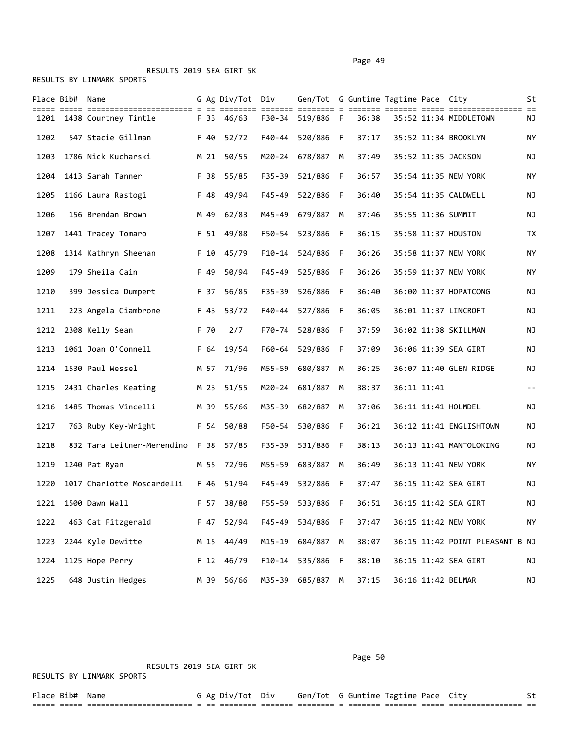|      | Place Bib# Name |                            |      | G Ag Div/Tot Div |          | Gen/Tot G Guntime Tagtime Pace City |     |       |             |                                 | St    |
|------|-----------------|----------------------------|------|------------------|----------|-------------------------------------|-----|-------|-------------|---------------------------------|-------|
|      |                 | 1201 1438 Courtney Tintle  |      | F 33 46/63       |          | F30-34 519/886 F                    |     | 36:38 |             | 35:52 11:34 MIDDLETOWN          | ΝJ    |
| 1202 |                 | 547 Stacie Gillman         | F 40 | 52/72            | F40-44   | 520/886 F                           |     | 37:17 |             | 35:52 11:34 BROOKLYN            | ΝY    |
| 1203 |                 | 1786 Nick Kucharski        |      | M 21 50/55       |          | M20-24 678/887 M                    |     | 37:49 |             | 35:52 11:35 JACKSON             | ΝJ    |
| 1204 |                 | 1413 Sarah Tanner          | F 38 | 55/85            | F35-39   | 521/886                             | - F | 36:57 |             | 35:54 11:35 NEW YORK            | ΝY    |
| 1205 |                 | 1166 Laura Rastogi         | F 48 | 49/94            | F45-49   | 522/886 F                           |     | 36:40 |             | 35:54 11:35 CALDWELL            | ΝJ    |
| 1206 |                 | 156 Brendan Brown          | M 49 | 62/83            |          | M45-49 679/887                      | M   | 37:46 |             | 35:55 11:36 SUMMIT              | NJ    |
| 1207 |                 | 1441 Tracey Tomaro         | F 51 | 49/88            | F50-54   | 523/886 F                           |     | 36:15 |             | 35:58 11:37 HOUSTON             | TX    |
| 1208 |                 | 1314 Kathryn Sheehan       | F 10 | 45/79            | F10-14   | 524/886 F                           |     | 36:26 |             | 35:58 11:37 NEW YORK            | ΝY    |
| 1209 |                 | 179 Sheila Cain            | F 49 | 50/94            | F45-49   | 525/886                             | - F | 36:26 |             | 35:59 11:37 NEW YORK            | ΝY    |
| 1210 |                 | 399 Jessica Dumpert        | F 37 | 56/85            |          | F35-39 526/886 F                    |     | 36:40 |             | 36:00 11:37 HOPATCONG           | ΝJ    |
| 1211 |                 | 223 Angela Ciambrone       | F 43 | 53/72            | F40-44   | 527/886                             | - F | 36:05 |             | 36:01 11:37 LINCROFT            | ΝJ    |
| 1212 |                 | 2308 Kelly Sean            | F 70 | 2/7              | F70-74   | 528/886 F                           |     | 37:59 |             | 36:02 11:38 SKILLMAN            | ΝJ    |
| 1213 |                 | 1061 Joan O'Connell        | F 64 | 19/54            | F60-64   | 529/886 F                           |     | 37:09 |             | 36:06 11:39 SEA GIRT            | NJ    |
| 1214 |                 | 1530 Paul Wessel           | M 57 | 71/96            | M55-59   | 680/887                             | M   | 36:25 |             | 36:07 11:40 GLEN RIDGE          | ΝJ    |
| 1215 |                 | 2431 Charles Keating       | M 23 | 51/55            | M20-24   | 681/887                             | M   | 38:37 | 36:11 11:41 |                                 | $- -$ |
| 1216 |                 | 1485 Thomas Vincelli       | M 39 | 55/66            |          | M35-39 682/887                      | M   | 37:06 |             | 36:11 11:41 HOLMDEL             | ΝJ    |
| 1217 |                 | 763 Ruby Key-Wright        |      | F 54 50/88       |          | F50-54 530/886 F                    |     | 36:21 |             | 36:12 11:41 ENGLISHTOWN         | ΝJ    |
| 1218 |                 | 832 Tara Leitner-Merendino | F 38 | 57/85            |          | F35-39 531/886 F                    |     | 38:13 |             | 36:13 11:41 MANTOLOKING         | ΝJ    |
| 1219 |                 | 1240 Pat Ryan              | M 55 | 72/96            | M55-59   | 683/887                             | M   | 36:49 |             | 36:13 11:41 NEW YORK            | ΝY    |
| 1220 |                 | 1017 Charlotte Moscardelli | F 46 | 51/94            | F45-49   | 532/886 F                           |     | 37:47 |             | 36:15 11:42 SEA GIRT            | NJ    |
| 1221 |                 | 1500 Dawn Wall             | F 57 | 38/80            | F55-59   | 533/886 F                           |     | 36:51 |             | 36:15 11:42 SEA GIRT            | ΝJ    |
| 1222 |                 | 463 Cat Fitzgerald         | F 47 | 52/94            | F45-49   | 534/886 F                           |     | 37:47 |             | 36:15 11:42 NEW YORK            | NY    |
| 1223 |                 | 2244 Kyle Dewitte          | M 15 | 44/49            | M15-19   | 684/887                             | М   | 38:07 |             | 36:15 11:42 POINT PLEASANT B NJ |       |
| 1224 |                 | 1125 Hope Perry            | F 12 | 46/79            | $F10-14$ | 535/886 F                           |     | 38:10 |             | 36:15 11:42 SEA GIRT            | NJ    |
| 1225 |                 | 648 Justin Hedges          | M 39 | 56/66            |          | M35-39 685/887 M                    |     | 37:15 |             | 36:16 11:42 BELMAR              | ΝJ    |

Page 50

RESULTS 2019 SEA GIRT 5K

| Place Bib#     | Name                        |  | Ag Div/Tot          | Div | Gen/Tot G Guntime Tagtime Pace |  |          |                             |  |
|----------------|-----------------------------|--|---------------------|-----|--------------------------------|--|----------|-----------------------------|--|
| ____<br>______ | ___________________________ |  | ___________________ |     | __________                     |  | ________ | ___________________________ |  |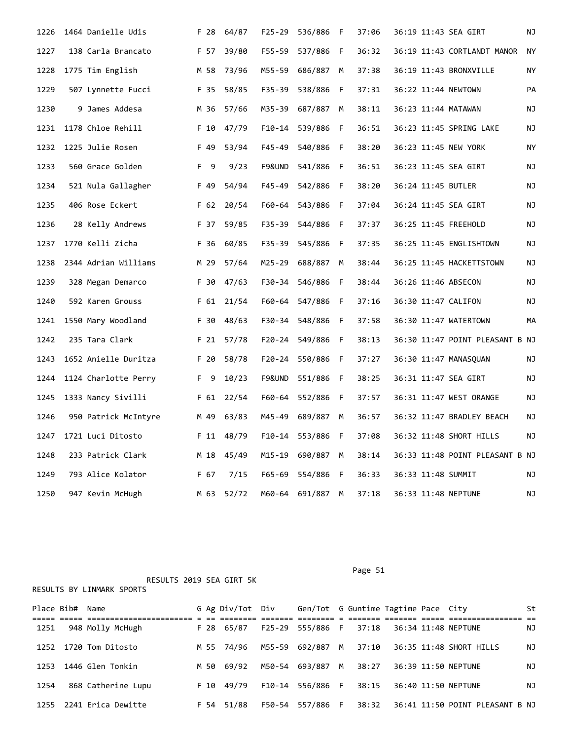| 1226 | 1464 Danielle Udis   |                      | F 28 | 64/87 | $F25 - 29$ | 536/886   | - F | 37:06 |  | 36:19 11:43 SEA GIRT            | ΝJ  |
|------|----------------------|----------------------|------|-------|------------|-----------|-----|-------|--|---------------------------------|-----|
| 1227 | 138 Carla Brancato   |                      | F 57 | 39/80 | F55-59     | 537/886   | F   | 36:32 |  | 36:19 11:43 CORTLANDT MANOR     | NY. |
| 1228 | 1775 Tim English     |                      | M 58 | 73/96 | M55-59     | 686/887   | М   | 37:38 |  | 36:19 11:43 BRONXVILLE          | ΝY  |
| 1229 | 507 Lynnette Fucci   |                      | F 35 | 58/85 | F35-39     | 538/886 F |     | 37:31 |  | 36:22 11:44 NEWTOWN             | PA  |
| 1230 | 9 James Addesa       |                      | M 36 | 57/66 | M35-39     | 687/887 M |     | 38:11 |  | 36:23 11:44 MATAWAN             | ΝJ  |
| 1231 | 1178 Chloe Rehill    |                      | F 10 | 47/79 | $F10-14$   | 539/886 F |     | 36:51 |  | 36:23 11:45 SPRING LAKE         | ΝJ  |
| 1232 | 1225 Julie Rosen     |                      | F 49 | 53/94 | $F45 - 49$ | 540/886 F |     | 38:20 |  | 36:23 11:45 NEW YORK            | ΝY  |
| 1233 | 560 Grace Golden     |                      | F 9  | 9/23  | F9&UND     | 541/886   | - F | 36:51 |  | 36:23 11:45 SEA GIRT            | ΝJ  |
| 1234 | 521 Nula Gallagher   |                      | F 49 | 54/94 | F45-49     | 542/886 F |     | 38:20 |  | 36:24 11:45 BUTLER              | ΝJ  |
| 1235 | 406 Rose Eckert      |                      | F 62 | 20/54 | F60-64     | 543/886   | F   | 37:04 |  | 36:24 11:45 SEA GIRT            | ΝJ  |
| 1236 | 28 Kelly Andrews     |                      | F 37 | 59/85 | F35-39     | 544/886 F |     | 37:37 |  | 36:25 11:45 FREEHOLD            | NJ  |
| 1237 | 1770 Kelli Zicha     |                      | F 36 | 60/85 | F35-39     | 545/886   | - F | 37:35 |  | 36:25 11:45 ENGLISHTOWN         | ΝJ  |
| 1238 | 2344 Adrian Williams |                      | M 29 | 57/64 | M25-29     | 688/887   | M   | 38:44 |  | 36:25 11:45 HACKETTSTOWN        | ΝJ  |
| 1239 | 328 Megan Demarco    |                      | F 30 | 47/63 | F30-34     | 546/886 F |     | 38:44 |  | 36:26 11:46 ABSECON             | ΝJ  |
| 1240 | 592 Karen Grouss     |                      | F 61 | 21/54 | F60-64     | 547/886 F |     | 37:16 |  | 36:30 11:47 CALIFON             | ΝJ  |
| 1241 | 1550 Mary Woodland   |                      | F 30 | 48/63 | F30-34     | 548/886   | F   | 37:58 |  | 36:30 11:47 WATERTOWN           | МA  |
| 1242 | 235 Tara Clark       |                      | F 21 | 57/78 | F20-24     | 549/886   | F.  | 38:13 |  | 36:30 11:47 POINT PLEASANT B NJ |     |
| 1243 | 1652 Anielle Duritza |                      | F 20 | 58/78 | $F20 - 24$ | 550/886   | F   | 37:27 |  | 36:30 11:47 MANASQUAN           | ΝJ  |
| 1244 | 1124 Charlotte Perry |                      | F 9  | 10/23 | F9&UND     | 551/886   | - F | 38:25 |  | 36:31 11:47 SEA GIRT            | ΝJ  |
| 1245 | 1333 Nancy Sivilli   |                      | F 61 | 22/54 | F60-64     | 552/886 F |     | 37:57 |  | 36:31 11:47 WEST ORANGE         | ΝJ  |
| 1246 |                      | 950 Patrick McIntyre | M 49 | 63/83 | M45-49     | 689/887   | М   | 36:57 |  | 36:32 11:47 BRADLEY BEACH       | ΝJ  |
| 1247 | 1721 Luci Ditosto    |                      | F 11 | 48/79 | $F10-14$   | 553/886 F |     | 37:08 |  | 36:32 11:48 SHORT HILLS         | ΝJ  |
| 1248 | 233 Patrick Clark    |                      | M 18 | 45/49 | M15-19     | 690/887   | М   | 38:14 |  | 36:33 11:48 POINT PLEASANT B NJ |     |
| 1249 | 793 Alice Kolator    |                      | F 67 | 7/15  | $F65 - 69$ | 554/886   | - F | 36:33 |  | 36:33 11:48 SUMMIT              | ΝJ  |
| 1250 | 947 Kevin McHugh     |                      | M 63 | 52/72 | M60-64     | 691/887   | M   | 37:18 |  | 36:33 11:48 NEPTUNE             | ΝJ  |

|            | RESULTS 2019 SEA GIRT 5K  |      |                  |                |                                     |    |       |  |                                 |    |
|------------|---------------------------|------|------------------|----------------|-------------------------------------|----|-------|--|---------------------------------|----|
|            | RESULTS BY LINMARK SPORTS |      |                  |                |                                     |    |       |  |                                 |    |
| Place Bib# | Name                      |      | G Ag Div/Tot Div |                | Gen/Tot G Guntime Tagtime Pace City |    |       |  |                                 | St |
|            |                           |      |                  |                |                                     |    |       |  |                                 |    |
| 1251       | 948 Molly McHugh          | F 28 | 65/87            | F25-29         | 555/886 F                           |    | 37:18 |  | 36:34 11:48 NEPTUNE             | ΝJ |
|            |                           |      |                  |                |                                     |    |       |  |                                 |    |
| 1252       | 1720 Tom Ditosto          |      | M 55 74/96       |                | M55-59 692/887                      | M  | 37:10 |  | 36:35 11:48 SHORT HILLS         | ΝJ |
|            |                           |      |                  |                |                                     |    |       |  |                                 |    |
| 1253       | 1446 Glen Tonkin          | M 50 | 69/92            | M50-54 693/887 |                                     | M  | 38:27 |  | 36:39 11:50 NEPTUNE             | ΝJ |
|            |                           |      |                  |                |                                     |    |       |  |                                 |    |
| 1254       | 868 Catherine Lupu        | F 10 | 49/79            | F10-14         | 556/886 F                           |    | 38:15 |  | 36:40 11:50 NEPTUNE             | ΝJ |
|            |                           |      |                  |                |                                     |    |       |  |                                 |    |
|            |                           |      |                  |                |                                     |    |       |  |                                 |    |
| 1255       | 2241 Erica Dewitte        | F 54 | 51/88            | F50-54         | 557/886                             | F. | 38:32 |  | 36:41 11:50 POINT PLEASANT B NJ |    |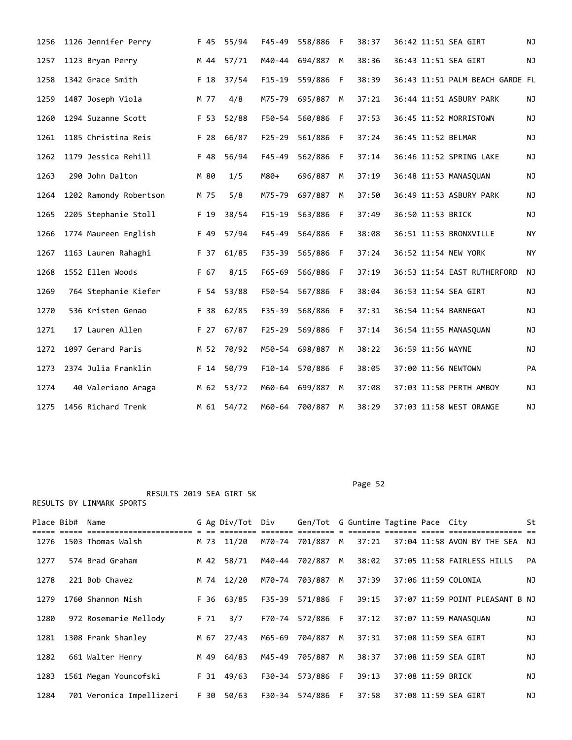| 1256 | 1126 Jennifer Perry    |      | F 45 55/94 | $F45 - 49$ | 558/886        | F  | 38:37 | 36:42 11:51 SEA GIRT   |                                 | <b>NJ</b> |
|------|------------------------|------|------------|------------|----------------|----|-------|------------------------|---------------------------------|-----------|
| 1257 | 1123 Bryan Perry       | M 44 | 57/71      | M40-44     | 694/887        | M  | 38:36 | 36:43 11:51 SEA GIRT   |                                 | ΝJ        |
| 1258 | 1342 Grace Smith       | F 18 | 37/54      | $F15-19$   | 559/886        | F  | 38:39 |                        | 36:43 11:51 PALM BEACH GARDE FL |           |
| 1259 | 1487 Joseph Viola      | M 77 | 4/8        | M75-79     | 695/887        | M  | 37:21 |                        | 36:44 11:51 ASBURY PARK         | NJ        |
| 1260 | 1294 Suzanne Scott     | F 53 | 52/88      | F50-54     | 560/886        | F  | 37:53 | 36:45 11:52 MORRISTOWN |                                 | ΝJ        |
| 1261 | 1185 Christina Reis    | F 28 | 66/87      | $F25 - 29$ | 561/886        | F. | 37:24 | 36:45 11:52 BELMAR     |                                 | <b>NJ</b> |
| 1262 | 1179 Jessica Rehill    | F 48 | 56/94      | $F45 - 49$ | 562/886 F      |    | 37:14 |                        | 36:46 11:52 SPRING LAKE         | NJ        |
| 1263 | 290 John Dalton        | M 80 | 1/5        | M80+       | 696/887        | M  | 37:19 | 36:48 11:53 MANASQUAN  |                                 | NJ        |
| 1264 | 1202 Ramondy Robertson | M 75 | 5/8        | M75-79     | 697/887        | M  | 37:50 |                        | 36:49 11:53 ASBURY PARK         | NJ        |
| 1265 | 2205 Stephanie Stoll   | F 19 | 38/54      | $F15 - 19$ | 563/886 F      |    | 37:49 | 36:50 11:53 BRICK      |                                 | NJ        |
| 1266 | 1774 Maureen English   | F 49 | 57/94      | $F45 - 49$ | 564/886 F      |    | 38:08 | 36:51 11:53 BRONXVILLE |                                 | NY        |
| 1267 | 1163 Lauren Rahaghi    | F 37 | 61/85      | $F35 - 39$ | 565/886        | -F | 37:24 | 36:52 11:54 NEW YORK   |                                 | <b>NY</b> |
| 1268 | 1552 Ellen Woods       | F 67 | 8/15       | $F65 - 69$ | 566/886        | F  | 37:19 |                        | 36:53 11:54 EAST RUTHERFORD     | ΝJ        |
| 1269 | 764 Stephanie Kiefer   | F 54 | 53/88      | F50-54     | 567/886        | F  | 38:04 | 36:53 11:54 SEA GIRT   |                                 | NJ        |
| 1270 | 536 Kristen Genao      | F 38 | 62/85      | $F35 - 39$ | 568/886        | F  | 37:31 | 36:54 11:54 BARNEGAT   |                                 | <b>NJ</b> |
| 1271 | 17 Lauren Allen        | F 27 | 67/87      | $F25 - 29$ | 569/886        | F  | 37:14 | 36:54 11:55 MANASQUAN  |                                 | NJ        |
| 1272 | 1097 Gerard Paris      | M 52 | 70/92      | M50-54     | 698/887        | M  | 38:22 | 36:59 11:56 WAYNE      |                                 | NJ        |
| 1273 | 2374 Julia Franklin    | F 14 | 50/79      | $F10-14$   | 570/886        | -F | 38:05 | 37:00 11:56 NEWTOWN    |                                 | PA        |
| 1274 | 40 Valeriano Araga     | M 62 | 53/72      | M60-64     | 699/887        | М  | 37:08 |                        | 37:03 11:58 PERTH AMBOY         | NJ        |
| 1275 | 1456 Richard Trenk     |      | M 61 54/72 |            | M60-64 700/887 | M  | 38:29 |                        | 37:03 11:58 WEST ORANGE         | <b>NJ</b> |

Page 52 and the contract of the contract of the contract of the contract of the contract of the contract of the contract of the contract of the contract of the contract of the contract of the contract of the contract of th

| Place Bib# | Name                     |      | G Ag Div/Tot | Div    | Gen/Tot G Guntime Tagtime Pace City |   |       |                   |                                 | St  |  |
|------------|--------------------------|------|--------------|--------|-------------------------------------|---|-------|-------------------|---------------------------------|-----|--|
| 1276       | 1503 Thomas Walsh        | M 73 | 11/20        | M70-74 | 701/887                             | M | 37:21 |                   | 37:04 11:58 AVON BY THE SEA NJ  |     |  |
| 1277       | 574 Brad Graham          |      | M 42 58/71   | M40-44 | 702/887                             | M | 38:02 |                   | 37:05 11:58 FAIRLESS HILLS      | PA  |  |
| 1278       | 221 Bob Chavez           |      | M 74 12/20   | M70-74 | 703/887                             | M | 37:39 |                   | 37:06 11:59 COLONIA             | NJ. |  |
| 1279       | 1760 Shannon Nish        |      | F 36 63/85   |        | F35-39 571/886 F                    |   | 39:15 |                   | 37:07 11:59 POINT PLEASANT B NJ |     |  |
| 1280       | 972 Rosemarie Mellody    | F 71 | 3/7          |        | F70-74 572/886 F                    |   | 37:12 |                   | 37:07 11:59 MANASOUAN           | ΝJ  |  |
| 1281       | 1308 Frank Shanley       |      | M 67 27/43   | M65-69 | 704/887                             | M | 37:31 |                   | 37:08 11:59 SEA GIRT            | ΝJ  |  |
| 1282       | 661 Walter Henry         | M 49 | 64/83        | M45-49 | 705/887                             | M | 38:37 |                   | 37:08 11:59 SEA GIRT            | ΝJ  |  |
| 1283       | 1561 Megan Youncofski    |      | $F$ 31 49/63 |        | F30-34 573/886 F                    |   | 39:13 | 37:08 11:59 BRICK |                                 | ΝJ  |  |
| 1284       | 701 Veronica Impellizeri | F 30 | 50/63        |        | F30-34 574/886 F                    |   | 37:58 |                   | 37:08 11:59 SEA GIRT            | NJ. |  |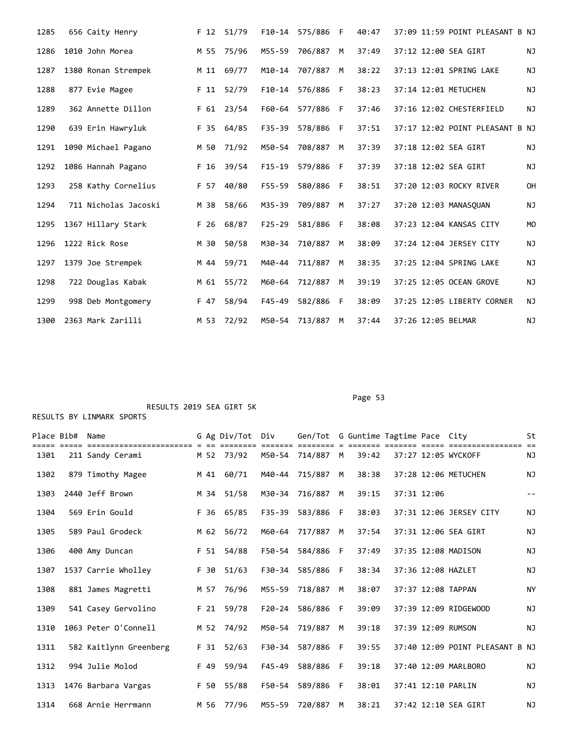| 1285 | 656 Caity Henry      | F <sub>12</sub> | 51/79 | $F10-14$   | 575/886 | F   | 40:47 | 37:09 11:59 POINT PLEASANT B NJ      |  |
|------|----------------------|-----------------|-------|------------|---------|-----|-------|--------------------------------------|--|
| 1286 | 1010 John Morea      | M 55            | 75/96 | M55-59     | 706/887 | M   | 37:49 | 37:12 12:00 SEA GIRT<br><b>NJ</b>    |  |
| 1287 | 1380 Ronan Strempek  | M 11            | 69/77 | $M10 - 14$ | 707/887 | M   | 38:22 | 37:13 12:01 SPRING LAKE<br><b>NJ</b> |  |
| 1288 | 877 Evie Magee       | $F$ 11          | 52/79 | $F10-14$   | 576/886 | - F | 38:23 | 37:14 12:01 METUCHEN<br>ΝJ           |  |
| 1289 | 362 Annette Dillon   | F 61            | 23/54 | F60-64     | 577/886 | F   | 37:46 | 37:16 12:02 CHESTERFIELD<br>NJ       |  |
| 1290 | 639 Erin Hawryluk    | F 35            | 64/85 | $F35 - 39$ | 578/886 | F   | 37:51 | 37:17 12:02 POINT PLEASANT B NJ      |  |
| 1291 | 1090 Michael Pagano  | M 50            | 71/92 | M50-54     | 708/887 | M   | 37:39 | 37:18 12:02 SEA GIRT<br><b>NJ</b>    |  |
| 1292 | 1086 Hannah Pagano   | F 16            | 39/54 | $F15-19$   | 579/886 | F   | 37:39 | 37:18 12:02 SEA GIRT<br>NJ           |  |
| 1293 | 258 Kathy Cornelius  | F 57            | 40/80 | $F55 - 59$ | 580/886 | F.  | 38:51 | 37:20 12:03 ROCKY RIVER<br><b>OH</b> |  |
| 1294 | 711 Nicholas Jacoski | M 38            | 58/66 | M35-39     | 709/887 | M   | 37:27 | 37:20 12:03 MANASOUAN<br>NJ          |  |
| 1295 | 1367 Hillary Stark   | F 26            | 68/87 | $F25 - 29$ | 581/886 | -F  | 38:08 | 37:23 12:04 KANSAS CITY<br><b>MO</b> |  |
| 1296 | 1222 Rick Rose       | M 30            | 50/58 | M30-34     | 710/887 | M   | 38:09 | 37:24 12:04 JERSEY CITY<br>NJ        |  |
| 1297 | 1379 Joe Strempek    | M 44            | 59/71 | M40-44     | 711/887 | M   | 38:35 | 37:25 12:04 SPRING LAKE<br>NJ        |  |
| 1298 | 722 Douglas Kabak    | M 61            | 55/72 | M60-64     | 712/887 | М   | 39:19 | 37:25 12:05 OCEAN GROVE<br>NJ        |  |
| 1299 | 998 Deb Montgomery   | F 47            | 58/94 | $F45 - 49$ | 582/886 | F   | 38:09 | 37:25 12:05 LIBERTY CORNER<br>ΝJ     |  |
| 1300 | 2363 Mark Zarilli    | M 53            | 72/92 | M50-54     | 713/887 | M   | 37:44 | 37:26 12:05 BELMAR<br><b>NJ</b>      |  |

Page 53 and the contract of the contract of the contract of the contract of the contract of the contract of the contract of the contract of the contract of the contract of the contract of the contract of the contract of th

#### RESULTS 2019 SEA GIRT 5K RESULTS BY LINMARK SPORTS

| Place Bib# | Name<br>========================= |      | G Ag Div/Tot | Div        | Gen/Tot G Guntime Tagtime Pace City |     |       |             |                                 | St        |  |
|------------|-----------------------------------|------|--------------|------------|-------------------------------------|-----|-------|-------------|---------------------------------|-----------|--|
| 1301       | 211 Sandy Cerami                  |      | M 52 73/92   |            | M50-54 714/887                      | M   | 39:42 |             | 37:27 12:05 WYCKOFF             | NJ        |  |
| 1302       | 879 Timothy Magee                 |      | M 41 60/71   | M40-44     | 715/887                             | M   | 38:38 |             | 37:28 12:06 METUCHEN            | NJ        |  |
| 1303       | 2440 Jeff Brown                   |      | M 34 51/58   | M30-34     | 716/887                             | M   | 39:15 | 37:31 12:06 |                                 | $- -$     |  |
| 1304       | 569 Erin Gould                    |      | F 36 65/85   | F35-39     | 583/886                             | - F | 38:03 |             | 37:31 12:06 JERSEY CITY         | NJ        |  |
| 1305       | 589 Paul Grodeck                  |      | M 62 56/72   | M60-64     | 717/887                             | M   | 37:54 |             | 37:31 12:06 SEA GIRT            | <b>NJ</b> |  |
| 1306       | 400 Amy Duncan                    |      | F 51 54/88   | F50-54     | 584/886                             | F   | 37:49 |             | 37:35 12:08 MADISON             | NJ        |  |
| 1307       | 1537 Carrie Wholley               |      | F 30 51/63   |            | F30-34 585/886 F                    |     | 38:34 |             | 37:36 12:08 HAZLET              | NJ        |  |
| 1308       | 881 James Magretti                | M 57 | 76/96        | M55-59     | 718/887                             | M   | 38:07 |             | 37:37 12:08 TAPPAN              | <b>NY</b> |  |
| 1309       | 541 Casey Gervolino               |      | F 21 59/78   |            | F20-24 586/886                      | - F | 39:09 |             | 37:39 12:09 RIDGEWOOD           | ΝJ        |  |
| 1310       | 1063 Peter O'Connell              |      | M 52 74/92   | M50-54     | 719/887                             | M   | 39:18 |             | 37:39 12:09 RUMSON              | NJ        |  |
| 1311       | 582 Kaitlynn Greenberg            |      | F 31 52/63   | F30-34     | 587/886                             | F   | 39:55 |             | 37:40 12:09 POINT PLEASANT B NJ |           |  |
| 1312       | 994 Julie Molod                   | F 49 | 59/94        | $F45 - 49$ | 588/886                             | F.  | 39:18 |             | 37:40 12:09 MARLBORO            | <b>NJ</b> |  |
| 1313       | 1476 Barbara Vargas               | F 50 | 55/88        |            | F50-54 589/886                      | - F | 38:01 |             | 37:41 12:10 PARLIN              | NJ        |  |
| 1314       | 668 Arnie Herrmann                | M 56 | 77/96        |            | M55-59 720/887                      | M   | 38:21 |             | 37:42 12:10 SEA GIRT            | ΝJ        |  |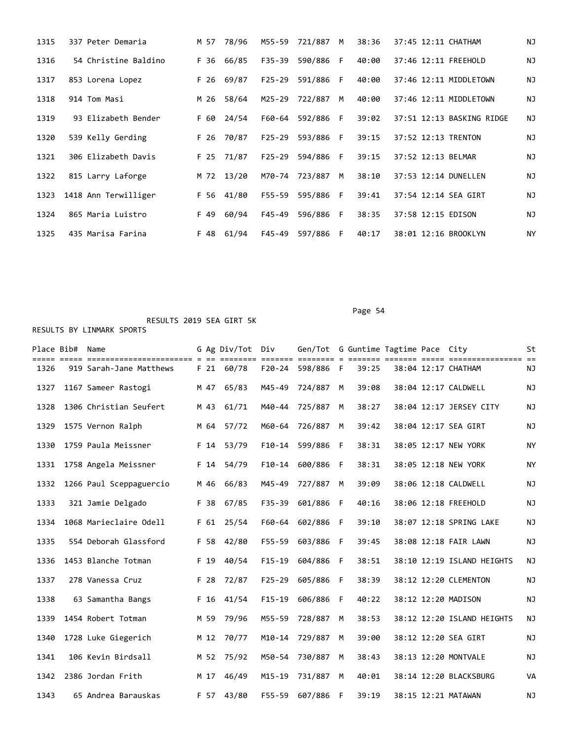| 1315 | 337 Peter Demaria    | M 57 | 78/96 | M55-59     | 721/887 | M  | 38:36 | 37:45 12:11 CHATHAM       | <b>NJ</b> |
|------|----------------------|------|-------|------------|---------|----|-------|---------------------------|-----------|
| 1316 | 54 Christine Baldino | F 36 | 66/85 | $F35 - 39$ | 590/886 | F. | 40:00 | 37:46 12:11 FREEHOLD      | NJ        |
| 1317 | 853 Lorena Lopez     | F 26 | 69/87 | $F25 - 29$ | 591/886 | F. | 40:00 | 37:46 12:11 MIDDLETOWN    | <b>NJ</b> |
| 1318 | 914 Tom Masi         | M 26 | 58/64 | M25-29     | 722/887 | M  | 40:00 | 37:46 12:11 MIDDLETOWN    | ΝJ        |
| 1319 | 93 Elizabeth Bender  | F 60 | 24/54 | F60-64     | 592/886 | F. | 39:02 | 37:51 12:13 BASKING RIDGE | ΝJ        |
| 1320 | 539 Kelly Gerding    | F 26 | 70/87 | $F25 - 29$ | 593/886 | F. | 39:15 | 37:52 12:13 TRENTON       | ΝJ        |
| 1321 | 306 Elizabeth Davis  | F 25 | 71/87 | $F25 - 29$ | 594/886 | E  | 39:15 | 37:52 12:13 BELMAR        | ΝJ        |
| 1322 | 815 Larry Laforge    | M 72 | 13/20 | M70-74     | 723/887 | M  | 38:10 | 37:53 12:14 DUNELLEN      | NJ        |
| 1323 | 1418 Ann Terwilliger | F 56 | 41/80 | $F55 - 59$ | 595/886 | F. | 39:41 | 37:54 12:14 SEA GIRT      | <b>NJ</b> |
| 1324 | 865 Maria Luistro    | F 49 | 60/94 | $F45 - 49$ | 596/886 | F. | 38:35 | 37:58 12:15 EDISON        | <b>NJ</b> |
| 1325 | 435 Marisa Farina    | F 48 | 61/94 | F45-49     | 597/886 | F. | 40:17 | 38:01 12:16 BROOKLYN      | NY        |

Page 54

|      | Place Bib# Name |                         |                 | G Ag Div/Tot Div |            | Gen/Tot G Guntime Tagtime Pace City |     |       |  |                            | St        |
|------|-----------------|-------------------------|-----------------|------------------|------------|-------------------------------------|-----|-------|--|----------------------------|-----------|
| 1326 |                 | 919 Sarah-Jane Matthews |                 | F 21 60/78       |            | F20-24 598/886 F                    |     | 39:25 |  | 38:04 12:17 CHATHAM        | NJ        |
| 1327 |                 | 1167 Sameer Rastogi     | M 47            | 65/83            | M45-49     | 724/887 M                           |     | 39:08 |  | 38:04 12:17 CALDWELL       | NJ        |
| 1328 |                 | 1306 Christian Seufert  | M 43            | 61/71            | M40-44     | 725/887 M                           |     | 38:27 |  | 38:04 12:17 JERSEY CITY    | NJ        |
| 1329 |                 | 1575 Vernon Ralph       |                 | M 64 57/72       | M60-64     | 726/887 M                           |     | 39:42 |  | 38:04 12:17 SEA GIRT       | NJ        |
| 1330 |                 | 1759 Paula Meissner     |                 | F 14 53/79       |            | F10-14 599/886                      | - F | 38:31 |  | 38:05 12:17 NEW YORK       | <b>NY</b> |
| 1331 |                 | 1758 Angela Meissner    |                 | F 14 54/79       | $F10-14$   | 600/886                             | - F | 38:31 |  | 38:05 12:18 NEW YORK       | <b>NY</b> |
| 1332 |                 | 1266 Paul Sceppaguercio | M 46            | 66/83            | M45-49     | 727/887                             | M   | 39:09 |  | 38:06 12:18 CALDWELL       | NJ        |
| 1333 |                 | 321 Jamie Delgado       | F 38            | 67/85            | $F35 - 39$ | 601/886                             | -F  | 40:16 |  | 38:06 12:18 FREEHOLD       | NJ        |
| 1334 |                 | 1068 Marieclaire Odell  | F <sub>61</sub> | 25/54            | F60-64     | 602/886                             | F   | 39:10 |  | 38:07 12:18 SPRING LAKE    | NJ        |
| 1335 |                 | 554 Deborah Glassford   | F 58            | 42/80            | $F55 - 59$ | 603/886                             | F   | 39:45 |  | 38:08 12:18 FAIR LAWN      | ΝJ        |
| 1336 |                 | 1453 Blanche Totman     | F 19            | 40/54            | $F15-19$   | 604/886                             | F   | 38:51 |  | 38:10 12:19 ISLAND HEIGHTS | <b>NJ</b> |
| 1337 |                 | 278 Vanessa Cruz        | F 28            | 72/87            | $F25 - 29$ | 605/886                             | F   | 38:39 |  | 38:12 12:20 CLEMENTON      | NJ        |
| 1338 |                 | 63 Samantha Bangs       | F 16            | 41/54            | $F15-19$   | 606/886                             | F   | 40:22 |  | 38:12 12:20 MADISON        | ΝJ        |
| 1339 |                 | 1454 Robert Totman      | M 59            | 79/96            | M55-59     | 728/887                             | M   | 38:53 |  | 38:12 12:20 ISLAND HEIGHTS | NJ        |
| 1340 |                 | 1728 Luke Giegerich     | M 12            | 70/77            |            | M10-14 729/887                      | M   | 39:00 |  | 38:12 12:20 SEA GIRT       | NJ        |
| 1341 |                 | 106 Kevin Birdsall      |                 | M 52 75/92       | M50-54     | 730/887                             | M   | 38:43 |  | 38:13 12:20 MONTVALE       | ΝJ        |
| 1342 |                 | 2386 Jordan Frith       | M 17            | 46/49            | M15-19     | 731/887                             | M   | 40:01 |  | 38:14 12:20 BLACKSBURG     | VA        |
| 1343 |                 | 65 Andrea Barauskas     |                 | F 57 43/80       | F55-59     | 607/886                             | F   | 39:19 |  | 38:15 12:21 MATAWAN        | NJ        |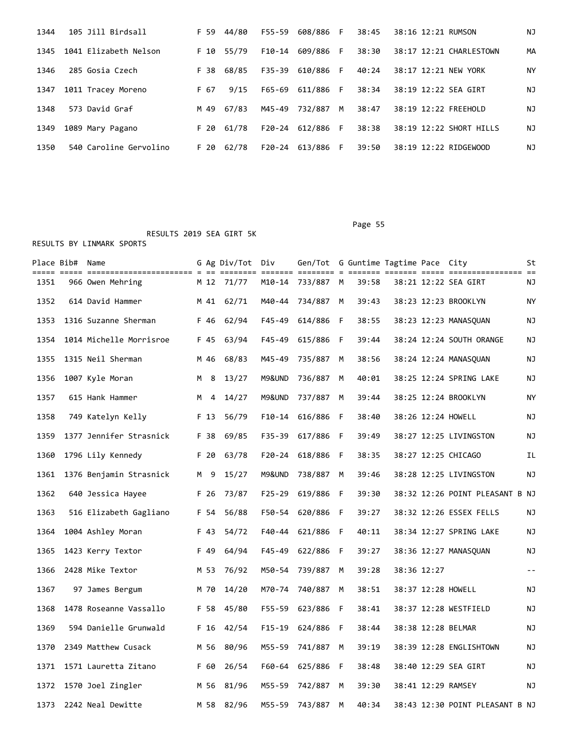| 1344 | 105 Jill Birdsall      |      | F 59 44/80   | F55-59 | 608/886 F        |    | 38:45 | 38:16 12:21 RUMSON      | NJ |
|------|------------------------|------|--------------|--------|------------------|----|-------|-------------------------|----|
| 1345 | 1041 Elizabeth Nelson  |      | F 10 55/79   | F10-14 | 609/886 F        |    | 38:30 | 38:17 12:21 CHARLESTOWN | МA |
| 1346 | 285 Gosia Czech        |      | F 38 68/85   | F35-39 | 610/886 F        |    | 40:24 | 38:17 12:21 NEW YORK    | ΝY |
| 1347 | 1011 Tracey Moreno     | F 67 | 9/15         | F65-69 | 611/886 F        |    | 38:34 | 38:19 12:22 SEA GIRT    | ΝJ |
| 1348 | 573 David Graf         | M 49 | 67/83        |        | M45-49 732/887 M |    | 38:47 | 38:19 12:22 FREEHOLD    | NJ |
| 1349 | 1089 Mary Pagano       |      | $F$ 20 61/78 | F20-24 | 612/886 F        |    | 38:38 | 38:19 12:22 SHORT HILLS | ΝJ |
| 1350 | 540 Caroline Gervolino | F 20 | 62/78        | F20-24 | 613/886          | F. | 39:50 | 38:19 12:22 RIDGEWOOD   | ΝJ |

 RESULTS 2019 SEA GIRT 5K RESULTS BY LINMARK SPORTS

|      | Place Bib# Name |                         |   |      | G Ag Div/Tot Div<br>==== |            | Gen/Tot G Guntime Tagtime Pace City |     |       |             |                                 | St    |
|------|-----------------|-------------------------|---|------|--------------------------|------------|-------------------------------------|-----|-------|-------------|---------------------------------|-------|
| 1351 |                 | 966 Owen Mehring        |   |      | M 12 71/77               |            | M10-14 733/887 M                    |     | 39:58 |             | 38:21 12:22 SEA GIRT            | ΝJ    |
| 1352 |                 | 614 David Hammer        |   | M 41 | 62/71                    | M40-44     | 734/887                             | M   | 39:43 |             | 38:23 12:23 BROOKLYN            | ΝY    |
| 1353 |                 | 1316 Suzanne Sherman    |   | F 46 | 62/94                    | $F45 - 49$ | 614/886                             | - F | 38:55 |             | 38:23 12:23 MANASQUAN           | ΝJ    |
| 1354 |                 | 1014 Michelle Morrisroe |   | F 45 | 63/94                    | F45-49     | 615/886 F                           |     | 39:44 |             | 38:24 12:24 SOUTH ORANGE        | ΝJ    |
| 1355 |                 | 1315 Neil Sherman       |   | M 46 | 68/83                    | M45-49     | 735/887                             | M   | 38:56 |             | 38:24 12:24 MANASQUAN           | ΝJ    |
| 1356 |                 | 1007 Kyle Moran         | M | 8    | 13/27                    | M9&UND     | 736/887                             | M   | 40:01 |             | 38:25 12:24 SPRING LAKE         | ΝJ    |
| 1357 |                 | 615 Hank Hammer         |   | M 4  | 14/27                    | M9&UND     | 737/887                             | M   | 39:44 |             | 38:25 12:24 BROOKLYN            | ΝY    |
| 1358 |                 | 749 Katelyn Kelly       |   | F 13 | 56/79                    | $F10-14$   | 616/886                             | - F | 38:40 |             | 38:26 12:24 HOWELL              | ΝJ    |
| 1359 |                 | 1377 Jennifer Strasnick |   | F 38 | 69/85                    | F35-39     | 617/886                             | - F | 39:49 |             | 38:27 12:25 LIVINGSTON          | ΝJ    |
| 1360 |                 | 1796 Lily Kennedy       |   | F 20 | 63/78                    | F20-24     | 618/886 F                           |     | 38:35 |             | 38:27 12:25 CHICAGO             | ΙL    |
| 1361 |                 | 1376 Benjamin Strasnick | M | 9    | 15/27                    | M9&UND     | 738/887                             | M   | 39:46 |             | 38:28 12:25 LIVINGSTON          | NJ    |
| 1362 |                 | 640 Jessica Hayee       |   | F 26 | 73/87                    | F25-29     | 619/886 F                           |     | 39:30 |             | 38:32 12:26 POINT PLEASANT B NJ |       |
| 1363 |                 | 516 Elizabeth Gagliano  |   | F 54 | 56/88                    | F50-54     | 620/886 F                           |     | 39:27 |             | 38:32 12:26 ESSEX FELLS         | ΝJ    |
| 1364 |                 | 1004 Ashley Moran       |   | F 43 | 54/72                    | F40-44     | 621/886 F                           |     | 40:11 |             | 38:34 12:27 SPRING LAKE         | ΝJ    |
| 1365 |                 | 1423 Kerry Textor       |   | F 49 | 64/94                    | F45-49     | 622/886 F                           |     | 39:27 |             | 38:36 12:27 MANASQUAN           | ΝJ    |
| 1366 |                 | 2428 Mike Textor        |   | M 53 | 76/92                    | M50-54     | 739/887                             | M   | 39:28 | 38:36 12:27 |                                 | $- -$ |
| 1367 |                 | 97 James Bergum         |   | M 70 | 14/20                    | M70-74     | 740/887                             | M   | 38:51 |             | 38:37 12:28 HOWELL              | ΝJ    |
| 1368 |                 | 1478 Roseanne Vassallo  |   | F 58 | 45/80                    | F55-59     | 623/886                             | - F | 38:41 |             | 38:37 12:28 WESTFIELD           | ΝJ    |
| 1369 |                 | 594 Danielle Grunwald   |   | F 16 | 42/54                    | $F15 - 19$ | 624/886 F                           |     | 38:44 |             | 38:38 12:28 BELMAR              | ΝJ    |
| 1370 |                 | 2349 Matthew Cusack     |   | M 56 | 80/96                    | M55-59     | 741/887                             | M   | 39:19 |             | 38:39 12:28 ENGLISHTOWN         | ΝJ    |
| 1371 |                 | 1571 Lauretta Zitano    |   | F 60 | 26/54                    | F60-64     | 625/886 F                           |     | 38:48 |             | 38:40 12:29 SEA GIRT            | ΝJ    |
| 1372 |                 | 1570 Joel Zingler       |   | M 56 | 81/96                    | M55-59     | 742/887                             | M   | 39:30 |             | 38:41 12:29 RAMSEY              | ΝJ    |
| 1373 |                 | 2242 Neal Dewitte       |   | M 58 | 82/96                    |            | M55-59 743/887                      | M   | 40:34 |             | 38:43 12:30 POINT PLEASANT B NJ |       |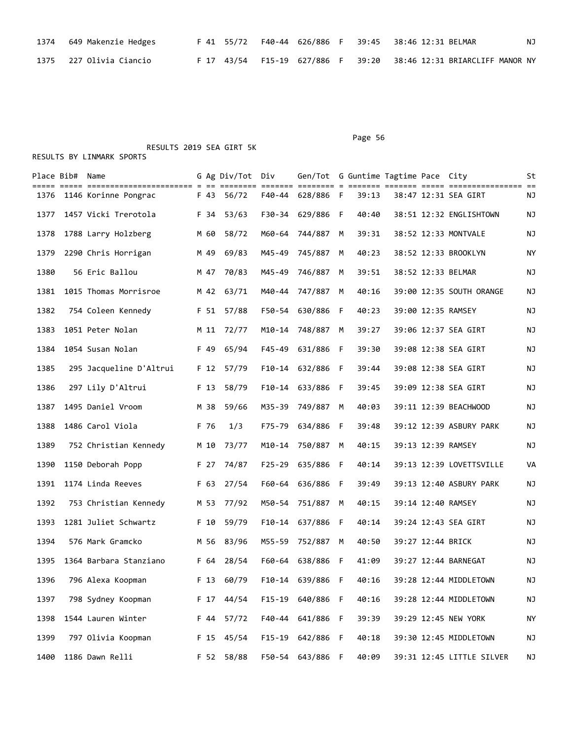| 1374 649 Makenzie Hedges  |  |  |  | F 41 55/72 F40-44 626/886 F 39:45 38:46 12:31 BELMAR              | NJ |
|---------------------------|--|--|--|-------------------------------------------------------------------|----|
| 1375   227 Olivia Ciancio |  |  |  | F 17 43/54 F15-19 627/886 F 39:20 38:46 12:31 BRIARCLIFF MANOR NY |    |

# Page 56

|      | Place Bib# Name |                           |      | G Ag Div/Tot Div |          | Gen/Tot G Guntime Tagtime Pace City |   |       |                   |                           | St |
|------|-----------------|---------------------------|------|------------------|----------|-------------------------------------|---|-------|-------------------|---------------------------|----|
|      |                 | 1376 1146 Korinne Pongrac |      | F 43 56/72       |          | F40-44 628/886 F                    |   | 39:13 |                   | 38:47 12:31 SEA GIRT      | ΝJ |
| 1377 |                 | 1457 Vicki Trerotola      | F 34 | 53/63            |          | F30-34 629/886 F                    |   | 40:40 |                   | 38:51 12:32 ENGLISHTOWN   | ΝJ |
| 1378 |                 | 1788 Larry Holzberg       | M 60 | 58/72            |          | M60-64 744/887 M                    |   | 39:31 |                   | 38:52 12:33 MONTVALE      | ΝJ |
| 1379 |                 | 2290 Chris Horrigan       | M 49 | 69/83            | M45-49   | 745/887                             | M | 40:23 |                   | 38:52 12:33 BROOKLYN      | ΝY |
| 1380 |                 | 56 Eric Ballou            | M 47 | 70/83            | M45-49   | 746/887 M                           |   | 39:51 |                   | 38:52 12:33 BELMAR        | ΝJ |
| 1381 |                 | 1015 Thomas Morrisroe     |      | M 42 63/71       |          | M40-44 747/887 M                    |   | 40:16 |                   | 39:00 12:35 SOUTH ORANGE  | ΝJ |
| 1382 |                 | 754 Coleen Kennedy        | F 51 | 57/88            | F50-54   | 630/886 F                           |   | 40:23 |                   | 39:00 12:35 RAMSEY        | ΝJ |
| 1383 |                 | 1051 Peter Nolan          | M 11 | 72/77            | M10-14   | 748/887                             | M | 39:27 |                   | 39:06 12:37 SEA GIRT      | ΝJ |
| 1384 |                 | 1054 Susan Nolan          | F 49 | 65/94            |          | F45-49 631/886 F                    |   | 39:30 |                   | 39:08 12:38 SEA GIRT      | ΝJ |
| 1385 |                 | 295 Jacqueline D'Altrui   |      | F 12 57/79       |          | F10-14 632/886 F                    |   | 39:44 |                   | 39:08 12:38 SEA GIRT      | ΝJ |
| 1386 |                 | 297 Lily D'Altrui         | F 13 | 58/79            |          | F10-14 633/886 F                    |   | 39:45 |                   | 39:09 12:38 SEA GIRT      | ΝJ |
| 1387 |                 | 1495 Daniel Vroom         | M 38 | 59/66            |          | M35-39 749/887 M                    |   | 40:03 |                   | 39:11 12:39 BEACHWOOD     | ΝJ |
| 1388 |                 | 1486 Carol Viola          | F 76 | 1/3              |          | F75-79 634/886 F                    |   | 39:48 |                   | 39:12 12:39 ASBURY PARK   | ΝJ |
| 1389 |                 | 752 Christian Kennedy     | M 10 | 73/77            |          | M10-14 750/887 M                    |   | 40:15 |                   | 39:13 12:39 RAMSEY        | ΝJ |
| 1390 |                 | 1150 Deborah Popp         | F 27 | 74/87            | F25-29   | 635/886 F                           |   | 40:14 |                   | 39:13 12:39 LOVETTSVILLE  | VA |
| 1391 |                 | 1174 Linda Reeves         | F 63 | 27/54            |          | F60-64 636/886 F                    |   | 39:49 |                   | 39:13 12:40 ASBURY PARK   | ΝJ |
| 1392 |                 | 753 Christian Kennedy     |      | M 53 77/92       |          | M50-54 751/887 M                    |   | 40:15 |                   | 39:14 12:40 RAMSEY        | ΝJ |
| 1393 |                 | 1281 Juliet Schwartz      | F 10 | 59/79            |          | F10-14 637/886 F                    |   | 40:14 |                   | 39:24 12:43 SEA GIRT      | ΝJ |
| 1394 |                 | 576 Mark Gramcko          |      | M 56 83/96       | M55-59   | 752/887 M                           |   | 40:50 | 39:27 12:44 BRICK |                           | ΝJ |
| 1395 |                 | 1364 Barbara Stanziano    | F 64 | 28/54            |          | F60-64 638/886 F                    |   | 41:09 |                   | 39:27 12:44 BARNEGAT      | ΝJ |
| 1396 |                 | 796 Alexa Koopman         |      | F 13 60/79       |          | F10-14 639/886 F                    |   | 40:16 |                   | 39:28 12:44 MIDDLETOWN    | ΝJ |
| 1397 |                 | 798 Sydney Koopman        | F 17 | 44/54            | $F15-19$ | 640/886 F                           |   | 40:16 |                   | 39:28 12:44 MIDDLETOWN    | ΝJ |
| 1398 |                 | 1544 Lauren Winter        | F 44 | 57/72            | F40-44   | 641/886 F                           |   | 39:39 |                   | 39:29 12:45 NEW YORK      | NY |
| 1399 |                 | 797 Olivia Koopman        | F 15 | 45/54            | $F15-19$ | 642/886 F                           |   | 40:18 |                   | 39:30 12:45 MIDDLETOWN    | ΝJ |
| 1400 |                 | 1186 Dawn Relli           |      | F 52 58/88       |          | F50-54 643/886 F                    |   | 40:09 |                   | 39:31 12:45 LITTLE SILVER | NJ |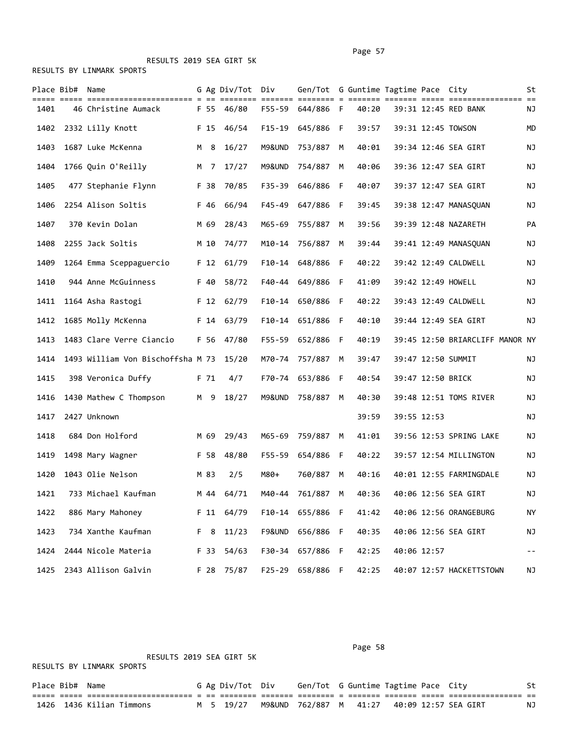|  |  | RESULTS BY LINMARK SPORTS |  |
|--|--|---------------------------|--|
|--|--|---------------------------|--|

|      | Place Bib# Name |                                   |                 | G Ag Div/Tot  | Div    | Gen/Tot G Guntime Tagtime Pace City |     |       |                   |                                 | St                       |
|------|-----------------|-----------------------------------|-----------------|---------------|--------|-------------------------------------|-----|-------|-------------------|---------------------------------|--------------------------|
| 1401 |                 | 46 Christine Aumack               | F 55            | ====<br>46/80 | F55-59 | 644/886 F                           |     | 40:20 |                   | 39:31 12:45 RED BANK            | ΝJ                       |
| 1402 |                 | 2332 Lilly Knott                  | F 15            | 46/54         | F15-19 | 645/886 F                           |     | 39:57 |                   | 39:31 12:45 TOWSON              | MD                       |
| 1403 |                 | 1687 Luke McKenna                 | M 8             | 16/27         | M9&UND | 753/887                             | M   | 40:01 |                   | 39:34 12:46 SEA GIRT            | ΝJ                       |
| 1404 |                 | 1766 Quin O'Reilly                | M 7             | 17/27         | M9&UND | 754/887                             | M   | 40:06 |                   | 39:36 12:47 SEA GIRT            | ΝJ                       |
| 1405 |                 | 477 Stephanie Flynn               | F 38            | 70/85         | F35-39 | 646/886 F                           |     | 40:07 |                   | 39:37 12:47 SEA GIRT            | ΝJ                       |
| 1406 |                 | 2254 Alison Soltis                | F 46            | 66/94         | F45-49 | 647/886 F                           |     | 39:45 |                   | 39:38 12:47 MANASQUAN           | ΝJ                       |
| 1407 |                 | 370 Kevin Dolan                   | M 69            | 28/43         | M65-69 | 755/887                             | M   | 39:56 |                   | 39:39 12:48 NAZARETH            | PA                       |
| 1408 |                 | 2255 Jack Soltis                  | M 10            | 74/77         | M10-14 | 756/887                             | M   | 39:44 |                   | 39:41 12:49 MANASQUAN           | ΝJ                       |
| 1409 |                 | 1264 Emma Sceppaguercio           | F <sub>12</sub> | 61/79         | F10-14 | 648/886                             | - F | 40:22 |                   | 39:42 12:49 CALDWELL            | ΝJ                       |
| 1410 |                 | 944 Anne McGuinness               | F 40            | 58/72         | F40-44 | 649/886 F                           |     | 41:09 |                   | 39:42 12:49 HOWELL              | ΝJ                       |
| 1411 |                 | 1164 Asha Rastogi                 |                 | F 12 62/79    |        | F10-14 650/886 F                    |     | 40:22 |                   | 39:43 12:49 CALDWELL            | ΝJ                       |
| 1412 |                 | 1685 Molly McKenna                | F 14            | 63/79         | F10-14 | 651/886                             | F   | 40:10 |                   | 39:44 12:49 SEA GIRT            | ΝJ                       |
| 1413 |                 | 1483 Clare Verre Ciancio          | F 56            | 47/80         |        | F55-59 652/886 F                    |     | 40:19 |                   | 39:45 12:50 BRIARCLIFF MANOR NY |                          |
| 1414 |                 | 1493 William Von Bischoffsha M 73 |                 | 15/20         |        | M70-74 757/887                      | M   | 39:47 |                   | 39:47 12:50 SUMMIT              | ΝJ                       |
| 1415 |                 | 398 Veronica Duffy                | F 71            | 4/7           | F70-74 | 653/886                             | - F | 40:54 | 39:47 12:50 BRICK |                                 | ΝJ                       |
| 1416 |                 | 1430 Mathew C Thompson            | M 9             | 18/27         | M9&UND | 758/887                             | M   | 40:30 |                   | 39:48 12:51 TOMS RIVER          | ΝJ                       |
| 1417 |                 | 2427 Unknown                      |                 |               |        |                                     |     | 39:59 | 39:55 12:53       |                                 | ΝJ                       |
| 1418 |                 | 684 Don Holford                   | M 69            | 29/43         |        | M65-69 759/887 M                    |     | 41:01 |                   | 39:56 12:53 SPRING LAKE         | ΝJ                       |
| 1419 |                 | 1498 Mary Wagner                  | F 58            | 48/80         | F55-59 | 654/886 F                           |     | 40:22 |                   | 39:57 12:54 MILLINGTON          | ΝJ                       |
| 1420 |                 | 1043 Olie Nelson                  | M 83            | 2/5           | M80+   | 760/887                             | M   | 40:16 |                   | 40:01 12:55 FARMINGDALE         | ΝJ                       |
| 1421 |                 | 733 Michael Kaufman               | M 44            | 64/71         |        | M40-44 761/887 M                    |     | 40:36 |                   | 40:06 12:56 SEA GIRT            | ΝJ                       |
| 1422 |                 | 886 Mary Mahoney                  |                 | F 11 64/79    |        | F10-14 655/886 F                    |     | 41:42 |                   | 40:06 12:56 ORANGEBURG          | NY                       |
| 1423 |                 | 734 Xanthe Kaufman                | F 8             | 11/23         | F9&UND | 656/886 F                           |     | 40:35 |                   | 40:06 12:56 SEA GIRT            | NJ                       |
| 1424 |                 | 2444 Nicole Materia               | F 33            | 54/63         | F30-34 | 657/886 F                           |     | 42:25 | 40:06 12:57       |                                 | $\overline{\phantom{m}}$ |
| 1425 |                 | 2343 Allison Galvin               | F 28            | 75/87         |        | F25-29 658/886 F                    |     | 42:25 |                   | 40:07 12:57 HACKETTSTOWN        | ΝJ                       |

RESULTS 2019 SEA GIRT 5K

Page 58 and the contract of the contract of the contract of the contract of the contract of the contract of the contract of the contract of the contract of the contract of the contract of the contract of the contract of th

|                  | RESULTS BY LINMARK SPORTS |  |                  |                                                       |  |  |    |
|------------------|---------------------------|--|------------------|-------------------------------------------------------|--|--|----|
| Place Bib#  Name |                           |  | G Ag Div/Tot Div | Gen/Tot G Guntime Tagtime Pace City                   |  |  |    |
|                  |                           |  |                  |                                                       |  |  |    |
|                  | 1426  1436 Kilian Timmons |  |                  | M 5 19/27 M9&UND 762/887 M 41:27 40:09 12:57 SEA GIRT |  |  | NJ |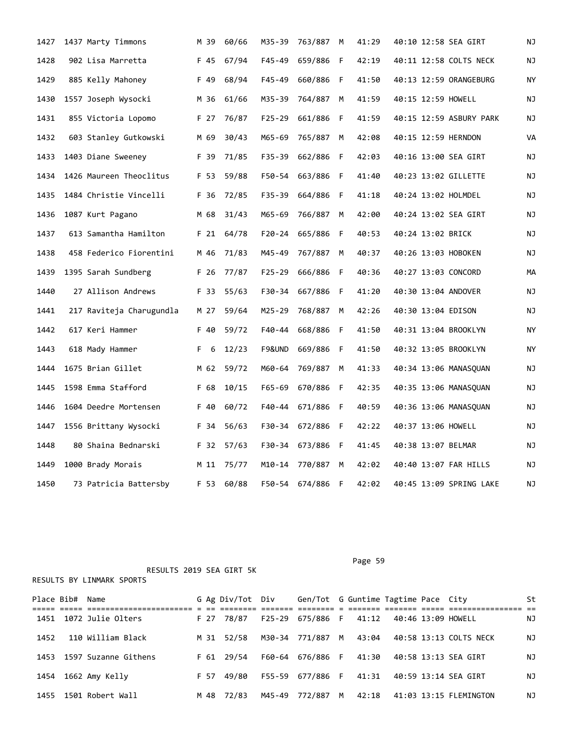| 1427 | 1437 Marty Timmons       | M 39 | 60/66      | M35-39     | 763/887          | М   | 41:29 | 40:10 12:58 SEA GIRT   |                         | ΝJ |
|------|--------------------------|------|------------|------------|------------------|-----|-------|------------------------|-------------------------|----|
| 1428 | 902 Lisa Marretta        | F 45 | 67/94      | $F45 - 49$ | 659/886          | - F | 42:19 | 40:11 12:58 COLTS NECK |                         | ΝJ |
| 1429 | 885 Kelly Mahoney        | F 49 | 68/94      | $F45 - 49$ | 660/886 F        |     | 41:50 | 40:13 12:59 ORANGEBURG |                         | ΝY |
| 1430 | 1557 Joseph Wysocki      | M 36 | 61/66      | M35-39     | 764/887          | M   | 41:59 | 40:15 12:59 HOWELL     |                         | ΝJ |
| 1431 | 855 Victoria Lopomo      | F 27 | 76/87      | F25-29     | 661/886 F        |     | 41:59 |                        | 40:15 12:59 ASBURY PARK | ΝJ |
| 1432 | 603 Stanley Gutkowski    | M 69 | 30/43      | M65-69     | 765/887          | M   | 42:08 | 40:15 12:59 HERNDON    |                         | VA |
| 1433 | 1403 Diane Sweeney       | F 39 | 71/85      | F35-39     | 662/886 F        |     | 42:03 | 40:16 13:00 SEA GIRT   |                         | ΝJ |
| 1434 | 1426 Maureen Theoclitus  | F 53 | 59/88      | F50-54     | 663/886 F        |     | 41:40 | 40:23 13:02 GILLETTE   |                         | ΝJ |
| 1435 | 1484 Christie Vincelli   | F 36 | 72/85      | F35-39     | 664/886          | F   | 41:18 | 40:24 13:02 HOLMDEL    |                         | ΝJ |
| 1436 | 1087 Kurt Pagano         | M 68 | 31/43      | M65-69     | 766/887          | M   | 42:00 | 40:24 13:02 SEA GIRT   |                         | ΝJ |
| 1437 | 613 Samantha Hamilton    | F 21 | 64/78      | $F20 - 24$ | 665/886          | - F | 40:53 | 40:24 13:02 BRICK      |                         | ΝJ |
| 1438 | 458 Federico Fiorentini  | M 46 | 71/83      | M45-49     | 767/887          | M   | 40:37 | 40:26 13:03 HOBOKEN    |                         | ΝJ |
| 1439 | 1395 Sarah Sundberg      | F 26 | 77/87      | $F25 - 29$ | 666/886 F        |     | 40:36 | 40:27 13:03 CONCORD    |                         | МA |
| 1440 | 27 Allison Andrews       | F 33 | 55/63      | F30-34     | 667/886          | -F  | 41:20 | 40:30 13:04 ANDOVER    |                         | ΝJ |
| 1441 | 217 Raviteja Charugundla | M 27 | 59/64      | M25-29     | 768/887          | M   | 42:26 | 40:30 13:04 EDISON     |                         | ΝJ |
| 1442 | 617 Keri Hammer          | F 40 | 59/72      | F40-44     | 668/886          | -F  | 41:50 | 40:31 13:04 BROOKLYN   |                         | ΝY |
| 1443 | 618 Mady Hammer          | F 6  | 12/23      | F9&UND     | 669/886          | F   | 41:50 | 40:32 13:05 BROOKLYN   |                         | ΝY |
| 1444 | 1675 Brian Gillet        | M 62 | 59/72      | M60-64     | 769/887          | M   | 41:33 | 40:34 13:06 MANASQUAN  |                         | ΝJ |
| 1445 | 1598 Emma Stafford       | F 68 | 10/15      | $F65 - 69$ | 670/886          | - F | 42:35 | 40:35 13:06 MANASQUAN  |                         | ΝJ |
| 1446 | 1604 Deedre Mortensen    | F 40 | 60/72      | F40-44     | 671/886          | - F | 40:59 | 40:36 13:06 MANASQUAN  |                         | ΝJ |
| 1447 | 1556 Brittany Wysocki    | F 34 | 56/63      | F30-34     | 672/886          | -F  | 42:22 | 40:37 13:06 HOWELL     |                         | ΝJ |
| 1448 | 80 Shaina Bednarski      | F 32 | 57/63      |            | F30-34 673/886 F |     | 41:45 | 40:38 13:07 BELMAR     |                         | ΝJ |
| 1449 | 1000 Brady Morais        | M 11 | 75/77      | M10-14     | 770/887          | M   | 42:02 | 40:40 13:07 FAR HILLS  |                         | ΝJ |
| 1450 | 73 Patricia Battersby    |      | F 53 60/88 |            | F50-54 674/886   | F   | 42:02 |                        | 40:45 13:09 SPRING LAKE | ΝJ |

| Place Bib# | Name                 |      | G Ag Div/Tot Div | Gen/Tot G Guntime Tagtime Pace City |   |       |  |                                      | St |
|------------|----------------------|------|------------------|-------------------------------------|---|-------|--|--------------------------------------|----|
| 1451       | 1072 Julie Olters    | F 27 | 78/87            | F25-29 675/886 F                    |   | 41:12 |  | 40:46 13:09 HOWELL                   | ΝJ |
| 1452       | 110 William Black    | M 31 | 52/58            | M30-34 771/887 M                    |   |       |  | 43:04   40:58   13:13   COLTS   NECK | NJ |
| 1453       | 1597 Suzanne Githens |      | F 61 29/54       | F60-64 676/886 F                    |   | 41:30 |  | 40:58 13:13 SEA GIRT                 | NJ |
| 1454       | 1662 Amy Kelly       | F 57 | 49/80            | F55-59 677/886 F                    |   | 41:31 |  | 40:59 13:14 SEA GIRT                 | ΝJ |
| 1455       | 1501 Robert Wall     | M 48 | 72/83            | M45-49 772/887                      | M |       |  | 42:18 41:03 13:15 FLEMINGTON         | ΝJ |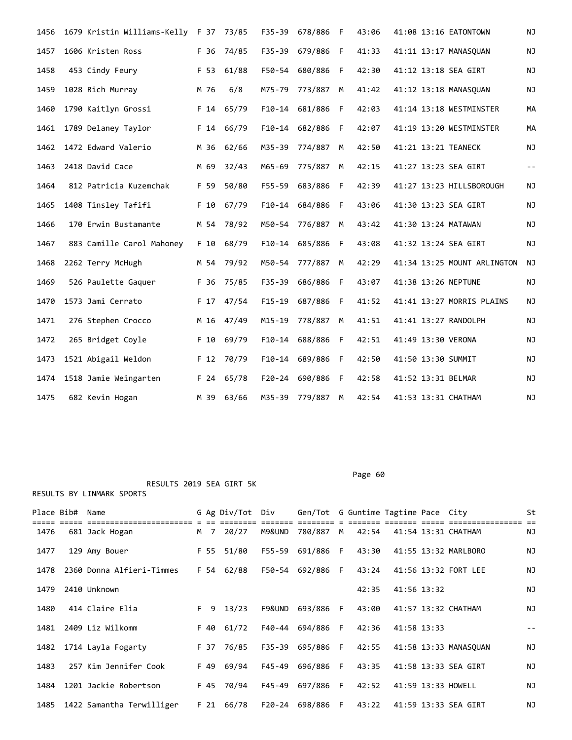| 1456 | 1679 Kristin Williams-Kelly F 37 73/85 |                 |            | $F35 - 39$ | 678/886        | F  | 43:06 | 41:08 13:16 EATONTOWN       | NJ         |
|------|----------------------------------------|-----------------|------------|------------|----------------|----|-------|-----------------------------|------------|
| 1457 | 1606 Kristen Ross                      | F 36            | 74/85      | F35-39     | 679/886        | F  | 41:33 | 41:11 13:17 MANASQUAN       | NJ         |
| 1458 | 453 Cindy Feury                        | F 53            | 61/88      | F50-54     | 680/886        | F  | 42:30 | 41:12 13:18 SEA GIRT        | NJ         |
| 1459 | 1028 Rich Murray                       | M 76            | 6/8        | M75-79     | 773/887        | M  | 41:42 | 41:12 13:18 MANASQUAN       | NJ         |
| 1460 | 1790 Kaitlyn Grossi                    | F <sub>14</sub> | 65/79      | $F10-14$   | 681/886        | F  | 42:03 | 41:14 13:18 WESTMINSTER     | MA         |
| 1461 | 1789 Delaney Taylor                    | F 14            | 66/79      | $F10-14$   | 682/886        | F  | 42:07 | 41:19 13:20 WESTMINSTER     | МA         |
| 1462 | 1472 Edward Valerio                    | M 36            | 62/66      | M35-39     | 774/887        | M  | 42:50 | 41:21 13:21 TEANECK         | NJ         |
| 1463 | 2418 David Cace                        | M 69            | 32/43      | M65-69     | 775/887        | M  | 42:15 | 41:27 13:23 SEA GIRT        | $\sim$ $-$ |
| 1464 | 812 Patricia Kuzemchak                 | F 59            | 50/80      | F55-59     | 683/886        | F  | 42:39 | 41:27 13:23 HILLSBOROUGH    | NJ         |
| 1465 | 1408 Tinsley Tafifi                    | F 10            | 67/79      | $F10-14$   | 684/886        | F  | 43:06 | 41:30 13:23 SEA GIRT        | ΝJ         |
| 1466 | 170 Erwin Bustamante                   | M 54            | 78/92      | M50-54     | 776/887        | M  | 43:42 | 41:30 13:24 MATAWAN         | NJ         |
| 1467 | 883 Camille Carol Mahoney              | F 10            | 68/79      | $F10-14$   | 685/886        | -F | 43:08 | 41:32 13:24 SEA GIRT        | NJ         |
| 1468 | 2262 Terry McHugh                      | M 54            | 79/92      | M50-54     | 777/887        | M  | 42:29 | 41:34 13:25 MOUNT ARLINGTON | <b>NJ</b>  |
| 1469 | 526 Paulette Gaquer                    | F 36            | 75/85      | F35-39     | 686/886        | F  | 43:07 | 41:38 13:26 NEPTUNE         | NJ         |
| 1470 | 1573 Jami Cerrato                      | F 17            | 47/54      | $F15-19$   | 687/886        | F  | 41:52 | 41:41 13:27 MORRIS PLAINS   | ΝJ         |
| 1471 | 276 Stephen Crocco                     | M 16            | 47/49      | $M15 - 19$ | 778/887        | M  | 41:51 | 41:41 13:27 RANDOLPH        | NJ         |
| 1472 | 265 Bridget Coyle                      | F 10            | 69/79      | $F10-14$   | 688/886        | F  | 42:51 | 41:49 13:30 VERONA          | NJ         |
| 1473 | 1521 Abigail Weldon                    | F <sub>12</sub> | 70/79      | F10-14     | 689/886        | F  | 42:50 | 41:50 13:30 SUMMIT          | ΝJ         |
| 1474 | 1518 Jamie Weingarten                  |                 | F 24 65/78 |            | F20-24 690/886 | F. | 42:58 | 41:52 13:31 BELMAR          | NJ         |
| 1475 | 682 Kevin Hogan                        |                 | M 39 63/66 |            | M35-39 779/887 | M  | 42:54 | 41:53 13:31 CHATHAM         | <b>NJ</b>  |

Place Bib# Name The G Ag Div/Tot Div Gen/Tot G Guntime Tagtime Pace City St ===== ===== ======================= = == ======== ======= ======== = ======= ======= ===== ================ == 1476 681 Jack Hogan M 7 20/27 M9&UND 780/887 M 42:54 41:54 13:31 CHATHAM NJ 1477 129 Amy Bouer F 55 51/80 F55-59 691/886 F 43:30 41:55 13:32 MARLBORO NJ 1478 2360 Donna Alfieri-Timmes F 54 62/88 F50-54 692/886 F 43:24 41:56 13:32 FORT LEE NJ 1479 2410 Unknown 42:35 41:56 13:32 NJ 1480 414 Claire Elia F 9 13/23 F9&UND 693/886 F 43:00 41:57 13:32 CHATHAM NJ 1481 2409 Liz Wilkomm F 40 61/72 F40-44 694/886 F 42:36 41:58 13:33 -- 1482 1714 Layla Fogarty F 37 76/85 F35-39 695/886 F 42:55 41:58 13:33 MANASQUAN NJ 1483 257 Kim Jennifer Cook F 49 69/94 F45-49 696/886 F 43:35 41:58 13:33 SEA GIRT NJ 1484 1201 Jackie Robertson F 45 70/94 F45-49 697/886 F 42:52 41:59 13:33 HOWELL NJ 1485 1422 Samantha Terwilliger F 21 66/78 F20-24 698/886 F 43:22 41:59 13:33 SEA GIRT NJ

RESULTS 2019 SEA GIRT 5K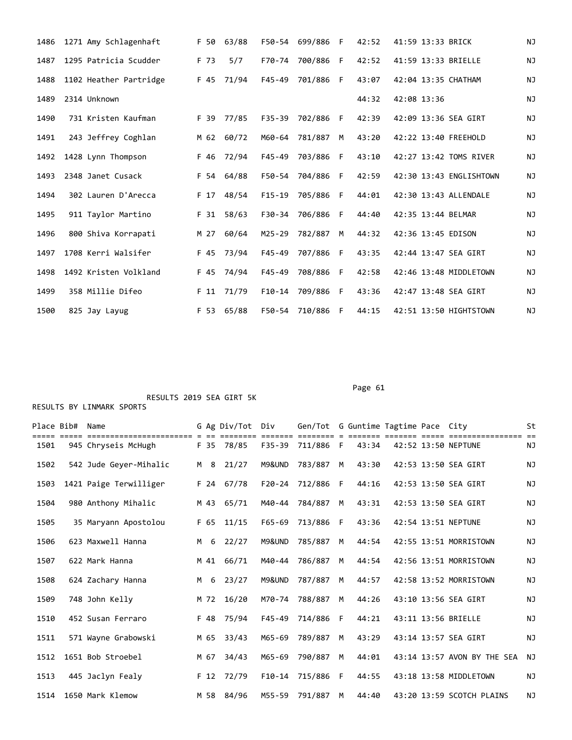| 1486 | 1271 Amy Schlagenhaft  | F 50   | 63/88 | F50-54     | 699/886 F |    | 42:52 | 41:59 13:33 BRICK       | <b>NJ</b> |
|------|------------------------|--------|-------|------------|-----------|----|-------|-------------------------|-----------|
| 1487 | 1295 Patricia Scudder  | F 73   | 5/7   | F70-74     | 700/886   | F  | 42:52 | 41:59 13:33 BRIELLE     | <b>NJ</b> |
| 1488 | 1102 Heather Partridge | F 45   | 71/94 | $F45 - 49$ | 701/886 F |    | 43:07 | 42:04 13:35 CHATHAM     | <b>NJ</b> |
| 1489 | 2314 Unknown           |        |       |            |           |    | 44:32 | 42:08 13:36             | <b>NJ</b> |
| 1490 | 731 Kristen Kaufman    | F 39   | 77/85 | F35-39     | 702/886   | F  | 42:39 | 42:09 13:36 SEA GIRT    | <b>NJ</b> |
| 1491 | 243 Jeffrey Coghlan    | M 62   | 60/72 | M60-64     | 781/887   | M  | 43:20 | 42:22 13:40 FREEHOLD    | <b>NJ</b> |
| 1492 | 1428 Lynn Thompson     | F 46   | 72/94 | $F45 - 49$ | 703/886   | F  | 43:10 | 42:27 13:42 TOMS RIVER  | NJ        |
| 1493 | 2348 Janet Cusack      | F 54   | 64/88 | F50-54     | 704/886   | F  | 42:59 | 42:30 13:43 ENGLISHTOWN | NJ        |
| 1494 | 302 Lauren D'Arecca    | F 17   | 48/54 | $F15-19$   | 705/886   | F  | 44:01 | 42:30 13:43 ALLENDALE   | NJ        |
| 1495 | 911 Taylor Martino     | F 31   | 58/63 | $F30-34$   | 706/886   | E  | 44:40 | 42:35 13:44 BELMAR      | <b>NJ</b> |
| 1496 | 800 Shiva Korrapati    | M 27   | 60/64 | $M25 - 29$ | 782/887   | M  | 44:32 | 42:36 13:45 EDISON      | <b>NJ</b> |
| 1497 | 1708 Kerri Walsifer    | F 45   | 73/94 | $F45 - 49$ | 707/886   | F. | 43:35 | 42:44 13:47 SEA GIRT    | NJ        |
| 1498 | 1492 Kristen Volkland  | F 45   | 74/94 | $F45 - 49$ | 708/886   | F  | 42:58 | 42:46 13:48 MIDDLETOWN  | ΝJ        |
| 1499 | 358 Millie Difeo       | $F$ 11 | 71/79 | $F10-14$   | 709/886   | F. | 43:36 | 42:47 13:48 SEA GIRT    | <b>NJ</b> |
| 1500 | 825 Jay Layug          | F 53   | 65/88 | F50-54     | 710/886   | F  | 44:15 | 42:51 13:50 HIGHTSTOWN  | <b>NJ</b> |

Page 61

|      | Place Bib# Name |                        |   |      | G Ag Div/Tot Div |            | Gen/Tot G Guntime Tagtime Pace City |              |       |  |                             | St        |
|------|-----------------|------------------------|---|------|------------------|------------|-------------------------------------|--------------|-------|--|-----------------------------|-----------|
|      |                 |                        |   |      |                  |            |                                     |              |       |  |                             | $=$       |
| 1501 |                 | 945 Chryseis McHugh    |   |      | F 35 78/85       |            | F35-39 711/886 F                    |              | 43:34 |  | 42:52 13:50 NEPTUNE         | <b>NJ</b> |
| 1502 |                 | 542 Jude Gever-Mihalic |   | M 8  | 21/27            | M9&UND     | 783/887                             | M            | 43:30 |  | 42:53 13:50 SEA GIRT        | <b>NJ</b> |
| 1503 |                 | 1421 Paige Terwilliger |   |      | F 24 67/78       | $F20 - 24$ | 712/886                             | $\mathsf{F}$ | 44:16 |  | 42:53 13:50 SEA GIRT        | ΝJ        |
| 1504 |                 | 980 Anthony Mihalic    |   | M 43 | 65/71            | M40-44     | 784/887                             | M            | 43:31 |  | 42:53 13:50 SEA GIRT        | <b>NJ</b> |
| 1505 |                 | 35 Maryann Apostolou   |   | F 65 | 11/15            | $F65 - 69$ | 713/886                             | F            | 43:36 |  | 42:54 13:51 NEPTUNE         | <b>NJ</b> |
| 1506 |                 | 623 Maxwell Hanna      | M | 6    | 22/27            | M9&UND     | 785/887                             | M            | 44:54 |  | 42:55 13:51 MORRISTOWN      | <b>NJ</b> |
| 1507 |                 | 622 Mark Hanna         |   | M 41 | 66/71            | M40-44     | 786/887                             | M            | 44:54 |  | 42:56 13:51 MORRISTOWN      | ΝJ        |
| 1508 |                 | 624 Zachary Hanna      | M | 6    | 23/27            | M9&UND     | 787/887                             | M            | 44:57 |  | 42:58 13:52 MORRISTOWN      | <b>NJ</b> |
| 1509 |                 | 748 John Kelly         |   | M 72 | 16/20            | M70-74     | 788/887                             | M            | 44:26 |  | 43:10 13:56 SEA GIRT        | <b>NJ</b> |
| 1510 |                 | 452 Susan Ferraro      |   | F 48 | 75/94            | $F45 - 49$ | 714/886                             | F.           | 44:21 |  | 43:11 13:56 BRIELLE         | <b>NJ</b> |
| 1511 |                 | 571 Wayne Grabowski    |   | M 65 | 33/43            | M65-69     | 789/887                             | M            | 43:29 |  | 43:14 13:57 SEA GIRT        | <b>NJ</b> |
| 1512 |                 | 1651 Bob Stroebel      |   | M 67 | 34/43            | M65-69     | 790/887                             | M            | 44:01 |  | 43:14 13:57 AVON BY THE SEA | <b>NJ</b> |
| 1513 |                 | 445 Jaclyn Fealy       |   | F 12 | 72/79            | $F10-14$   | 715/886                             | F            | 44:55 |  | 43:18 13:58 MIDDLETOWN      | <b>NJ</b> |
| 1514 |                 | 1650 Mark Klemow       |   | M 58 | 84/96            | M55-59     | 791/887                             | M            | 44:40 |  | 43:20 13:59 SCOTCH PLAINS   | <b>NJ</b> |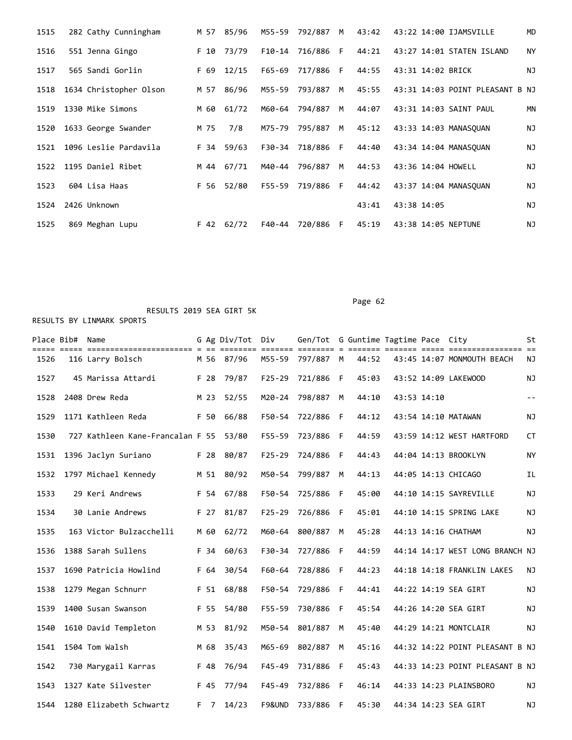| 1515 | 282 Cathy Cunningham   |      | M 57 85/96 |        | M55-59 792/887 M |    | 43:42 | 43:22 14:00 IJAMSVILLE          | <b>MD</b> |
|------|------------------------|------|------------|--------|------------------|----|-------|---------------------------------|-----------|
| 1516 | 551 Jenna Gingo        | F 10 | 73/79      |        | F10-14 716/886 F |    | 44:21 | 43:27 14:01 STATEN ISLAND       | <b>NY</b> |
| 1517 | 565 Sandi Gorlin       | F 69 | 12/15      |        | F65-69 717/886 F |    | 44:55 | 43:31 14:02 BRICK               | NJ        |
| 1518 | 1634 Christopher Olson | M 57 | 86/96      | M55-59 | 793/887          | M  | 45:55 | 43:31 14:03 POINT PLEASANT B NJ |           |
| 1519 | 1330 Mike Simons       | M 60 | 61/72      | M60-64 | 794/887          | M  | 44:07 | 43:31 14:03 SAINT PAUL          | ΜN        |
| 1520 | 1633 George Swander    | M 75 | 7/8        | M75-79 | 795/887          | M  | 45:12 | 43:33 14:03 MANASOUAN           | NJ        |
| 1521 | 1096 Leslie Pardavila  |      | F 34 59/63 | F30-34 | 718/886 F        |    | 44:40 | 43:34 14:04 MANASOUAN           | ΝJ        |
|      | 1522 1195 Daniel Ribet | M 44 | 67/71      | M40-44 | 796/887          | M  | 44:53 | 43:36 14:04 HOWELL              | ΝJ        |
| 1523 | 604 Lisa Haas          |      | F 56 52/80 |        | F55-59 719/886 F |    | 44:42 | 43:37 14:04 MANASOUAN           | ΝJ        |
| 1524 | 2426 Unknown           |      |            |        |                  |    | 43:41 | 43:38 14:05                     | ΝJ        |
| 1525 | 869 Meghan Lupu        |      | F 42 62/72 | F40-44 | 720/886          | F. | 45:19 | 43:38 14:05 NEPTUNE             | ΝJ        |

Place Bib# Name G Ag Div/Tot Div Gen/Tot G Guntime Tagtime Pace City St ===== ===== ======================= = == ======== ======= ======== = ======= ======= ===== ================ == 1526 116 Larry Bolsch M 56 87/96 M55-59 797/887 M 44:52 43:45 14:07 MONMOUTH BEACH NJ 1527 45 Marissa Attardi F 28 79/87 F25-29 721/886 F 45:03 43:52 14:09 LAKEWOOD NJ 1528 2408 Drew Reda M 23 52/55 M20-24 798/887 M 44:10 43:53 14:10 -- 1529 1171 Kathleen Reda F 50 66/88 F50-54 722/886 F 44:12 43:54 14:10 MATAWAN NJ 1530 727 Kathleen Kane-Francalan F 55 53/80 F55-59 723/886 F 44:59 43:59 14:12 WEST HARTFORD CT 1531 1396 Jaclyn Suriano F 28 80/87 F25-29 724/886 F 44:43 44:04 14:13 BROOKLYN NY 1532 1797 Michael Kennedy M 51 80/92 M50-54 799/887 M 44:13 44:05 14:13 CHICAGO IL 1533 29 Keri Andrews F 54 67/88 F50-54 725/886 F 45:00 44:10 14:15 SAYREVILLE NJ 1534 30 Lanie Andrews F 27 81/87 F25-29 726/886 F 45:01 44:10 14:15 SPRING LAKE NJ 1535 163 Victor Bulzacchelli M 60 62/72 M60-64 800/887 M 45:28 44:13 14:16 CHATHAM NJ 1536 1388 Sarah Sullens F 34 60/63 F30-34 727/886 F 44:59 44:14 14:17 WEST LONG BRANCH NJ 1537 1690 Patricia Howlind F 64 30/54 F60-64 728/886 F 44:23 44:18 14:18 FRANKLIN LAKES NJ 1538 1279 Megan Schnurr F 51 68/88 F50-54 729/886 F 44:41 44:22 14:19 SEA GIRT NJ 1539 1400 Susan Swanson F 55 54/80 F55-59 730/886 F 45:54 44:26 14:20 SEA GIRT NJ 1540 1610 David Templeton M 53 81/92 M50-54 801/887 M 45:40 44:29 14:21 MONTCLAIR NJ 1541 1504 Tom Walsh M 68 35/43 M65-69 802/887 M 45:16 44:32 14:22 POINT PLEASANT B NJ 1542 730 Marygail Karras F 48 76/94 F45-49 731/886 F 45:43 44:33 14:23 POINT PLEASANT B NJ 1543 1327 Kate Silvester F 45 77/94 F45-49 732/886 F 46:14 44:33 14:23 PLAINSBORO NJ 1544 1280 Elizabeth Schwartz F 7 14/23 F9&UND 733/886 F 45:30 44:34 14:23 SEA GIRT NJ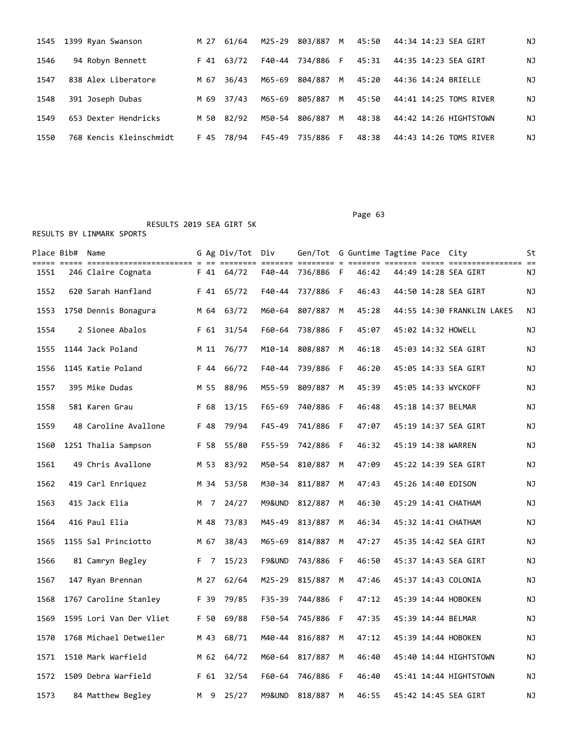| 1545 | 1399 Ryan Swanson       |      | M 27 61/64 | M25-29 | 803/887 M        | 45:50 | 44:34 14:23 SEA GIRT   | ΝJ |
|------|-------------------------|------|------------|--------|------------------|-------|------------------------|----|
| 1546 | 94 Robyn Bennett        |      | F 41 63/72 |        | F40-44 734/886 F | 45:31 | 44:35 14:23 SEA GIRT   | ΝJ |
| 1547 | 838 Alex Liberatore     | M 67 | 36/43      | M65-69 | 804/887 M        | 45:20 | 44:36 14:24 BRIELLE    | ΝJ |
| 1548 | 391 Joseph Dubas        | M 69 | 37/43      | M65-69 | 805/887 M        | 45:50 | 44:41 14:25 TOMS RIVER | ΝJ |
| 1549 | 653 Dexter Hendricks    |      | M 50 82/92 | M50-54 | 806/887 M        | 48:38 | 44:42 14:26 HIGHTSTOWN | ΝJ |
| 1550 | 768 Kencis Kleinschmidt |      | F 45 78/94 |        | F45-49 735/886 F | 48:38 | 44:43 14:26 TOMS RIVER | ΝJ |

Page 63

|      | Place Bib# Name |                         |      | G Ag Div/Tot Div |            | Gen/Tot G Guntime Tagtime Pace City |     |       |  |                            | St |
|------|-----------------|-------------------------|------|------------------|------------|-------------------------------------|-----|-------|--|----------------------------|----|
| 1551 |                 | 246 Claire Cognata      | F 41 | 64/72            |            | F40-44 736/886 F                    |     | 46:42 |  | 44:49 14:28 SEA GIRT       | ΝJ |
| 1552 |                 | 620 Sarah Hanfland      | F 41 | 65/72            | F40-44     | 737/886 F                           |     | 46:43 |  | 44:50 14:28 SEA GIRT       | ΝJ |
| 1553 |                 | 1750 Dennis Bonagura    | M 64 | 63/72            | M60-64     | 807/887                             | M   | 45:28 |  | 44:55 14:30 FRANKLIN LAKES | ΝJ |
| 1554 |                 | 2 Sionee Abalos         | F 61 | 31/54            | F60-64     | 738/886                             | - F | 45:07 |  | 45:02 14:32 HOWELL         | ΝJ |
| 1555 |                 | 1144 Jack Poland        |      | M 11 76/77       | M10-14     | 808/887 M                           |     | 46:18 |  | 45:03 14:32 SEA GIRT       | ΝJ |
| 1556 |                 | 1145 Katie Poland       | F 44 | 66/72            | $F40 - 44$ | 739/886                             | - F | 46:20 |  | 45:05 14:33 SEA GIRT       | ΝJ |
| 1557 |                 | 395 Mike Dudas          | M 55 | 88/96            | M55-59     | 809/887 M                           |     | 45:39 |  | 45:05 14:33 WYCKOFF        | ΝJ |
| 1558 |                 | 581 Karen Grau          | F 68 | 13/15            | $F65 - 69$ | 740/886                             | - F | 46:48 |  | 45:18 14:37 BELMAR         | ΝJ |
| 1559 |                 | 48 Caroline Avallone    | F 48 | 79/94            | $F45 - 49$ | 741/886 F                           |     | 47:07 |  | 45:19 14:37 SEA GIRT       | ΝJ |
| 1560 |                 | 1251 Thalia Sampson     | F 58 | 55/80            | F55-59     | 742/886                             | - F | 46:32 |  | 45:19 14:38 WARREN         | ΝJ |
| 1561 |                 | 49 Chris Avallone       | M 53 | 83/92            | M50-54     | 810/887                             | M   | 47:09 |  | 45:22 14:39 SEA GIRT       | ΝJ |
| 1562 |                 | 419 Carl Enriquez       | M 34 | 53/58            | M30-34     | 811/887                             | M   | 47:43 |  | 45:26 14:40 EDISON         | ΝJ |
| 1563 |                 | 415 Jack Elia           | M 7  | 24/27            | M9&UND     | 812/887                             | M   | 46:30 |  | 45:29 14:41 CHATHAM        | ΝJ |
| 1564 |                 | 416 Paul Elia           | M 48 | 73/83            | M45-49     | 813/887                             | M   | 46:34 |  | 45:32 14:41 CHATHAM        | ΝJ |
| 1565 |                 | 1155 Sal Princiotto     | M 67 | 38/43            | M65-69     | 814/887                             | M   | 47:27 |  | 45:35 14:42 SEA GIRT       | ΝJ |
| 1566 |                 | 81 Camryn Begley        | F 7  | 15/23            | F9&UND     | 743/886 F                           |     | 46:50 |  | 45:37 14:43 SEA GIRT       | ΝJ |
| 1567 |                 | 147 Ryan Brennan        | M 27 | 62/64            | M25-29     | 815/887                             | M   | 47:46 |  | 45:37 14:43 COLONIA        | ΝJ |
| 1568 |                 | 1767 Caroline Stanley   | F 39 | 79/85            | F35-39     | 744/886                             | - F | 47:12 |  | 45:39 14:44 HOBOKEN        | ΝJ |
| 1569 |                 | 1595 Lori Van Der Vliet | F 50 | 69/88            | F50-54     | 745/886                             | - F | 47:35 |  | 45:39 14:44 BELMAR         | ΝJ |
| 1570 |                 | 1768 Michael Detweiler  | M 43 | 68/71            | M40-44     | 816/887                             | M   | 47:12 |  | 45:39 14:44 HOBOKEN        | ΝJ |
| 1571 |                 | 1510 Mark Warfield      | M 62 | 64/72            |            | M60-64 817/887                      | M   | 46:40 |  | 45:40 14:44 HIGHTSTOWN     | ΝJ |
| 1572 |                 | 1509 Debra Warfield     | F 61 | 32/54            | F60-64     | 746/886                             | - F | 46:40 |  | 45:41 14:44 HIGHTSTOWN     | ΝJ |
| 1573 |                 | 84 Matthew Begley       | M 9  | 25/27            |            | M9&UND 818/887 M                    |     | 46:55 |  | 45:42 14:45 SEA GIRT       | ΝJ |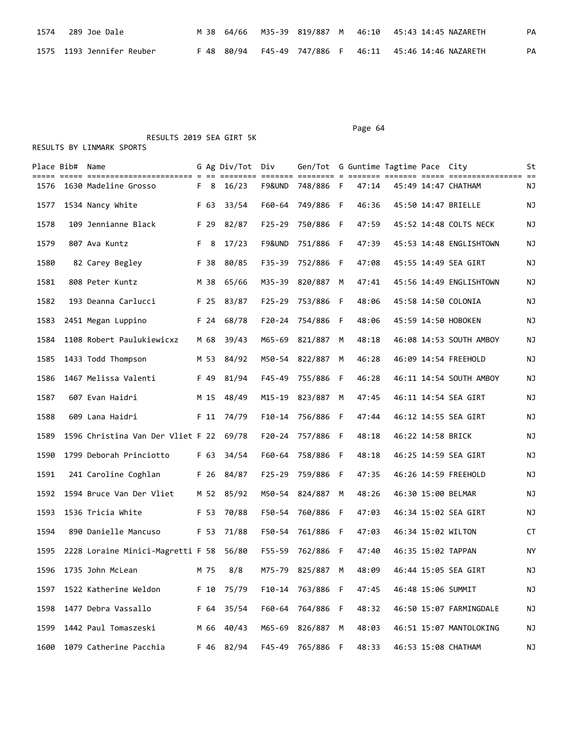| 1574 289 Joe Dale          |  |  |  | M 38 64/66 M35-39 819/887 M 46:10 45:43 14:45 NAZARETH | PA |
|----------------------------|--|--|--|--------------------------------------------------------|----|
| 1575  1193 Jennifer Reuber |  |  |  | F 48 80/94 F45-49 747/886 F 46:11 45:46 14:46 NAZARETH | PA |

 RESULTS 2019 SEA GIRT 5K RESULTS BY LINMARK SPORTS

|      | Place Bib# Name |                                         |      | G Ag Div/Tot Div |            | Gen/Tot G Guntime Tagtime Pace City |   |       |                   |                         | St |
|------|-----------------|-----------------------------------------|------|------------------|------------|-------------------------------------|---|-------|-------------------|-------------------------|----|
| 1576 |                 | 1630 Madeline Grosso                    | F 8  | 16/23            |            | F9&UND 748/886 F                    |   | 47:14 |                   | 45:49 14:47 CHATHAM     | ΝJ |
| 1577 |                 | 1534 Nancy White                        | F 63 | 33/54            |            | F60-64 749/886 F                    |   | 46:36 |                   | 45:50 14:47 BRIELLE     | ΝJ |
| 1578 |                 | 109 Jennianne Black                     | F 29 | 82/87            | $F25 - 29$ | 750/886 F                           |   | 47:59 |                   | 45:52 14:48 COLTS NECK  | ΝJ |
| 1579 |                 | 807 Ava Kuntz                           | F 8  | 17/23            | F9&UND     | 751/886 F                           |   | 47:39 |                   | 45:53 14:48 ENGLISHTOWN | ΝJ |
| 1580 |                 | 82 Carey Begley                         | F 38 | 80/85            | F35-39     | 752/886 F                           |   | 47:08 |                   | 45:55 14:49 SEA GIRT    | ΝJ |
| 1581 |                 | 808 Peter Kuntz                         | M 38 | 65/66            | M35-39     | 820/887                             | M | 47:41 |                   | 45:56 14:49 ENGLISHTOWN | ΝJ |
| 1582 |                 | 193 Deanna Carlucci                     | F 25 | 83/87            | $F25 - 29$ | 753/886 F                           |   | 48:06 |                   | 45:58 14:50 COLONIA     | ΝJ |
| 1583 |                 | 2451 Megan Luppino                      | F 24 | 68/78            |            | F20-24 754/886 F                    |   | 48:06 |                   | 45:59 14:50 HOBOKEN     | ΝJ |
| 1584 |                 | 1108 Robert Paulukiewicxz               | M 68 | 39/43            |            | M65-69 821/887                      | M | 48:18 |                   | 46:08 14:53 SOUTH AMBOY | ΝJ |
| 1585 |                 | 1433 Todd Thompson                      | M 53 | 84/92            |            | M50-54 822/887                      | M | 46:28 |                   | 46:09 14:54 FREEHOLD    | ΝJ |
| 1586 |                 | 1467 Melissa Valenti                    | F 49 | 81/94            | F45-49     | 755/886 F                           |   | 46:28 |                   | 46:11 14:54 SOUTH AMBOY | ΝJ |
| 1587 |                 | 607 Evan Haidri                         | M 15 | 48/49            |            | M15-19 823/887                      | M | 47:45 |                   | 46:11 14:54 SEA GIRT    | ΝJ |
| 1588 |                 | 609 Lana Haidri                         | F 11 | 74/79            |            | F10-14 756/886 F                    |   | 47:44 |                   | 46:12 14:55 SEA GIRT    | ΝJ |
| 1589 |                 | 1596 Christina Van Der Vliet F 22 69/78 |      |                  | F20-24     | 757/886 F                           |   | 48:18 | 46:22 14:58 BRICK |                         | ΝJ |
| 1590 |                 | 1799 Deborah Princiotto                 | F 63 | 34/54            | F60-64     | 758/886 F                           |   | 48:18 |                   | 46:25 14:59 SEA GIRT    | ΝJ |
| 1591 |                 | 241 Caroline Coghlan                    | F 26 | 84/87            |            | F25-29 759/886 F                    |   | 47:35 |                   | 46:26 14:59 FREEHOLD    | ΝJ |
| 1592 |                 | 1594 Bruce Van Der Vliet                |      | M 52 85/92       |            | M50-54 824/887                      | M | 48:26 |                   | 46:30 15:00 BELMAR      | ΝJ |
| 1593 |                 | 1536 Tricia White                       | F 53 | 70/88            | F50-54     | 760/886 F                           |   | 47:03 |                   | 46:34 15:02 SEA GIRT    | ΝJ |
| 1594 |                 | 890 Danielle Mancuso                    | F 53 | 71/88            | F50-54     | 761/886 F                           |   | 47:03 |                   | 46:34 15:02 WILTON      | СT |
| 1595 |                 | 2228 Loraine Minici-Magretti F 58       |      | 56/80            |            | F55-59 762/886 F                    |   | 47:40 |                   | 46:35 15:02 TAPPAN      | ΝY |
| 1596 |                 | 1735 John McLean                        | M 75 | 8/8              |            | M75-79 825/887                      | M | 48:09 |                   | 46:44 15:05 SEA GIRT    | ΝJ |
| 1597 |                 | 1522 Katherine Weldon                   | F 10 | 75/79            |            | F10-14 763/886 F                    |   | 47:45 |                   | 46:48 15:06 SUMMIT      | ΝJ |
| 1598 |                 | 1477 Debra Vassallo                     | F 64 | 35/54            |            | F60-64 764/886 F                    |   | 48:32 |                   | 46:50 15:07 FARMINGDALE | ΝJ |
| 1599 |                 | 1442 Paul Tomaszeski                    | M 66 | 40/43            |            | M65-69 826/887                      | М | 48:03 |                   | 46:51 15:07 MANTOLOKING | ΝJ |
| 1600 |                 | 1079 Catherine Pacchia                  |      | F 46 82/94       | F45-49     | 765/886 F                           |   | 48:33 |                   | 46:53 15:08 CHATHAM     | NJ |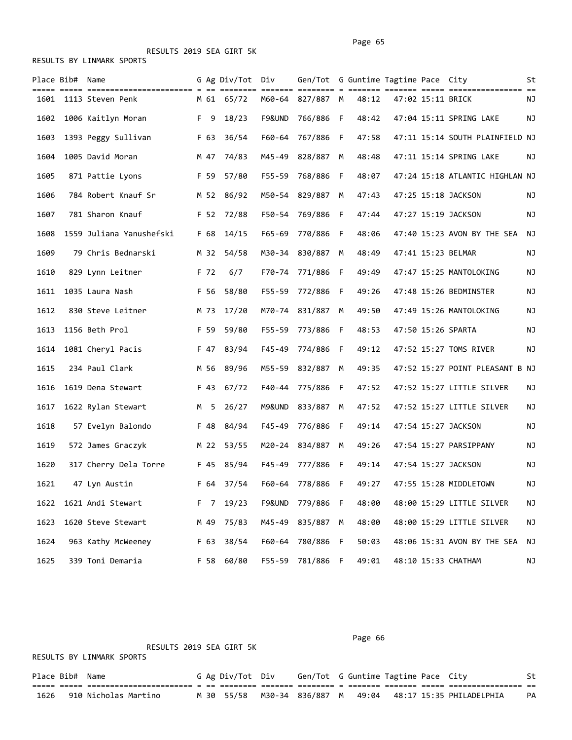RESULTS BY LINMARK SPORTS

|      | Place Bib# Name |                          |   |      | G Ag Div/Tot Div |            | Gen/Tot G Guntime Tagtime Pace City |   |       |                   |                                 | St        |
|------|-----------------|--------------------------|---|------|------------------|------------|-------------------------------------|---|-------|-------------------|---------------------------------|-----------|
| 1601 |                 | 1113 Steven Penk         |   |      | M 61 65/72       |            | ==== = ==:<br>M60-64 827/887 M      |   | 48:12 | 47:02 15:11 BRICK |                                 | ΝJ        |
| 1602 |                 | 1006 Kaitlyn Moran       |   | F 9  | 18/23            | F9&UND     | 766/886 F                           |   | 48:42 |                   | 47:04 15:11 SPRING LAKE         | ΝJ        |
| 1603 |                 | 1393 Peggy Sullivan      |   | F 63 | 36/54            |            | F60-64 767/886 F                    |   | 47:58 |                   | 47:11 15:14 SOUTH PLAINFIELD NJ |           |
| 1604 |                 | 1005 David Moran         |   | M 47 | 74/83            | M45-49     | 828/887                             | M | 48:48 |                   | 47:11 15:14 SPRING LAKE         | ΝJ        |
| 1605 |                 | 871 Pattie Lyons         |   | F 59 | 57/80            | $F55 - 59$ | 768/886 F                           |   | 48:07 |                   | 47:24 15:18 ATLANTIC HIGHLAN NJ |           |
| 1606 |                 | 784 Robert Knauf Sr      |   | M 52 | 86/92            |            | M50-54 829/887                      | M | 47:43 |                   | 47:25 15:18 JACKSON             | ΝJ        |
| 1607 |                 | 781 Sharon Knauf         |   |      | F 52 72/88       |            | F50-54 769/886 F                    |   | 47:44 |                   | 47:27 15:19 JACKSON             | ΝJ        |
| 1608 |                 | 1559 Juliana Yanushefski |   | F 68 | 14/15            | F65-69     | 770/886 F                           |   | 48:06 |                   | 47:40 15:23 AVON BY THE SEA     | NJ        |
| 1609 |                 | 79 Chris Bednarski       |   | M 32 | 54/58            | M30-34     | 830/887                             | M | 48:49 |                   | 47:41 15:23 BELMAR              | ΝJ        |
| 1610 |                 | 829 Lynn Leitner         |   | F 72 | 6/7              |            | F70-74 771/886 F                    |   | 49:49 |                   | 47:47 15:25 MANTOLOKING         | ΝJ        |
| 1611 |                 | 1035 Laura Nash          |   | F 56 | 58/80            | F55-59     | 772/886 F                           |   | 49:26 |                   | 47:48 15:26 BEDMINSTER          | ΝJ        |
| 1612 |                 | 830 Steve Leitner        |   | M 73 | 17/20            | M70-74     | 831/887                             | M | 49:50 |                   | 47:49 15:26 MANTOLOKING         | ΝJ        |
| 1613 |                 | 1156 Beth Prol           |   | F 59 | 59/80            | F55-59     | 773/886 F                           |   | 48:53 |                   | 47:50 15:26 SPARTA              | ΝJ        |
| 1614 |                 | 1081 Cheryl Pacis        |   |      | F 47 83/94       | F45-49     | 774/886 F                           |   | 49:12 |                   | 47:52 15:27 TOMS RIVER          | ΝJ        |
| 1615 |                 | 234 Paul Clark           |   | M 56 | 89/96            |            | M55-59 832/887 M                    |   | 49:35 |                   | 47:52 15:27 POINT PLEASANT B NJ |           |
| 1616 |                 | 1619 Dena Stewart        |   | F 43 | 67/72            | F40-44     | 775/886 F                           |   | 47:52 |                   | 47:52 15:27 LITTLE SILVER       | ΝJ        |
| 1617 |                 | 1622 Rylan Stewart       | M | 5    | 26/27            | M9&UND     | 833/887                             | М | 47:52 |                   | 47:52 15:27 LITTLE SILVER       | ΝJ        |
| 1618 |                 | 57 Evelyn Balondo        |   | F 48 | 84/94            | F45-49     | 776/886 F                           |   | 49:14 |                   | 47:54 15:27 JACKSON             | ΝJ        |
| 1619 |                 | 572 James Graczyk        |   | M 22 | 53/55            | M20-24     | 834/887                             | M | 49:26 |                   | 47:54 15:27 PARSIPPANY          | ΝJ        |
| 1620 |                 | 317 Cherry Dela Torre    |   | F 45 | 85/94            | F45-49     | 777/886 F                           |   | 49:14 |                   | 47:54 15:27 JACKSON             | ΝJ        |
| 1621 |                 | 47 Lyn Austin            |   |      | F 64 37/54       |            | F60-64 778/886 F                    |   | 49:27 |                   | 47:55 15:28 MIDDLETOWN          | ΝJ        |
| 1622 |                 | 1621 Andi Stewart        |   | F 7  | 19/23            |            | F9&UND 779/886 F                    |   | 48:00 |                   | 48:00 15:29 LITTLE SILVER       | <b>NJ</b> |
| 1623 |                 | 1620 Steve Stewart       |   | M 49 | 75/83            | M45-49     | 835/887 M                           |   | 48:00 |                   | 48:00 15:29 LITTLE SILVER       | ΝJ        |
| 1624 |                 | 963 Kathy McWeeney       |   | F 63 | 38/54            | F60-64     | 780/886 F                           |   | 50:03 |                   | 48:06 15:31 AVON BY THE SEA     | ΝJ        |
| 1625 |                 | 339 Toni Demaria         |   | F 58 | 60/80            | F55-59     | 781/886 F                           |   | 49:01 |                   | 48:10 15:33 CHATHAM             | ΝJ        |

RESULTS 2019 SEA GIRT 5K

#### Page 66

RESULTS BY LINMARK SPORTS

Place Bib# Name 6 Ag Div/Tot Div Gen/Tot G Guntime Tagtime Pace City St ===== ===== ======================= = == ======== ======= ======== = ======= ======= ===== ================ == 1626 910 Nicholas Martino M 30 55/58 M30-34 836/887 M 49:04 48:17 15:35 PHILADELPHIA PA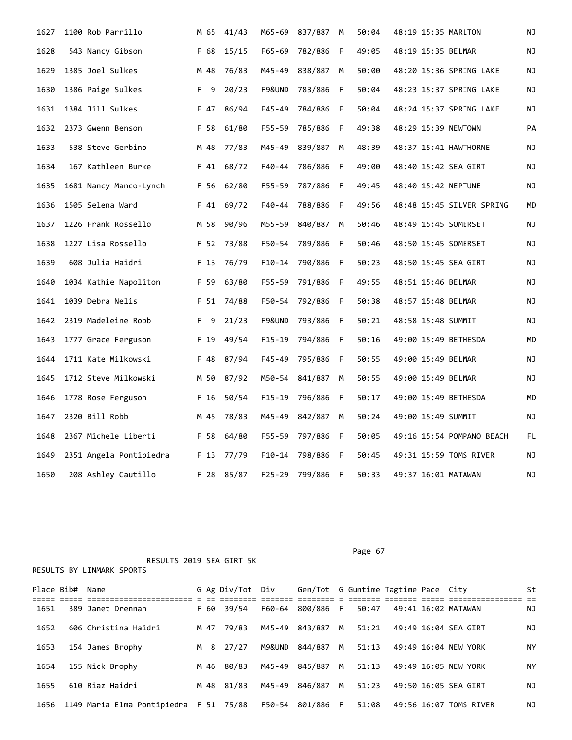| 1627 | 1100 Rob Parrillo       | M 65 | 41/43 | M65-69     | 837/887          | M   | 50:04 | 48:19 15:35 MARLTON       | ΝJ |
|------|-------------------------|------|-------|------------|------------------|-----|-------|---------------------------|----|
| 1628 | 543 Nancy Gibson        | F 68 | 15/15 | $F65 - 69$ | 782/886          | - F | 49:05 | 48:19 15:35 BELMAR        | ΝJ |
| 1629 | 1385 Joel Sulkes        | M 48 | 76/83 | M45-49     | 838/887          | M   | 50:00 | 48:20 15:36 SPRING LAKE   | ΝJ |
| 1630 | 1386 Paige Sulkes       | F 9  | 20/23 | F9&UND     | 783/886          | F   | 50:04 | 48:23 15:37 SPRING LAKE   | ΝJ |
| 1631 | 1384 Jill Sulkes        | F 47 | 86/94 | F45-49     | 784/886 F        |     | 50:04 | 48:24 15:37 SPRING LAKE   | ΝJ |
| 1632 | 2373 Gwenn Benson       | F 58 | 61/80 | $F55 - 59$ | 785/886          | -F  | 49:38 | 48:29 15:39 NEWTOWN       | PA |
| 1633 | 538 Steve Gerbino       | M 48 | 77/83 | M45-49     | 839/887          | M   | 48:39 | 48:37 15:41 HAWTHORNE     | ΝJ |
| 1634 | 167 Kathleen Burke      | F 41 | 68/72 | F40-44     | 786/886          | - F | 49:00 | 48:40 15:42 SEA GIRT      | ΝJ |
| 1635 | 1681 Nancy Manco-Lynch  | F 56 | 62/80 | F55-59     | 787/886 F        |     | 49:45 | 48:40 15:42 NEPTUNE       | ΝJ |
| 1636 | 1505 Selena Ward        | F 41 | 69/72 | F40-44     | 788/886 F        |     | 49:56 | 48:48 15:45 SILVER SPRING | MD |
| 1637 | 1226 Frank Rossello     | M 58 | 90/96 | M55-59     | 840/887          | M   | 50:46 | 48:49 15:45 SOMERSET      | ΝJ |
| 1638 | 1227 Lisa Rossello      | F 52 | 73/88 |            | F50-54 789/886 F |     | 50:46 | 48:50 15:45 SOMERSET      | ΝJ |
| 1639 | 608 Julia Haidri        | F 13 | 76/79 | $F10-14$   | 790/886          | - F | 50:23 | 48:50 15:45 SEA GIRT      | ΝJ |
| 1640 | 1034 Kathie Napoliton   | F 59 | 63/80 | F55-59     | 791/886          | F   | 49:55 | 48:51 15:46 BELMAR        | ΝJ |
| 1641 | 1039 Debra Nelis        | F 51 | 74/88 | F50-54     | 792/886 F        |     | 50:38 | 48:57 15:48 BELMAR        | ΝJ |
| 1642 | 2319 Madeleine Robb     | F 9  | 21/23 | F9&UND     | 793/886          | - F | 50:21 | 48:58 15:48 SUMMIT        | ΝJ |
| 1643 | 1777 Grace Ferguson     | F 19 | 49/54 | F15-19     | 794/886 F        |     | 50:16 | 49:00 15:49 BETHESDA      | MD |
| 1644 | 1711 Kate Milkowski     | F 48 | 87/94 | $F45 - 49$ | 795/886          | - F | 50:55 | 49:00 15:49 BELMAR        | ΝJ |
| 1645 | 1712 Steve Milkowski    | M 50 | 87/92 | M50-54     | 841/887          | M   | 50:55 | 49:00 15:49 BELMAR        | ΝJ |
| 1646 | 1778 Rose Ferguson      | F 16 | 50/54 | F15-19     | 796/886 F        |     | 50:17 | 49:00 15:49 BETHESDA      | MD |
| 1647 | 2320 Bill Robb          | M 45 | 78/83 | M45-49     | 842/887          | M   | 50:24 | 49:00 15:49 SUMMIT        | ΝJ |
| 1648 | 2367 Michele Liberti    | F 58 | 64/80 | F55-59     | 797/886 F        |     | 50:05 | 49:16 15:54 POMPANO BEACH | FL |
| 1649 | 2351 Angela Pontipiedra | F 13 | 77/79 | $F10-14$   | 798/886          | F   | 50:45 | 49:31 15:59 TOMS RIVER    | ΝJ |
| 1650 | 208 Ashley Cautillo     | F 28 | 85/87 | F25-29     | 799/886 F        |     | 50:33 | 49:37 16:01 MATAWAN       | ΝJ |

Place Bib# Name 6 Ag Div/Tot Div Gen/Tot G Guntime Tagtime Pace City St ===== ===== ======================= = == ======== ======= ======== = ======= ======= ===== ================ == 1651 389 Janet Drennan F 60 39/54 F60-64 800/886 F 50:47 49:41 16:02 MATAWAN NJ 1652 606 Christina Haidri M 47 79/83 M45-49 843/887 M 51:21 49:49 16:04 SEA GIRT NJ 1653 154 James Brophy M 8 27/27 M9&UND 844/887 M 51:13 49:49 16:04 NEW YORK NY 1654 155 Nick Brophy M 46 80/83 M45-49 845/887 M 51:13 49:49 16:05 NEW YORK NY 1655 610 Riaz Haidri M 48 81/83 M45-49 846/887 M 51:23 49:50 16:05 SEA GIRT NJ 1656 1149 Maria Elma Pontipiedra F 51 75/88 F50-54 801/886 F 51:08 49:56 16:07 TOMS RIVER NJ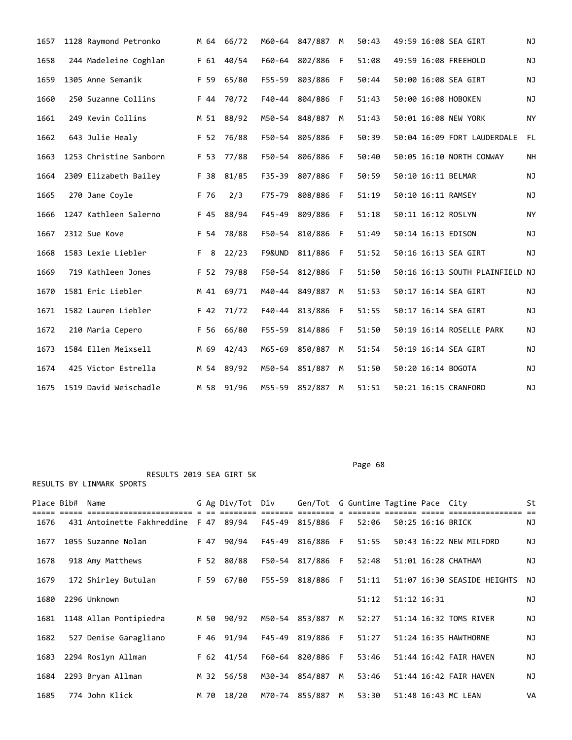| 1657 | 1128 Raymond Petronko  | M 64 | 66/72      |            | M60-64 847/887 | M | 50:43 |  | 49:59 16:08 SEA GIRT            | NJ        |
|------|------------------------|------|------------|------------|----------------|---|-------|--|---------------------------------|-----------|
| 1658 | 244 Madeleine Coghlan  | F 61 | 40/54      | F60-64     | 802/886        | F | 51:08 |  | 49:59 16:08 FREEHOLD            | ΝJ        |
| 1659 | 1305 Anne Semanik      | F 59 | 65/80      | $F55 - 59$ | 803/886        | F | 50:44 |  | 50:00 16:08 SEA GIRT            | ΝJ        |
| 1660 | 250 Suzanne Collins    | F 44 | 70/72      | F40-44     | 804/886        | F | 51:43 |  | 50:00 16:08 HOBOKEN             | ΝJ        |
| 1661 | 249 Kevin Collins      | M 51 | 88/92      | M50-54     | 848/887        | M | 51:43 |  | 50:01 16:08 NEW YORK            | <b>NY</b> |
| 1662 | 643 Julie Healy        | F 52 | 76/88      | F50-54     | 805/886        | F | 50:39 |  | 50:04 16:09 FORT LAUDERDALE     | FL.       |
| 1663 | 1253 Christine Sanborn | F 53 | 77/88      | F50-54     | 806/886        | F | 50:40 |  | 50:05 16:10 NORTH CONWAY        | <b>NH</b> |
| 1664 | 2309 Elizabeth Bailey  | F 38 | 81/85      | $F35 - 39$ | 807/886        | F | 50:59 |  | 50:10 16:11 BELMAR              | NJ        |
| 1665 | 270 Jane Coyle         | F 76 | 2/3        | F75-79     | 808/886        | F | 51:19 |  | 50:10 16:11 RAMSEY              | NJ        |
| 1666 | 1247 Kathleen Salerno  | F 45 | 88/94      | $F45 - 49$ | 809/886        | F | 51:18 |  | 50:11 16:12 ROSLYN              | ΝY        |
| 1667 | 2312 Sue Kove          | F 54 | 78/88      | F50-54     | 810/886        | F | 51:49 |  | 50:14 16:13 EDISON              | NJ        |
| 1668 | 1583 Lexie Liebler     | F 8  | 22/23      | F9&UND     | 811/886        | F | 51:52 |  | 50:16 16:13 SEA GIRT            | NJ        |
| 1669 | 719 Kathleen Jones     | F 52 | 79/88      | F50-54     | 812/886        | F | 51:50 |  | 50:16 16:13 SOUTH PLAINFIELD NJ |           |
| 1670 | 1581 Eric Liebler      | M 41 | 69/71      | M40-44     | 849/887        | М | 51:53 |  | 50:17 16:14 SEA GIRT            | NJ        |
| 1671 | 1582 Lauren Liebler    | F 42 | 71/72      | $F40 - 44$ | 813/886        | F | 51:55 |  | 50:17 16:14 SEA GIRT            | NJ        |
| 1672 | 210 Maria Cepero       | F 56 | 66/80      | F55-59     | 814/886        | F | 51:50 |  | 50:19 16:14 ROSELLE PARK        | ΝJ        |
| 1673 | 1584 Ellen Meixsell    | M 69 | 42/43      | M65-69     | 850/887        | M | 51:54 |  | 50:19 16:14 SEA GIRT            | ΝJ        |
| 1674 | 425 Victor Estrella    | M 54 | 89/92      | M50-54     | 851/887        | M | 51:50 |  | 50:20 16:14 BOGOTA              | NJ        |
| 1675 | 1519 David Weischadle  |      | M 58 91/96 | M55-59     | 852/887        | M | 51:51 |  | 50:21 16:15 CRANFORD            | NJ        |

Page 68

| Place Bib# | Name                                  |      | G Ag Div/Tot Div | Gen/Tot G Guntime Tagtime Pace City |   |       |             |                   |                             | St  |
|------------|---------------------------------------|------|------------------|-------------------------------------|---|-------|-------------|-------------------|-----------------------------|-----|
| 1676       | 431 Antoinette Fakhreddine F 47 89/94 |      |                  | F45-49 815/886 F                    |   | 52:06 |             | 50:25 16:16 BRICK |                             | NJ. |
| 1677       | 1055 Suzanne Nolan                    |      | F 47 90/94       | F45-49 816/886 F                    |   | 51:55 |             |                   | 50:43 16:22 NEW MILFORD     | ΝJ  |
| 1678       | 918 Amy Matthews                      |      | F 52 80/88       | F50-54 817/886 F                    |   | 52:48 |             |                   | 51:01 16:28 CHATHAM         | ΝJ  |
| 1679       | 172 Shirley Butulan                   |      | F 59 67/80       | F55-59 818/886 F                    |   | 51:11 |             |                   | 51:07 16:30 SEASIDE HEIGHTS | NJ  |
| 1680       | 2296 Unknown                          |      |                  |                                     |   | 51:12 | 51:12 16:31 |                   |                             | ΝJ  |
| 1681       | 1148 Allan Pontipiedra                |      | M 50 90/92       | M50-54 853/887                      | M | 52:27 |             |                   | 51:14 16:32 TOMS RIVER      | ΝJ  |
| 1682       | 527 Denise Garagliano                 |      | F 46 91/94       | F45-49 819/886 F                    |   | 51:27 |             |                   | 51:24 16:35 HAWTHORNE       | ΝJ  |
| 1683       | 2294 Roslyn Allman                    |      | $F$ 62 41/54     | F60-64 820/886 F                    |   | 53:46 |             |                   | 51:44 16:42 FAIR HAVEN      | ΝJ  |
| 1684       | 2293 Bryan Allman                     |      | M 32 56/58       | M30-34 854/887                      | M | 53:46 |             |                   | 51:44 16:42 FAIR HAVEN      | ΝJ  |
| 1685       | 774 John Klick                        | M 70 | 18/20            | M70-74 855/887                      | M | 53:30 |             |                   | 51:48 16:43 MC LEAN         | VA  |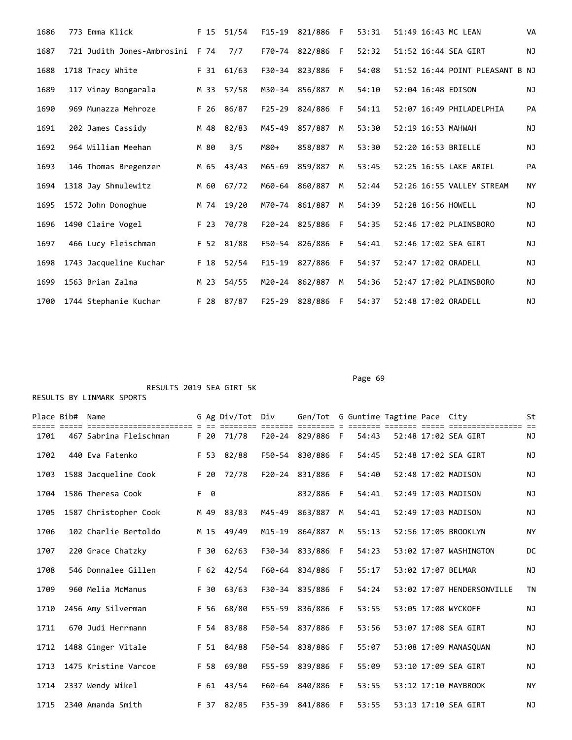| 1686 | 773 Emma Klick             |      | F 15 51/54   |        | F15-19 821/886 F |    | 53:31 | 51:49 16:43 MC LEAN             | <b>VA</b> |
|------|----------------------------|------|--------------|--------|------------------|----|-------|---------------------------------|-----------|
| 1687 | 721 Judith Jones-Ambrosini | F 74 | 7/7          |        | F70-74 822/886 F |    | 52:32 | 51:52 16:44 SEA GIRT            | <b>NJ</b> |
| 1688 | 1718 Tracy White           |      | $F$ 31 61/63 |        | F30-34 823/886   | -F | 54:08 | 51:52 16:44 POINT PLEASANT B NJ |           |
| 1689 | 117 Vinay Bongarala        | M 33 | 57/58        |        | M30-34 856/887   | M  | 54:10 | 52:04 16:48 EDISON              | <b>NJ</b> |
| 1690 | 969 Munazza Mehroze        | F 26 | 86/87        |        | F25-29 824/886   | -F | 54:11 | 52:07 16:49 PHILADELPHIA        | PA        |
| 1691 | 202 James Cassidy          | M 48 | 82/83        | M45-49 | 857/887          | M  | 53:30 | 52:19 16:53 MAHWAH              | <b>NJ</b> |
| 1692 | 964 William Meehan         | M 80 | 3/5          | M80+   | 858/887          | M  | 53:30 | 52:20 16:53 BRIELLE             | NJ        |
| 1693 | 146 Thomas Bregenzer       | M 65 | 43/43        | M65-69 | 859/887          | M  | 53:45 | 52:25 16:55 LAKE ARIEL          | PA        |
| 1694 | 1318 Jay Shmulewitz        | M 60 | 67/72        | M60-64 | 860/887          | M  | 52:44 | 52:26 16:55 VALLEY STREAM       | <b>NY</b> |
| 1695 | 1572 John Donoghue         |      | M 74 19/20   |        | M70-74 861/887   | M  | 54:39 | 52:28 16:56 HOWELL              | <b>NJ</b> |
| 1696 | 1490 Claire Vogel          | F 23 | 70/78        |        | F20-24 825/886   | F  | 54:35 | 52:46 17:02 PLAINSBORO          | <b>NJ</b> |
| 1697 | 466 Lucy Fleischman        |      | F 52 81/88   |        | F50-54 826/886   | F  | 54:41 | 52:46 17:02 SEA GIRT            | NJ        |
| 1698 | 1743 Jacqueline Kuchar     | F 18 | 52/54        | F15-19 | 827/886          | -F | 54:37 | 52:47 17:02 ORADELL             | <b>NJ</b> |
| 1699 | 1563 Brian Zalma           | M 23 | 54/55        |        | M20-24 862/887   | M  | 54:36 | 52:47 17:02 PLAINSBORO          | ΝJ        |
| 1700 | 1744 Stephanie Kuchar      | F 28 | 87/87        | F25-29 | 828/886          | F  | 54:37 | 52:48 17:02 ORADELL             | ΝJ        |

| Place Bib# | Name                   |      | G Ag Div/Tot | Div    | Gen/Tot G Guntime Tagtime Pace City |              |       |  | ========== ==              | St        |
|------------|------------------------|------|--------------|--------|-------------------------------------|--------------|-------|--|----------------------------|-----------|
| 1701       | 467 Sabrina Fleischman | F 20 | 71/78        |        | F20-24 829/886 F                    |              | 54:43 |  | 52:48 17:02 SEA GIRT       | ΝJ        |
| 1702       | 440 Eva Fatenko        |      | F 53 82/88   |        | F50-54 830/886 F                    |              | 54:45 |  | 52:48 17:02 SEA GIRT       | <b>NJ</b> |
| 1703       | 1588 Jacqueline Cook   | F 20 | 72/78        | F20-24 | 831/886                             | -F           | 54:40 |  | 52:48 17:02 MADISON        | NJ        |
| 1704       | 1586 Theresa Cook      | F 0  |              |        | 832/886                             | - F          | 54:41 |  | 52:49 17:03 MADISON        | <b>NJ</b> |
| 1705       | 1587 Christopher Cook  |      | M 49 83/83   | M45-49 | 863/887                             | M            | 54:41 |  | 52:49 17:03 MADISON        | NJ        |
| 1706       | 102 Charlie Bertoldo   | M 15 | 49/49        | M15-19 | 864/887                             | M            | 55:13 |  | 52:56 17:05 BROOKLYN       | <b>NY</b> |
| 1707       | 220 Grace Chatzky      |      | $F$ 30 62/63 |        | F30-34 833/886                      | -F           | 54:23 |  | 53:02 17:07 WASHINGTON     | DC        |
| 1708       | 546 Donnalee Gillen    |      | F 62 42/54   |        | F60-64 834/886                      | $\mathsf{F}$ | 55:17 |  | 53:02 17:07 BELMAR         | NJ        |
| 1709       | 960 Melia McManus      | F 30 | 63/63        |        | F30-34 835/886                      | - F          | 54:24 |  | 53:02 17:07 HENDERSONVILLE | <b>TN</b> |
| 1710       | 2456 Amy Silverman     |      | F 56 68/80   |        | F55-59 836/886                      | - F          | 53:55 |  | 53:05 17:08 WYCKOFF        | NJ        |
| 1711       | 670 Judi Herrmann      |      | F 54 83/88   |        | F50-54 837/886                      | - F          | 53:56 |  | 53:07 17:08 SEA GIRT       | NJ        |
| 1712       | 1488 Ginger Vitale     |      | F 51 84/88   |        | F50-54 838/886                      | -F           | 55:07 |  | 53:08 17:09 MANASOUAN      | ΝJ        |
| 1713       | 1475 Kristine Varcoe   |      | F 58 69/80   |        | F55-59 839/886                      | -F           | 55:09 |  | 53:10 17:09 SEA GIRT       | NJ        |
| 1714       | 2337 Wendy Wikel       |      | F 61 43/54   |        | F60-64 840/886                      | - F          | 53:55 |  | 53:12 17:10 MAYBROOK       | <b>NY</b> |
| 1715       | 2340 Amanda Smith      |      | F 37 82/85   |        | F35-39 841/886                      | - F          | 53:55 |  | 53:13 17:10 SEA GIRT       | ΝJ        |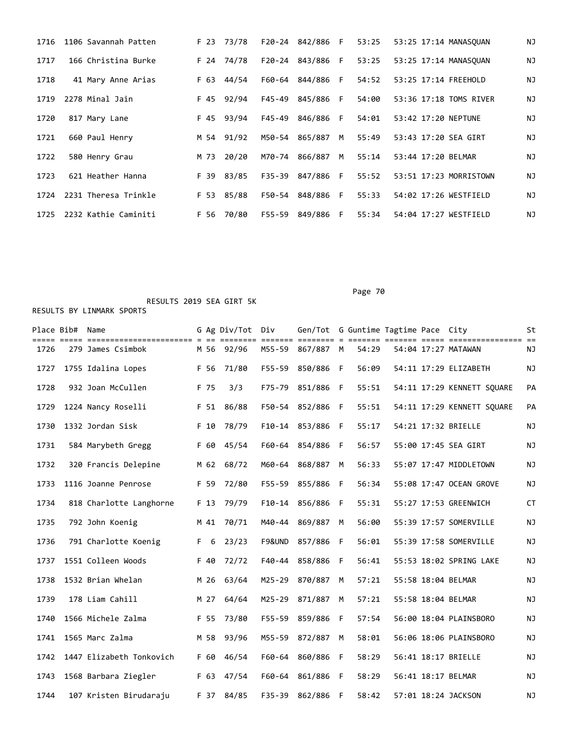| 1716 | 1106 Savannah Patten |      | F 23 73/78 |        | F20-24 842/886 F |    | 53:25 | 53:25 17:14 MANASOUAN  | NJ |
|------|----------------------|------|------------|--------|------------------|----|-------|------------------------|----|
| 1717 | 166 Christina Burke  |      | F 24 74/78 |        | F20-24 843/886 F |    | 53:25 | 53:25 17:14 MANASOUAN  | ΝJ |
| 1718 | 41 Mary Anne Arias   |      | F 63 44/54 | F60-64 | 844/886 F        |    | 54:52 | 53:25 17:14 FREEHOLD   | ΝJ |
| 1719 | 2278 Minal Jain      |      | F 45 92/94 | F45-49 | 845/886 F        |    | 54:00 | 53:36 17:18 TOMS RIVER | ΝJ |
| 1720 | 817 Mary Lane        |      | F 45 93/94 | F45-49 | 846/886          | F. | 54:01 | 53:42 17:20 NEPTUNE    | NJ |
| 1721 | 660 Paul Henry       |      | M 54 91/92 | M50-54 | 865/887          | M  | 55:49 | 53:43 17:20 SEA GIRT   | ΝJ |
| 1722 | 580 Henry Grau       | M 73 | 20/20      | M70-74 | 866/887          | M  | 55:14 | 53:44 17:20 BELMAR     | ΝJ |
| 1723 | 621 Heather Hanna    |      | F 39 83/85 |        | F35-39 847/886 F |    | 55:52 | 53:51 17:23 MORRISTOWN | NJ |
| 1724 | 2231 Theresa Trinkle |      | F 53 85/88 | F50-54 | 848/886 F        |    | 55:33 | 54:02 17:26 WESTFIELD  | ΝJ |
| 1725 | 2232 Kathie Caminiti |      | F 56 70/80 | F55-59 | 849/886 F        |    | 55:34 | 54:04 17:27 WESTFIELD  | ΝJ |

RESULTS 2019 SEA GIRT 5K

|      | Place Bib# Name |                          |      | G Ag Div/Tot Div | ====== ==  | Gen/Tot G Guntime Tagtime Pace City |    |       |  |                            | St        |
|------|-----------------|--------------------------|------|------------------|------------|-------------------------------------|----|-------|--|----------------------------|-----------|
| 1726 |                 | 279 James Csimbok        |      | M 56 92/96       | M55-59     | 867/887 M                           |    | 54:29 |  | 54:04 17:27 MATAWAN        | ΝJ        |
| 1727 |                 | 1755 Idalina Lopes       | F 56 | 71/80            | $F55 - 59$ | 850/886                             | -F | 56:09 |  | 54:11 17:29 ELIZABETH      | ΝJ        |
| 1728 |                 | 932 Joan McCullen        | F 75 | 3/3              | $F75 - 79$ | 851/886                             | F  | 55:51 |  | 54:11 17:29 KENNETT SQUARE | PA        |
| 1729 |                 | 1224 Nancy Roselli       | F 51 | 86/88            | F50-54     | 852/886                             | F  | 55:51 |  | 54:11 17:29 KENNETT SQUARE | PA        |
| 1730 |                 | 1332 Jordan Sisk         | F 10 | 78/79            | $F10-14$   | 853/886                             | F  | 55:17 |  | 54:21 17:32 BRIELLE        | <b>NJ</b> |
| 1731 |                 | 584 Marybeth Gregg       | F 60 | 45/54            | F60-64     | 854/886                             | F  | 56:57 |  | 55:00 17:45 SEA GIRT       | ΝJ        |
| 1732 |                 | 320 Francis Delepine     | M 62 | 68/72            | M60-64     | 868/887                             | M  | 56:33 |  | 55:07 17:47 MIDDLETOWN     | NJ        |
| 1733 |                 | 1116 Joanne Penrose      | F 59 | 72/80            | F55-59     | 855/886                             | F  | 56:34 |  | 55:08 17:47 OCEAN GROVE    | NJ        |
| 1734 |                 | 818 Charlotte Langhorne  | F 13 | 79/79            |            | F10-14 856/886                      | F  | 55:31 |  | 55:27 17:53 GREENWICH      | <b>CT</b> |
| 1735 |                 | 792 John Koenig          | M 41 | 70/71            | M40-44     | 869/887                             | M  | 56:00 |  | 55:39 17:57 SOMERVILLE     | <b>NJ</b> |
| 1736 |                 | 791 Charlotte Koenig     | F 6  | 23/23            | F9&UND     | 857/886                             | F  | 56:01 |  | 55:39 17:58 SOMERVILLE     | <b>NJ</b> |
| 1737 |                 | 1551 Colleen Woods       | F 40 | 72/72            | $F40 - 44$ | 858/886                             | F  | 56:41 |  | 55:53 18:02 SPRING LAKE    | <b>NJ</b> |
| 1738 |                 | 1532 Brian Whelan        | M 26 | 63/64            | $M25 - 29$ | 870/887                             | М  | 57:21 |  | 55:58 18:04 BELMAR         | <b>NJ</b> |
| 1739 |                 | 178 Liam Cahill          | M 27 | 64/64            | $M25 - 29$ | 871/887                             | M  | 57:21 |  | 55:58 18:04 BELMAR         | <b>NJ</b> |
| 1740 |                 | 1566 Michele Zalma       | F 55 | 73/80            | $F55 - 59$ | 859/886                             | F  | 57:54 |  | 56:00 18:04 PLAINSBORO     | <b>NJ</b> |
| 1741 |                 | 1565 Marc Zalma          | M 58 | 93/96            | M55-59     | 872/887                             | M  | 58:01 |  | 56:06 18:06 PLAINSBORO     | <b>NJ</b> |
| 1742 |                 | 1447 Elizabeth Tonkovich | F 60 | 46/54            | F60-64     | 860/886                             | F  | 58:29 |  | 56:41 18:17 BRIELLE        | <b>NJ</b> |
| 1743 |                 | 1568 Barbara Ziegler     | F 63 | 47/54            | F60-64     | 861/886                             | -F | 58:29 |  | 56:41 18:17 BELMAR         | <b>NJ</b> |
| 1744 |                 | 107 Kristen Birudaraju   |      | F 37 84/85       | F35-39     | 862/886                             | F  | 58:42 |  | 57:01 18:24 JACKSON        | <b>NJ</b> |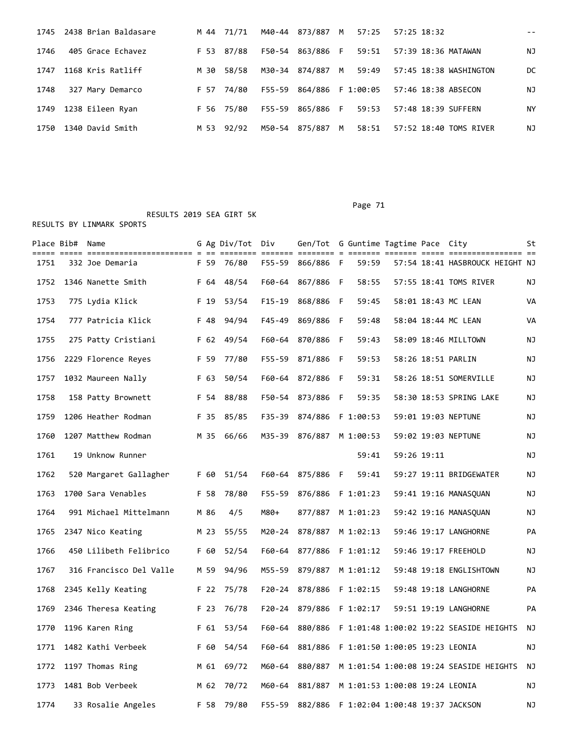|      | 1745 2438 Brian Baldasare |      | M 44 71/71 |                  |       | M40-44 873/887 M 57:25 57:25 18:32           |    |
|------|---------------------------|------|------------|------------------|-------|----------------------------------------------|----|
| 1746 | 405 Grace Echavez         |      | F 53 87/88 | F50-54 863/886 F |       | 59:51   57:39   18:36 MATAWAN                | ΝJ |
| 1747 | 1168 Kris Ratliff         | M 30 | 58/58      | M30-34 874/887 M |       |                                              | DC |
| 1748 | 327 Mary Demarco          |      | F 57 74/80 |                  |       | F55-59 864/886 F 1:00:05 57:46 18:38 ABSECON | ΝJ |
|      | 1749 1238 Eileen Ryan     |      | F 56 75/80 | F55-59 865/886 F | 59:53 | 57:48 18:39 SUFFERN                          | ΝY |
| 1750 | 1340 David Smith          |      | M 53 92/92 | M50-54 875/887 M | 58:51 | 57:52 18:40 TOMS RIVER                       | ΝJ |

|      | Place Bib#  Name |                                                  |      | G Ag Div/Tot | Div<br>===== ==: | Gen/Tot G Guntime Tagtime Pace City |     | == = ==                         | :=== =====  |                                         | St        |
|------|------------------|--------------------------------------------------|------|--------------|------------------|-------------------------------------|-----|---------------------------------|-------------|-----------------------------------------|-----------|
| 1751 |                  | ======================== = ==<br>332 Joe Demaria | F 59 | 76/80        | F55-59           | 866/886 F                           |     | 59:59                           |             | 57:54 18:41 HASBROUCK HEIGHT NJ         |           |
| 1752 |                  | 1346 Nanette Smith                               | F 64 | 48/54        | F60-64           | 867/886 F                           |     | 58:55                           |             | 57:55 18:41 TOMS RIVER                  | ΝJ        |
| 1753 |                  | 775 Lydia Klick                                  | F 19 | 53/54        | $F15-19$         | 868/886                             | -F  | 59:45                           |             | 58:01 18:43 MC LEAN                     | VA        |
| 1754 |                  | 777 Patricia Klick                               | F 48 | 94/94        | F45-49           | 869/886                             | - F | 59:48                           |             | 58:04 18:44 MC LEAN                     | VA        |
| 1755 |                  | 275 Patty Cristiani                              | F 62 | 49/54        | F60-64           | 870/886                             | F   | 59:43                           |             | 58:09 18:46 MILLTOWN                    | ΝJ        |
| 1756 |                  | 2229 Florence Reyes                              | F 59 | 77/80        |                  | F55-59 871/886                      | - F | 59:53                           |             | 58:26 18:51 PARLIN                      | ΝJ        |
| 1757 |                  | 1032 Maureen Nally                               | F 63 | 50/54        | F60-64           | 872/886                             | - F | 59:31                           |             | 58:26 18:51 SOMERVILLE                  | ΝJ        |
| 1758 |                  | 158 Patty Brownett                               | F 54 | 88/88        |                  | F50-54 873/886 F                    |     | 59:35                           |             | 58:30 18:53 SPRING LAKE                 | ΝJ        |
| 1759 |                  | 1206 Heather Rodman                              | F 35 | 85/85        | F35-39           | 874/886                             |     | F 1:00:53                       |             | 59:01 19:03 NEPTUNE                     | ΝJ        |
| 1760 |                  | 1207 Matthew Rodman                              | M 35 | 66/66        |                  | M35-39 876/887                      |     | M 1:00:53                       |             | 59:02 19:03 NEPTUNE                     | ΝJ        |
| 1761 |                  | 19 Unknow Runner                                 |      |              |                  |                                     |     | 59:41                           | 59:26 19:11 |                                         | ΝJ        |
| 1762 |                  | 520 Margaret Gallagher                           | F 60 | 51/54        |                  | F60-64 875/886 F                    |     | 59:41                           |             | 59:27 19:11 BRIDGEWATER                 | ΝJ        |
| 1763 |                  | 1700 Sara Venables                               | F 58 | 78/80        | F55-59           | 876/886                             |     | F 1:01:23                       |             | 59:41 19:16 MANASQUAN                   | ΝJ        |
| 1764 |                  | 991 Michael Mittelmann                           | M 86 | 4/5          | M80+             | 877/887                             |     | M 1:01:23                       |             | 59:42 19:16 MANASQUAN                   | ΝJ        |
| 1765 |                  | 2347 Nico Keating                                | M 23 | 55/55        | M20-24           | 878/887                             |     | M 1:02:13                       |             | 59:46 19:17 LANGHORNE                   | <b>PA</b> |
| 1766 |                  | 450 Lilibeth Felibrico                           | F 60 | 52/54        | F60-64           | 877/886                             |     | F 1:01:12                       |             | 59:46 19:17 FREEHOLD                    | ΝJ        |
| 1767 |                  | 316 Francisco Del Valle                          | M 59 | 94/96        | M55-59           | 879/887                             |     | M 1:01:12                       |             | 59:48 19:18 ENGLISHTOWN                 | ΝJ        |
| 1768 |                  | 2345 Kelly Keating                               | F 22 | 75/78        | $F20 - 24$       | 878/886                             |     | F 1:02:15                       |             | 59:48 19:18 LANGHORNE                   | PA        |
| 1769 |                  | 2346 Theresa Keating                             | F 23 | 76/78        | F20-24           | 879/886                             |     | F 1:02:17                       |             | 59:51 19:19 LANGHORNE                   | PA        |
| 1770 |                  | 1196 Karen Ring                                  | F 61 | 53/54        | F60-64           | 880/886                             |     |                                 |             | F 1:01:48 1:00:02 19:22 SEASIDE HEIGHTS | NJ        |
| 1771 |                  | 1482 Kathi Verbeek                               | F 60 | 54/54        | F60-64           | 881/886                             |     | F 1:01:50 1:00:05 19:23 LEONIA  |             |                                         | ΝJ        |
| 1772 |                  | 1197 Thomas Ring                                 | M 61 | 69/72        | M60-64           | 880/887                             |     |                                 |             | M 1:01:54 1:00:08 19:24 SEASIDE HEIGHTS | ΝJ        |
| 1773 |                  | 1481 Bob Verbeek                                 | M 62 | 70/72        | M60-64           | 881/887                             |     | M 1:01:53 1:00:08 19:24 LEONIA  |             |                                         | ΝJ        |
| 1774 |                  | 33 Rosalie Angeles                               | F 58 | 79/80        | F55-59           | 882/886                             |     | F 1:02:04 1:00:48 19:37 JACKSON |             |                                         | ΝJ        |